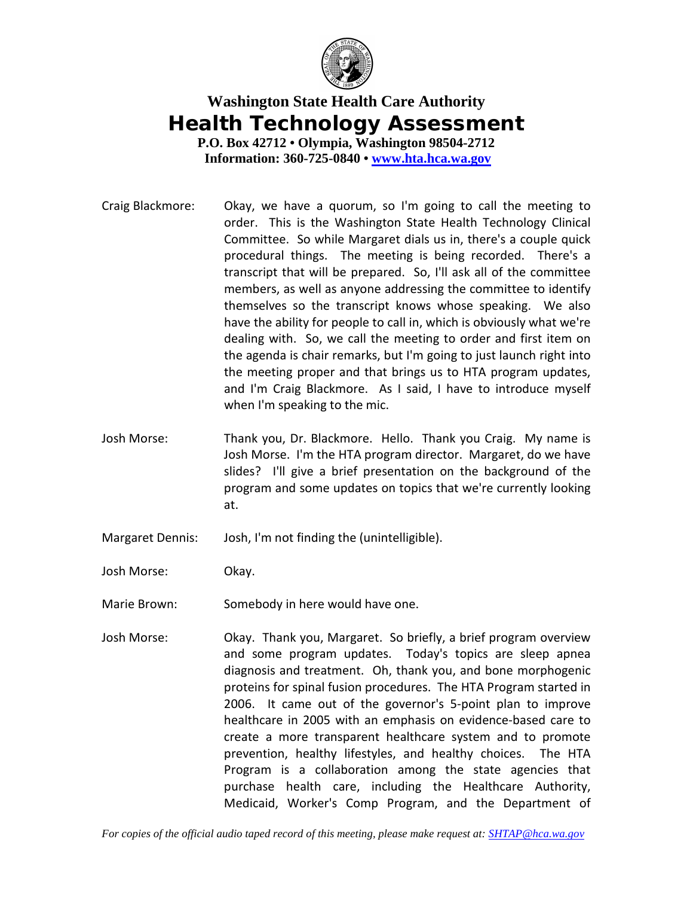

## **Washington State Health Care Authority Health Technology Assessment**

**P.O. Box 42712 • Olympia, Washington 98504-2712 Information: 360-725-0840 • [www.hta.hca.wa.gov](http://www.hta.hca.wa.gov/)**

- Craig Blackmore: Okay, we have a quorum, so I'm going to call the meeting to order. This is the Washington State Health Technology Clinical Committee. So while Margaret dials us in, there's a couple quick procedural things. The meeting is being recorded. There's a transcript that will be prepared. So, I'll ask all of the committee members, as well as anyone addressing the committee to identify themselves so the transcript knows whose speaking. We also have the ability for people to call in, which is obviously what we're dealing with. So, we call the meeting to order and first item on the agenda is chair remarks, but I'm going to just launch right into the meeting proper and that brings us to HTA program updates, and I'm Craig Blackmore. As I said, I have to introduce myself when I'm speaking to the mic.
- Josh Morse: Thank you, Dr. Blackmore. Hello. Thank you Craig. My name is Josh Morse. I'm the HTA program director. Margaret, do we have slides? I'll give a brief presentation on the background of the program and some updates on topics that we're currently looking at.
- Margaret Dennis: Josh, I'm not finding the (unintelligible).
- Josh Morse: Okay.
- Marie Brown: Somebody in here would have one.
- Josh Morse: Okay. Thank you, Margaret. So briefly, a brief program overview and some program updates. Today's topics are sleep apnea diagnosis and treatment. Oh, thank you, and bone morphogenic proteins for spinal fusion procedures. The HTA Program started in 2006. It came out of the governor's 5-point plan to improve healthcare in 2005 with an emphasis on evidence-based care to create a more transparent healthcare system and to promote prevention, healthy lifestyles, and healthy choices. The HTA Program is a collaboration among the state agencies that purchase health care, including the Healthcare Authority, Medicaid, Worker's Comp Program, and the Department of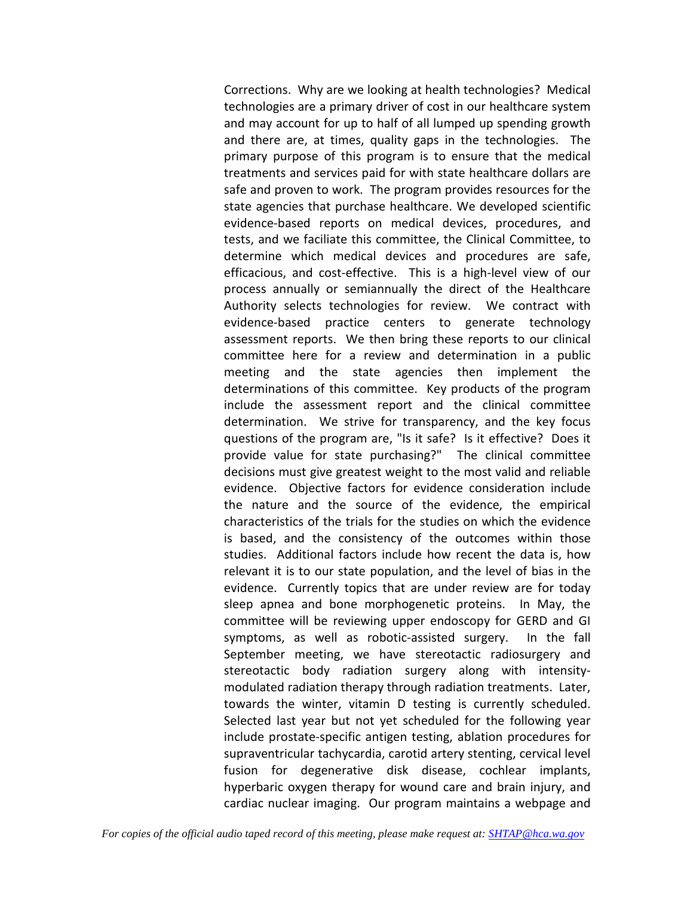Corrections. Why are we looking at health technologies? Medical technologies are a primary driver of cost in our healthcare system and may account for up to half of all lumped up spending growth and there are, at times, quality gaps in the technologies. The primary purpose of this program is to ensure that the medical treatments and services paid for with state healthcare dollars are safe and proven to work. The program provides resources for the state agencies that purchase healthcare. We developed scientific evidence-based reports on medical devices, procedures, and tests, and we faciliate this committee, the Clinical Committee, to determine which medical devices and procedures are safe, efficacious, and cost-effective. This is a high-level view of our process annually or semiannually the direct of the Healthcare Authority selects technologies for review. We contract with evidence-based practice centers to generate technology assessment reports. We then bring these reports to our clinical committee here for a review and determination in a public meeting and the state agencies then implement the determinations of this committee. Key products of the program include the assessment report and the clinical committee determination. We strive for transparency, and the key focus questions of the program are, "Is it safe? Is it effective? Does it provide value for state purchasing?" The clinical committee decisions must give greatest weight to the most valid and reliable evidence. Objective factors for evidence consideration include the nature and the source of the evidence, the empirical characteristics of the trials for the studies on which the evidence is based, and the consistency of the outcomes within those studies. Additional factors include how recent the data is, how relevant it is to our state population, and the level of bias in the evidence. Currently topics that are under review are for today sleep apnea and bone morphogenetic proteins. In May, the committee will be reviewing upper endoscopy for GERD and GI symptoms, as well as robotic-assisted surgery. In the fall September meeting, we have stereotactic radiosurgery and stereotactic body radiation surgery along with intensitymodulated radiation therapy through radiation treatments. Later, towards the winter, vitamin D testing is currently scheduled. Selected last year but not yet scheduled for the following year include prostate-specific antigen testing, ablation procedures for supraventricular tachycardia, carotid artery stenting, cervical level fusion for degenerative disk disease, cochlear implants, hyperbaric oxygen therapy for wound care and brain injury, and cardiac nuclear imaging. Our program maintains a webpage and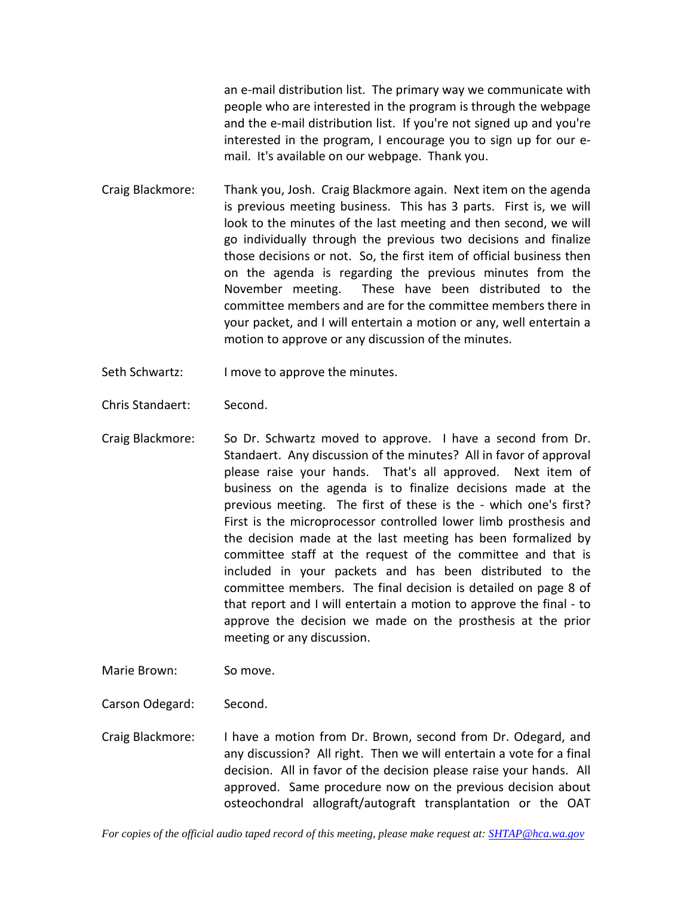an e-mail distribution list. The primary way we communicate with people who are interested in the program is through the webpage and the e-mail distribution list. If you're not signed up and you're interested in the program, I encourage you to sign up for our email. It's available on our webpage. Thank you.

- Craig Blackmore: Thank you, Josh. Craig Blackmore again. Next item on the agenda is previous meeting business. This has 3 parts. First is, we will look to the minutes of the last meeting and then second, we will go individually through the previous two decisions and finalize those decisions or not. So, the first item of official business then on the agenda is regarding the previous minutes from the November meeting. These have been distributed to the committee members and are for the committee members there in your packet, and I will entertain a motion or any, well entertain a motion to approve or any discussion of the minutes.
- Seth Schwartz: I move to approve the minutes.
- Chris Standaert: Second.
- Craig Blackmore: So Dr. Schwartz moved to approve. I have a second from Dr. Standaert. Any discussion of the minutes? All in favor of approval please raise your hands. That's all approved. Next item of business on the agenda is to finalize decisions made at the previous meeting. The first of these is the - which one's first? First is the microprocessor controlled lower limb prosthesis and the decision made at the last meeting has been formalized by committee staff at the request of the committee and that is included in your packets and has been distributed to the committee members. The final decision is detailed on page 8 of that report and I will entertain a motion to approve the final - to approve the decision we made on the prosthesis at the prior meeting or any discussion.
- Marie Brown: So move.
- Carson Odegard: Second.
- Craig Blackmore: I have a motion from Dr. Brown, second from Dr. Odegard, and any discussion? All right. Then we will entertain a vote for a final decision. All in favor of the decision please raise your hands. All approved. Same procedure now on the previous decision about osteochondral allograft/autograft transplantation or the OAT

*For copies of the official audio taped record of this meeting, please make request at[: SHTAP@hca.wa.gov](mailto:SHTAP@hca.wa.gov)*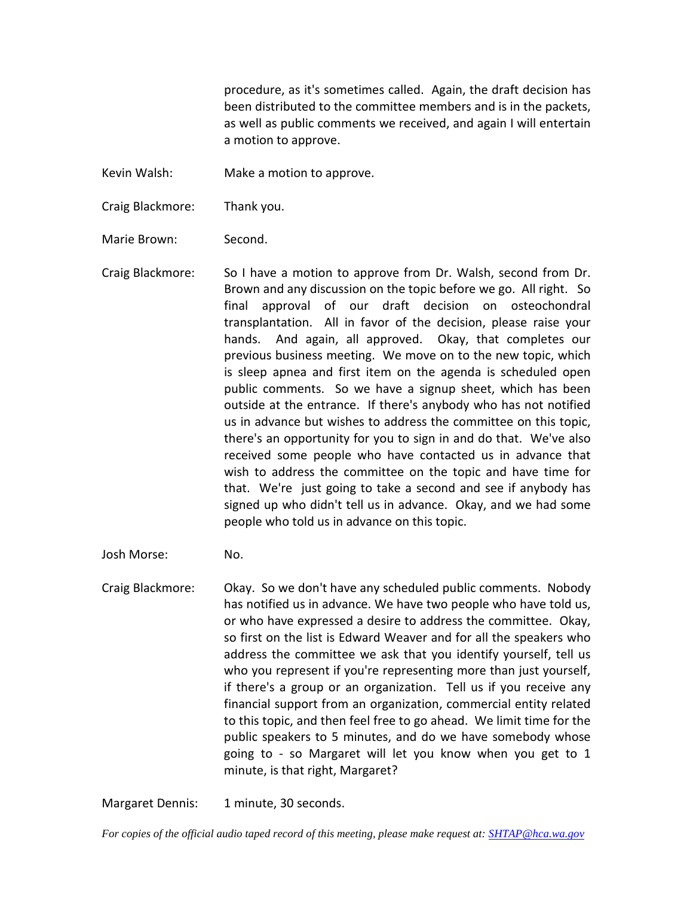procedure, as it's sometimes called. Again, the draft decision has been distributed to the committee members and is in the packets, as well as public comments we received, and again I will entertain a motion to approve.

Kevin Walsh: Make a motion to approve.

Craig Blackmore: Thank you.

Marie Brown: Second.

Craig Blackmore: So I have a motion to approve from Dr. Walsh, second from Dr. Brown and any discussion on the topic before we go. All right. So final approval of our draft decision on osteochondral transplantation. All in favor of the decision, please raise your hands. And again, all approved. Okay, that completes our previous business meeting. We move on to the new topic, which is sleep apnea and first item on the agenda is scheduled open public comments. So we have a signup sheet, which has been outside at the entrance. If there's anybody who has not notified us in advance but wishes to address the committee on this topic, there's an opportunity for you to sign in and do that. We've also received some people who have contacted us in advance that wish to address the committee on the topic and have time for that. We're just going to take a second and see if anybody has signed up who didn't tell us in advance. Okay, and we had some people who told us in advance on this topic.

Josh Morse: No.

Craig Blackmore: Okay. So we don't have any scheduled public comments. Nobody has notified us in advance. We have two people who have told us, or who have expressed a desire to address the committee. Okay, so first on the list is Edward Weaver and for all the speakers who address the committee we ask that you identify yourself, tell us who you represent if you're representing more than just yourself, if there's a group or an organization. Tell us if you receive any financial support from an organization, commercial entity related to this topic, and then feel free to go ahead. We limit time for the public speakers to 5 minutes, and do we have somebody whose going to - so Margaret will let you know when you get to 1 minute, is that right, Margaret?

Margaret Dennis: 1 minute, 30 seconds.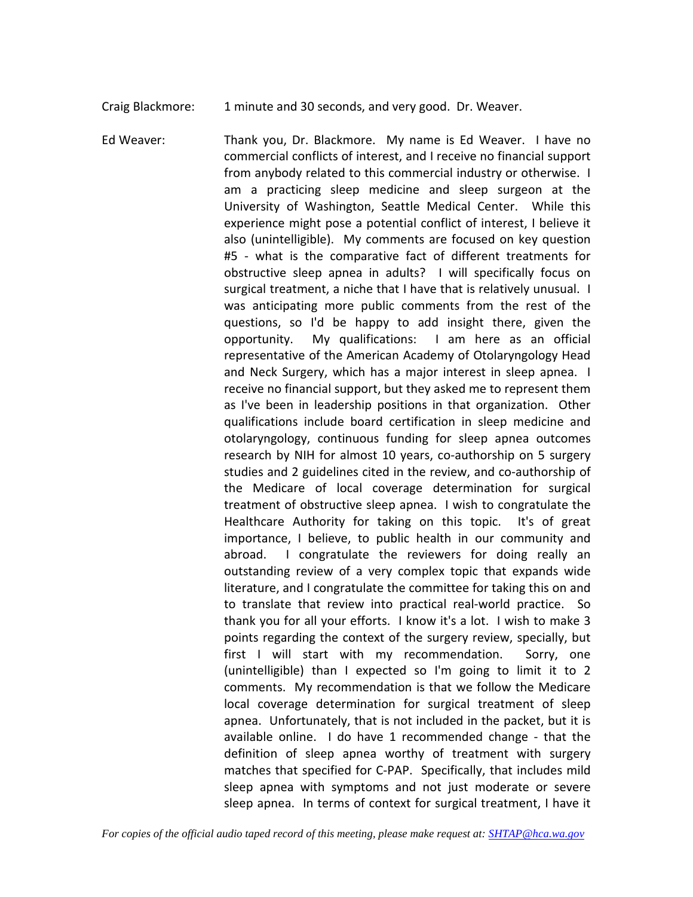Craig Blackmore: 1 minute and 30 seconds, and very good. Dr. Weaver.

Ed Weaver: Thank you, Dr. Blackmore. My name is Ed Weaver. I have no commercial conflicts of interest, and I receive no financial support from anybody related to this commercial industry or otherwise. I am a practicing sleep medicine and sleep surgeon at the University of Washington, Seattle Medical Center. While this experience might pose a potential conflict of interest, I believe it also (unintelligible). My comments are focused on key question #5 - what is the comparative fact of different treatments for obstructive sleep apnea in adults? I will specifically focus on surgical treatment, a niche that I have that is relatively unusual. I was anticipating more public comments from the rest of the questions, so I'd be happy to add insight there, given the opportunity. My qualifications: I am here as an official representative of the American Academy of Otolaryngology Head and Neck Surgery, which has a major interest in sleep apnea. I receive no financial support, but they asked me to represent them as I've been in leadership positions in that organization. Other qualifications include board certification in sleep medicine and otolaryngology, continuous funding for sleep apnea outcomes research by NIH for almost 10 years, co-authorship on 5 surgery studies and 2 guidelines cited in the review, and co-authorship of the Medicare of local coverage determination for surgical treatment of obstructive sleep apnea. I wish to congratulate the Healthcare Authority for taking on this topic. It's of great importance, I believe, to public health in our community and abroad. I congratulate the reviewers for doing really an outstanding review of a very complex topic that expands wide literature, and I congratulate the committee for taking this on and to translate that review into practical real-world practice. So thank you for all your efforts. I know it's a lot. I wish to make 3 points regarding the context of the surgery review, specially, but first I will start with my recommendation. Sorry, one (unintelligible) than I expected so I'm going to limit it to 2 comments. My recommendation is that we follow the Medicare local coverage determination for surgical treatment of sleep apnea. Unfortunately, that is not included in the packet, but it is available online. I do have 1 recommended change - that the definition of sleep apnea worthy of treatment with surgery matches that specified for C-PAP. Specifically, that includes mild sleep apnea with symptoms and not just moderate or severe sleep apnea. In terms of context for surgical treatment, I have it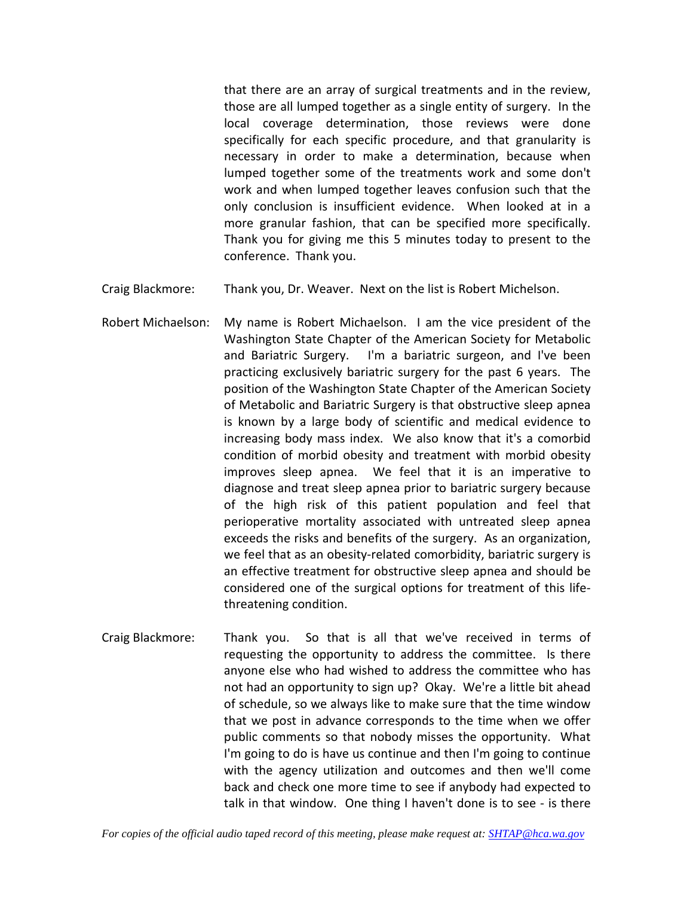that there are an array of surgical treatments and in the review, those are all lumped together as a single entity of surgery. In the local coverage determination, those reviews were done specifically for each specific procedure, and that granularity is necessary in order to make a determination, because when lumped together some of the treatments work and some don't work and when lumped together leaves confusion such that the only conclusion is insufficient evidence. When looked at in a more granular fashion, that can be specified more specifically. Thank you for giving me this 5 minutes today to present to the conference. Thank you.

- Craig Blackmore: Thank you, Dr. Weaver. Next on the list is Robert Michelson.
- Robert Michaelson: My name is Robert Michaelson. I am the vice president of the Washington State Chapter of the American Society for Metabolic and Bariatric Surgery. I'm a bariatric surgeon, and I've been practicing exclusively bariatric surgery for the past 6 years. The position of the Washington State Chapter of the American Society of Metabolic and Bariatric Surgery is that obstructive sleep apnea is known by a large body of scientific and medical evidence to increasing body mass index. We also know that it's a comorbid condition of morbid obesity and treatment with morbid obesity improves sleep apnea. We feel that it is an imperative to diagnose and treat sleep apnea prior to bariatric surgery because of the high risk of this patient population and feel that perioperative mortality associated with untreated sleep apnea exceeds the risks and benefits of the surgery. As an organization, we feel that as an obesity-related comorbidity, bariatric surgery is an effective treatment for obstructive sleep apnea and should be considered one of the surgical options for treatment of this lifethreatening condition.
- Craig Blackmore: Thank you. So that is all that we've received in terms of requesting the opportunity to address the committee. Is there anyone else who had wished to address the committee who has not had an opportunity to sign up? Okay. We're a little bit ahead of schedule, so we always like to make sure that the time window that we post in advance corresponds to the time when we offer public comments so that nobody misses the opportunity. What I'm going to do is have us continue and then I'm going to continue with the agency utilization and outcomes and then we'll come back and check one more time to see if anybody had expected to talk in that window. One thing I haven't done is to see - is there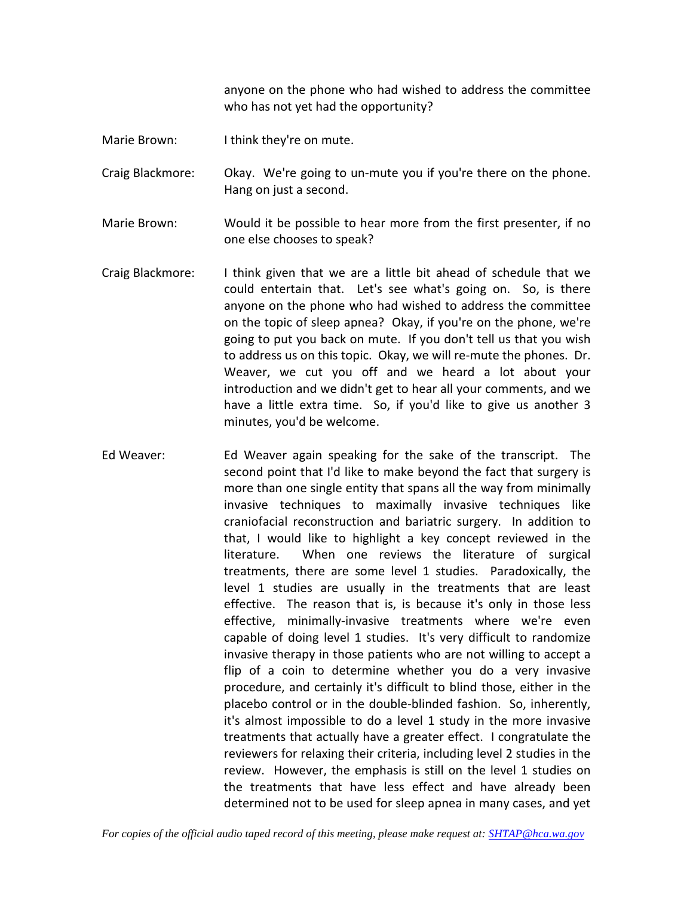anyone on the phone who had wished to address the committee who has not yet had the opportunity?

Marie Brown: I think they're on mute.

Craig Blackmore: Okay. We're going to un-mute you if you're there on the phone. Hang on just a second.

- Marie Brown: Would it be possible to hear more from the first presenter, if no one else chooses to speak?
- Craig Blackmore: I think given that we are a little bit ahead of schedule that we could entertain that. Let's see what's going on. So, is there anyone on the phone who had wished to address the committee on the topic of sleep apnea? Okay, if you're on the phone, we're going to put you back on mute. If you don't tell us that you wish to address us on this topic. Okay, we will re-mute the phones. Dr. Weaver, we cut you off and we heard a lot about your introduction and we didn't get to hear all your comments, and we have a little extra time. So, if you'd like to give us another 3 minutes, you'd be welcome.
- Ed Weaver: Ed Weaver again speaking for the sake of the transcript. The second point that I'd like to make beyond the fact that surgery is more than one single entity that spans all the way from minimally invasive techniques to maximally invasive techniques like craniofacial reconstruction and bariatric surgery. In addition to that, I would like to highlight a key concept reviewed in the literature. When one reviews the literature of surgical treatments, there are some level 1 studies. Paradoxically, the level 1 studies are usually in the treatments that are least effective. The reason that is, is because it's only in those less effective, minimally-invasive treatments where we're even capable of doing level 1 studies. It's very difficult to randomize invasive therapy in those patients who are not willing to accept a flip of a coin to determine whether you do a very invasive procedure, and certainly it's difficult to blind those, either in the placebo control or in the double-blinded fashion. So, inherently, it's almost impossible to do a level 1 study in the more invasive treatments that actually have a greater effect. I congratulate the reviewers for relaxing their criteria, including level 2 studies in the review. However, the emphasis is still on the level 1 studies on the treatments that have less effect and have already been determined not to be used for sleep apnea in many cases, and yet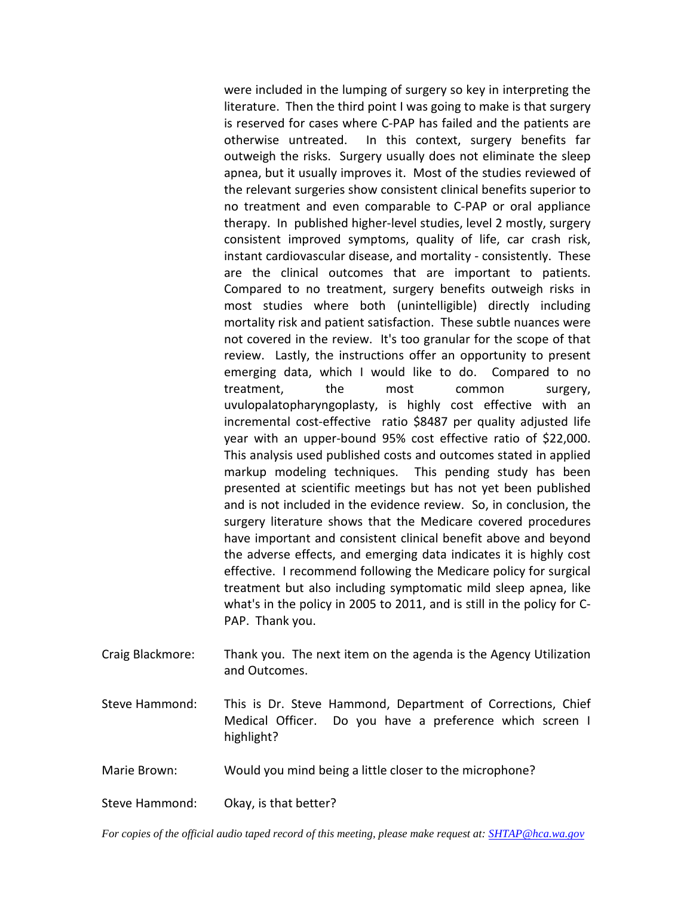were included in the lumping of surgery so key in interpreting the literature. Then the third point I was going to make is that surgery is reserved for cases where C-PAP has failed and the patients are otherwise untreated. In this context, surgery benefits far outweigh the risks. Surgery usually does not eliminate the sleep apnea, but it usually improves it. Most of the studies reviewed of the relevant surgeries show consistent clinical benefits superior to no treatment and even comparable to C-PAP or oral appliance therapy. In published higher-level studies, level 2 mostly, surgery consistent improved symptoms, quality of life, car crash risk, instant cardiovascular disease, and mortality - consistently. These are the clinical outcomes that are important to patients. Compared to no treatment, surgery benefits outweigh risks in most studies where both (unintelligible) directly including mortality risk and patient satisfaction. These subtle nuances were not covered in the review. It's too granular for the scope of that review. Lastly, the instructions offer an opportunity to present emerging data, which I would like to do. Compared to no treatment, the most common surgery, uvulopalatopharyngoplasty, is highly cost effective with an incremental cost-effective ratio \$8487 per quality adjusted life year with an upper-bound 95% cost effective ratio of \$22,000. This analysis used published costs and outcomes stated in applied markup modeling techniques. This pending study has been presented at scientific meetings but has not yet been published and is not included in the evidence review. So, in conclusion, the surgery literature shows that the Medicare covered procedures have important and consistent clinical benefit above and beyond the adverse effects, and emerging data indicates it is highly cost effective. I recommend following the Medicare policy for surgical treatment but also including symptomatic mild sleep apnea, like what's in the policy in 2005 to 2011, and is still in the policy for C-PAP. Thank you.

- Craig Blackmore: Thank you. The next item on the agenda is the Agency Utilization and Outcomes.
- Steve Hammond: This is Dr. Steve Hammond, Department of Corrections, Chief Medical Officer. Do you have a preference which screen I highlight?
- Marie Brown: Would you mind being a little closer to the microphone?

Steve Hammond: Okay, is that better?

*For copies of the official audio taped record of this meeting, please make request at[: SHTAP@hca.wa.gov](mailto:SHTAP@hca.wa.gov)*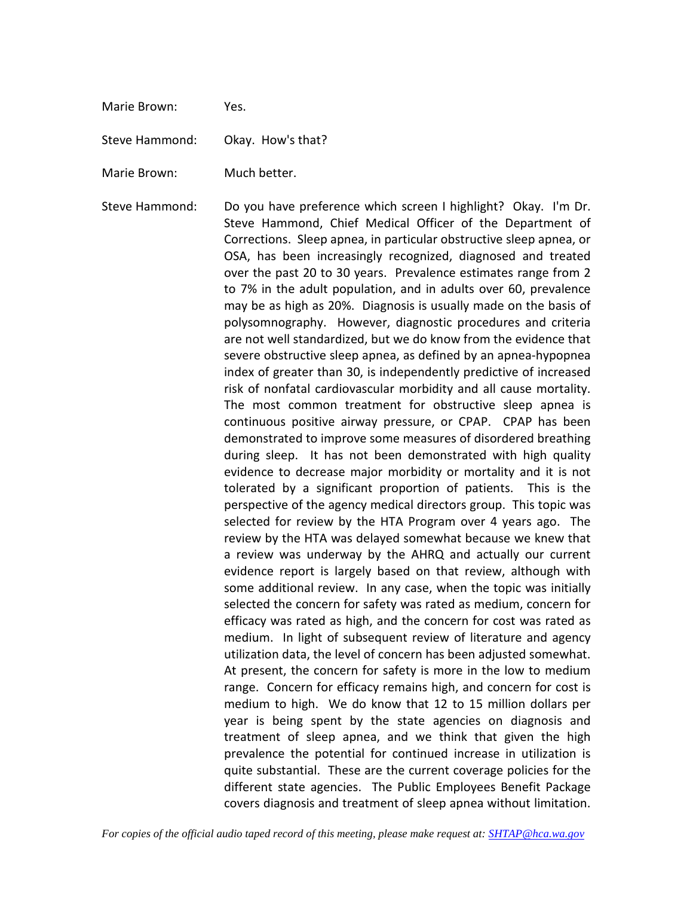Marie Brown: Yes.

Steve Hammond: Okay. How's that?

Marie Brown: Much better.

Steve Hammond: Do you have preference which screen I highlight? Okay. I'm Dr. Steve Hammond, Chief Medical Officer of the Department of Corrections. Sleep apnea, in particular obstructive sleep apnea, or OSA, has been increasingly recognized, diagnosed and treated over the past 20 to 30 years. Prevalence estimates range from 2 to 7% in the adult population, and in adults over 60, prevalence may be as high as 20%. Diagnosis is usually made on the basis of polysomnography. However, diagnostic procedures and criteria are not well standardized, but we do know from the evidence that severe obstructive sleep apnea, as defined by an apnea-hypopnea index of greater than 30, is independently predictive of increased risk of nonfatal cardiovascular morbidity and all cause mortality. The most common treatment for obstructive sleep apnea is continuous positive airway pressure, or CPAP. CPAP has been demonstrated to improve some measures of disordered breathing during sleep. It has not been demonstrated with high quality evidence to decrease major morbidity or mortality and it is not tolerated by a significant proportion of patients. This is the perspective of the agency medical directors group. This topic was selected for review by the HTA Program over 4 years ago. The review by the HTA was delayed somewhat because we knew that a review was underway by the AHRQ and actually our current evidence report is largely based on that review, although with some additional review. In any case, when the topic was initially selected the concern for safety was rated as medium, concern for efficacy was rated as high, and the concern for cost was rated as medium. In light of subsequent review of literature and agency utilization data, the level of concern has been adjusted somewhat. At present, the concern for safety is more in the low to medium range. Concern for efficacy remains high, and concern for cost is medium to high. We do know that 12 to 15 million dollars per year is being spent by the state agencies on diagnosis and treatment of sleep apnea, and we think that given the high prevalence the potential for continued increase in utilization is quite substantial. These are the current coverage policies for the different state agencies. The Public Employees Benefit Package covers diagnosis and treatment of sleep apnea without limitation.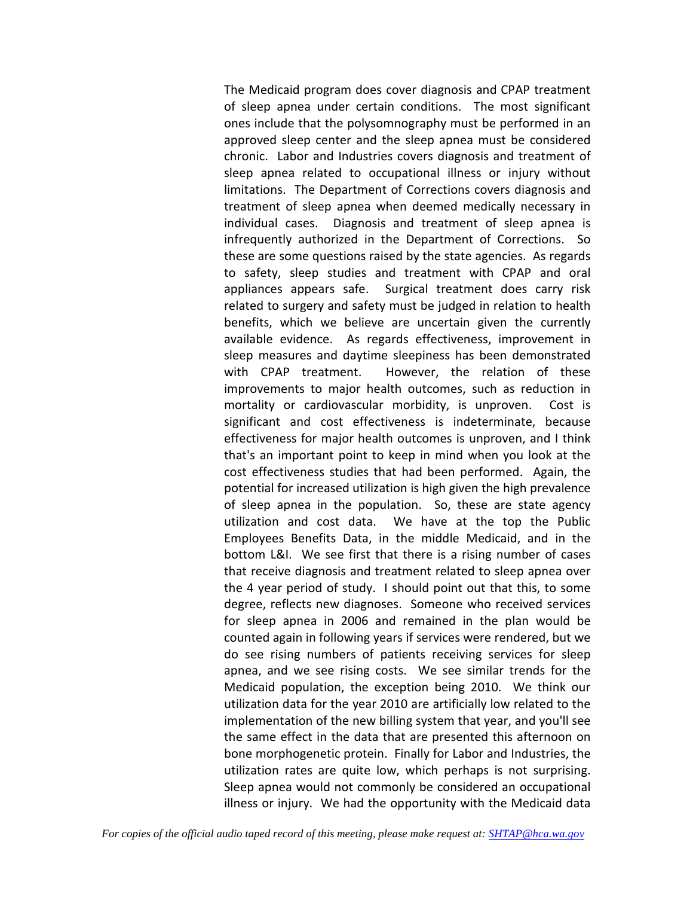The Medicaid program does cover diagnosis and CPAP treatment of sleep apnea under certain conditions. The most significant ones include that the polysomnography must be performed in an approved sleep center and the sleep apnea must be considered chronic. Labor and Industries covers diagnosis and treatment of sleep apnea related to occupational illness or injury without limitations. The Department of Corrections covers diagnosis and treatment of sleep apnea when deemed medically necessary in individual cases. Diagnosis and treatment of sleep apnea is infrequently authorized in the Department of Corrections. So these are some questions raised by the state agencies. As regards to safety, sleep studies and treatment with CPAP and oral appliances appears safe. Surgical treatment does carry risk related to surgery and safety must be judged in relation to health benefits, which we believe are uncertain given the currently available evidence. As regards effectiveness, improvement in sleep measures and daytime sleepiness has been demonstrated with CPAP treatment. However, the relation of these improvements to major health outcomes, such as reduction in mortality or cardiovascular morbidity, is unproven. Cost is significant and cost effectiveness is indeterminate, because effectiveness for major health outcomes is unproven, and I think that's an important point to keep in mind when you look at the cost effectiveness studies that had been performed. Again, the potential for increased utilization is high given the high prevalence of sleep apnea in the population. So, these are state agency utilization and cost data. We have at the top the Public Employees Benefits Data, in the middle Medicaid, and in the bottom L&I. We see first that there is a rising number of cases that receive diagnosis and treatment related to sleep apnea over the 4 year period of study. I should point out that this, to some degree, reflects new diagnoses. Someone who received services for sleep apnea in 2006 and remained in the plan would be counted again in following years if services were rendered, but we do see rising numbers of patients receiving services for sleep apnea, and we see rising costs. We see similar trends for the Medicaid population, the exception being 2010. We think our utilization data for the year 2010 are artificially low related to the implementation of the new billing system that year, and you'll see the same effect in the data that are presented this afternoon on bone morphogenetic protein. Finally for Labor and Industries, the utilization rates are quite low, which perhaps is not surprising. Sleep apnea would not commonly be considered an occupational illness or injury. We had the opportunity with the Medicaid data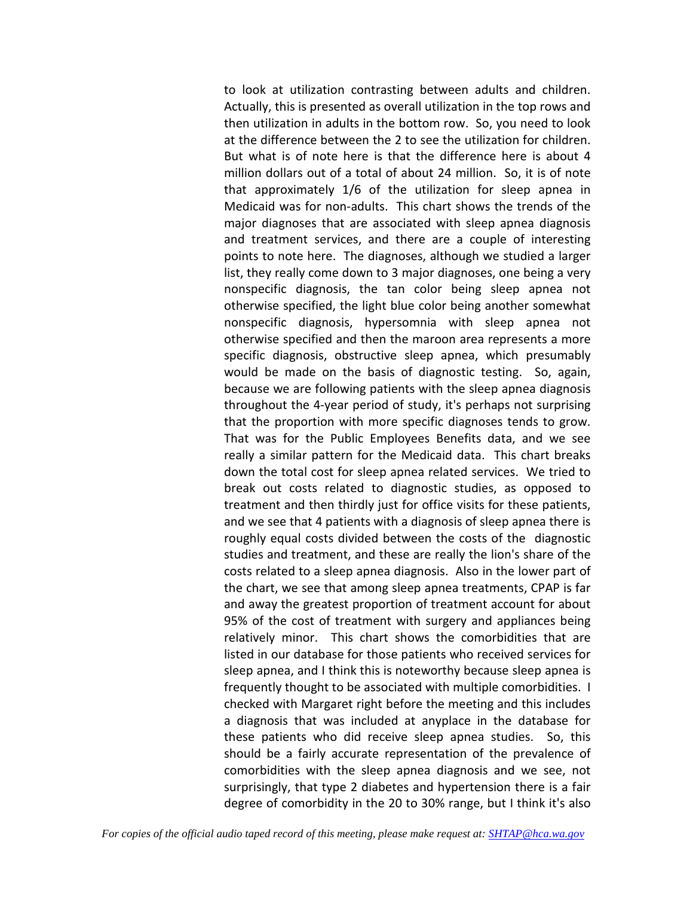to look at utilization contrasting between adults and children. Actually, this is presented as overall utilization in the top rows and then utilization in adults in the bottom row. So, you need to look at the difference between the 2 to see the utilization for children. But what is of note here is that the difference here is about 4 million dollars out of a total of about 24 million. So, it is of note that approximately 1/6 of the utilization for sleep apnea in Medicaid was for non-adults. This chart shows the trends of the major diagnoses that are associated with sleep apnea diagnosis and treatment services, and there are a couple of interesting points to note here. The diagnoses, although we studied a larger list, they really come down to 3 major diagnoses, one being a very nonspecific diagnosis, the tan color being sleep apnea not otherwise specified, the light blue color being another somewhat nonspecific diagnosis, hypersomnia with sleep apnea not otherwise specified and then the maroon area represents a more specific diagnosis, obstructive sleep apnea, which presumably would be made on the basis of diagnostic testing. So, again, because we are following patients with the sleep apnea diagnosis throughout the 4-year period of study, it's perhaps not surprising that the proportion with more specific diagnoses tends to grow. That was for the Public Employees Benefits data, and we see really a similar pattern for the Medicaid data. This chart breaks down the total cost for sleep apnea related services. We tried to break out costs related to diagnostic studies, as opposed to treatment and then thirdly just for office visits for these patients, and we see that 4 patients with a diagnosis of sleep apnea there is roughly equal costs divided between the costs of the diagnostic studies and treatment, and these are really the lion's share of the costs related to a sleep apnea diagnosis. Also in the lower part of the chart, we see that among sleep apnea treatments, CPAP is far and away the greatest proportion of treatment account for about 95% of the cost of treatment with surgery and appliances being relatively minor. This chart shows the comorbidities that are listed in our database for those patients who received services for sleep apnea, and I think this is noteworthy because sleep apnea is frequently thought to be associated with multiple comorbidities. I checked with Margaret right before the meeting and this includes a diagnosis that was included at anyplace in the database for these patients who did receive sleep apnea studies. So, this should be a fairly accurate representation of the prevalence of comorbidities with the sleep apnea diagnosis and we see, not surprisingly, that type 2 diabetes and hypertension there is a fair degree of comorbidity in the 20 to 30% range, but I think it's also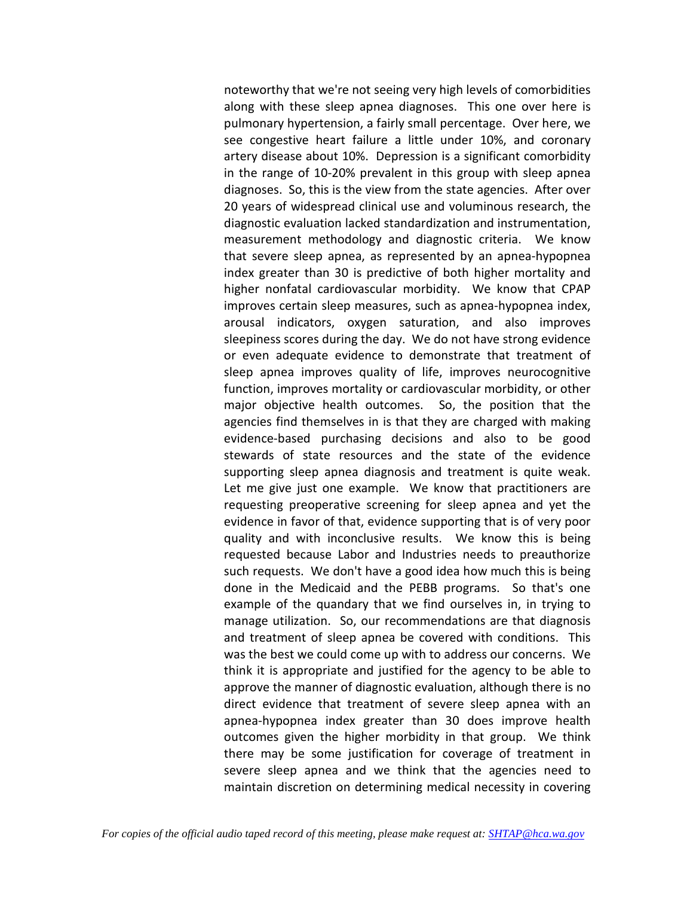noteworthy that we're not seeing very high levels of comorbidities along with these sleep apnea diagnoses. This one over here is pulmonary hypertension, a fairly small percentage. Over here, we see congestive heart failure a little under 10%, and coronary artery disease about 10%. Depression is a significant comorbidity in the range of 10-20% prevalent in this group with sleep apnea diagnoses. So, this is the view from the state agencies. After over 20 years of widespread clinical use and voluminous research, the diagnostic evaluation lacked standardization and instrumentation, measurement methodology and diagnostic criteria. We know that severe sleep apnea, as represented by an apnea-hypopnea index greater than 30 is predictive of both higher mortality and higher nonfatal cardiovascular morbidity. We know that CPAP improves certain sleep measures, such as apnea-hypopnea index, arousal indicators, oxygen saturation, and also improves sleepiness scores during the day. We do not have strong evidence or even adequate evidence to demonstrate that treatment of sleep apnea improves quality of life, improves neurocognitive function, improves mortality or cardiovascular morbidity, or other major objective health outcomes. So, the position that the agencies find themselves in is that they are charged with making evidence-based purchasing decisions and also to be good stewards of state resources and the state of the evidence supporting sleep apnea diagnosis and treatment is quite weak. Let me give just one example. We know that practitioners are requesting preoperative screening for sleep apnea and yet the evidence in favor of that, evidence supporting that is of very poor quality and with inconclusive results. We know this is being requested because Labor and Industries needs to preauthorize such requests. We don't have a good idea how much this is being done in the Medicaid and the PEBB programs. So that's one example of the quandary that we find ourselves in, in trying to manage utilization. So, our recommendations are that diagnosis and treatment of sleep apnea be covered with conditions. This was the best we could come up with to address our concerns. We think it is appropriate and justified for the agency to be able to approve the manner of diagnostic evaluation, although there is no direct evidence that treatment of severe sleep apnea with an apnea-hypopnea index greater than 30 does improve health outcomes given the higher morbidity in that group. We think there may be some justification for coverage of treatment in severe sleep apnea and we think that the agencies need to maintain discretion on determining medical necessity in covering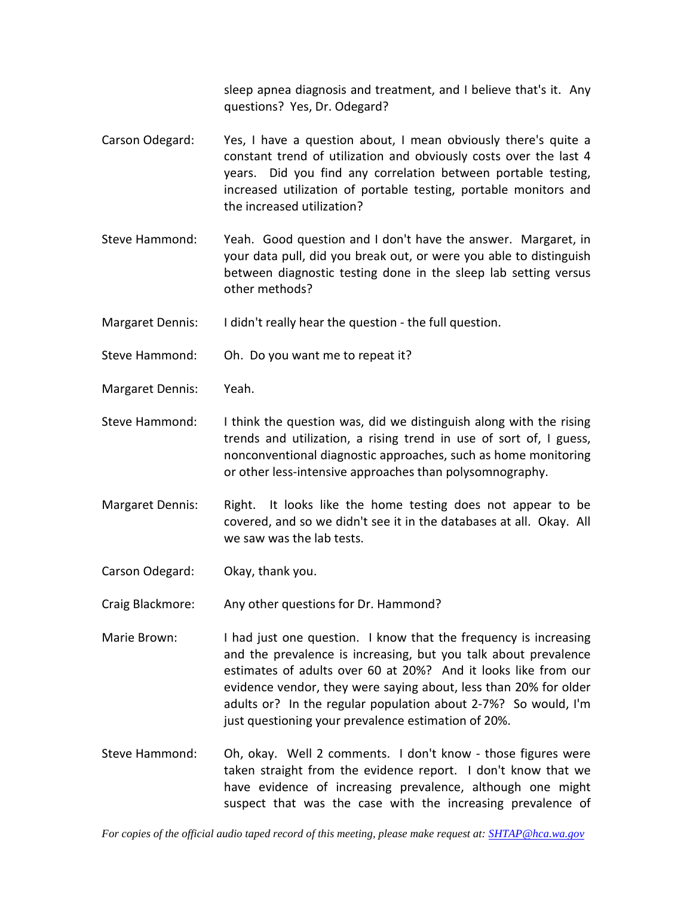sleep apnea diagnosis and treatment, and I believe that's it. Any questions? Yes, Dr. Odegard?

- Carson Odegard: Yes, I have a question about, I mean obviously there's quite a constant trend of utilization and obviously costs over the last 4 years. Did you find any correlation between portable testing, increased utilization of portable testing, portable monitors and the increased utilization?
- Steve Hammond: Yeah. Good question and I don't have the answer. Margaret, in your data pull, did you break out, or were you able to distinguish between diagnostic testing done in the sleep lab setting versus other methods?
- Margaret Dennis: I didn't really hear the question the full question.
- Steve Hammond: Oh. Do you want me to repeat it?
- Margaret Dennis: Yeah.
- Steve Hammond: I think the question was, did we distinguish along with the rising trends and utilization, a rising trend in use of sort of, I guess, nonconventional diagnostic approaches, such as home monitoring or other less-intensive approaches than polysomnography.
- Margaret Dennis: Right. It looks like the home testing does not appear to be covered, and so we didn't see it in the databases at all. Okay. All we saw was the lab tests.
- Carson Odegard: Okay, thank you.
- Craig Blackmore: Any other questions for Dr. Hammond?
- Marie Brown: I had just one question. I know that the frequency is increasing and the prevalence is increasing, but you talk about prevalence estimates of adults over 60 at 20%? And it looks like from our evidence vendor, they were saying about, less than 20% for older adults or? In the regular population about 2-7%? So would, I'm just questioning your prevalence estimation of 20%.
- Steve Hammond: Oh, okay. Well 2 comments. I don't know those figures were taken straight from the evidence report. I don't know that we have evidence of increasing prevalence, although one might suspect that was the case with the increasing prevalence of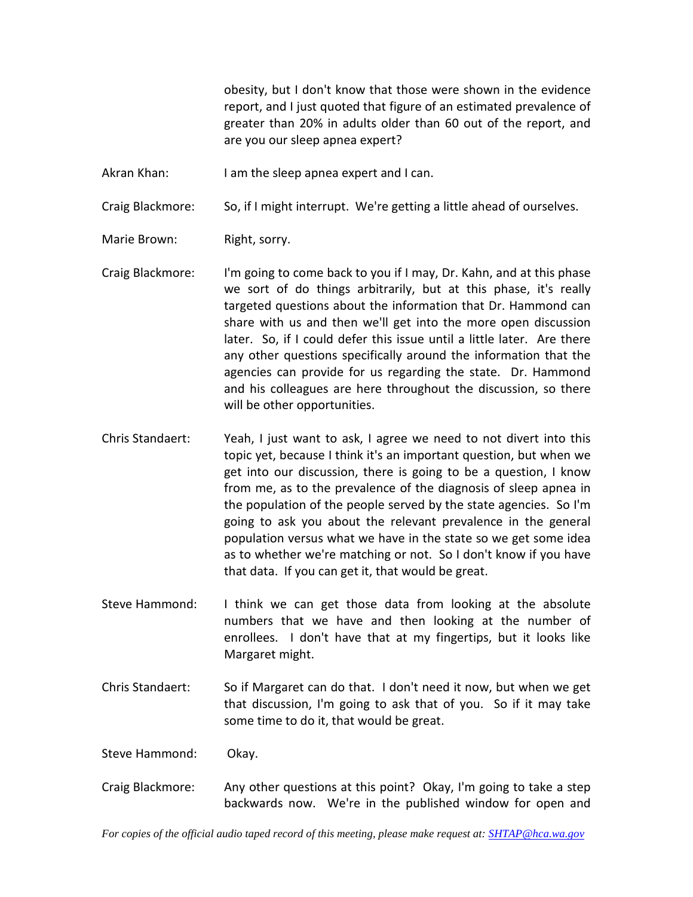obesity, but I don't know that those were shown in the evidence report, and I just quoted that figure of an estimated prevalence of greater than 20% in adults older than 60 out of the report, and are you our sleep apnea expert?

Akran Khan: I am the sleep apnea expert and I can.

Craig Blackmore: So, if I might interrupt. We're getting a little ahead of ourselves.

Marie Brown: Right, sorry.

- Craig Blackmore: I'm going to come back to you if I may, Dr. Kahn, and at this phase we sort of do things arbitrarily, but at this phase, it's really targeted questions about the information that Dr. Hammond can share with us and then we'll get into the more open discussion later. So, if I could defer this issue until a little later. Are there any other questions specifically around the information that the agencies can provide for us regarding the state. Dr. Hammond and his colleagues are here throughout the discussion, so there will be other opportunities.
- Chris Standaert: Yeah, I just want to ask, I agree we need to not divert into this topic yet, because I think it's an important question, but when we get into our discussion, there is going to be a question, I know from me, as to the prevalence of the diagnosis of sleep apnea in the population of the people served by the state agencies. So I'm going to ask you about the relevant prevalence in the general population versus what we have in the state so we get some idea as to whether we're matching or not. So I don't know if you have that data. If you can get it, that would be great.
- Steve Hammond: I think we can get those data from looking at the absolute numbers that we have and then looking at the number of enrollees. I don't have that at my fingertips, but it looks like Margaret might.
- Chris Standaert: So if Margaret can do that. I don't need it now, but when we get that discussion, I'm going to ask that of you. So if it may take some time to do it, that would be great.
- Steve Hammond: Okay.
- Craig Blackmore: Any other questions at this point? Okay, I'm going to take a step backwards now. We're in the published window for open and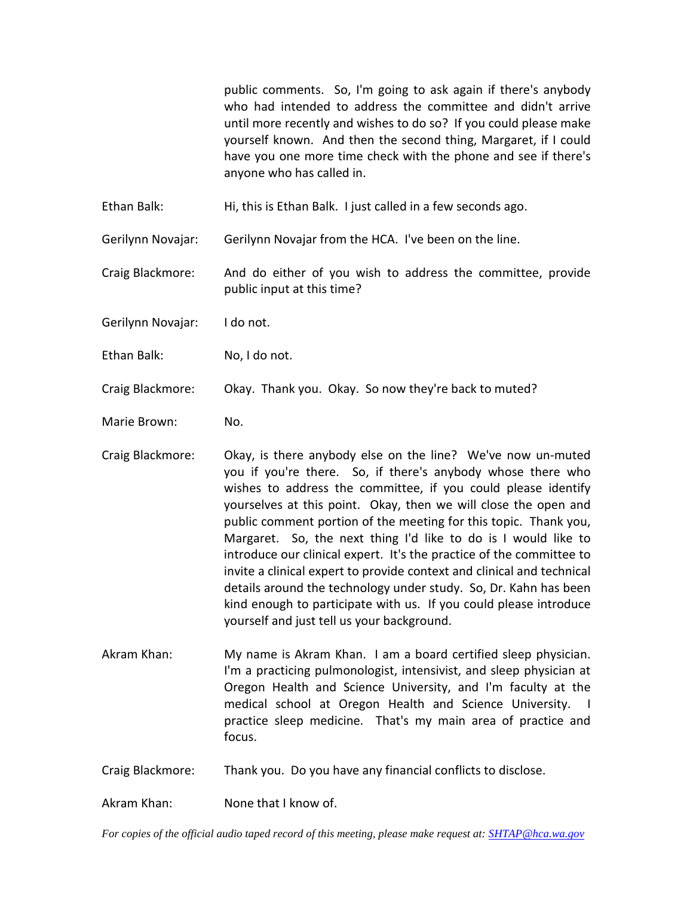public comments. So, I'm going to ask again if there's anybody who had intended to address the committee and didn't arrive until more recently and wishes to do so? If you could please make yourself known. And then the second thing, Margaret, if I could have you one more time check with the phone and see if there's anyone who has called in.

Ethan Balk: Hi, this is Ethan Balk. I just called in a few seconds ago.

Gerilynn Novajar: Gerilynn Novajar from the HCA. I've been on the line.

Craig Blackmore: And do either of you wish to address the committee, provide public input at this time?

Gerilynn Novajar: I do not.

Ethan Balk: No, I do not.

Craig Blackmore: Okay. Thank you. Okay. So now they're back to muted?

Marie Brown: No.

- Craig Blackmore: Okay, is there anybody else on the line? We've now un-muted you if you're there. So, if there's anybody whose there who wishes to address the committee, if you could please identify yourselves at this point. Okay, then we will close the open and public comment portion of the meeting for this topic. Thank you, Margaret. So, the next thing I'd like to do is I would like to introduce our clinical expert. It's the practice of the committee to invite a clinical expert to provide context and clinical and technical details around the technology under study. So, Dr. Kahn has been kind enough to participate with us. If you could please introduce yourself and just tell us your background.
- Akram Khan: My name is Akram Khan. I am a board certified sleep physician. I'm a practicing pulmonologist, intensivist, and sleep physician at Oregon Health and Science University, and I'm faculty at the medical school at Oregon Health and Science University. I practice sleep medicine. That's my main area of practice and focus.
- Craig Blackmore: Thank you. Do you have any financial conflicts to disclose.

Akram Khan: None that I know of.

*For copies of the official audio taped record of this meeting, please make request at[: SHTAP@hca.wa.gov](mailto:SHTAP@hca.wa.gov)*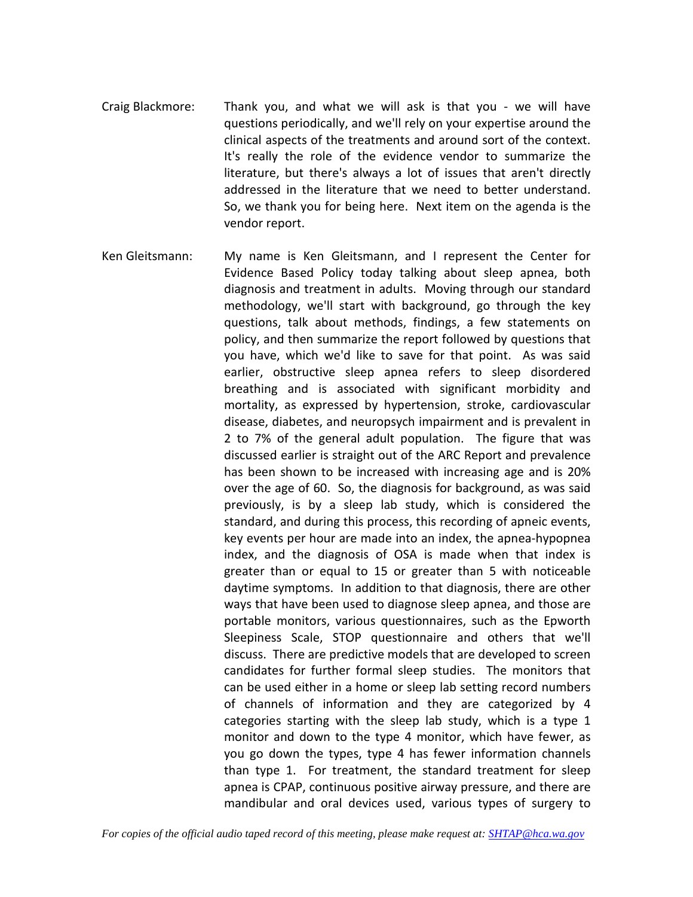- Craig Blackmore: Thank you, and what we will ask is that you we will have questions periodically, and we'll rely on your expertise around the clinical aspects of the treatments and around sort of the context. It's really the role of the evidence vendor to summarize the literature, but there's always a lot of issues that aren't directly addressed in the literature that we need to better understand. So, we thank you for being here. Next item on the agenda is the vendor report.
- Ken Gleitsmann: My name is Ken Gleitsmann, and I represent the Center for Evidence Based Policy today talking about sleep apnea, both diagnosis and treatment in adults. Moving through our standard methodology, we'll start with background, go through the key questions, talk about methods, findings, a few statements on policy, and then summarize the report followed by questions that you have, which we'd like to save for that point. As was said earlier, obstructive sleep apnea refers to sleep disordered breathing and is associated with significant morbidity and mortality, as expressed by hypertension, stroke, cardiovascular disease, diabetes, and neuropsych impairment and is prevalent in 2 to 7% of the general adult population. The figure that was discussed earlier is straight out of the ARC Report and prevalence has been shown to be increased with increasing age and is 20% over the age of 60. So, the diagnosis for background, as was said previously, is by a sleep lab study, which is considered the standard, and during this process, this recording of apneic events, key events per hour are made into an index, the apnea-hypopnea index, and the diagnosis of OSA is made when that index is greater than or equal to 15 or greater than 5 with noticeable daytime symptoms. In addition to that diagnosis, there are other ways that have been used to diagnose sleep apnea, and those are portable monitors, various questionnaires, such as the Epworth Sleepiness Scale, STOP questionnaire and others that we'll discuss. There are predictive models that are developed to screen candidates for further formal sleep studies. The monitors that can be used either in a home or sleep lab setting record numbers of channels of information and they are categorized by 4 categories starting with the sleep lab study, which is a type 1 monitor and down to the type 4 monitor, which have fewer, as you go down the types, type 4 has fewer information channels than type 1. For treatment, the standard treatment for sleep apnea is CPAP, continuous positive airway pressure, and there are mandibular and oral devices used, various types of surgery to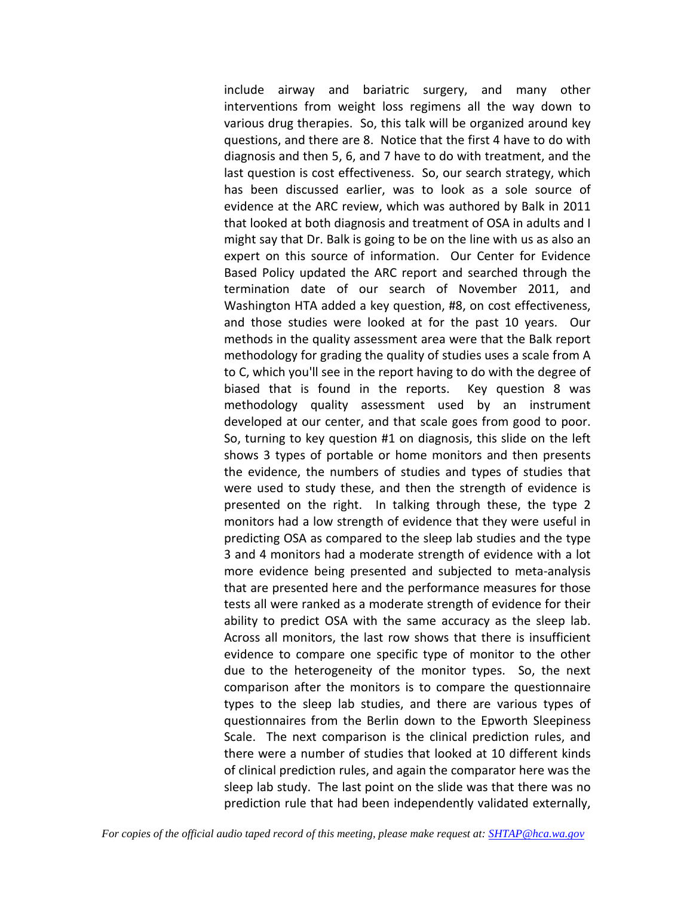include airway and bariatric surgery, and many other interventions from weight loss regimens all the way down to various drug therapies. So, this talk will be organized around key questions, and there are 8. Notice that the first 4 have to do with diagnosis and then 5, 6, and 7 have to do with treatment, and the last question is cost effectiveness. So, our search strategy, which has been discussed earlier, was to look as a sole source of evidence at the ARC review, which was authored by Balk in 2011 that looked at both diagnosis and treatment of OSA in adults and I might say that Dr. Balk is going to be on the line with us as also an expert on this source of information. Our Center for Evidence Based Policy updated the ARC report and searched through the termination date of our search of November 2011, and Washington HTA added a key question, #8, on cost effectiveness, and those studies were looked at for the past 10 years. Our methods in the quality assessment area were that the Balk report methodology for grading the quality of studies uses a scale from A to C, which you'll see in the report having to do with the degree of biased that is found in the reports. Key question 8 was methodology quality assessment used by an instrument developed at our center, and that scale goes from good to poor. So, turning to key question #1 on diagnosis, this slide on the left shows 3 types of portable or home monitors and then presents the evidence, the numbers of studies and types of studies that were used to study these, and then the strength of evidence is presented on the right. In talking through these, the type 2 monitors had a low strength of evidence that they were useful in predicting OSA as compared to the sleep lab studies and the type 3 and 4 monitors had a moderate strength of evidence with a lot more evidence being presented and subjected to meta-analysis that are presented here and the performance measures for those tests all were ranked as a moderate strength of evidence for their ability to predict OSA with the same accuracy as the sleep lab. Across all monitors, the last row shows that there is insufficient evidence to compare one specific type of monitor to the other due to the heterogeneity of the monitor types. So, the next comparison after the monitors is to compare the questionnaire types to the sleep lab studies, and there are various types of questionnaires from the Berlin down to the Epworth Sleepiness Scale. The next comparison is the clinical prediction rules, and there were a number of studies that looked at 10 different kinds of clinical prediction rules, and again the comparator here was the sleep lab study. The last point on the slide was that there was no prediction rule that had been independently validated externally,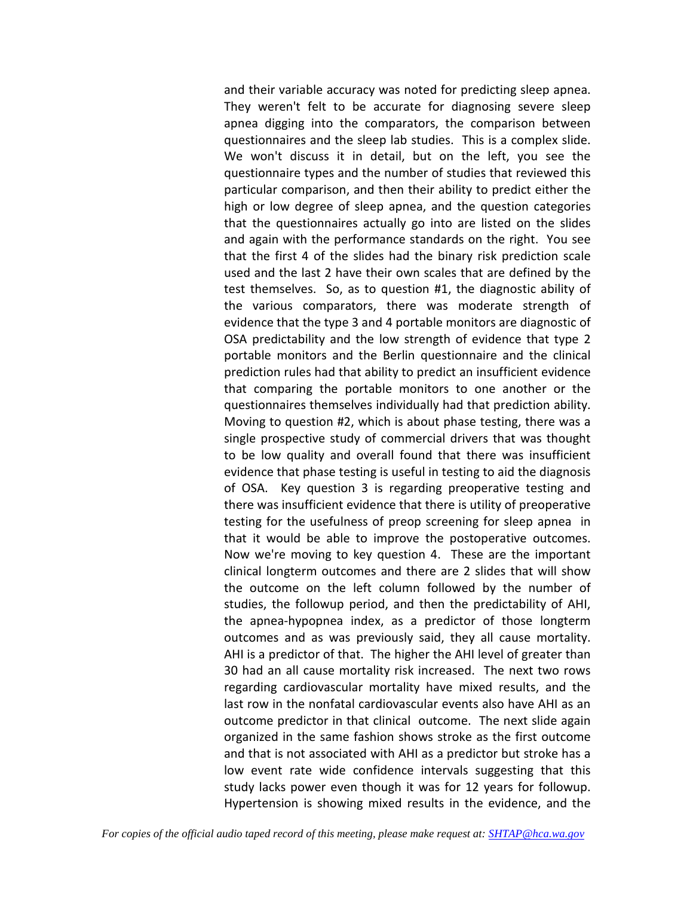and their variable accuracy was noted for predicting sleep apnea. They weren't felt to be accurate for diagnosing severe sleep apnea digging into the comparators, the comparison between questionnaires and the sleep lab studies. This is a complex slide. We won't discuss it in detail, but on the left, you see the questionnaire types and the number of studies that reviewed this particular comparison, and then their ability to predict either the high or low degree of sleep apnea, and the question categories that the questionnaires actually go into are listed on the slides and again with the performance standards on the right. You see that the first 4 of the slides had the binary risk prediction scale used and the last 2 have their own scales that are defined by the test themselves. So, as to question #1, the diagnostic ability of the various comparators, there was moderate strength of evidence that the type 3 and 4 portable monitors are diagnostic of OSA predictability and the low strength of evidence that type 2 portable monitors and the Berlin questionnaire and the clinical prediction rules had that ability to predict an insufficient evidence that comparing the portable monitors to one another or the questionnaires themselves individually had that prediction ability. Moving to question #2, which is about phase testing, there was a single prospective study of commercial drivers that was thought to be low quality and overall found that there was insufficient evidence that phase testing is useful in testing to aid the diagnosis of OSA. Key question 3 is regarding preoperative testing and there was insufficient evidence that there is utility of preoperative testing for the usefulness of preop screening for sleep apnea in that it would be able to improve the postoperative outcomes. Now we're moving to key question 4. These are the important clinical longterm outcomes and there are 2 slides that will show the outcome on the left column followed by the number of studies, the followup period, and then the predictability of AHI, the apnea-hypopnea index, as a predictor of those longterm outcomes and as was previously said, they all cause mortality. AHI is a predictor of that. The higher the AHI level of greater than 30 had an all cause mortality risk increased. The next two rows regarding cardiovascular mortality have mixed results, and the last row in the nonfatal cardiovascular events also have AHI as an outcome predictor in that clinical outcome. The next slide again organized in the same fashion shows stroke as the first outcome and that is not associated with AHI as a predictor but stroke has a low event rate wide confidence intervals suggesting that this study lacks power even though it was for 12 years for followup. Hypertension is showing mixed results in the evidence, and the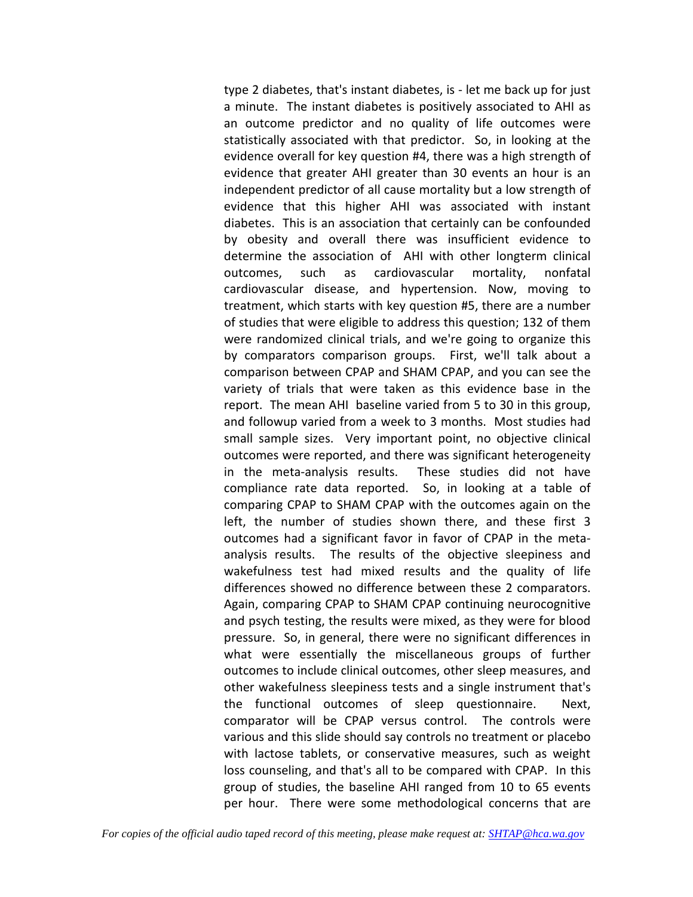type 2 diabetes, that's instant diabetes, is - let me back up for just a minute. The instant diabetes is positively associated to AHI as an outcome predictor and no quality of life outcomes were statistically associated with that predictor. So, in looking at the evidence overall for key question #4, there was a high strength of evidence that greater AHI greater than 30 events an hour is an independent predictor of all cause mortality but a low strength of evidence that this higher AHI was associated with instant diabetes. This is an association that certainly can be confounded by obesity and overall there was insufficient evidence to determine the association of AHI with other longterm clinical outcomes, such as cardiovascular mortality, nonfatal cardiovascular disease, and hypertension. Now, moving to treatment, which starts with key question #5, there are a number of studies that were eligible to address this question; 132 of them were randomized clinical trials, and we're going to organize this by comparators comparison groups. First, we'll talk about a comparison between CPAP and SHAM CPAP, and you can see the variety of trials that were taken as this evidence base in the report. The mean AHI baseline varied from 5 to 30 in this group, and followup varied from a week to 3 months. Most studies had small sample sizes. Very important point, no objective clinical outcomes were reported, and there was significant heterogeneity in the meta-analysis results. These studies did not have compliance rate data reported. So, in looking at a table of comparing CPAP to SHAM CPAP with the outcomes again on the left, the number of studies shown there, and these first 3 outcomes had a significant favor in favor of CPAP in the metaanalysis results. The results of the objective sleepiness and wakefulness test had mixed results and the quality of life differences showed no difference between these 2 comparators. Again, comparing CPAP to SHAM CPAP continuing neurocognitive and psych testing, the results were mixed, as they were for blood pressure. So, in general, there were no significant differences in what were essentially the miscellaneous groups of further outcomes to include clinical outcomes, other sleep measures, and other wakefulness sleepiness tests and a single instrument that's the functional outcomes of sleep questionnaire. Next, comparator will be CPAP versus control. The controls were various and this slide should say controls no treatment or placebo with lactose tablets, or conservative measures, such as weight loss counseling, and that's all to be compared with CPAP. In this group of studies, the baseline AHI ranged from 10 to 65 events per hour. There were some methodological concerns that are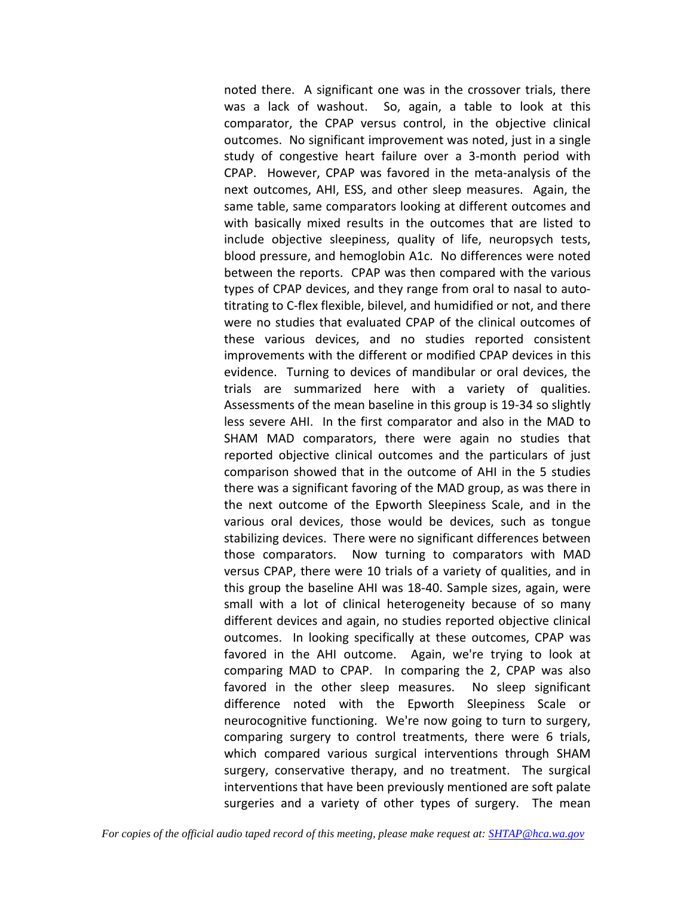noted there. A significant one was in the crossover trials, there was a lack of washout. So, again, a table to look at this comparator, the CPAP versus control, in the objective clinical outcomes. No significant improvement was noted, just in a single study of congestive heart failure over a 3-month period with CPAP. However, CPAP was favored in the meta-analysis of the next outcomes, AHI, ESS, and other sleep measures. Again, the same table, same comparators looking at different outcomes and with basically mixed results in the outcomes that are listed to include objective sleepiness, quality of life, neuropsych tests, blood pressure, and hemoglobin A1c. No differences were noted between the reports. CPAP was then compared with the various types of CPAP devices, and they range from oral to nasal to autotitrating to C-flex flexible, bilevel, and humidified or not, and there were no studies that evaluated CPAP of the clinical outcomes of these various devices, and no studies reported consistent improvements with the different or modified CPAP devices in this evidence. Turning to devices of mandibular or oral devices, the trials are summarized here with a variety of qualities. Assessments of the mean baseline in this group is 19-34 so slightly less severe AHI. In the first comparator and also in the MAD to SHAM MAD comparators, there were again no studies that reported objective clinical outcomes and the particulars of just comparison showed that in the outcome of AHI in the 5 studies there was a significant favoring of the MAD group, as was there in the next outcome of the Epworth Sleepiness Scale, and in the various oral devices, those would be devices, such as tongue stabilizing devices. There were no significant differences between those comparators. Now turning to comparators with MAD versus CPAP, there were 10 trials of a variety of qualities, and in this group the baseline AHI was 18-40. Sample sizes, again, were small with a lot of clinical heterogeneity because of so many different devices and again, no studies reported objective clinical outcomes. In looking specifically at these outcomes, CPAP was favored in the AHI outcome. Again, we're trying to look at comparing MAD to CPAP. In comparing the 2, CPAP was also favored in the other sleep measures. No sleep significant difference noted with the Epworth Sleepiness Scale or neurocognitive functioning. We're now going to turn to surgery, comparing surgery to control treatments, there were 6 trials, which compared various surgical interventions through SHAM surgery, conservative therapy, and no treatment. The surgical interventions that have been previously mentioned are soft palate surgeries and a variety of other types of surgery. The mean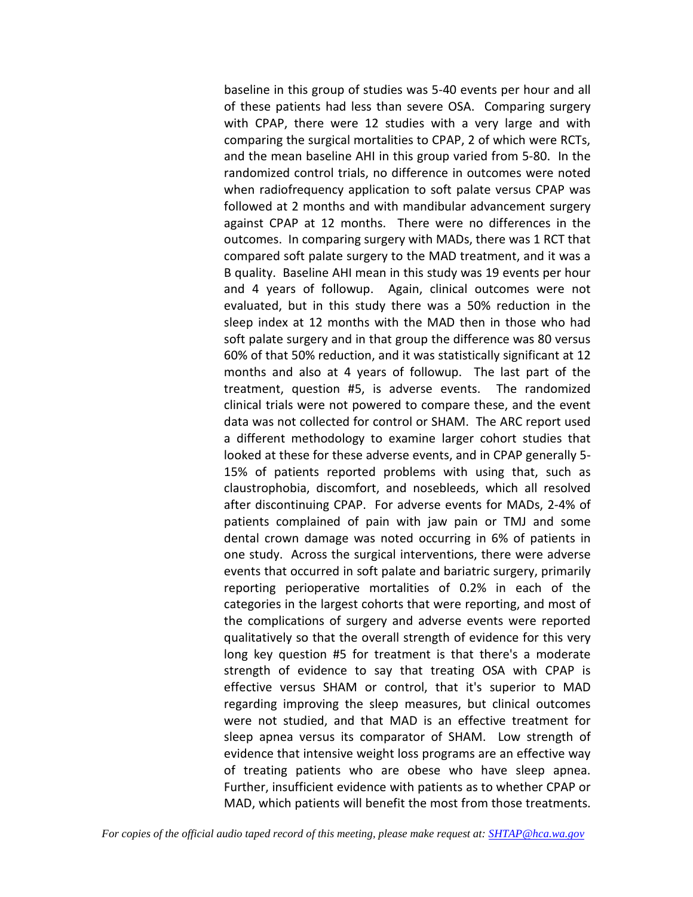baseline in this group of studies was 5-40 events per hour and all of these patients had less than severe OSA. Comparing surgery with CPAP, there were 12 studies with a very large and with comparing the surgical mortalities to CPAP, 2 of which were RCTs, and the mean baseline AHI in this group varied from 5-80. In the randomized control trials, no difference in outcomes were noted when radiofrequency application to soft palate versus CPAP was followed at 2 months and with mandibular advancement surgery against CPAP at 12 months. There were no differences in the outcomes. In comparing surgery with MADs, there was 1 RCT that compared soft palate surgery to the MAD treatment, and it was a B quality. Baseline AHI mean in this study was 19 events per hour and 4 years of followup. Again, clinical outcomes were not evaluated, but in this study there was a 50% reduction in the sleep index at 12 months with the MAD then in those who had soft palate surgery and in that group the difference was 80 versus 60% of that 50% reduction, and it was statistically significant at 12 months and also at 4 years of followup. The last part of the treatment, question #5, is adverse events. The randomized clinical trials were not powered to compare these, and the event data was not collected for control or SHAM. The ARC report used a different methodology to examine larger cohort studies that looked at these for these adverse events, and in CPAP generally 5- 15% of patients reported problems with using that, such as claustrophobia, discomfort, and nosebleeds, which all resolved after discontinuing CPAP. For adverse events for MADs, 2-4% of patients complained of pain with jaw pain or TMJ and some dental crown damage was noted occurring in 6% of patients in one study. Across the surgical interventions, there were adverse events that occurred in soft palate and bariatric surgery, primarily reporting perioperative mortalities of 0.2% in each of the categories in the largest cohorts that were reporting, and most of the complications of surgery and adverse events were reported qualitatively so that the overall strength of evidence for this very long key question #5 for treatment is that there's a moderate strength of evidence to say that treating OSA with CPAP is effective versus SHAM or control, that it's superior to MAD regarding improving the sleep measures, but clinical outcomes were not studied, and that MAD is an effective treatment for sleep apnea versus its comparator of SHAM. Low strength of evidence that intensive weight loss programs are an effective way of treating patients who are obese who have sleep apnea. Further, insufficient evidence with patients as to whether CPAP or MAD, which patients will benefit the most from those treatments.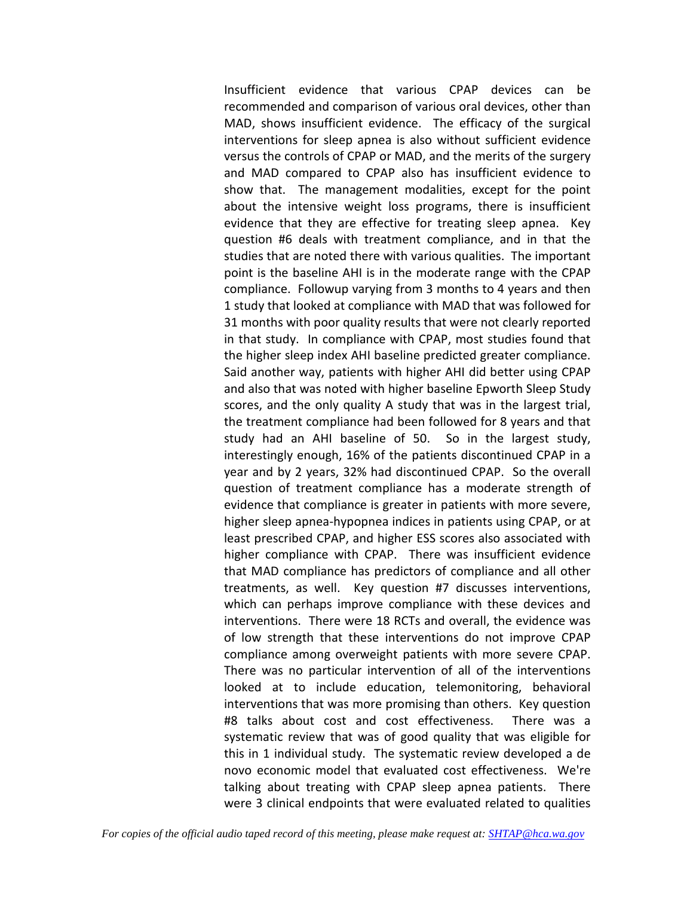Insufficient evidence that various CPAP devices can be recommended and comparison of various oral devices, other than MAD, shows insufficient evidence. The efficacy of the surgical interventions for sleep apnea is also without sufficient evidence versus the controls of CPAP or MAD, and the merits of the surgery and MAD compared to CPAP also has insufficient evidence to show that. The management modalities, except for the point about the intensive weight loss programs, there is insufficient evidence that they are effective for treating sleep apnea. Key question #6 deals with treatment compliance, and in that the studies that are noted there with various qualities. The important point is the baseline AHI is in the moderate range with the CPAP compliance. Followup varying from 3 months to 4 years and then 1 study that looked at compliance with MAD that was followed for 31 months with poor quality results that were not clearly reported in that study. In compliance with CPAP, most studies found that the higher sleep index AHI baseline predicted greater compliance. Said another way, patients with higher AHI did better using CPAP and also that was noted with higher baseline Epworth Sleep Study scores, and the only quality A study that was in the largest trial, the treatment compliance had been followed for 8 years and that study had an AHI baseline of 50. So in the largest study, interestingly enough, 16% of the patients discontinued CPAP in a year and by 2 years, 32% had discontinued CPAP. So the overall question of treatment compliance has a moderate strength of evidence that compliance is greater in patients with more severe, higher sleep apnea-hypopnea indices in patients using CPAP, or at least prescribed CPAP, and higher ESS scores also associated with higher compliance with CPAP. There was insufficient evidence that MAD compliance has predictors of compliance and all other treatments, as well. Key question #7 discusses interventions, which can perhaps improve compliance with these devices and interventions. There were 18 RCTs and overall, the evidence was of low strength that these interventions do not improve CPAP compliance among overweight patients with more severe CPAP. There was no particular intervention of all of the interventions looked at to include education, telemonitoring, behavioral interventions that was more promising than others. Key question #8 talks about cost and cost effectiveness. There was a systematic review that was of good quality that was eligible for this in 1 individual study. The systematic review developed a de novo economic model that evaluated cost effectiveness. We're talking about treating with CPAP sleep apnea patients. There were 3 clinical endpoints that were evaluated related to qualities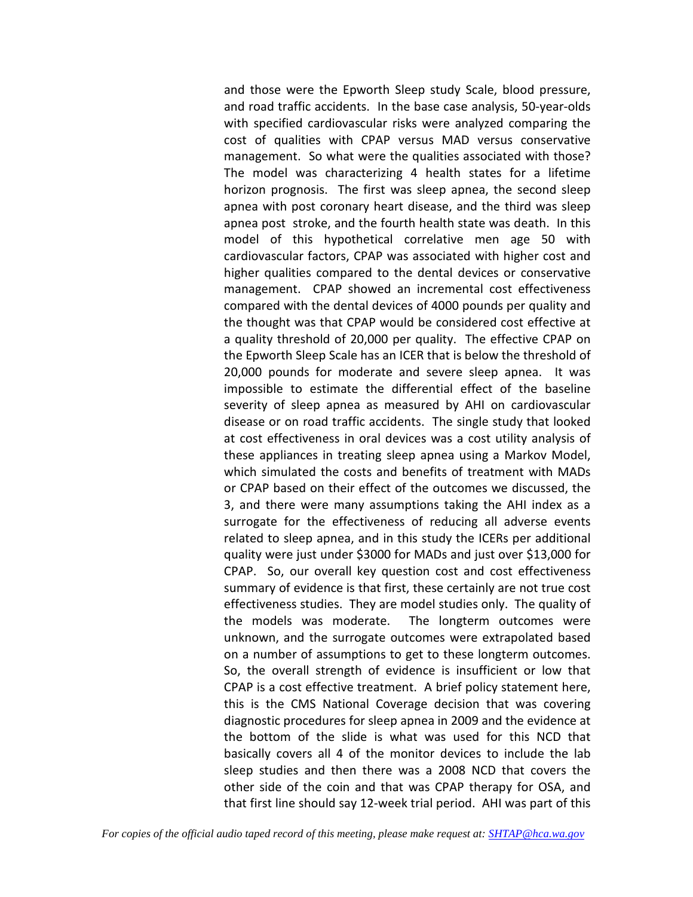and those were the Epworth Sleep study Scale, blood pressure, and road traffic accidents. In the base case analysis, 50-year-olds with specified cardiovascular risks were analyzed comparing the cost of qualities with CPAP versus MAD versus conservative management. So what were the qualities associated with those? The model was characterizing 4 health states for a lifetime horizon prognosis. The first was sleep apnea, the second sleep apnea with post coronary heart disease, and the third was sleep apnea post stroke, and the fourth health state was death. In this model of this hypothetical correlative men age 50 with cardiovascular factors, CPAP was associated with higher cost and higher qualities compared to the dental devices or conservative management. CPAP showed an incremental cost effectiveness compared with the dental devices of 4000 pounds per quality and the thought was that CPAP would be considered cost effective at a quality threshold of 20,000 per quality. The effective CPAP on the Epworth Sleep Scale has an ICER that is below the threshold of 20,000 pounds for moderate and severe sleep apnea. It was impossible to estimate the differential effect of the baseline severity of sleep apnea as measured by AHI on cardiovascular disease or on road traffic accidents. The single study that looked at cost effectiveness in oral devices was a cost utility analysis of these appliances in treating sleep apnea using a Markov Model, which simulated the costs and benefits of treatment with MADs or CPAP based on their effect of the outcomes we discussed, the 3, and there were many assumptions taking the AHI index as a surrogate for the effectiveness of reducing all adverse events related to sleep apnea, and in this study the ICERs per additional quality were just under \$3000 for MADs and just over \$13,000 for CPAP. So, our overall key question cost and cost effectiveness summary of evidence is that first, these certainly are not true cost effectiveness studies. They are model studies only. The quality of the models was moderate. The longterm outcomes were unknown, and the surrogate outcomes were extrapolated based on a number of assumptions to get to these longterm outcomes. So, the overall strength of evidence is insufficient or low that CPAP is a cost effective treatment. A brief policy statement here, this is the CMS National Coverage decision that was covering diagnostic procedures for sleep apnea in 2009 and the evidence at the bottom of the slide is what was used for this NCD that basically covers all 4 of the monitor devices to include the lab sleep studies and then there was a 2008 NCD that covers the other side of the coin and that was CPAP therapy for OSA, and that first line should say 12-week trial period. AHI was part of this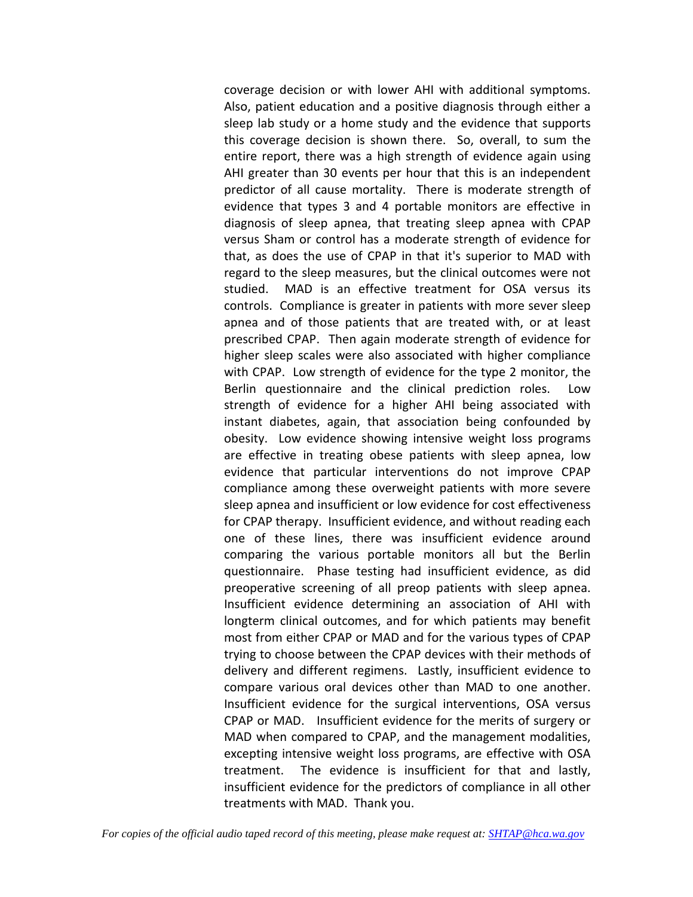coverage decision or with lower AHI with additional symptoms. Also, patient education and a positive diagnosis through either a sleep lab study or a home study and the evidence that supports this coverage decision is shown there. So, overall, to sum the entire report, there was a high strength of evidence again using AHI greater than 30 events per hour that this is an independent predictor of all cause mortality. There is moderate strength of evidence that types 3 and 4 portable monitors are effective in diagnosis of sleep apnea, that treating sleep apnea with CPAP versus Sham or control has a moderate strength of evidence for that, as does the use of CPAP in that it's superior to MAD with regard to the sleep measures, but the clinical outcomes were not studied. MAD is an effective treatment for OSA versus its controls. Compliance is greater in patients with more sever sleep apnea and of those patients that are treated with, or at least prescribed CPAP. Then again moderate strength of evidence for higher sleep scales were also associated with higher compliance with CPAP. Low strength of evidence for the type 2 monitor, the Berlin questionnaire and the clinical prediction roles. Low strength of evidence for a higher AHI being associated with instant diabetes, again, that association being confounded by obesity. Low evidence showing intensive weight loss programs are effective in treating obese patients with sleep apnea, low evidence that particular interventions do not improve CPAP compliance among these overweight patients with more severe sleep apnea and insufficient or low evidence for cost effectiveness for CPAP therapy. Insufficient evidence, and without reading each one of these lines, there was insufficient evidence around comparing the various portable monitors all but the Berlin questionnaire. Phase testing had insufficient evidence, as did preoperative screening of all preop patients with sleep apnea. Insufficient evidence determining an association of AHI with longterm clinical outcomes, and for which patients may benefit most from either CPAP or MAD and for the various types of CPAP trying to choose between the CPAP devices with their methods of delivery and different regimens. Lastly, insufficient evidence to compare various oral devices other than MAD to one another. Insufficient evidence for the surgical interventions, OSA versus CPAP or MAD. Insufficient evidence for the merits of surgery or MAD when compared to CPAP, and the management modalities, excepting intensive weight loss programs, are effective with OSA treatment. The evidence is insufficient for that and lastly, insufficient evidence for the predictors of compliance in all other treatments with MAD. Thank you.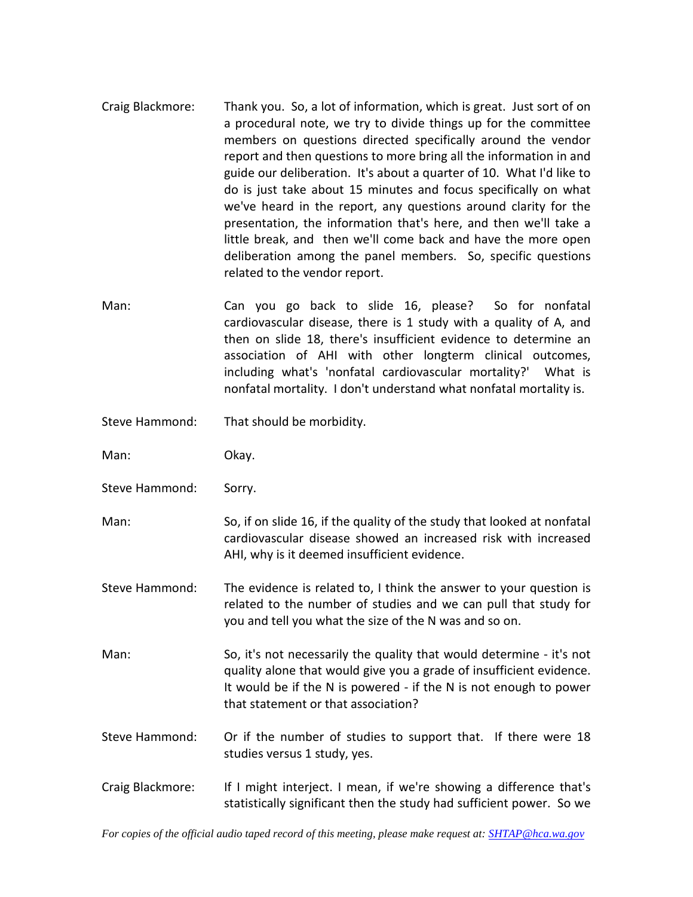- Craig Blackmore: Thank you. So, a lot of information, which is great. Just sort of on a procedural note, we try to divide things up for the committee members on questions directed specifically around the vendor report and then questions to more bring all the information in and guide our deliberation. It's about a quarter of 10. What I'd like to do is just take about 15 minutes and focus specifically on what we've heard in the report, any questions around clarity for the presentation, the information that's here, and then we'll take a little break, and then we'll come back and have the more open deliberation among the panel members. So, specific questions related to the vendor report.
- Man: Can you go back to slide 16, please? So for nonfatal cardiovascular disease, there is 1 study with a quality of A, and then on slide 18, there's insufficient evidence to determine an association of AHI with other longterm clinical outcomes, including what's 'nonfatal cardiovascular mortality?' What is nonfatal mortality. I don't understand what nonfatal mortality is.
- Steve Hammond: That should be morbidity.
- Man: Okay.
- Steve Hammond: Sorry.
- Man: So, if on slide 16, if the quality of the study that looked at nonfatal cardiovascular disease showed an increased risk with increased AHI, why is it deemed insufficient evidence.
- Steve Hammond: The evidence is related to, I think the answer to your question is related to the number of studies and we can pull that study for you and tell you what the size of the N was and so on.
- Man: So, it's not necessarily the quality that would determine it's not quality alone that would give you a grade of insufficient evidence. It would be if the N is powered - if the N is not enough to power that statement or that association?
- Steve Hammond: Or if the number of studies to support that. If there were 18 studies versus 1 study, yes.
- Craig Blackmore: If I might interject. I mean, if we're showing a difference that's statistically significant then the study had sufficient power. So we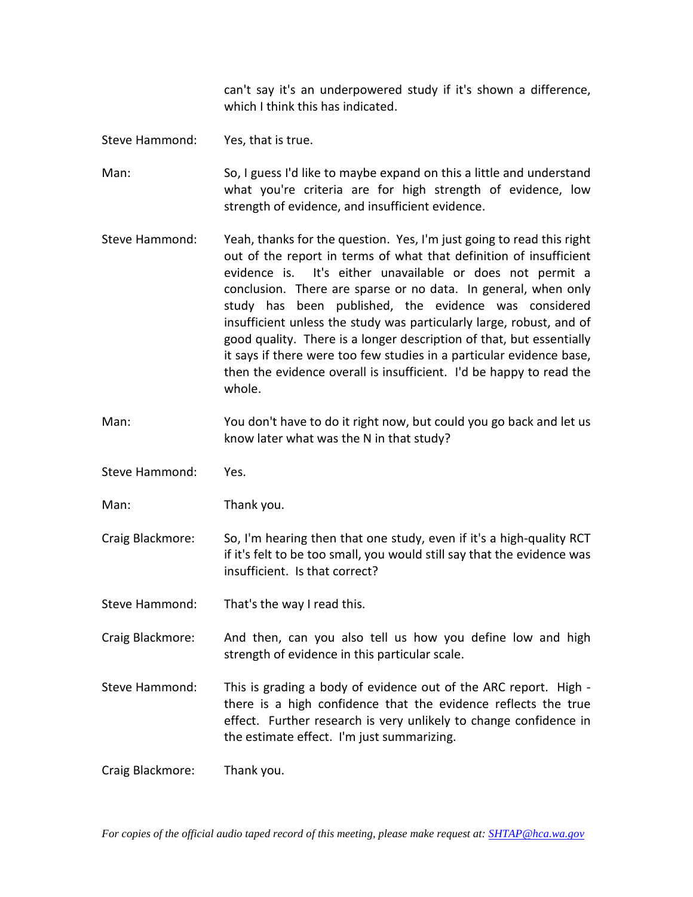can't say it's an underpowered study if it's shown a difference, which I think this has indicated.

Steve Hammond: Yes, that is true.

Man: So, I guess I'd like to maybe expand on this a little and understand what you're criteria are for high strength of evidence, low strength of evidence, and insufficient evidence.

- Steve Hammond: Yeah, thanks for the question. Yes, I'm just going to read this right out of the report in terms of what that definition of insufficient evidence is. It's either unavailable or does not permit a conclusion. There are sparse or no data. In general, when only study has been published, the evidence was considered insufficient unless the study was particularly large, robust, and of good quality. There is a longer description of that, but essentially it says if there were too few studies in a particular evidence base, then the evidence overall is insufficient. I'd be happy to read the whole.
- Man: You don't have to do it right now, but could you go back and let us know later what was the N in that study?
- Steve Hammond: Yes.
- Man: Thank you.
- Craig Blackmore: So, I'm hearing then that one study, even if it's a high-quality RCT if it's felt to be too small, you would still say that the evidence was insufficient. Is that correct?
- Steve Hammond: That's the way I read this.
- Craig Blackmore: And then, can you also tell us how you define low and high strength of evidence in this particular scale.
- Steve Hammond: This is grading a body of evidence out of the ARC report. High there is a high confidence that the evidence reflects the true effect. Further research is very unlikely to change confidence in the estimate effect. I'm just summarizing.

Craig Blackmore: Thank you.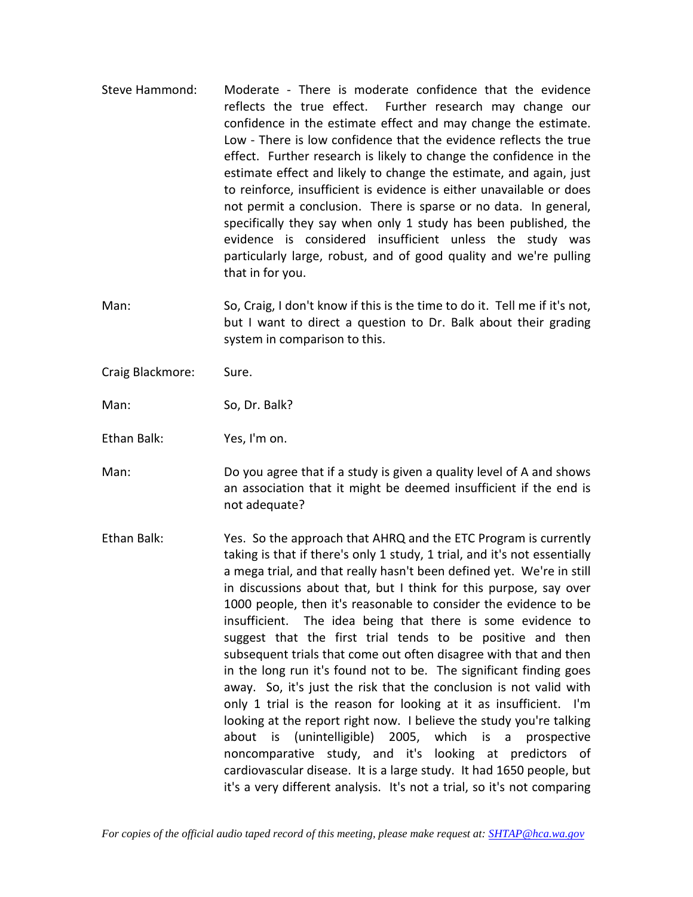- Steve Hammond: Moderate There is moderate confidence that the evidence reflects the true effect. Further research may change our confidence in the estimate effect and may change the estimate. Low - There is low confidence that the evidence reflects the true effect. Further research is likely to change the confidence in the estimate effect and likely to change the estimate, and again, just to reinforce, insufficient is evidence is either unavailable or does not permit a conclusion. There is sparse or no data. In general, specifically they say when only 1 study has been published, the evidence is considered insufficient unless the study was particularly large, robust, and of good quality and we're pulling that in for you.
- Man: So, Craig, I don't know if this is the time to do it. Tell me if it's not, but I want to direct a question to Dr. Balk about their grading system in comparison to this.
- Craig Blackmore: Sure.

Man: So, Dr. Balk?

Ethan Balk: Yes, I'm on.

Man: Do you agree that if a study is given a quality level of A and shows an association that it might be deemed insufficient if the end is not adequate?

Ethan Balk: Yes. So the approach that AHRQ and the ETC Program is currently taking is that if there's only 1 study, 1 trial, and it's not essentially a mega trial, and that really hasn't been defined yet. We're in still in discussions about that, but I think for this purpose, say over 1000 people, then it's reasonable to consider the evidence to be insufficient. The idea being that there is some evidence to suggest that the first trial tends to be positive and then subsequent trials that come out often disagree with that and then in the long run it's found not to be. The significant finding goes away. So, it's just the risk that the conclusion is not valid with only 1 trial is the reason for looking at it as insufficient. I'm looking at the report right now. I believe the study you're talking about is (unintelligible) 2005, which is a prospective noncomparative study, and it's looking at predictors of cardiovascular disease. It is a large study. It had 1650 people, but it's a very different analysis. It's not a trial, so it's not comparing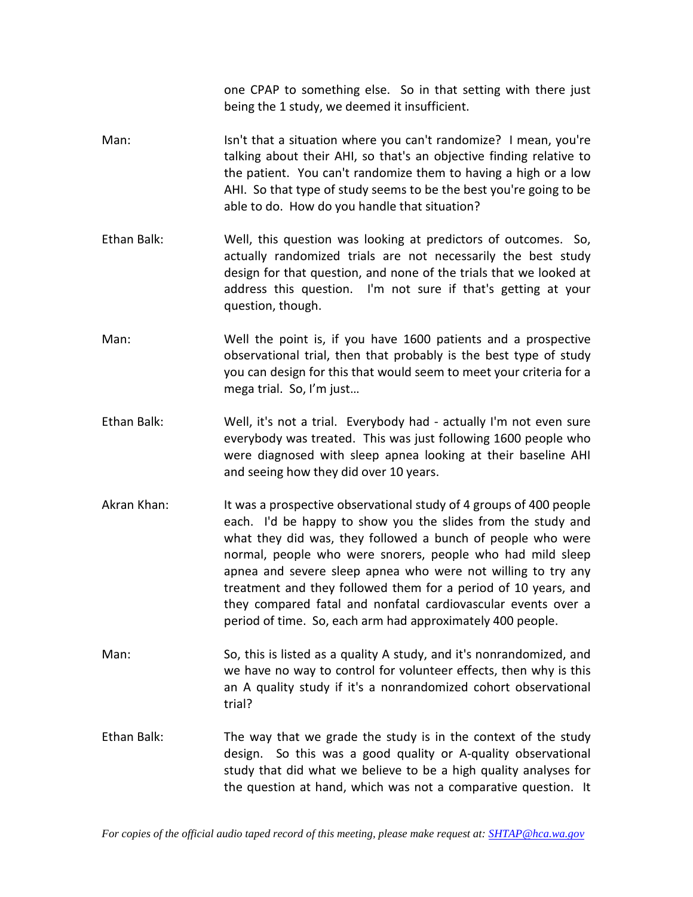one CPAP to something else. So in that setting with there just being the 1 study, we deemed it insufficient.

- Man: Isn't that a situation where you can't randomize? I mean, you're talking about their AHI, so that's an objective finding relative to the patient. You can't randomize them to having a high or a low AHI. So that type of study seems to be the best you're going to be able to do. How do you handle that situation?
- Ethan Balk: Well, this question was looking at predictors of outcomes. So, actually randomized trials are not necessarily the best study design for that question, and none of the trials that we looked at address this question. I'm not sure if that's getting at your question, though.
- Man: Well the point is, if you have 1600 patients and a prospective observational trial, then that probably is the best type of study you can design for this that would seem to meet your criteria for a mega trial. So, I'm just…
- Ethan Balk: Well, it's not a trial. Everybody had actually I'm not even sure everybody was treated. This was just following 1600 people who were diagnosed with sleep apnea looking at their baseline AHI and seeing how they did over 10 years.
- Akran Khan: It was a prospective observational study of 4 groups of 400 people each. I'd be happy to show you the slides from the study and what they did was, they followed a bunch of people who were normal, people who were snorers, people who had mild sleep apnea and severe sleep apnea who were not willing to try any treatment and they followed them for a period of 10 years, and they compared fatal and nonfatal cardiovascular events over a period of time. So, each arm had approximately 400 people.
- Man: So, this is listed as a quality A study, and it's nonrandomized, and we have no way to control for volunteer effects, then why is this an A quality study if it's a nonrandomized cohort observational trial?
- Ethan Balk: The way that we grade the study is in the context of the study design. So this was a good quality or A-quality observational study that did what we believe to be a high quality analyses for the question at hand, which was not a comparative question. It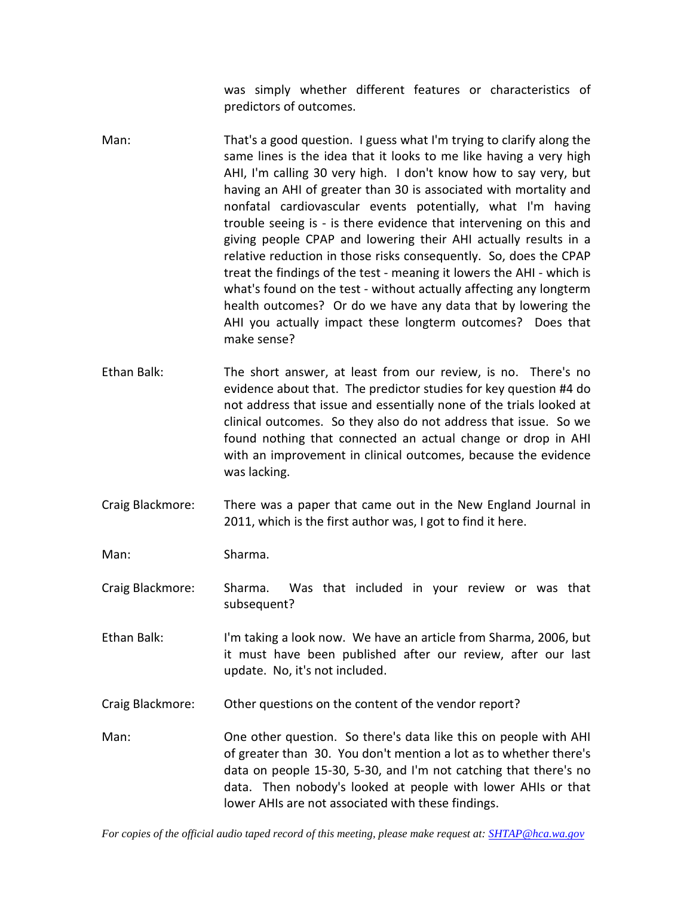was simply whether different features or characteristics of predictors of outcomes.

- Man: That's a good question. I guess what I'm trying to clarify along the same lines is the idea that it looks to me like having a very high AHI, I'm calling 30 very high. I don't know how to say very, but having an AHI of greater than 30 is associated with mortality and nonfatal cardiovascular events potentially, what I'm having trouble seeing is - is there evidence that intervening on this and giving people CPAP and lowering their AHI actually results in a relative reduction in those risks consequently. So, does the CPAP treat the findings of the test - meaning it lowers the AHI - which is what's found on the test - without actually affecting any longterm health outcomes? Or do we have any data that by lowering the AHI you actually impact these longterm outcomes? Does that make sense?
- Ethan Balk: The short answer, at least from our review, is no. There's no evidence about that. The predictor studies for key question #4 do not address that issue and essentially none of the trials looked at clinical outcomes. So they also do not address that issue. So we found nothing that connected an actual change or drop in AHI with an improvement in clinical outcomes, because the evidence was lacking.
- Craig Blackmore: There was a paper that came out in the New England Journal in 2011, which is the first author was, I got to find it here.

Man: Sharma.

Craig Blackmore: Sharma. Was that included in your review or was that subsequent?

Ethan Balk: I'm taking a look now. We have an article from Sharma, 2006, but it must have been published after our review, after our last update. No, it's not included.

Craig Blackmore: Other questions on the content of the vendor report?

Man: One other question. So there's data like this on people with AHI of greater than 30. You don't mention a lot as to whether there's data on people 15-30, 5-30, and I'm not catching that there's no data. Then nobody's looked at people with lower AHIs or that lower AHIs are not associated with these findings.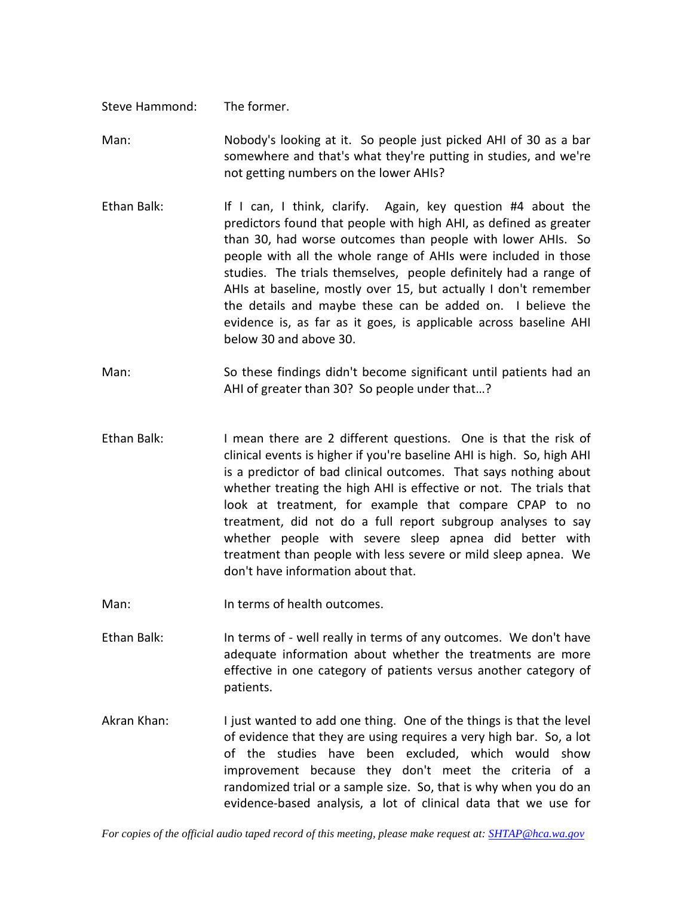Steve Hammond: The former.

Man: Nobody's looking at it. So people just picked AHI of 30 as a bar somewhere and that's what they're putting in studies, and we're not getting numbers on the lower AHIs?

- Ethan Balk: If I can, I think, clarify. Again, key question #4 about the predictors found that people with high AHI, as defined as greater than 30, had worse outcomes than people with lower AHIs. So people with all the whole range of AHIs were included in those studies. The trials themselves, people definitely had a range of AHIs at baseline, mostly over 15, but actually I don't remember the details and maybe these can be added on. I believe the evidence is, as far as it goes, is applicable across baseline AHI below 30 and above 30.
- Man: So these findings didn't become significant until patients had an AHI of greater than 30? So people under that…?
- Ethan Balk: I mean there are 2 different questions. One is that the risk of clinical events is higher if you're baseline AHI is high. So, high AHI is a predictor of bad clinical outcomes. That says nothing about whether treating the high AHI is effective or not. The trials that look at treatment, for example that compare CPAP to no treatment, did not do a full report subgroup analyses to say whether people with severe sleep apnea did better with treatment than people with less severe or mild sleep apnea. We don't have information about that.
- Man: In terms of health outcomes.
- Ethan Balk: In terms of well really in terms of any outcomes. We don't have adequate information about whether the treatments are more effective in one category of patients versus another category of patients.
- Akran Khan: I just wanted to add one thing. One of the things is that the level of evidence that they are using requires a very high bar. So, a lot of the studies have been excluded, which would show improvement because they don't meet the criteria of a randomized trial or a sample size. So, that is why when you do an evidence-based analysis, a lot of clinical data that we use for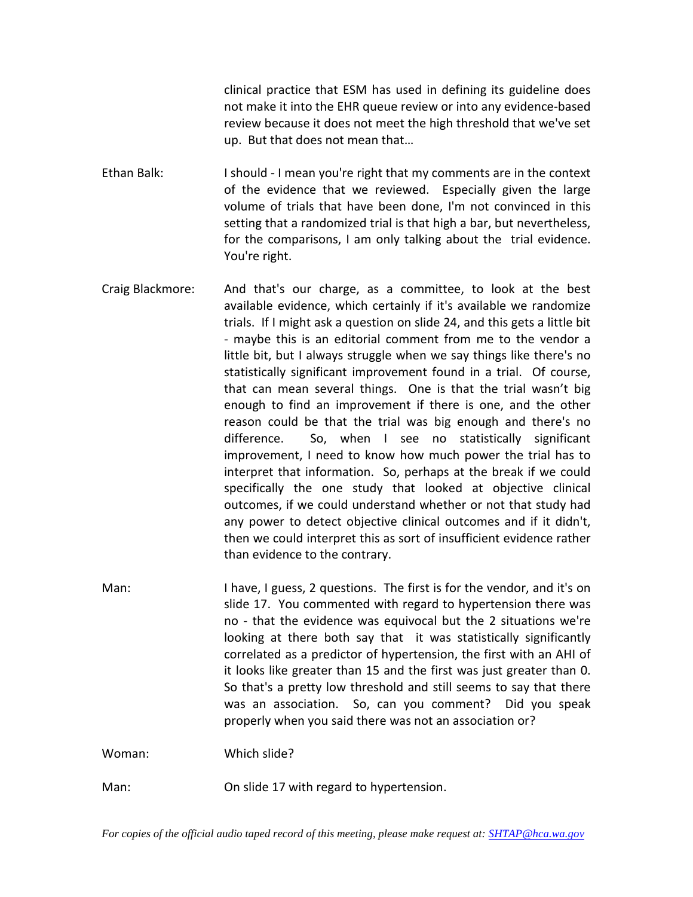clinical practice that ESM has used in defining its guideline does not make it into the EHR queue review or into any evidence-based review because it does not meet the high threshold that we've set up. But that does not mean that…

Ethan Balk: I should - I mean you're right that my comments are in the context of the evidence that we reviewed. Especially given the large volume of trials that have been done, I'm not convinced in this setting that a randomized trial is that high a bar, but nevertheless, for the comparisons, I am only talking about the trial evidence. You're right.

Craig Blackmore: And that's our charge, as a committee, to look at the best available evidence, which certainly if it's available we randomize trials. If I might ask a question on slide 24, and this gets a little bit - maybe this is an editorial comment from me to the vendor a little bit, but I always struggle when we say things like there's no statistically significant improvement found in a trial. Of course, that can mean several things. One is that the trial wasn't big enough to find an improvement if there is one, and the other reason could be that the trial was big enough and there's no difference. So, when I see no statistically significant improvement, I need to know how much power the trial has to interpret that information. So, perhaps at the break if we could specifically the one study that looked at objective clinical outcomes, if we could understand whether or not that study had any power to detect objective clinical outcomes and if it didn't, then we could interpret this as sort of insufficient evidence rather than evidence to the contrary.

Man: I have, I guess, 2 questions. The first is for the vendor, and it's on slide 17. You commented with regard to hypertension there was no - that the evidence was equivocal but the 2 situations we're looking at there both say that it was statistically significantly correlated as a predictor of hypertension, the first with an AHI of it looks like greater than 15 and the first was just greater than 0. So that's a pretty low threshold and still seems to say that there was an association. So, can you comment? Did you speak properly when you said there was not an association or?

Woman: Which slide?

Man: On slide 17 with regard to hypertension.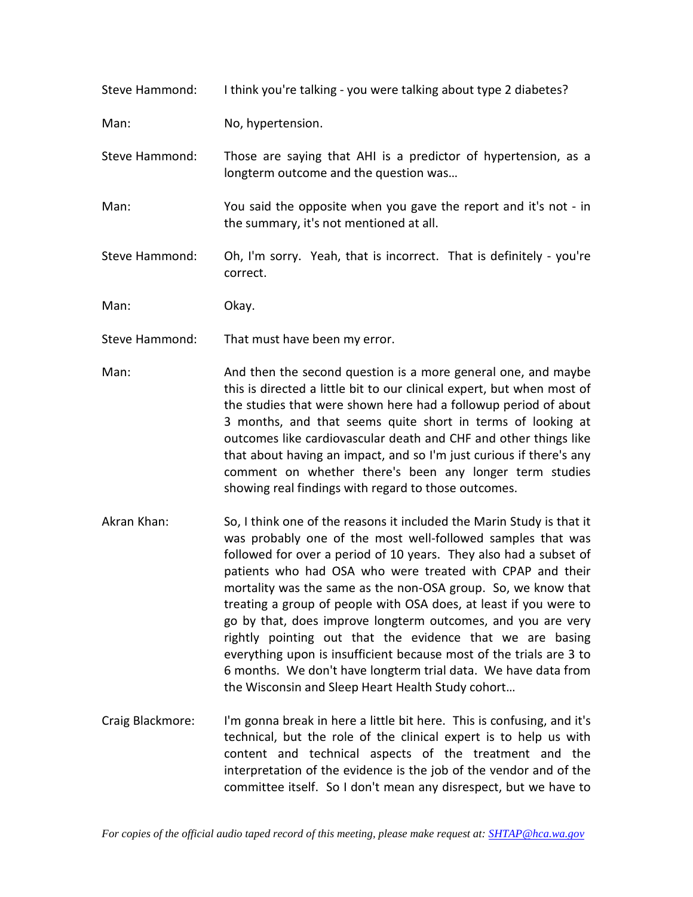| Steve Hammond: | I think you're talking - you were talking about type 2 diabetes?                                            |
|----------------|-------------------------------------------------------------------------------------------------------------|
| Man:           | No, hypertension.                                                                                           |
| Steve Hammond: | Those are saying that AHI is a predictor of hypertension, as a<br>longterm outcome and the question was     |
| Man:           | You said the opposite when you gave the report and it's not - in<br>the summary, it's not mentioned at all. |
| Steve Hammond: | Oh, I'm sorry. Yeah, that is incorrect. That is definitely - you're<br>correct.                             |

Man: Okay.

Steve Hammond: That must have been my error.

- Man: And then the second question is a more general one, and maybe this is directed a little bit to our clinical expert, but when most of the studies that were shown here had a followup period of about 3 months, and that seems quite short in terms of looking at outcomes like cardiovascular death and CHF and other things like that about having an impact, and so I'm just curious if there's any comment on whether there's been any longer term studies showing real findings with regard to those outcomes.
- Akran Khan: So, I think one of the reasons it included the Marin Study is that it was probably one of the most well-followed samples that was followed for over a period of 10 years. They also had a subset of patients who had OSA who were treated with CPAP and their mortality was the same as the non-OSA group. So, we know that treating a group of people with OSA does, at least if you were to go by that, does improve longterm outcomes, and you are very rightly pointing out that the evidence that we are basing everything upon is insufficient because most of the trials are 3 to 6 months. We don't have longterm trial data. We have data from the Wisconsin and Sleep Heart Health Study cohort…
- Craig Blackmore: I'm gonna break in here a little bit here. This is confusing, and it's technical, but the role of the clinical expert is to help us with content and technical aspects of the treatment and the interpretation of the evidence is the job of the vendor and of the committee itself. So I don't mean any disrespect, but we have to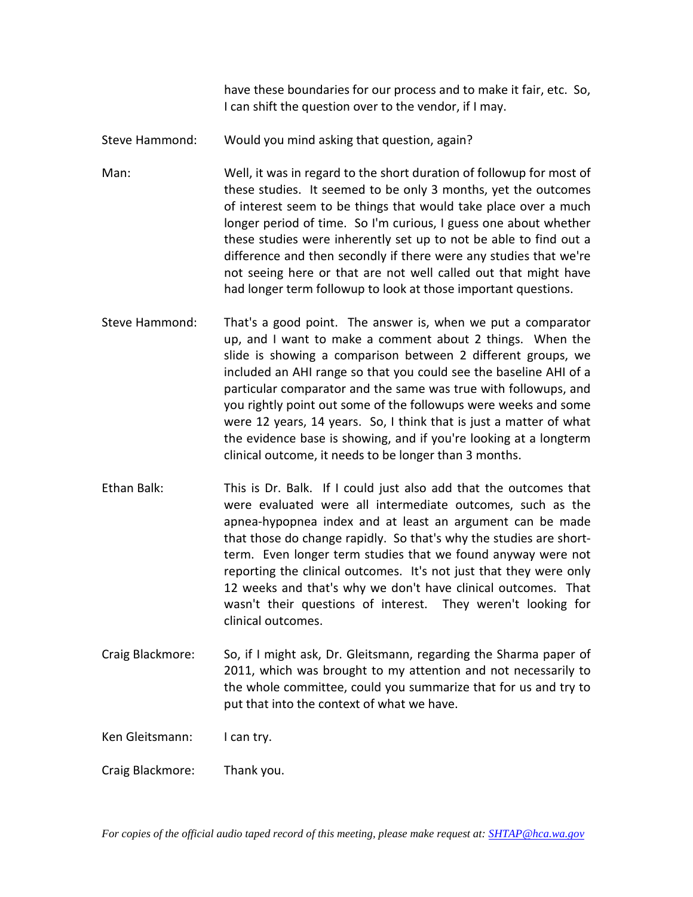have these boundaries for our process and to make it fair, etc. So, I can shift the question over to the vendor, if I may.

Steve Hammond: Would you mind asking that question, again?

Man: Well, it was in regard to the short duration of followup for most of these studies. It seemed to be only 3 months, yet the outcomes of interest seem to be things that would take place over a much longer period of time. So I'm curious, I guess one about whether these studies were inherently set up to not be able to find out a difference and then secondly if there were any studies that we're not seeing here or that are not well called out that might have had longer term followup to look at those important questions.

- Steve Hammond: That's a good point. The answer is, when we put a comparator up, and I want to make a comment about 2 things. When the slide is showing a comparison between 2 different groups, we included an AHI range so that you could see the baseline AHI of a particular comparator and the same was true with followups, and you rightly point out some of the followups were weeks and some were 12 years, 14 years. So, I think that is just a matter of what the evidence base is showing, and if you're looking at a longterm clinical outcome, it needs to be longer than 3 months.
- Ethan Balk: This is Dr. Balk. If I could just also add that the outcomes that were evaluated were all intermediate outcomes, such as the apnea-hypopnea index and at least an argument can be made that those do change rapidly. So that's why the studies are shortterm. Even longer term studies that we found anyway were not reporting the clinical outcomes. It's not just that they were only 12 weeks and that's why we don't have clinical outcomes. That wasn't their questions of interest. They weren't looking for clinical outcomes.
- Craig Blackmore: So, if I might ask, Dr. Gleitsmann, regarding the Sharma paper of 2011, which was brought to my attention and not necessarily to the whole committee, could you summarize that for us and try to put that into the context of what we have.

Ken Gleitsmann: I can try.

Craig Blackmore: Thank you.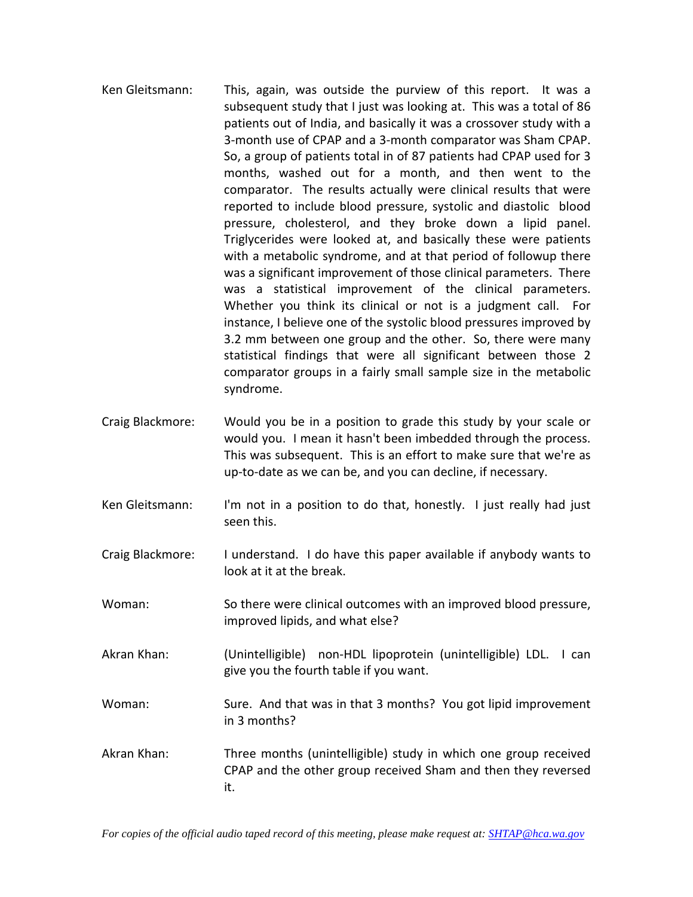- Ken Gleitsmann: This, again, was outside the purview of this report. It was a subsequent study that I just was looking at. This was a total of 86 patients out of India, and basically it was a crossover study with a 3-month use of CPAP and a 3-month comparator was Sham CPAP. So, a group of patients total in of 87 patients had CPAP used for 3 months, washed out for a month, and then went to the comparator. The results actually were clinical results that were reported to include blood pressure, systolic and diastolic blood pressure, cholesterol, and they broke down a lipid panel. Triglycerides were looked at, and basically these were patients with a metabolic syndrome, and at that period of followup there was a significant improvement of those clinical parameters. There was a statistical improvement of the clinical parameters. Whether you think its clinical or not is a judgment call. For instance, I believe one of the systolic blood pressures improved by 3.2 mm between one group and the other. So, there were many statistical findings that were all significant between those 2 comparator groups in a fairly small sample size in the metabolic syndrome.
- Craig Blackmore: Would you be in a position to grade this study by your scale or would you. I mean it hasn't been imbedded through the process. This was subsequent. This is an effort to make sure that we're as up-to-date as we can be, and you can decline, if necessary.
- Ken Gleitsmann: I'm not in a position to do that, honestly. I just really had just seen this.
- Craig Blackmore: I understand. I do have this paper available if anybody wants to look at it at the break.
- Woman: So there were clinical outcomes with an improved blood pressure, improved lipids, and what else?
- Akran Khan: (Unintelligible) non-HDL lipoprotein (unintelligible) LDL. I can give you the fourth table if you want.
- Woman: Sure. And that was in that 3 months? You got lipid improvement in 3 months?
- Akran Khan: Three months (unintelligible) study in which one group received CPAP and the other group received Sham and then they reversed it.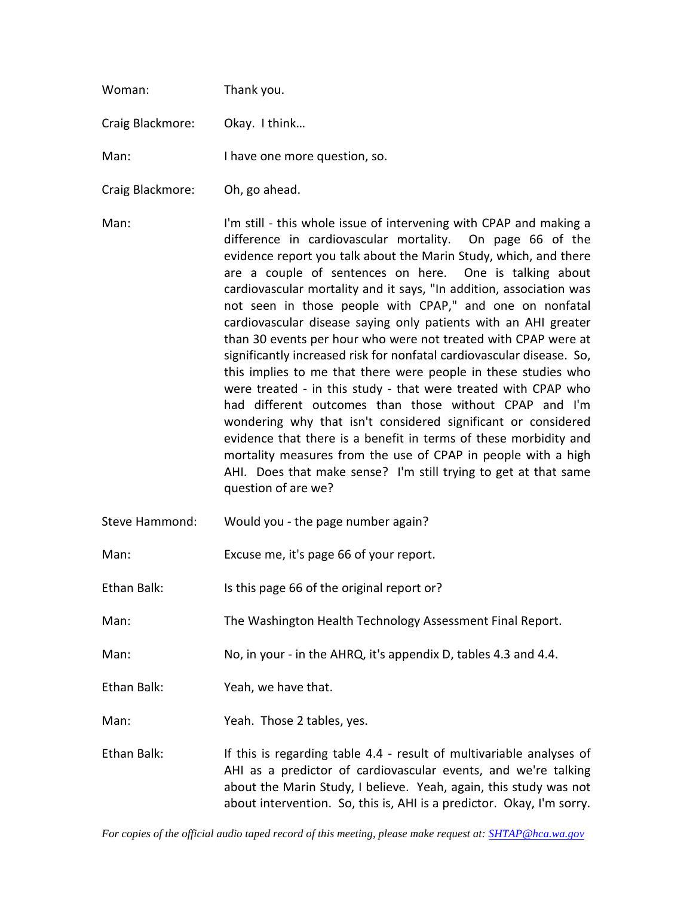| Woman:           | Thank you.                                                                                                                                                                                                                                                                                                                                                                                                                                                                                                                                                                                                                                                                                                                                                                                                                                                                                                                                                                                                                                                                                                    |
|------------------|---------------------------------------------------------------------------------------------------------------------------------------------------------------------------------------------------------------------------------------------------------------------------------------------------------------------------------------------------------------------------------------------------------------------------------------------------------------------------------------------------------------------------------------------------------------------------------------------------------------------------------------------------------------------------------------------------------------------------------------------------------------------------------------------------------------------------------------------------------------------------------------------------------------------------------------------------------------------------------------------------------------------------------------------------------------------------------------------------------------|
| Craig Blackmore: | Okay. I think                                                                                                                                                                                                                                                                                                                                                                                                                                                                                                                                                                                                                                                                                                                                                                                                                                                                                                                                                                                                                                                                                                 |
| Man:             | I have one more question, so.                                                                                                                                                                                                                                                                                                                                                                                                                                                                                                                                                                                                                                                                                                                                                                                                                                                                                                                                                                                                                                                                                 |
| Craig Blackmore: | Oh, go ahead.                                                                                                                                                                                                                                                                                                                                                                                                                                                                                                                                                                                                                                                                                                                                                                                                                                                                                                                                                                                                                                                                                                 |
| Man:             | I'm still - this whole issue of intervening with CPAP and making a<br>difference in cardiovascular mortality. On page 66 of the<br>evidence report you talk about the Marin Study, which, and there<br>are a couple of sentences on here. One is talking about<br>cardiovascular mortality and it says, "In addition, association was<br>not seen in those people with CPAP," and one on nonfatal<br>cardiovascular disease saying only patients with an AHI greater<br>than 30 events per hour who were not treated with CPAP were at<br>significantly increased risk for nonfatal cardiovascular disease. So,<br>this implies to me that there were people in these studies who<br>were treated - in this study - that were treated with CPAP who<br>had different outcomes than those without CPAP and I'm<br>wondering why that isn't considered significant or considered<br>evidence that there is a benefit in terms of these morbidity and<br>mortality measures from the use of CPAP in people with a high<br>AHI. Does that make sense? I'm still trying to get at that same<br>question of are we? |
| Steve Hammond:   | Would you - the page number again?                                                                                                                                                                                                                                                                                                                                                                                                                                                                                                                                                                                                                                                                                                                                                                                                                                                                                                                                                                                                                                                                            |
| Man:             | Excuse me, it's page 66 of your report.                                                                                                                                                                                                                                                                                                                                                                                                                                                                                                                                                                                                                                                                                                                                                                                                                                                                                                                                                                                                                                                                       |
| Ethan Balk:      | Is this page 66 of the original report or?                                                                                                                                                                                                                                                                                                                                                                                                                                                                                                                                                                                                                                                                                                                                                                                                                                                                                                                                                                                                                                                                    |
| Man:             | The Washington Health Technology Assessment Final Report.                                                                                                                                                                                                                                                                                                                                                                                                                                                                                                                                                                                                                                                                                                                                                                                                                                                                                                                                                                                                                                                     |
| Man:             | No, in your - in the AHRQ, it's appendix D, tables 4.3 and 4.4.                                                                                                                                                                                                                                                                                                                                                                                                                                                                                                                                                                                                                                                                                                                                                                                                                                                                                                                                                                                                                                               |
| Ethan Balk:      | Yeah, we have that.                                                                                                                                                                                                                                                                                                                                                                                                                                                                                                                                                                                                                                                                                                                                                                                                                                                                                                                                                                                                                                                                                           |
| Man:             | Yeah. Those 2 tables, yes.                                                                                                                                                                                                                                                                                                                                                                                                                                                                                                                                                                                                                                                                                                                                                                                                                                                                                                                                                                                                                                                                                    |
| Ethan Balk:      | If this is regarding table 4.4 - result of multivariable analyses of<br>AHI as a predictor of cardiovascular events, and we're talking<br>about the Marin Study, I believe. Yeah, again, this study was not<br>about intervention. So, this is, AHI is a predictor. Okay, I'm sorry.                                                                                                                                                                                                                                                                                                                                                                                                                                                                                                                                                                                                                                                                                                                                                                                                                          |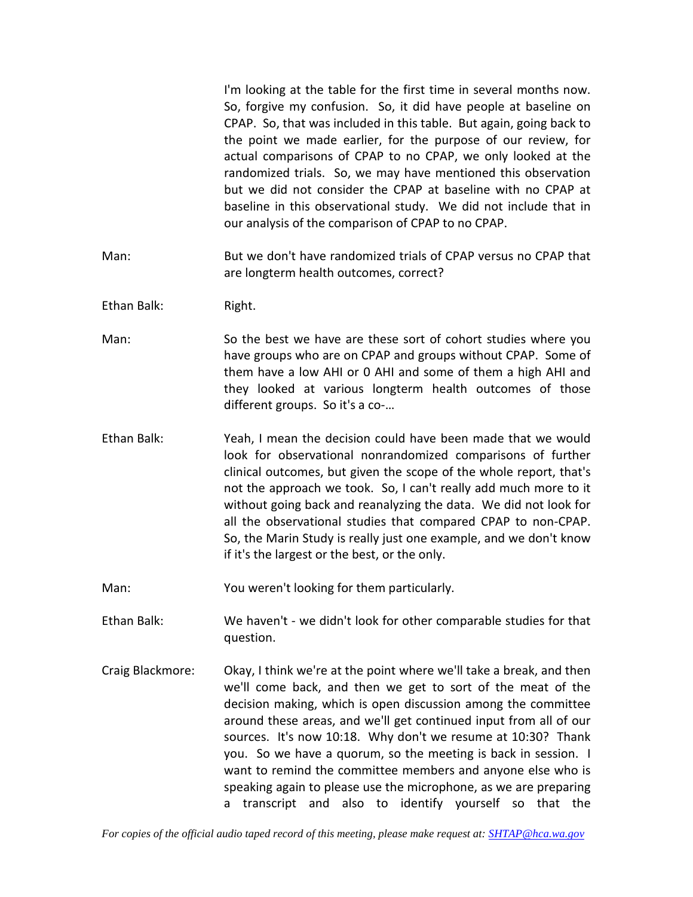I'm looking at the table for the first time in several months now. So, forgive my confusion. So, it did have people at baseline on CPAP. So, that was included in this table. But again, going back to the point we made earlier, for the purpose of our review, for actual comparisons of CPAP to no CPAP, we only looked at the randomized trials. So, we may have mentioned this observation but we did not consider the CPAP at baseline with no CPAP at baseline in this observational study. We did not include that in our analysis of the comparison of CPAP to no CPAP.

- Man: But we don't have randomized trials of CPAP versus no CPAP that are longterm health outcomes, correct?
- Ethan Balk: Right.
- Man: So the best we have are these sort of cohort studies where you have groups who are on CPAP and groups without CPAP. Some of them have a low AHI or 0 AHI and some of them a high AHI and they looked at various longterm health outcomes of those different groups. So it's a co-…
- Ethan Balk: Yeah, I mean the decision could have been made that we would look for observational nonrandomized comparisons of further clinical outcomes, but given the scope of the whole report, that's not the approach we took. So, I can't really add much more to it without going back and reanalyzing the data. We did not look for all the observational studies that compared CPAP to non-CPAP. So, the Marin Study is really just one example, and we don't know if it's the largest or the best, or the only.

Man: You weren't looking for them particularly.

Ethan Balk: We haven't - we didn't look for other comparable studies for that question.

Craig Blackmore: Okay, I think we're at the point where we'll take a break, and then we'll come back, and then we get to sort of the meat of the decision making, which is open discussion among the committee around these areas, and we'll get continued input from all of our sources. It's now 10:18. Why don't we resume at 10:30? Thank you. So we have a quorum, so the meeting is back in session. I want to remind the committee members and anyone else who is speaking again to please use the microphone, as we are preparing a transcript and also to identify yourself so that the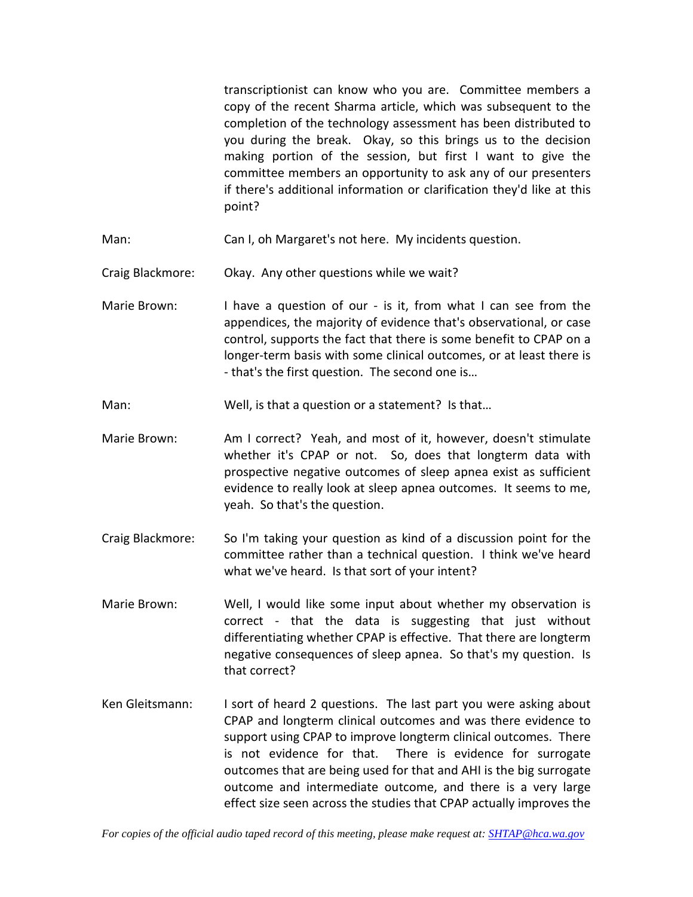transcriptionist can know who you are. Committee members a copy of the recent Sharma article, which was subsequent to the completion of the technology assessment has been distributed to you during the break. Okay, so this brings us to the decision making portion of the session, but first I want to give the committee members an opportunity to ask any of our presenters if there's additional information or clarification they'd like at this point?

- Man: Can I, oh Margaret's not here. My incidents question.
- Craig Blackmore: Okay. Any other questions while we wait?
- Marie Brown: I have a question of our is it, from what I can see from the appendices, the majority of evidence that's observational, or case control, supports the fact that there is some benefit to CPAP on a longer-term basis with some clinical outcomes, or at least there is - that's the first question. The second one is…
- Man: Well, is that a question or a statement? Is that...
- Marie Brown: Am I correct? Yeah, and most of it, however, doesn't stimulate whether it's CPAP or not. So, does that longterm data with prospective negative outcomes of sleep apnea exist as sufficient evidence to really look at sleep apnea outcomes. It seems to me, yeah. So that's the question.
- Craig Blackmore: So I'm taking your question as kind of a discussion point for the committee rather than a technical question. I think we've heard what we've heard. Is that sort of your intent?
- Marie Brown: Well, I would like some input about whether my observation is correct - that the data is suggesting that just without differentiating whether CPAP is effective. That there are longterm negative consequences of sleep apnea. So that's my question. Is that correct?
- Ken Gleitsmann: I sort of heard 2 questions. The last part you were asking about CPAP and longterm clinical outcomes and was there evidence to support using CPAP to improve longterm clinical outcomes. There is not evidence for that. There is evidence for surrogate outcomes that are being used for that and AHI is the big surrogate outcome and intermediate outcome, and there is a very large effect size seen across the studies that CPAP actually improves the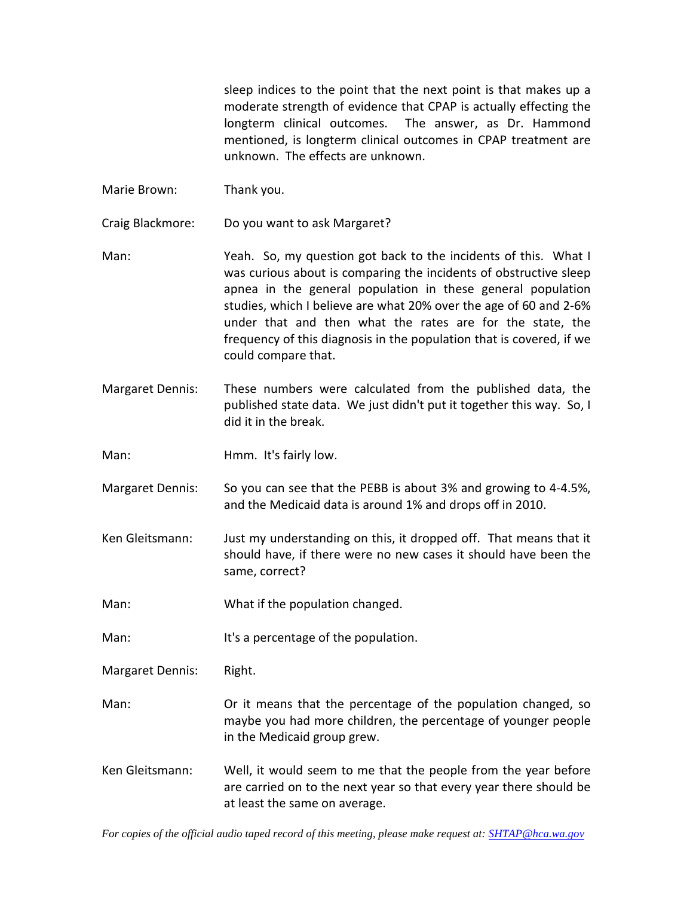sleep indices to the point that the next point is that makes up a moderate strength of evidence that CPAP is actually effecting the longterm clinical outcomes. The answer, as Dr. Hammond mentioned, is longterm clinical outcomes in CPAP treatment are unknown. The effects are unknown.

- Marie Brown: Thank you.
- Craig Blackmore: Do you want to ask Margaret?
- Man: Yeah. So, my question got back to the incidents of this. What I was curious about is comparing the incidents of obstructive sleep apnea in the general population in these general population studies, which I believe are what 20% over the age of 60 and 2-6% under that and then what the rates are for the state, the frequency of this diagnosis in the population that is covered, if we could compare that.
- Margaret Dennis: These numbers were calculated from the published data, the published state data. We just didn't put it together this way. So, I did it in the break.
- Man: Hmm. It's fairly low.
- Margaret Dennis: So you can see that the PEBB is about 3% and growing to 4-4.5%, and the Medicaid data is around 1% and drops off in 2010.
- Ken Gleitsmann: Just my understanding on this, it dropped off. That means that it should have, if there were no new cases it should have been the same, correct?
- Man: What if the population changed.
- Man: It's a percentage of the population.
- Margaret Dennis: Right.
- Man: Or it means that the percentage of the population changed, so maybe you had more children, the percentage of younger people in the Medicaid group grew.
- Ken Gleitsmann: Well, it would seem to me that the people from the year before are carried on to the next year so that every year there should be at least the same on average.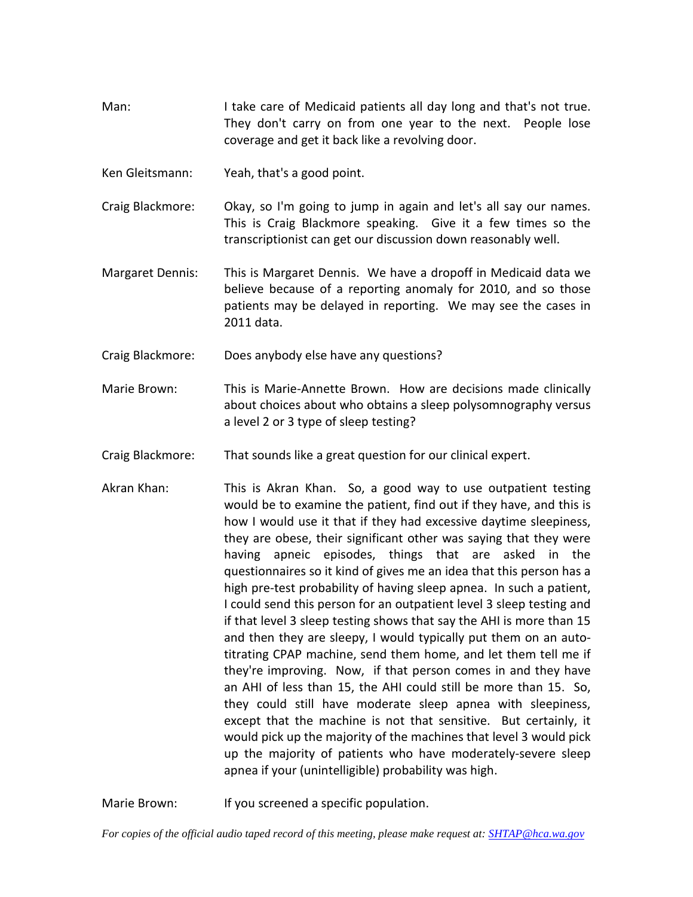Man: I take care of Medicaid patients all day long and that's not true. They don't carry on from one year to the next. People lose coverage and get it back like a revolving door.

Ken Gleitsmann: Yeah, that's a good point.

- Craig Blackmore: Okay, so I'm going to jump in again and let's all say our names. This is Craig Blackmore speaking. Give it a few times so the transcriptionist can get our discussion down reasonably well.
- Margaret Dennis: This is Margaret Dennis. We have a dropoff in Medicaid data we believe because of a reporting anomaly for 2010, and so those patients may be delayed in reporting. We may see the cases in 2011 data.
- Craig Blackmore: Does anybody else have any questions?
- Marie Brown: This is Marie-Annette Brown. How are decisions made clinically about choices about who obtains a sleep polysomnography versus a level 2 or 3 type of sleep testing?
- Craig Blackmore: That sounds like a great question for our clinical expert.
- Akran Khan: This is Akran Khan. So, a good way to use outpatient testing would be to examine the patient, find out if they have, and this is how I would use it that if they had excessive daytime sleepiness, they are obese, their significant other was saying that they were having apneic episodes, things that are asked in the questionnaires so it kind of gives me an idea that this person has a high pre-test probability of having sleep apnea. In such a patient, I could send this person for an outpatient level 3 sleep testing and if that level 3 sleep testing shows that say the AHI is more than 15 and then they are sleepy, I would typically put them on an autotitrating CPAP machine, send them home, and let them tell me if they're improving. Now, if that person comes in and they have an AHI of less than 15, the AHI could still be more than 15. So, they could still have moderate sleep apnea with sleepiness, except that the machine is not that sensitive. But certainly, it would pick up the majority of the machines that level 3 would pick up the majority of patients who have moderately-severe sleep apnea if your (unintelligible) probability was high.

Marie Brown: If you screened a specific population.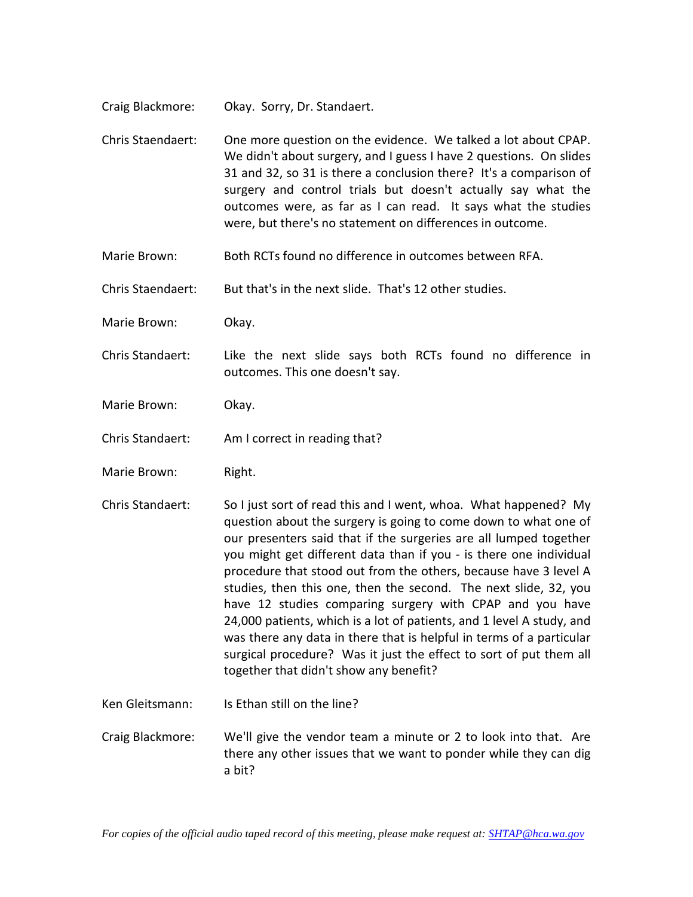- Craig Blackmore: Okay. Sorry, Dr. Standaert.
- Chris Staendaert: One more question on the evidence. We talked a lot about CPAP. We didn't about surgery, and I guess I have 2 questions. On slides 31 and 32, so 31 is there a conclusion there? It's a comparison of surgery and control trials but doesn't actually say what the outcomes were, as far as I can read. It says what the studies were, but there's no statement on differences in outcome.
- Marie Brown: Both RCTs found no difference in outcomes between RFA.
- Chris Staendaert: But that's in the next slide. That's 12 other studies.
- Marie Brown: Okay.
- Chris Standaert: Like the next slide says both RCTs found no difference in outcomes. This one doesn't say.
- Marie Brown: Okay.
- Chris Standaert: Am I correct in reading that?
- Marie Brown: Right.
- Chris Standaert: So I just sort of read this and I went, whoa. What happened? My question about the surgery is going to come down to what one of our presenters said that if the surgeries are all lumped together you might get different data than if you - is there one individual procedure that stood out from the others, because have 3 level A studies, then this one, then the second. The next slide, 32, you have 12 studies comparing surgery with CPAP and you have 24,000 patients, which is a lot of patients, and 1 level A study, and was there any data in there that is helpful in terms of a particular surgical procedure? Was it just the effect to sort of put them all together that didn't show any benefit?
- Ken Gleitsmann: Is Ethan still on the line?
- Craig Blackmore: We'll give the vendor team a minute or 2 to look into that. Are there any other issues that we want to ponder while they can dig a bit?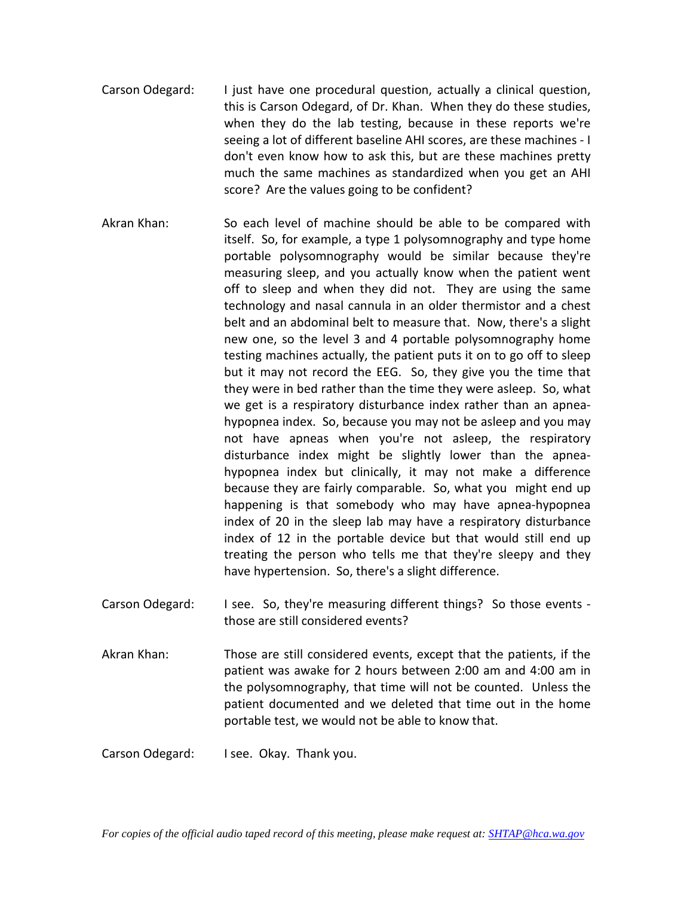- Carson Odegard: I just have one procedural question, actually a clinical question, this is Carson Odegard, of Dr. Khan. When they do these studies, when they do the lab testing, because in these reports we're seeing a lot of different baseline AHI scores, are these machines - I don't even know how to ask this, but are these machines pretty much the same machines as standardized when you get an AHI score? Are the values going to be confident?
- Akran Khan: So each level of machine should be able to be compared with itself. So, for example, a type 1 polysomnography and type home portable polysomnography would be similar because they're measuring sleep, and you actually know when the patient went off to sleep and when they did not. They are using the same technology and nasal cannula in an older thermistor and a chest belt and an abdominal belt to measure that. Now, there's a slight new one, so the level 3 and 4 portable polysomnography home testing machines actually, the patient puts it on to go off to sleep but it may not record the EEG. So, they give you the time that they were in bed rather than the time they were asleep. So, what we get is a respiratory disturbance index rather than an apneahypopnea index. So, because you may not be asleep and you may not have apneas when you're not asleep, the respiratory disturbance index might be slightly lower than the apneahypopnea index but clinically, it may not make a difference because they are fairly comparable. So, what you might end up happening is that somebody who may have apnea-hypopnea index of 20 in the sleep lab may have a respiratory disturbance index of 12 in the portable device but that would still end up treating the person who tells me that they're sleepy and they have hypertension. So, there's a slight difference.
- Carson Odegard: I see. So, they're measuring different things? So those events those are still considered events?
- Akran Khan: Those are still considered events, except that the patients, if the patient was awake for 2 hours between 2:00 am and 4:00 am in the polysomnography, that time will not be counted. Unless the patient documented and we deleted that time out in the home portable test, we would not be able to know that.

Carson Odegard: I see. Okay. Thank you.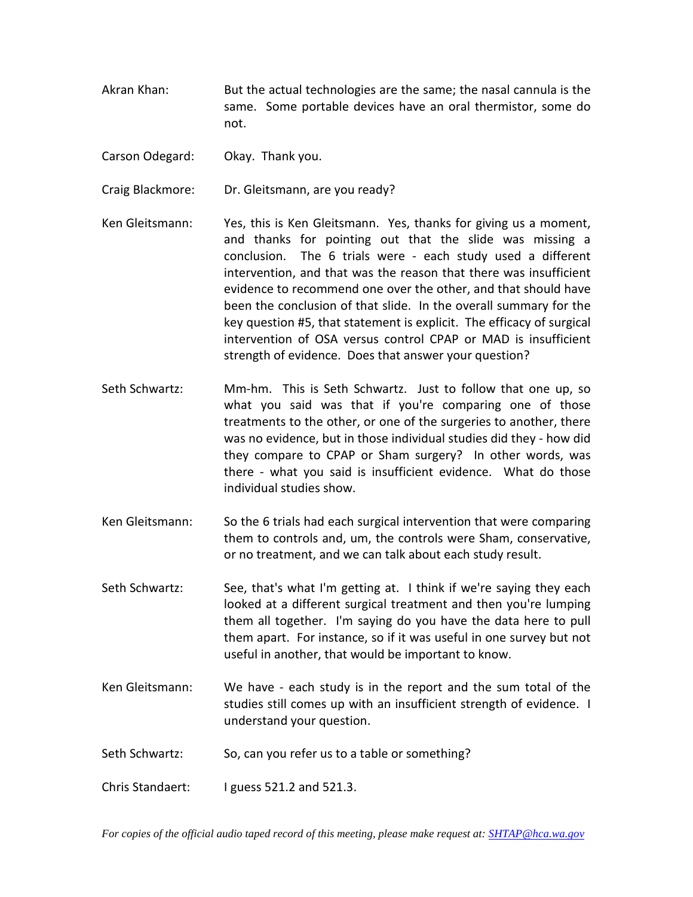- Akran Khan: But the actual technologies are the same; the nasal cannula is the same. Some portable devices have an oral thermistor, some do not.
- Carson Odegard: Okay. Thank you.
- Craig Blackmore: Dr. Gleitsmann, are you ready?
- Ken Gleitsmann: Yes, this is Ken Gleitsmann. Yes, thanks for giving us a moment, and thanks for pointing out that the slide was missing a conclusion. The 6 trials were - each study used a different intervention, and that was the reason that there was insufficient evidence to recommend one over the other, and that should have been the conclusion of that slide. In the overall summary for the key question #5, that statement is explicit. The efficacy of surgical intervention of OSA versus control CPAP or MAD is insufficient strength of evidence. Does that answer your question?
- Seth Schwartz: Mm-hm. This is Seth Schwartz. Just to follow that one up, so what you said was that if you're comparing one of those treatments to the other, or one of the surgeries to another, there was no evidence, but in those individual studies did they - how did they compare to CPAP or Sham surgery? In other words, was there - what you said is insufficient evidence. What do those individual studies show.
- Ken Gleitsmann: So the 6 trials had each surgical intervention that were comparing them to controls and, um, the controls were Sham, conservative, or no treatment, and we can talk about each study result.
- Seth Schwartz: See, that's what I'm getting at. I think if we're saying they each looked at a different surgical treatment and then you're lumping them all together. I'm saying do you have the data here to pull them apart. For instance, so if it was useful in one survey but not useful in another, that would be important to know.
- Ken Gleitsmann: We have each study is in the report and the sum total of the studies still comes up with an insufficient strength of evidence. I understand your question.
- Seth Schwartz: So, can you refer us to a table or something?
- Chris Standaert: I guess 521.2 and 521.3.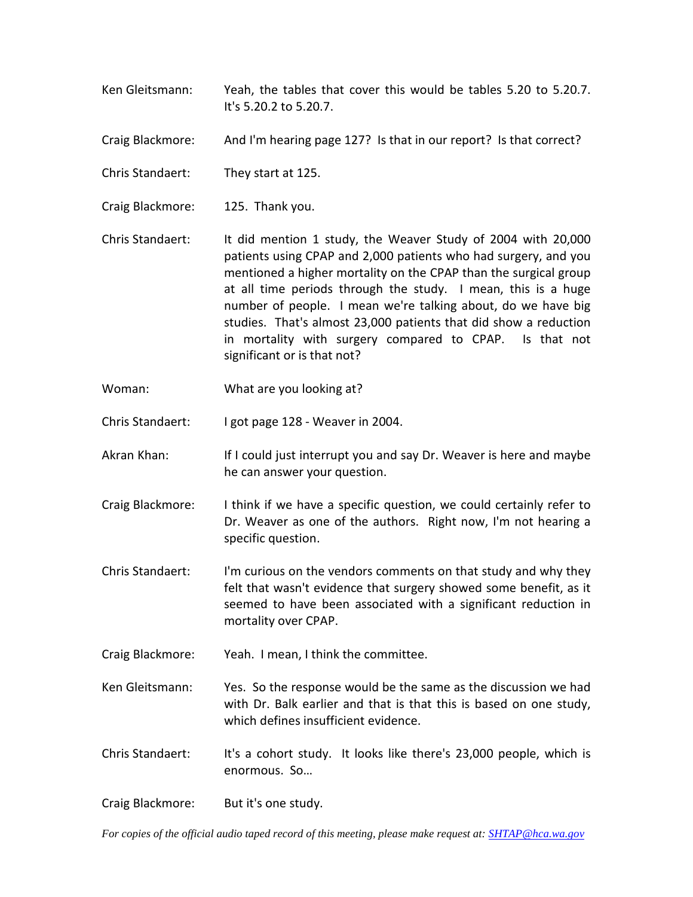- Ken Gleitsmann: Yeah, the tables that cover this would be tables 5.20 to 5.20.7. It's 5.20.2 to 5.20.7.
- Craig Blackmore: And I'm hearing page 127? Is that in our report? Is that correct?
- Chris Standaert: They start at 125.
- Craig Blackmore: 125. Thank you.
- Chris Standaert: It did mention 1 study, the Weaver Study of 2004 with 20,000 patients using CPAP and 2,000 patients who had surgery, and you mentioned a higher mortality on the CPAP than the surgical group at all time periods through the study. I mean, this is a huge number of people. I mean we're talking about, do we have big studies. That's almost 23,000 patients that did show a reduction in mortality with surgery compared to CPAP. Is that not significant or is that not?
- Woman: What are you looking at?
- Chris Standaert: I got page 128 Weaver in 2004.
- Akran Khan: If I could just interrupt you and say Dr. Weaver is here and maybe he can answer your question.
- Craig Blackmore: I think if we have a specific question, we could certainly refer to Dr. Weaver as one of the authors. Right now, I'm not hearing a specific question.
- Chris Standaert: I'm curious on the vendors comments on that study and why they felt that wasn't evidence that surgery showed some benefit, as it seemed to have been associated with a significant reduction in mortality over CPAP.
- Craig Blackmore: Yeah. I mean, I think the committee.
- Ken Gleitsmann: Yes. So the response would be the same as the discussion we had with Dr. Balk earlier and that is that this is based on one study, which defines insufficient evidence.
- Chris Standaert: It's a cohort study. It looks like there's 23,000 people, which is enormous. So…
- Craig Blackmore: But it's one study.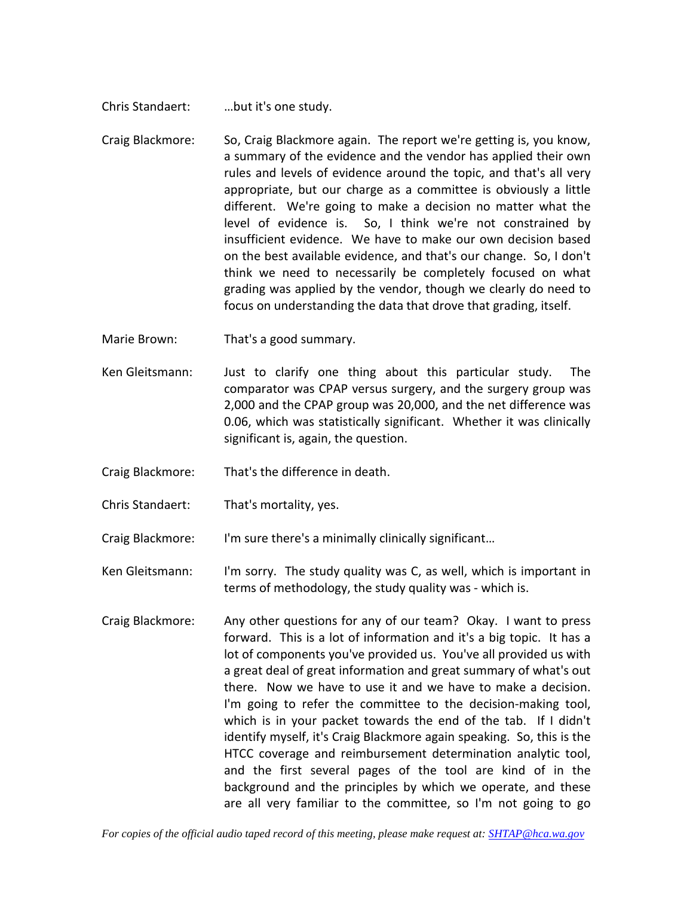- Chris Standaert: …but it's one study.
- Craig Blackmore: So, Craig Blackmore again. The report we're getting is, you know, a summary of the evidence and the vendor has applied their own rules and levels of evidence around the topic, and that's all very appropriate, but our charge as a committee is obviously a little different. We're going to make a decision no matter what the level of evidence is. So, I think we're not constrained by insufficient evidence. We have to make our own decision based on the best available evidence, and that's our change. So, I don't think we need to necessarily be completely focused on what grading was applied by the vendor, though we clearly do need to focus on understanding the data that drove that grading, itself.
- Marie Brown: That's a good summary.
- Ken Gleitsmann: Just to clarify one thing about this particular study. The comparator was CPAP versus surgery, and the surgery group was 2,000 and the CPAP group was 20,000, and the net difference was 0.06, which was statistically significant. Whether it was clinically significant is, again, the question.
- Craig Blackmore: That's the difference in death.
- Chris Standaert: That's mortality, yes.

Craig Blackmore: I'm sure there's a minimally clinically significant…

- Ken Gleitsmann: I'm sorry. The study quality was C, as well, which is important in terms of methodology, the study quality was - which is.
- Craig Blackmore: Any other questions for any of our team? Okay. I want to press forward. This is a lot of information and it's a big topic. It has a lot of components you've provided us. You've all provided us with a great deal of great information and great summary of what's out there. Now we have to use it and we have to make a decision. I'm going to refer the committee to the decision-making tool, which is in your packet towards the end of the tab. If I didn't identify myself, it's Craig Blackmore again speaking. So, this is the HTCC coverage and reimbursement determination analytic tool, and the first several pages of the tool are kind of in the background and the principles by which we operate, and these are all very familiar to the committee, so I'm not going to go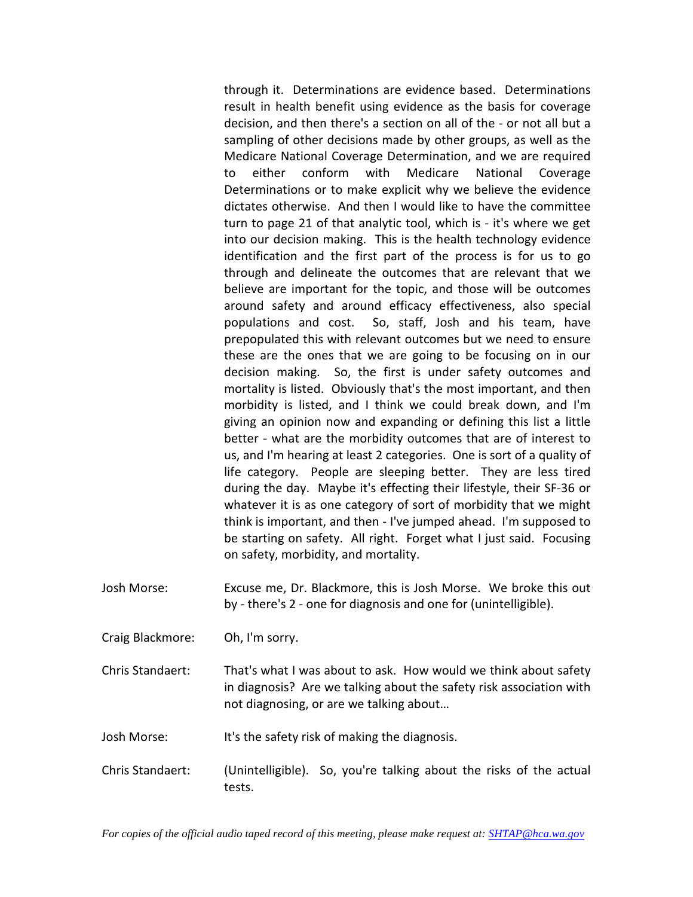through it. Determinations are evidence based. Determinations result in health benefit using evidence as the basis for coverage decision, and then there's a section on all of the - or not all but a sampling of other decisions made by other groups, as well as the Medicare National Coverage Determination, and we are required to either conform with Medicare National Coverage Determinations or to make explicit why we believe the evidence dictates otherwise. And then I would like to have the committee turn to page 21 of that analytic tool, which is - it's where we get into our decision making. This is the health technology evidence identification and the first part of the process is for us to go through and delineate the outcomes that are relevant that we believe are important for the topic, and those will be outcomes around safety and around efficacy effectiveness, also special populations and cost. So, staff, Josh and his team, have prepopulated this with relevant outcomes but we need to ensure these are the ones that we are going to be focusing on in our decision making. So, the first is under safety outcomes and mortality is listed. Obviously that's the most important, and then morbidity is listed, and I think we could break down, and I'm giving an opinion now and expanding or defining this list a little better - what are the morbidity outcomes that are of interest to us, and I'm hearing at least 2 categories. One is sort of a quality of life category. People are sleeping better. They are less tired during the day. Maybe it's effecting their lifestyle, their SF-36 or whatever it is as one category of sort of morbidity that we might think is important, and then - I've jumped ahead. I'm supposed to be starting on safety. All right. Forget what I just said. Focusing on safety, morbidity, and mortality.

- Josh Morse: Excuse me, Dr. Blackmore, this is Josh Morse. We broke this out by - there's 2 - one for diagnosis and one for (unintelligible).
- Craig Blackmore: Oh, I'm sorry.
- Chris Standaert: That's what I was about to ask. How would we think about safety in diagnosis? Are we talking about the safety risk association with not diagnosing, or are we talking about…

Josh Morse: It's the safety risk of making the diagnosis.

Chris Standaert: (Unintelligible). So, you're talking about the risks of the actual tests.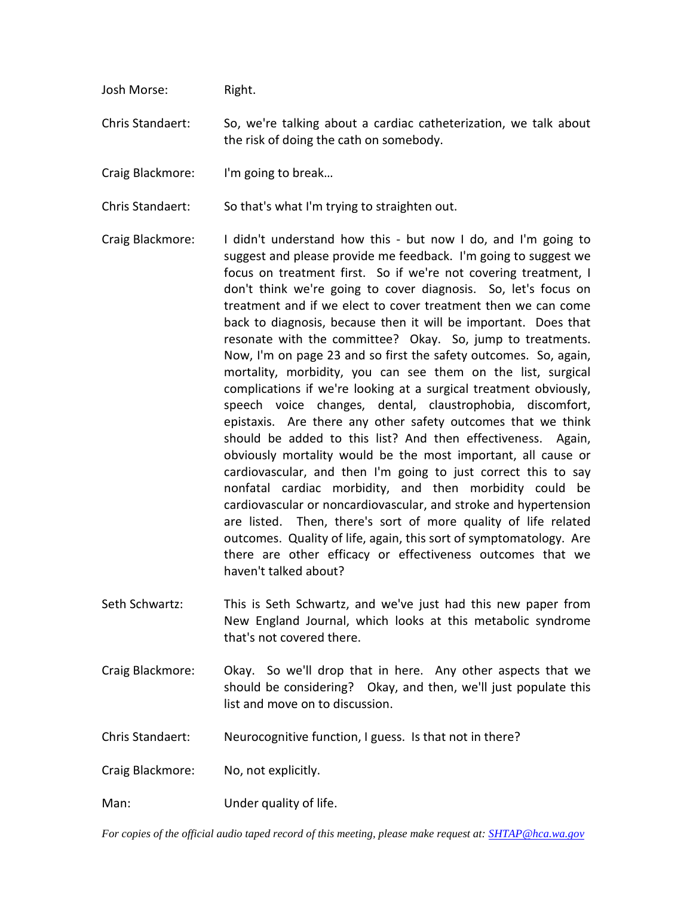Josh Morse: Right.

Chris Standaert: So, we're talking about a cardiac catheterization, we talk about the risk of doing the cath on somebody.

Craig Blackmore: I'm going to break…

Chris Standaert: So that's what I'm trying to straighten out.

- Craig Blackmore: I didn't understand how this but now I do, and I'm going to suggest and please provide me feedback. I'm going to suggest we focus on treatment first. So if we're not covering treatment, I don't think we're going to cover diagnosis. So, let's focus on treatment and if we elect to cover treatment then we can come back to diagnosis, because then it will be important. Does that resonate with the committee? Okay. So, jump to treatments. Now, I'm on page 23 and so first the safety outcomes. So, again, mortality, morbidity, you can see them on the list, surgical complications if we're looking at a surgical treatment obviously, speech voice changes, dental, claustrophobia, discomfort, epistaxis. Are there any other safety outcomes that we think should be added to this list? And then effectiveness. Again, obviously mortality would be the most important, all cause or cardiovascular, and then I'm going to just correct this to say nonfatal cardiac morbidity, and then morbidity could be cardiovascular or noncardiovascular, and stroke and hypertension are listed. Then, there's sort of more quality of life related outcomes. Quality of life, again, this sort of symptomatology. Are there are other efficacy or effectiveness outcomes that we haven't talked about?
- Seth Schwartz: This is Seth Schwartz, and we've just had this new paper from New England Journal, which looks at this metabolic syndrome that's not covered there.
- Craig Blackmore: Okay. So we'll drop that in here. Any other aspects that we should be considering? Okay, and then, we'll just populate this list and move on to discussion.
- Chris Standaert: Neurocognitive function, I guess. Is that not in there?
- Craig Blackmore: No, not explicitly.
- Man: Under quality of life.

*For copies of the official audio taped record of this meeting, please make request at[: SHTAP@hca.wa.gov](mailto:SHTAP@hca.wa.gov)*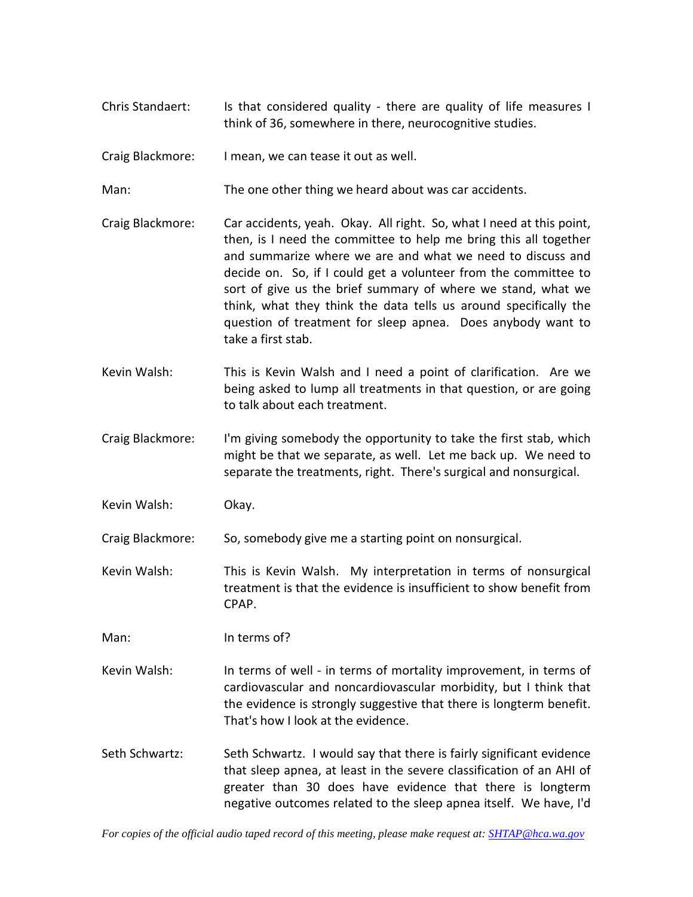Chris Standaert: Is that considered quality - there are quality of life measures I think of 36, somewhere in there, neurocognitive studies.

Craig Blackmore: I mean, we can tease it out as well.

Man: The one other thing we heard about was car accidents.

- Craig Blackmore: Car accidents, yeah. Okay. All right. So, what I need at this point, then, is I need the committee to help me bring this all together and summarize where we are and what we need to discuss and decide on. So, if I could get a volunteer from the committee to sort of give us the brief summary of where we stand, what we think, what they think the data tells us around specifically the question of treatment for sleep apnea. Does anybody want to take a first stab.
- Kevin Walsh: This is Kevin Walsh and I need a point of clarification. Are we being asked to lump all treatments in that question, or are going to talk about each treatment.
- Craig Blackmore: I'm giving somebody the opportunity to take the first stab, which might be that we separate, as well. Let me back up. We need to separate the treatments, right. There's surgical and nonsurgical.

Kevin Walsh: Okay.

Craig Blackmore: So, somebody give me a starting point on nonsurgical.

Kevin Walsh: This is Kevin Walsh. My interpretation in terms of nonsurgical treatment is that the evidence is insufficient to show benefit from CPAP.

Man: In terms of?

- Kevin Walsh: In terms of well in terms of mortality improvement, in terms of cardiovascular and noncardiovascular morbidity, but I think that the evidence is strongly suggestive that there is longterm benefit. That's how I look at the evidence.
- Seth Schwartz: Seth Schwartz. I would say that there is fairly significant evidence that sleep apnea, at least in the severe classification of an AHI of greater than 30 does have evidence that there is longterm negative outcomes related to the sleep apnea itself. We have, I'd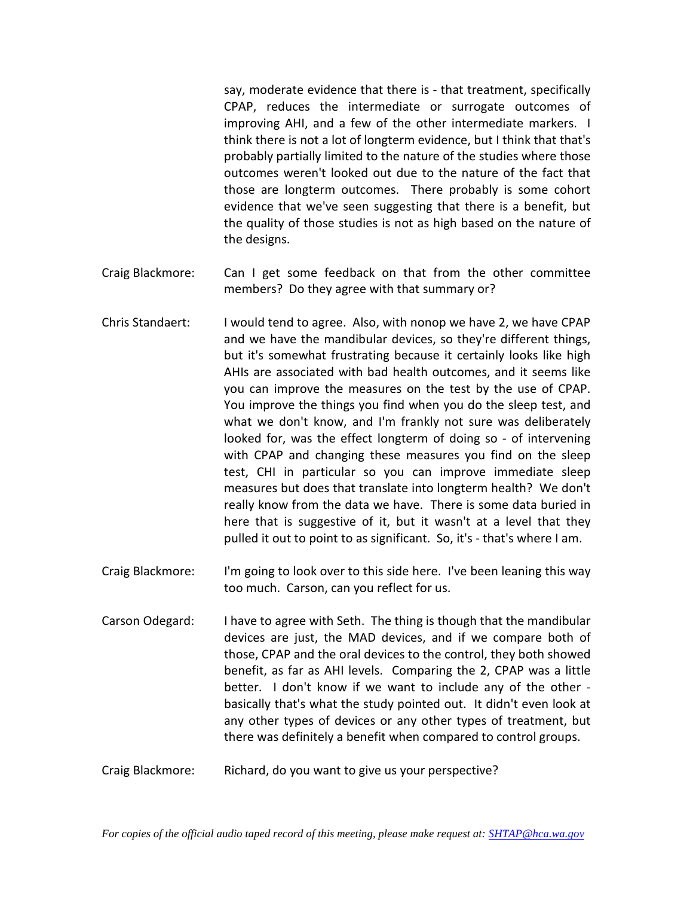say, moderate evidence that there is - that treatment, specifically CPAP, reduces the intermediate or surrogate outcomes of improving AHI, and a few of the other intermediate markers. I think there is not a lot of longterm evidence, but I think that that's probably partially limited to the nature of the studies where those outcomes weren't looked out due to the nature of the fact that those are longterm outcomes. There probably is some cohort evidence that we've seen suggesting that there is a benefit, but the quality of those studies is not as high based on the nature of the designs.

- Craig Blackmore: Can I get some feedback on that from the other committee members? Do they agree with that summary or?
- Chris Standaert: I would tend to agree. Also, with nonop we have 2, we have CPAP and we have the mandibular devices, so they're different things, but it's somewhat frustrating because it certainly looks like high AHIs are associated with bad health outcomes, and it seems like you can improve the measures on the test by the use of CPAP. You improve the things you find when you do the sleep test, and what we don't know, and I'm frankly not sure was deliberately looked for, was the effect longterm of doing so - of intervening with CPAP and changing these measures you find on the sleep test, CHI in particular so you can improve immediate sleep measures but does that translate into longterm health? We don't really know from the data we have. There is some data buried in here that is suggestive of it, but it wasn't at a level that they pulled it out to point to as significant. So, it's - that's where I am.
- Craig Blackmore: I'm going to look over to this side here. I've been leaning this way too much. Carson, can you reflect for us.
- Carson Odegard: I have to agree with Seth. The thing is though that the mandibular devices are just, the MAD devices, and if we compare both of those, CPAP and the oral devices to the control, they both showed benefit, as far as AHI levels. Comparing the 2, CPAP was a little better. I don't know if we want to include any of the other basically that's what the study pointed out. It didn't even look at any other types of devices or any other types of treatment, but there was definitely a benefit when compared to control groups.
- Craig Blackmore: Richard, do you want to give us your perspective?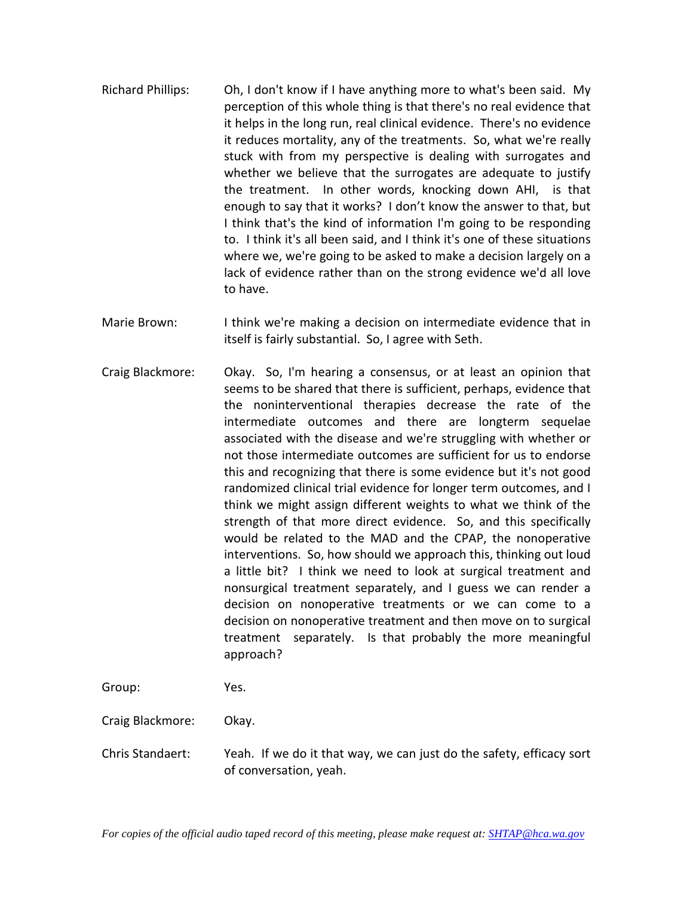- Richard Phillips: Oh, I don't know if I have anything more to what's been said. My perception of this whole thing is that there's no real evidence that it helps in the long run, real clinical evidence. There's no evidence it reduces mortality, any of the treatments. So, what we're really stuck with from my perspective is dealing with surrogates and whether we believe that the surrogates are adequate to justify the treatment. In other words, knocking down AHI, is that enough to say that it works? I don't know the answer to that, but I think that's the kind of information I'm going to be responding to. I think it's all been said, and I think it's one of these situations where we, we're going to be asked to make a decision largely on a lack of evidence rather than on the strong evidence we'd all love to have.
- Marie Brown: I think we're making a decision on intermediate evidence that in itself is fairly substantial. So, I agree with Seth.
- Craig Blackmore: Okay. So, I'm hearing a consensus, or at least an opinion that seems to be shared that there is sufficient, perhaps, evidence that the noninterventional therapies decrease the rate of the intermediate outcomes and there are longterm sequelae associated with the disease and we're struggling with whether or not those intermediate outcomes are sufficient for us to endorse this and recognizing that there is some evidence but it's not good randomized clinical trial evidence for longer term outcomes, and I think we might assign different weights to what we think of the strength of that more direct evidence. So, and this specifically would be related to the MAD and the CPAP, the nonoperative interventions. So, how should we approach this, thinking out loud a little bit? I think we need to look at surgical treatment and nonsurgical treatment separately, and I guess we can render a decision on nonoperative treatments or we can come to a decision on nonoperative treatment and then move on to surgical treatment separately. Is that probably the more meaningful approach?

Group: Yes.

Craig Blackmore: Okay.

Chris Standaert: Yeah. If we do it that way, we can just do the safety, efficacy sort of conversation, yeah.

*For copies of the official audio taped record of this meeting, please make request at[: SHTAP@hca.wa.gov](mailto:SHTAP@hca.wa.gov)*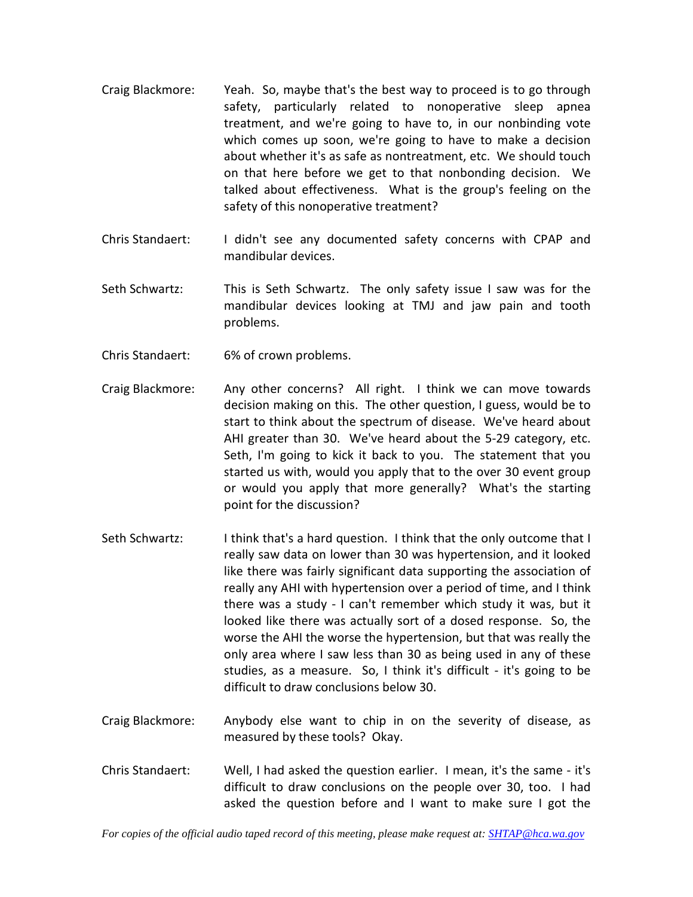- Craig Blackmore: Yeah. So, maybe that's the best way to proceed is to go through safety, particularly related to nonoperative sleep apnea treatment, and we're going to have to, in our nonbinding vote which comes up soon, we're going to have to make a decision about whether it's as safe as nontreatment, etc. We should touch on that here before we get to that nonbonding decision. We talked about effectiveness. What is the group's feeling on the safety of this nonoperative treatment?
- Chris Standaert: I didn't see any documented safety concerns with CPAP and mandibular devices.
- Seth Schwartz: This is Seth Schwartz. The only safety issue I saw was for the mandibular devices looking at TMJ and jaw pain and tooth problems.
- Chris Standaert: 6% of crown problems.
- Craig Blackmore: Any other concerns? All right. I think we can move towards decision making on this. The other question, I guess, would be to start to think about the spectrum of disease. We've heard about AHI greater than 30. We've heard about the 5-29 category, etc. Seth, I'm going to kick it back to you. The statement that you started us with, would you apply that to the over 30 event group or would you apply that more generally? What's the starting point for the discussion?
- Seth Schwartz: I think that's a hard question. I think that the only outcome that I really saw data on lower than 30 was hypertension, and it looked like there was fairly significant data supporting the association of really any AHI with hypertension over a period of time, and I think there was a study - I can't remember which study it was, but it looked like there was actually sort of a dosed response. So, the worse the AHI the worse the hypertension, but that was really the only area where I saw less than 30 as being used in any of these studies, as a measure. So, I think it's difficult - it's going to be difficult to draw conclusions below 30.
- Craig Blackmore: Anybody else want to chip in on the severity of disease, as measured by these tools? Okay.
- Chris Standaert: Well, I had asked the question earlier. I mean, it's the same it's difficult to draw conclusions on the people over 30, too. I had asked the question before and I want to make sure I got the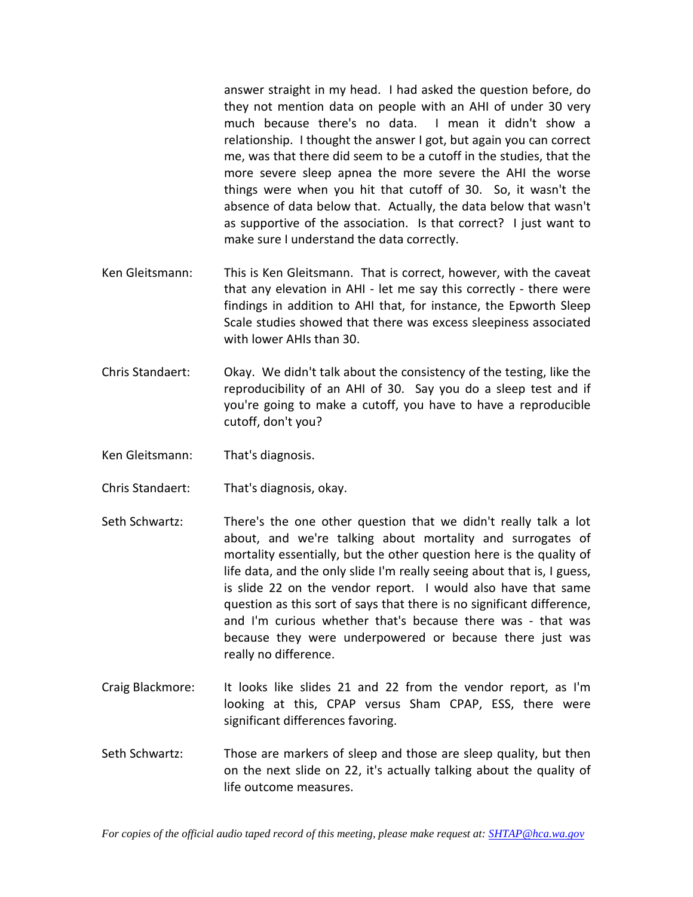answer straight in my head. I had asked the question before, do they not mention data on people with an AHI of under 30 very much because there's no data. I mean it didn't show a relationship. I thought the answer I got, but again you can correct me, was that there did seem to be a cutoff in the studies, that the more severe sleep apnea the more severe the AHI the worse things were when you hit that cutoff of 30. So, it wasn't the absence of data below that. Actually, the data below that wasn't as supportive of the association. Is that correct? I just want to make sure I understand the data correctly.

- Ken Gleitsmann: This is Ken Gleitsmann. That is correct, however, with the caveat that any elevation in AHI - let me say this correctly - there were findings in addition to AHI that, for instance, the Epworth Sleep Scale studies showed that there was excess sleepiness associated with lower AHIs than 30.
- Chris Standaert: Okay. We didn't talk about the consistency of the testing, like the reproducibility of an AHI of 30. Say you do a sleep test and if you're going to make a cutoff, you have to have a reproducible cutoff, don't you?
- Ken Gleitsmann: That's diagnosis.
- Chris Standaert: That's diagnosis, okay.
- Seth Schwartz: There's the one other question that we didn't really talk a lot about, and we're talking about mortality and surrogates of mortality essentially, but the other question here is the quality of life data, and the only slide I'm really seeing about that is, I guess, is slide 22 on the vendor report. I would also have that same question as this sort of says that there is no significant difference, and I'm curious whether that's because there was - that was because they were underpowered or because there just was really no difference.
- Craig Blackmore: It looks like slides 21 and 22 from the vendor report, as I'm looking at this, CPAP versus Sham CPAP, ESS, there were significant differences favoring.
- Seth Schwartz: Those are markers of sleep and those are sleep quality, but then on the next slide on 22, it's actually talking about the quality of life outcome measures.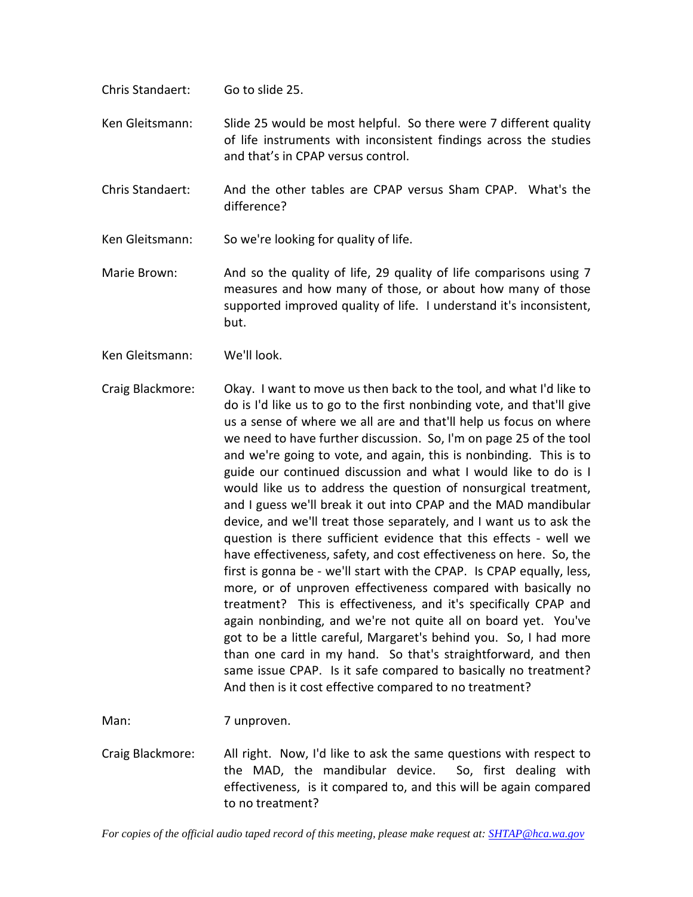- Chris Standaert: Go to slide 25.
- Ken Gleitsmann: Slide 25 would be most helpful. So there were 7 different quality of life instruments with inconsistent findings across the studies and that's in CPAP versus control.
- Chris Standaert: And the other tables are CPAP versus Sham CPAP. What's the difference?
- Ken Gleitsmann: So we're looking for quality of life.
- Marie Brown: And so the quality of life, 29 quality of life comparisons using 7 measures and how many of those, or about how many of those supported improved quality of life. I understand it's inconsistent, but.
- Ken Gleitsmann: We'll look.
- Craig Blackmore: Okay. I want to move us then back to the tool, and what I'd like to do is I'd like us to go to the first nonbinding vote, and that'll give us a sense of where we all are and that'll help us focus on where we need to have further discussion. So, I'm on page 25 of the tool and we're going to vote, and again, this is nonbinding. This is to guide our continued discussion and what I would like to do is I would like us to address the question of nonsurgical treatment, and I guess we'll break it out into CPAP and the MAD mandibular device, and we'll treat those separately, and I want us to ask the question is there sufficient evidence that this effects - well we have effectiveness, safety, and cost effectiveness on here. So, the first is gonna be - we'll start with the CPAP. Is CPAP equally, less, more, or of unproven effectiveness compared with basically no treatment? This is effectiveness, and it's specifically CPAP and again nonbinding, and we're not quite all on board yet. You've got to be a little careful, Margaret's behind you. So, I had more than one card in my hand. So that's straightforward, and then same issue CPAP. Is it safe compared to basically no treatment? And then is it cost effective compared to no treatment?

Man: 7 unproven.

Craig Blackmore: All right. Now, I'd like to ask the same questions with respect to the MAD, the mandibular device. So, first dealing with effectiveness, is it compared to, and this will be again compared to no treatment?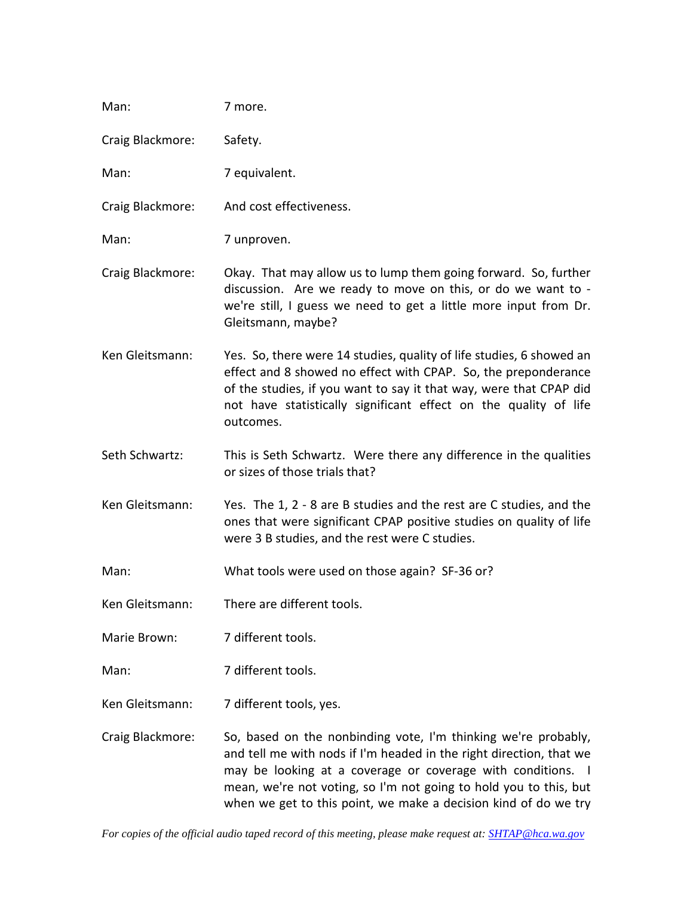| Man:             | 7 more.                                                                                                                                                                                                                                                                                                                                      |
|------------------|----------------------------------------------------------------------------------------------------------------------------------------------------------------------------------------------------------------------------------------------------------------------------------------------------------------------------------------------|
| Craig Blackmore: | Safety.                                                                                                                                                                                                                                                                                                                                      |
| Man:             | 7 equivalent.                                                                                                                                                                                                                                                                                                                                |
| Craig Blackmore: | And cost effectiveness.                                                                                                                                                                                                                                                                                                                      |
| Man:             | 7 unproven.                                                                                                                                                                                                                                                                                                                                  |
| Craig Blackmore: | Okay. That may allow us to lump them going forward. So, further<br>discussion. Are we ready to move on this, or do we want to -<br>we're still, I guess we need to get a little more input from Dr.<br>Gleitsmann, maybe?                                                                                                                    |
| Ken Gleitsmann:  | Yes. So, there were 14 studies, quality of life studies, 6 showed an<br>effect and 8 showed no effect with CPAP. So, the preponderance<br>of the studies, if you want to say it that way, were that CPAP did<br>not have statistically significant effect on the quality of life<br>outcomes.                                                |
| Seth Schwartz:   | This is Seth Schwartz. Were there any difference in the qualities<br>or sizes of those trials that?                                                                                                                                                                                                                                          |
| Ken Gleitsmann:  | Yes. The 1, 2 - 8 are B studies and the rest are C studies, and the<br>ones that were significant CPAP positive studies on quality of life<br>were 3 B studies, and the rest were C studies.                                                                                                                                                 |
| Man:             | What tools were used on those again? SF-36 or?                                                                                                                                                                                                                                                                                               |
| Ken Gleitsmann:  | There are different tools.                                                                                                                                                                                                                                                                                                                   |
| Marie Brown:     | 7 different tools.                                                                                                                                                                                                                                                                                                                           |
| Man:             | 7 different tools.                                                                                                                                                                                                                                                                                                                           |
| Ken Gleitsmann:  | 7 different tools, yes.                                                                                                                                                                                                                                                                                                                      |
| Craig Blackmore: | So, based on the nonbinding vote, I'm thinking we're probably,<br>and tell me with nods if I'm headed in the right direction, that we<br>may be looking at a coverage or coverage with conditions. I<br>mean, we're not voting, so I'm not going to hold you to this, but<br>when we get to this point, we make a decision kind of do we try |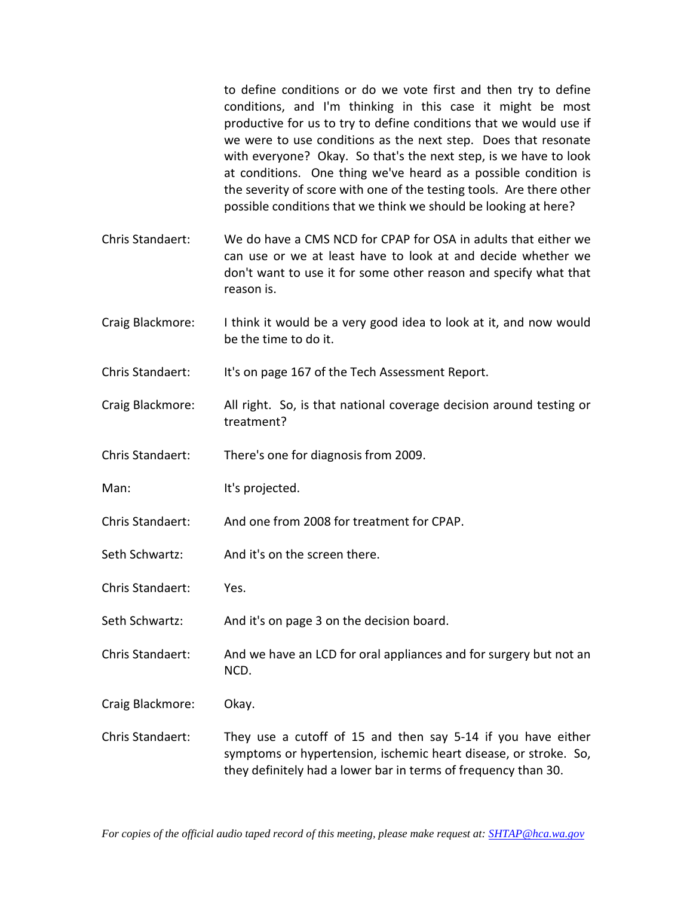to define conditions or do we vote first and then try to define conditions, and I'm thinking in this case it might be most productive for us to try to define conditions that we would use if we were to use conditions as the next step. Does that resonate with everyone? Okay. So that's the next step, is we have to look at conditions. One thing we've heard as a possible condition is the severity of score with one of the testing tools. Are there other possible conditions that we think we should be looking at here?

- Chris Standaert: We do have a CMS NCD for CPAP for OSA in adults that either we can use or we at least have to look at and decide whether we don't want to use it for some other reason and specify what that reason is.
- Craig Blackmore: I think it would be a very good idea to look at it, and now would be the time to do it.
- Chris Standaert: It's on page 167 of the Tech Assessment Report.
- Craig Blackmore: All right. So, is that national coverage decision around testing or treatment?
- Chris Standaert: There's one for diagnosis from 2009.
- Man: It's projected.
- Chris Standaert: And one from 2008 for treatment for CPAP.
- Seth Schwartz: And it's on the screen there.
- Chris Standaert: Yes.
- Seth Schwartz: And it's on page 3 on the decision board.
- Chris Standaert: And we have an LCD for oral appliances and for surgery but not an NCD.
- Craig Blackmore: Okay.
- Chris Standaert: They use a cutoff of 15 and then say 5-14 if you have either symptoms or hypertension, ischemic heart disease, or stroke. So, they definitely had a lower bar in terms of frequency than 30.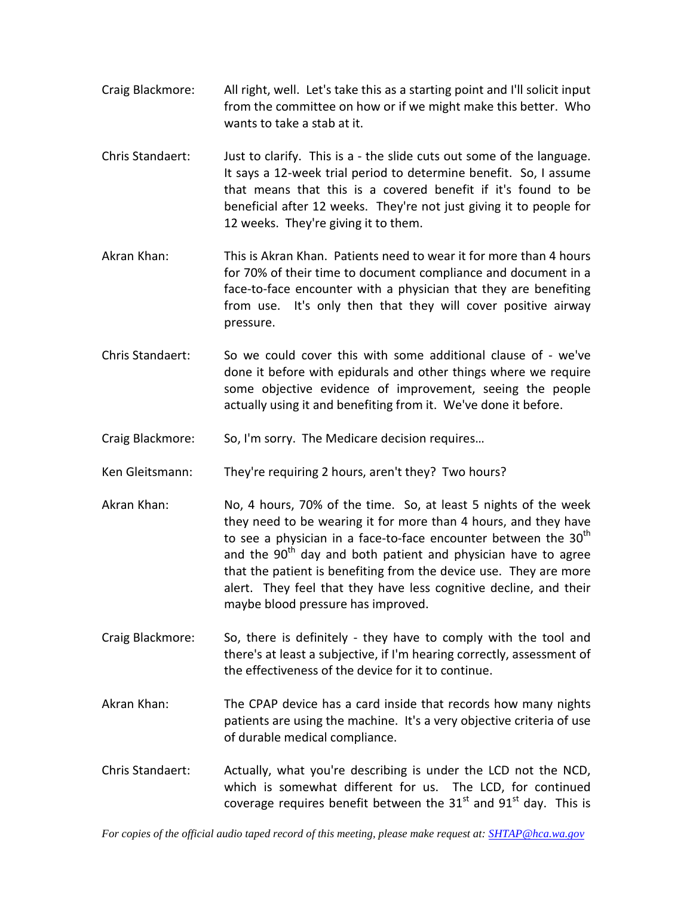- Craig Blackmore: All right, well. Let's take this as a starting point and I'll solicit input from the committee on how or if we might make this better. Who wants to take a stab at it.
- Chris Standaert: Just to clarify. This is a the slide cuts out some of the language. It says a 12-week trial period to determine benefit. So, I assume that means that this is a covered benefit if it's found to be beneficial after 12 weeks. They're not just giving it to people for 12 weeks. They're giving it to them.
- Akran Khan: This is Akran Khan. Patients need to wear it for more than 4 hours for 70% of their time to document compliance and document in a face-to-face encounter with a physician that they are benefiting from use. It's only then that they will cover positive airway pressure.
- Chris Standaert: So we could cover this with some additional clause of we've done it before with epidurals and other things where we require some objective evidence of improvement, seeing the people actually using it and benefiting from it. We've done it before.
- Craig Blackmore: So, I'm sorry. The Medicare decision requires…
- Ken Gleitsmann: They're requiring 2 hours, aren't they? Two hours?
- Akran Khan: No, 4 hours, 70% of the time. So, at least 5 nights of the week they need to be wearing it for more than 4 hours, and they have to see a physician in a face-to-face encounter between the 30<sup>th</sup> and the  $90<sup>th</sup>$  day and both patient and physician have to agree that the patient is benefiting from the device use. They are more alert. They feel that they have less cognitive decline, and their maybe blood pressure has improved.
- Craig Blackmore: So, there is definitely they have to comply with the tool and there's at least a subjective, if I'm hearing correctly, assessment of the effectiveness of the device for it to continue.
- Akran Khan: The CPAP device has a card inside that records how many nights patients are using the machine. It's a very objective criteria of use of durable medical compliance.
- Chris Standaert: Actually, what you're describing is under the LCD not the NCD, which is somewhat different for us. The LCD, for continued coverage requires benefit between the  $31<sup>st</sup>$  and  $91<sup>st</sup>$  day. This is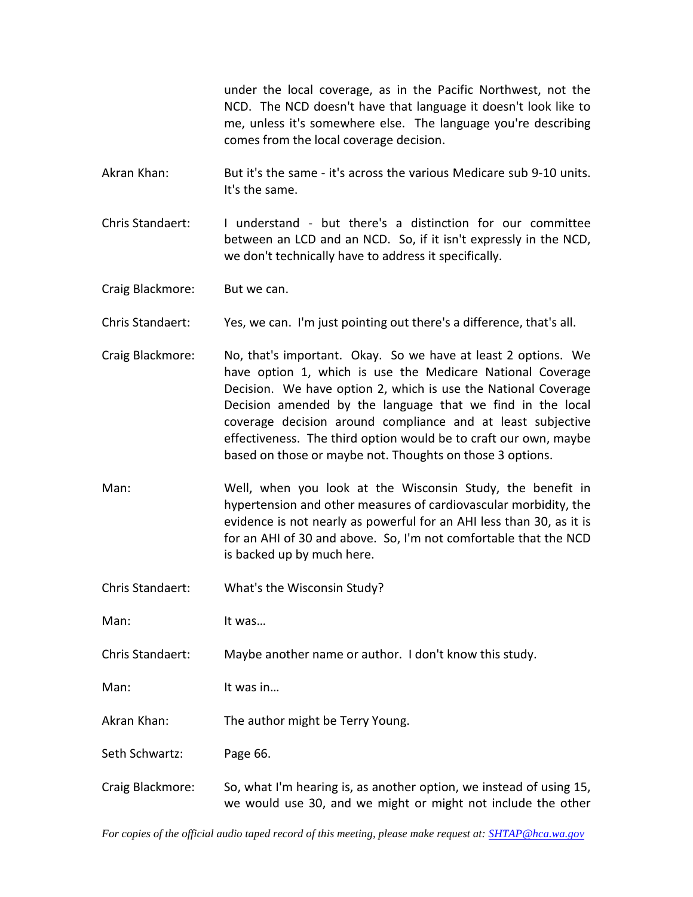under the local coverage, as in the Pacific Northwest, not the NCD. The NCD doesn't have that language it doesn't look like to me, unless it's somewhere else. The language you're describing comes from the local coverage decision.

Akran Khan: But it's the same - it's across the various Medicare sub 9-10 units. It's the same.

Chris Standaert: I understand - but there's a distinction for our committee between an LCD and an NCD. So, if it isn't expressly in the NCD, we don't technically have to address it specifically.

Craig Blackmore: But we can.

Chris Standaert: Yes, we can. I'm just pointing out there's a difference, that's all.

Craig Blackmore: No, that's important. Okay. So we have at least 2 options. We have option 1, which is use the Medicare National Coverage Decision. We have option 2, which is use the National Coverage Decision amended by the language that we find in the local coverage decision around compliance and at least subjective effectiveness. The third option would be to craft our own, maybe based on those or maybe not. Thoughts on those 3 options.

Man: Well, when you look at the Wisconsin Study, the benefit in hypertension and other measures of cardiovascular morbidity, the evidence is not nearly as powerful for an AHI less than 30, as it is for an AHI of 30 and above. So, I'm not comfortable that the NCD is backed up by much here.

Chris Standaert: What's the Wisconsin Study?

Man: It was...

Chris Standaert: Maybe another name or author. I don't know this study.

Man: It was in...

Akran Khan: The author might be Terry Young.

Seth Schwartz: Page 66.

Craig Blackmore: So, what I'm hearing is, as another option, we instead of using 15, we would use 30, and we might or might not include the other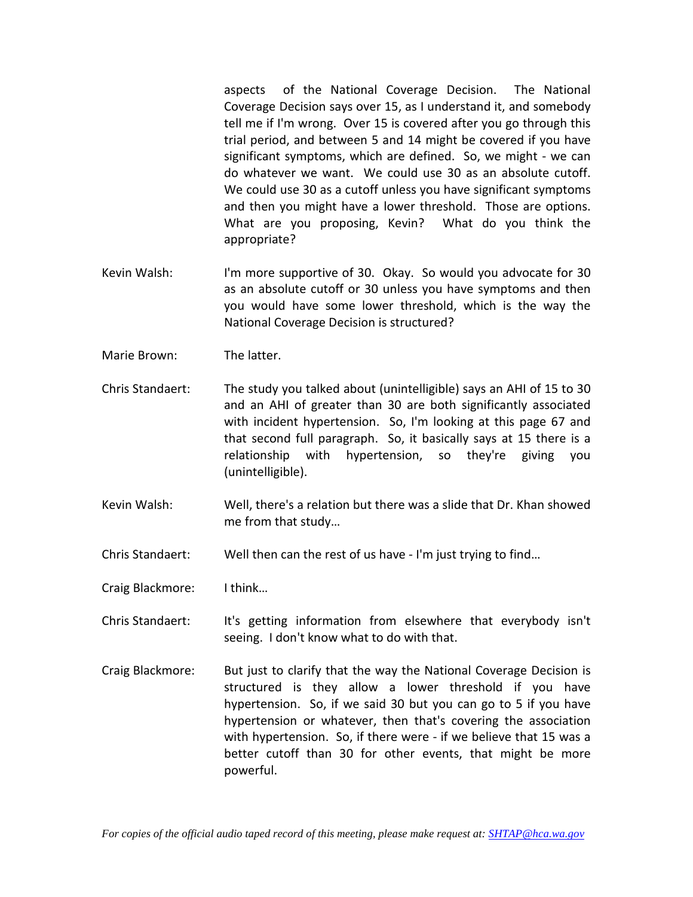aspects of the National Coverage Decision. The National Coverage Decision says over 15, as I understand it, and somebody tell me if I'm wrong. Over 15 is covered after you go through this trial period, and between 5 and 14 might be covered if you have significant symptoms, which are defined. So, we might - we can do whatever we want. We could use 30 as an absolute cutoff. We could use 30 as a cutoff unless you have significant symptoms and then you might have a lower threshold. Those are options. What are you proposing, Kevin? What do you think the appropriate?

- Kevin Walsh: I'm more supportive of 30. Okay. So would you advocate for 30 as an absolute cutoff or 30 unless you have symptoms and then you would have some lower threshold, which is the way the National Coverage Decision is structured?
- Marie Brown: The latter.
- Chris Standaert: The study you talked about (unintelligible) says an AHI of 15 to 30 and an AHI of greater than 30 are both significantly associated with incident hypertension. So, I'm looking at this page 67 and that second full paragraph. So, it basically says at 15 there is a relationship with hypertension, so they're giving you (unintelligible).
- Kevin Walsh: Well, there's a relation but there was a slide that Dr. Khan showed me from that study…

Chris Standaert: Well then can the rest of us have - I'm just trying to find…

- Craig Blackmore: I think…
- Chris Standaert: It's getting information from elsewhere that everybody isn't seeing. I don't know what to do with that.
- Craig Blackmore: But just to clarify that the way the National Coverage Decision is structured is they allow a lower threshold if you have hypertension. So, if we said 30 but you can go to 5 if you have hypertension or whatever, then that's covering the association with hypertension. So, if there were - if we believe that 15 was a better cutoff than 30 for other events, that might be more powerful.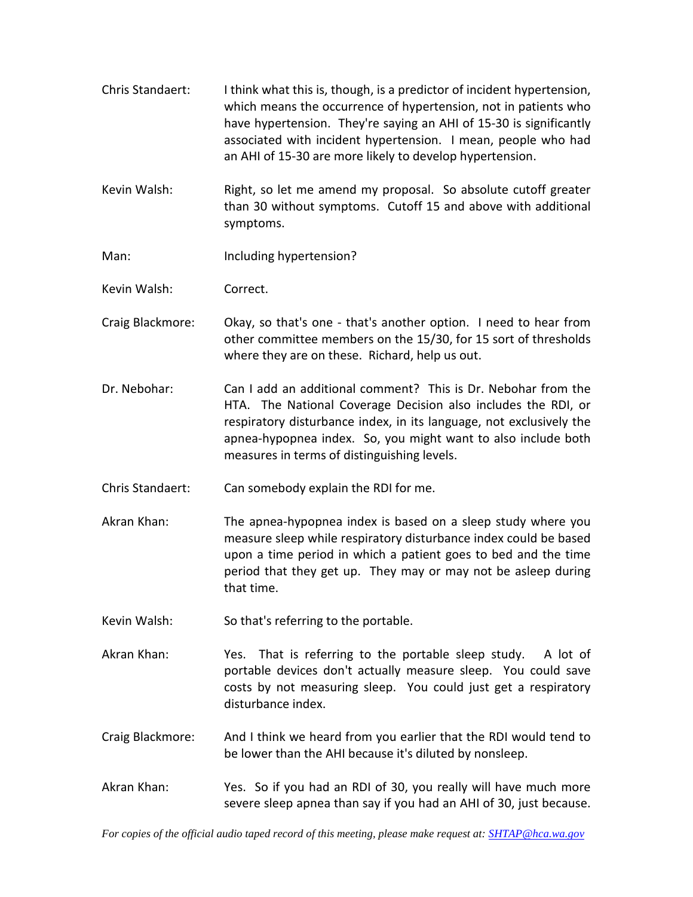- Chris Standaert: I think what this is, though, is a predictor of incident hypertension, which means the occurrence of hypertension, not in patients who have hypertension. They're saying an AHI of 15-30 is significantly associated with incident hypertension. I mean, people who had an AHI of 15-30 are more likely to develop hypertension.
- Kevin Walsh: Right, so let me amend my proposal. So absolute cutoff greater than 30 without symptoms. Cutoff 15 and above with additional symptoms.
- Man: Including hypertension?
- Kevin Walsh: Correct.
- Craig Blackmore: Okay, so that's one that's another option. I need to hear from other committee members on the 15/30, for 15 sort of thresholds where they are on these. Richard, help us out.
- Dr. Nebohar: Can I add an additional comment? This is Dr. Nebohar from the HTA. The National Coverage Decision also includes the RDI, or respiratory disturbance index, in its language, not exclusively the apnea-hypopnea index. So, you might want to also include both measures in terms of distinguishing levels.
- Chris Standaert: Can somebody explain the RDI for me.
- Akran Khan: The apnea-hypopnea index is based on a sleep study where you measure sleep while respiratory disturbance index could be based upon a time period in which a patient goes to bed and the time period that they get up. They may or may not be asleep during that time.
- Kevin Walsh: So that's referring to the portable.
- Akran Khan: Yes. That is referring to the portable sleep study. A lot of portable devices don't actually measure sleep. You could save costs by not measuring sleep. You could just get a respiratory disturbance index.
- Craig Blackmore: And I think we heard from you earlier that the RDI would tend to be lower than the AHI because it's diluted by nonsleep.
- Akran Khan: Yes. So if you had an RDI of 30, you really will have much more severe sleep apnea than say if you had an AHI of 30, just because.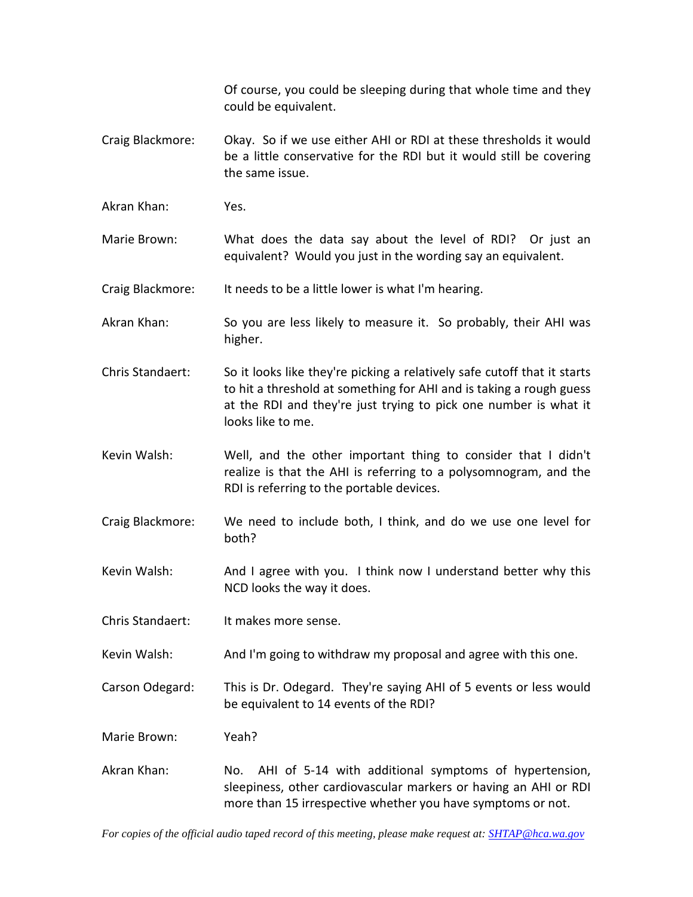Of course, you could be sleeping during that whole time and they could be equivalent.

- Craig Blackmore: Okay. So if we use either AHI or RDI at these thresholds it would be a little conservative for the RDI but it would still be covering the same issue.
- Akran Khan: Yes.

Marie Brown: What does the data say about the level of RDI? Or just an equivalent? Would you just in the wording say an equivalent.

Craig Blackmore: It needs to be a little lower is what I'm hearing.

- Akran Khan: So you are less likely to measure it. So probably, their AHI was higher.
- Chris Standaert: So it looks like they're picking a relatively safe cutoff that it starts to hit a threshold at something for AHI and is taking a rough guess at the RDI and they're just trying to pick one number is what it looks like to me.
- Kevin Walsh: Well, and the other important thing to consider that I didn't realize is that the AHI is referring to a polysomnogram, and the RDI is referring to the portable devices.
- Craig Blackmore: We need to include both, I think, and do we use one level for both?
- Kevin Walsh: And I agree with you. I think now I understand better why this NCD looks the way it does.
- Chris Standaert: It makes more sense.
- Kevin Walsh: And I'm going to withdraw my proposal and agree with this one.

Carson Odegard: This is Dr. Odegard. They're saying AHI of 5 events or less would be equivalent to 14 events of the RDI?

Marie Brown: Yeah?

Akran Khan: No. AHI of 5-14 with additional symptoms of hypertension, sleepiness, other cardiovascular markers or having an AHI or RDI more than 15 irrespective whether you have symptoms or not.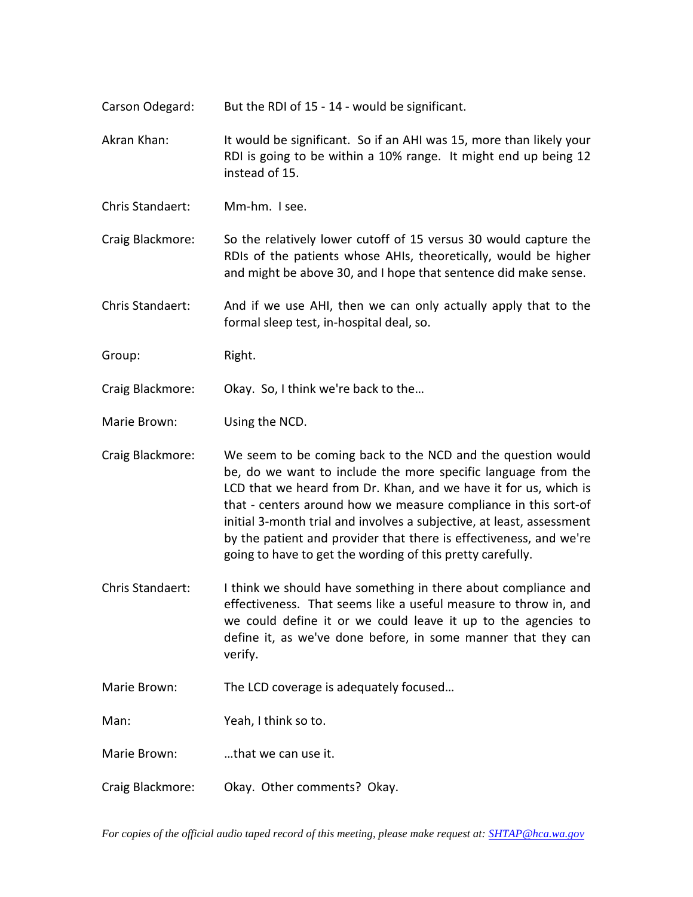- Carson Odegard: But the RDI of 15 14 would be significant.
- Akran Khan: It would be significant. So if an AHI was 15, more than likely your RDI is going to be within a 10% range. It might end up being 12 instead of 15.
- Chris Standaert: Mm-hm. I see.
- Craig Blackmore: So the relatively lower cutoff of 15 versus 30 would capture the RDIs of the patients whose AHIs, theoretically, would be higher and might be above 30, and I hope that sentence did make sense.
- Chris Standaert: And if we use AHI, then we can only actually apply that to the formal sleep test, in-hospital deal, so.
- Group: Right.
- Craig Blackmore: Okay. So, I think we're back to the…

Marie Brown: Using the NCD.

- Craig Blackmore: We seem to be coming back to the NCD and the question would be, do we want to include the more specific language from the LCD that we heard from Dr. Khan, and we have it for us, which is that - centers around how we measure compliance in this sort-of initial 3-month trial and involves a subjective, at least, assessment by the patient and provider that there is effectiveness, and we're going to have to get the wording of this pretty carefully.
- Chris Standaert: I think we should have something in there about compliance and effectiveness. That seems like a useful measure to throw in, and we could define it or we could leave it up to the agencies to define it, as we've done before, in some manner that they can verify.
- Marie Brown: The LCD coverage is adequately focused…
- Man: Yeah, I think so to.
- Marie Brown: …that we can use it.
- Craig Blackmore: Okay. Other comments? Okay.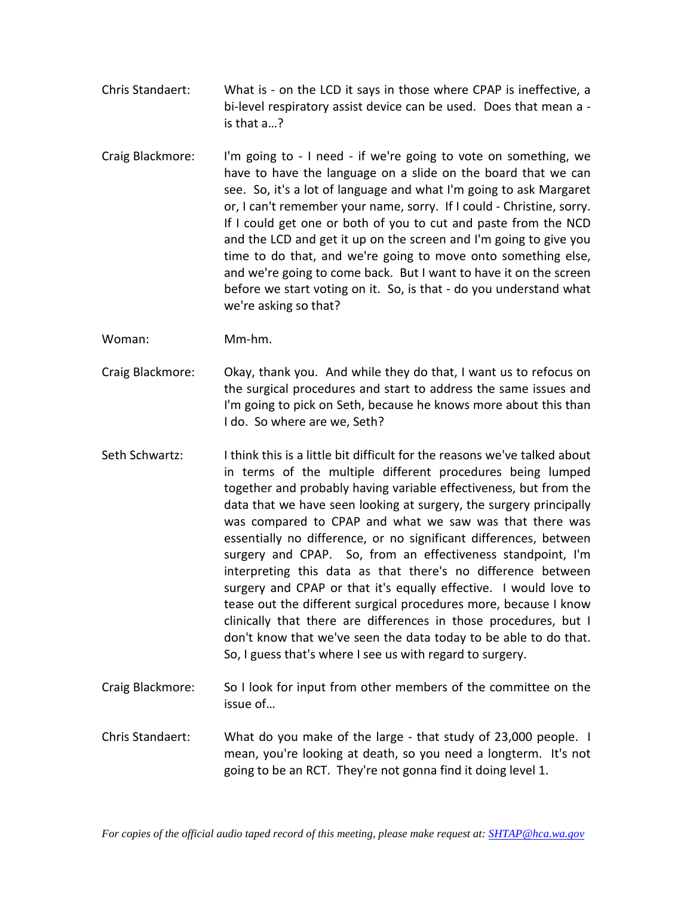- Chris Standaert: What is on the LCD it says in those where CPAP is ineffective, a bi-level respiratory assist device can be used. Does that mean a is that a…?
- Craig Blackmore: I'm going to I need if we're going to vote on something, we have to have the language on a slide on the board that we can see. So, it's a lot of language and what I'm going to ask Margaret or, I can't remember your name, sorry. If I could - Christine, sorry. If I could get one or both of you to cut and paste from the NCD and the LCD and get it up on the screen and I'm going to give you time to do that, and we're going to move onto something else, and we're going to come back. But I want to have it on the screen before we start voting on it. So, is that - do you understand what we're asking so that?

Woman: Mm-hm.

- Craig Blackmore: Okay, thank you. And while they do that, I want us to refocus on the surgical procedures and start to address the same issues and I'm going to pick on Seth, because he knows more about this than I do. So where are we, Seth?
- Seth Schwartz: I think this is a little bit difficult for the reasons we've talked about in terms of the multiple different procedures being lumped together and probably having variable effectiveness, but from the data that we have seen looking at surgery, the surgery principally was compared to CPAP and what we saw was that there was essentially no difference, or no significant differences, between surgery and CPAP. So, from an effectiveness standpoint, I'm interpreting this data as that there's no difference between surgery and CPAP or that it's equally effective. I would love to tease out the different surgical procedures more, because I know clinically that there are differences in those procedures, but I don't know that we've seen the data today to be able to do that. So, I guess that's where I see us with regard to surgery.
- Craig Blackmore: So I look for input from other members of the committee on the issue of…
- Chris Standaert: What do you make of the large that study of 23,000 people. I mean, you're looking at death, so you need a longterm. It's not going to be an RCT. They're not gonna find it doing level 1.

*For copies of the official audio taped record of this meeting, please make request at[: SHTAP@hca.wa.gov](mailto:SHTAP@hca.wa.gov)*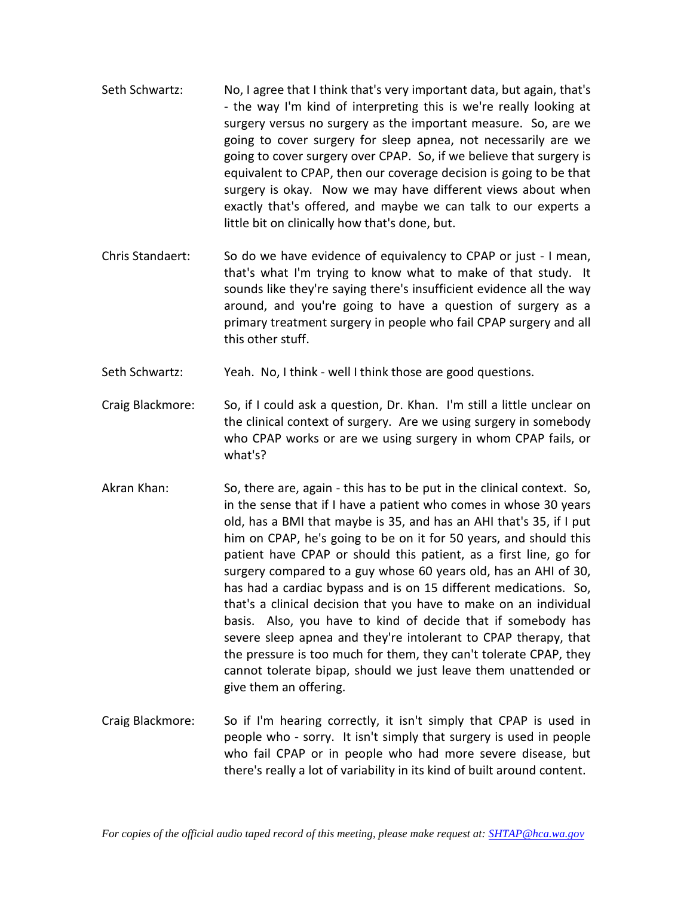- Seth Schwartz: No, I agree that I think that's very important data, but again, that's - the way I'm kind of interpreting this is we're really looking at surgery versus no surgery as the important measure. So, are we going to cover surgery for sleep apnea, not necessarily are we going to cover surgery over CPAP. So, if we believe that surgery is equivalent to CPAP, then our coverage decision is going to be that surgery is okay. Now we may have different views about when exactly that's offered, and maybe we can talk to our experts a little bit on clinically how that's done, but.
- Chris Standaert: So do we have evidence of equivalency to CPAP or just I mean, that's what I'm trying to know what to make of that study. It sounds like they're saying there's insufficient evidence all the way around, and you're going to have a question of surgery as a primary treatment surgery in people who fail CPAP surgery and all this other stuff.
- Seth Schwartz: Yeah. No, I think well I think those are good questions.
- Craig Blackmore: So, if I could ask a question, Dr. Khan. I'm still a little unclear on the clinical context of surgery. Are we using surgery in somebody who CPAP works or are we using surgery in whom CPAP fails, or what's?
- Akran Khan: So, there are, again this has to be put in the clinical context. So, in the sense that if I have a patient who comes in whose 30 years old, has a BMI that maybe is 35, and has an AHI that's 35, if I put him on CPAP, he's going to be on it for 50 years, and should this patient have CPAP or should this patient, as a first line, go for surgery compared to a guy whose 60 years old, has an AHI of 30, has had a cardiac bypass and is on 15 different medications. So, that's a clinical decision that you have to make on an individual basis. Also, you have to kind of decide that if somebody has severe sleep apnea and they're intolerant to CPAP therapy, that the pressure is too much for them, they can't tolerate CPAP, they cannot tolerate bipap, should we just leave them unattended or give them an offering.
- Craig Blackmore: So if I'm hearing correctly, it isn't simply that CPAP is used in people who - sorry. It isn't simply that surgery is used in people who fail CPAP or in people who had more severe disease, but there's really a lot of variability in its kind of built around content.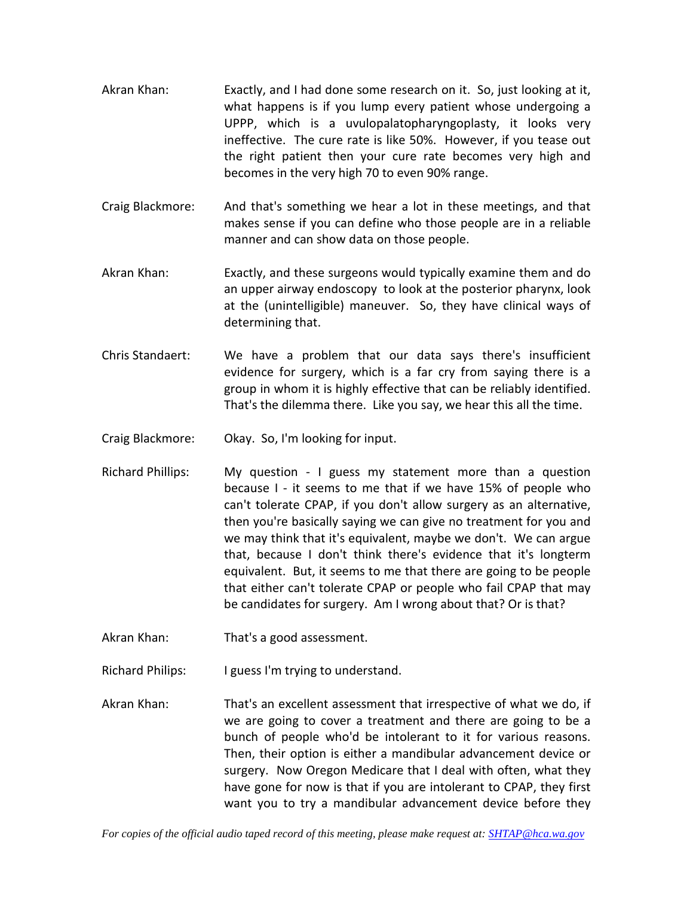- Akran Khan: Exactly, and I had done some research on it. So, just looking at it, what happens is if you lump every patient whose undergoing a UPPP, which is a uvulopalatopharyngoplasty, it looks very ineffective. The cure rate is like 50%. However, if you tease out the right patient then your cure rate becomes very high and becomes in the very high 70 to even 90% range.
- Craig Blackmore: And that's something we hear a lot in these meetings, and that makes sense if you can define who those people are in a reliable manner and can show data on those people.
- Akran Khan: Exactly, and these surgeons would typically examine them and do an upper airway endoscopy to look at the posterior pharynx, look at the (unintelligible) maneuver. So, they have clinical ways of determining that.
- Chris Standaert: We have a problem that our data says there's insufficient evidence for surgery, which is a far cry from saying there is a group in whom it is highly effective that can be reliably identified. That's the dilemma there. Like you say, we hear this all the time.
- Craig Blackmore: Okay. So, I'm looking for input.
- Richard Phillips: My question I guess my statement more than a question because I - it seems to me that if we have 15% of people who can't tolerate CPAP, if you don't allow surgery as an alternative, then you're basically saying we can give no treatment for you and we may think that it's equivalent, maybe we don't. We can argue that, because I don't think there's evidence that it's longterm equivalent. But, it seems to me that there are going to be people that either can't tolerate CPAP or people who fail CPAP that may be candidates for surgery. Am I wrong about that? Or is that?
- Akran Khan: That's a good assessment.
- Richard Philips: I guess I'm trying to understand.
- Akran Khan: That's an excellent assessment that irrespective of what we do, if we are going to cover a treatment and there are going to be a bunch of people who'd be intolerant to it for various reasons. Then, their option is either a mandibular advancement device or surgery. Now Oregon Medicare that I deal with often, what they have gone for now is that if you are intolerant to CPAP, they first want you to try a mandibular advancement device before they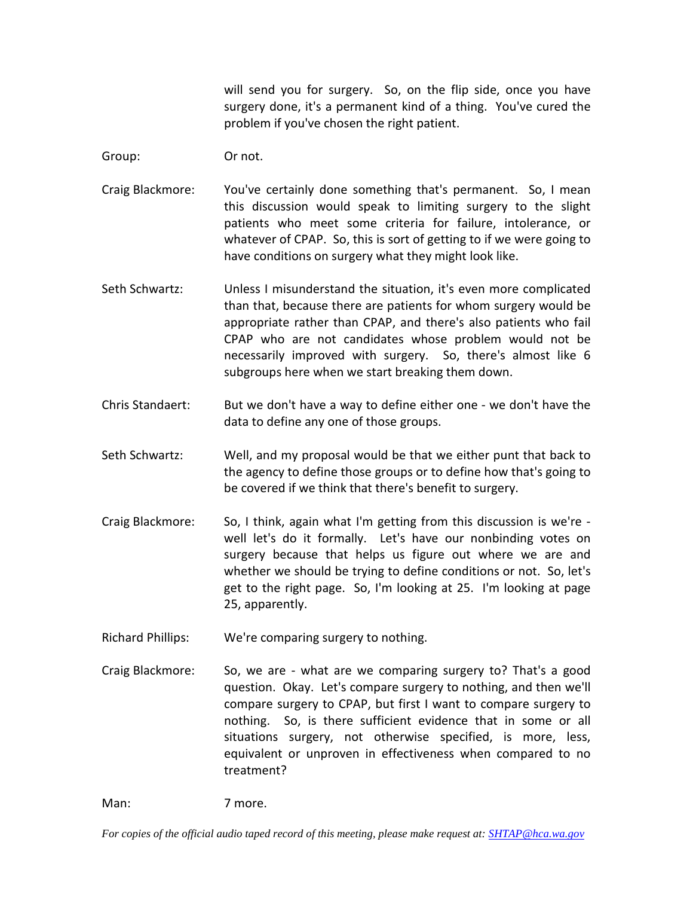will send you for surgery. So, on the flip side, once you have surgery done, it's a permanent kind of a thing. You've cured the problem if you've chosen the right patient.

Group: Or not.

- Craig Blackmore: You've certainly done something that's permanent. So, I mean this discussion would speak to limiting surgery to the slight patients who meet some criteria for failure, intolerance, or whatever of CPAP. So, this is sort of getting to if we were going to have conditions on surgery what they might look like.
- Seth Schwartz: Unless I misunderstand the situation, it's even more complicated than that, because there are patients for whom surgery would be appropriate rather than CPAP, and there's also patients who fail CPAP who are not candidates whose problem would not be necessarily improved with surgery. So, there's almost like 6 subgroups here when we start breaking them down.
- Chris Standaert: But we don't have a way to define either one we don't have the data to define any one of those groups.
- Seth Schwartz: Well, and my proposal would be that we either punt that back to the agency to define those groups or to define how that's going to be covered if we think that there's benefit to surgery.
- Craig Blackmore: So, I think, again what I'm getting from this discussion is we're well let's do it formally. Let's have our nonbinding votes on surgery because that helps us figure out where we are and whether we should be trying to define conditions or not. So, let's get to the right page. So, I'm looking at 25. I'm looking at page 25, apparently.
- Richard Phillips: We're comparing surgery to nothing.
- Craig Blackmore: So, we are what are we comparing surgery to? That's a good question. Okay. Let's compare surgery to nothing, and then we'll compare surgery to CPAP, but first I want to compare surgery to nothing. So, is there sufficient evidence that in some or all situations surgery, not otherwise specified, is more, less, equivalent or unproven in effectiveness when compared to no treatment?

Man: 7 more.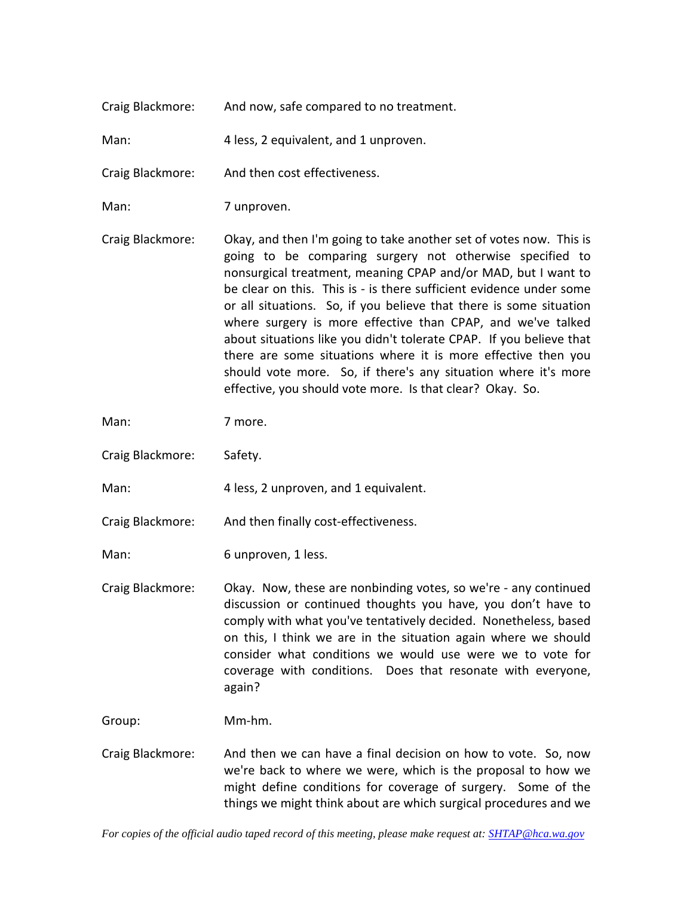|  | Craig Blackmore: | And now, safe compared to no treatment. |
|--|------------------|-----------------------------------------|
|--|------------------|-----------------------------------------|

Man: 4 less, 2 equivalent, and 1 unproven.

Craig Blackmore: And then cost effectiveness.

Man: 7 unproven.

Craig Blackmore: Okay, and then I'm going to take another set of votes now. This is going to be comparing surgery not otherwise specified to nonsurgical treatment, meaning CPAP and/or MAD, but I want to be clear on this. This is - is there sufficient evidence under some or all situations. So, if you believe that there is some situation where surgery is more effective than CPAP, and we've talked about situations like you didn't tolerate CPAP. If you believe that there are some situations where it is more effective then you should vote more. So, if there's any situation where it's more effective, you should vote more. Is that clear? Okay. So.

Man: 7 more.

Craig Blackmore: Safety.

Man: 4 less, 2 unproven, and 1 equivalent.

Craig Blackmore: And then finally cost-effectiveness.

Man: 6 unproven, 1 less.

Craig Blackmore: Okay. Now, these are nonbinding votes, so we're - any continued discussion or continued thoughts you have, you don't have to comply with what you've tentatively decided. Nonetheless, based on this, I think we are in the situation again where we should consider what conditions we would use were we to vote for coverage with conditions. Does that resonate with everyone, again?

Group: Mm-hm.

Craig Blackmore: And then we can have a final decision on how to vote. So, now we're back to where we were, which is the proposal to how we might define conditions for coverage of surgery. Some of the things we might think about are which surgical procedures and we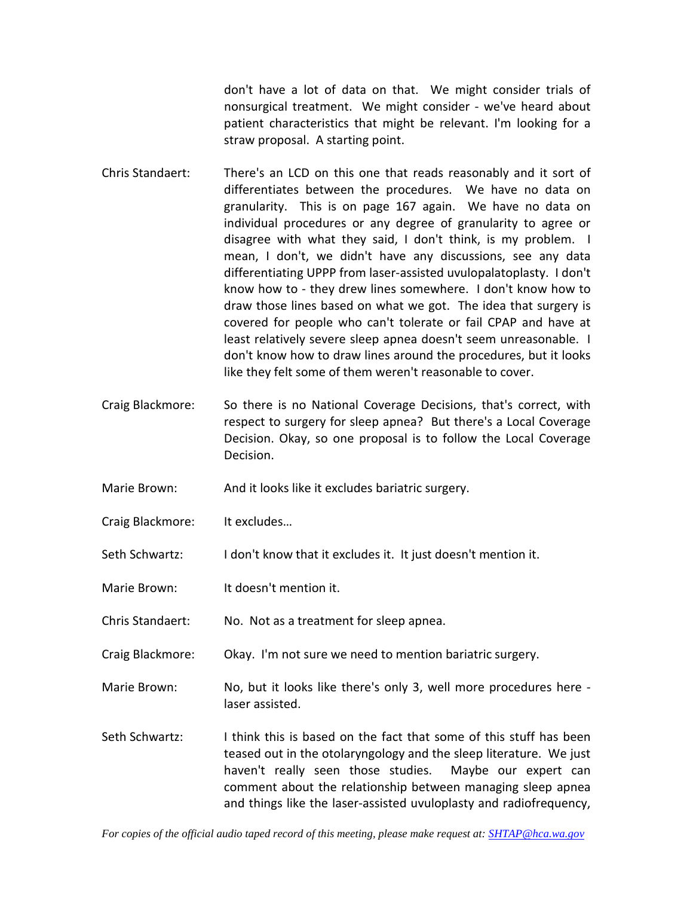don't have a lot of data on that. We might consider trials of nonsurgical treatment. We might consider - we've heard about patient characteristics that might be relevant. I'm looking for a straw proposal. A starting point.

- Chris Standaert: There's an LCD on this one that reads reasonably and it sort of differentiates between the procedures. We have no data on granularity. This is on page 167 again. We have no data on individual procedures or any degree of granularity to agree or disagree with what they said, I don't think, is my problem. I mean, I don't, we didn't have any discussions, see any data differentiating UPPP from laser-assisted uvulopalatoplasty. I don't know how to - they drew lines somewhere. I don't know how to draw those lines based on what we got. The idea that surgery is covered for people who can't tolerate or fail CPAP and have at least relatively severe sleep apnea doesn't seem unreasonable. I don't know how to draw lines around the procedures, but it looks like they felt some of them weren't reasonable to cover.
- Craig Blackmore: So there is no National Coverage Decisions, that's correct, with respect to surgery for sleep apnea? But there's a Local Coverage Decision. Okay, so one proposal is to follow the Local Coverage Decision.
- Marie Brown: And it looks like it excludes bariatric surgery.
- Craig Blackmore: It excludes…
- Seth Schwartz: I don't know that it excludes it. It just doesn't mention it.
- Marie Brown: It doesn't mention it.
- Chris Standaert: No. Not as a treatment for sleep apnea.
- Craig Blackmore: Okay. I'm not sure we need to mention bariatric surgery.
- Marie Brown: No, but it looks like there's only 3, well more procedures here laser assisted.
- Seth Schwartz: I think this is based on the fact that some of this stuff has been teased out in the otolaryngology and the sleep literature. We just haven't really seen those studies. Maybe our expert can comment about the relationship between managing sleep apnea and things like the laser-assisted uvuloplasty and radiofrequency,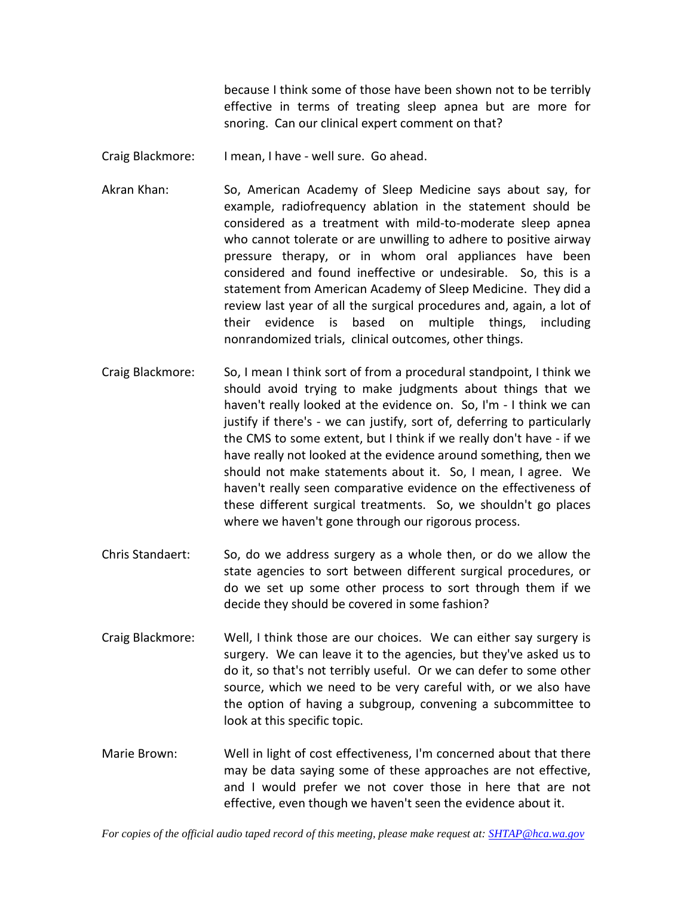because I think some of those have been shown not to be terribly effective in terms of treating sleep apnea but are more for snoring. Can our clinical expert comment on that?

- Craig Blackmore: I mean, I have well sure. Go ahead.
- Akran Khan: So, American Academy of Sleep Medicine says about say, for example, radiofrequency ablation in the statement should be considered as a treatment with mild-to-moderate sleep apnea who cannot tolerate or are unwilling to adhere to positive airway pressure therapy, or in whom oral appliances have been considered and found ineffective or undesirable. So, this is a statement from American Academy of Sleep Medicine. They did a review last year of all the surgical procedures and, again, a lot of their evidence is based on multiple things, including nonrandomized trials, clinical outcomes, other things.
- Craig Blackmore: So, I mean I think sort of from a procedural standpoint, I think we should avoid trying to make judgments about things that we haven't really looked at the evidence on. So, I'm - I think we can justify if there's - we can justify, sort of, deferring to particularly the CMS to some extent, but I think if we really don't have - if we have really not looked at the evidence around something, then we should not make statements about it. So, I mean, I agree. We haven't really seen comparative evidence on the effectiveness of these different surgical treatments. So, we shouldn't go places where we haven't gone through our rigorous process.
- Chris Standaert: So, do we address surgery as a whole then, or do we allow the state agencies to sort between different surgical procedures, or do we set up some other process to sort through them if we decide they should be covered in some fashion?
- Craig Blackmore: Well, I think those are our choices. We can either say surgery is surgery. We can leave it to the agencies, but they've asked us to do it, so that's not terribly useful. Or we can defer to some other source, which we need to be very careful with, or we also have the option of having a subgroup, convening a subcommittee to look at this specific topic.
- Marie Brown: Well in light of cost effectiveness, I'm concerned about that there may be data saying some of these approaches are not effective, and I would prefer we not cover those in here that are not effective, even though we haven't seen the evidence about it.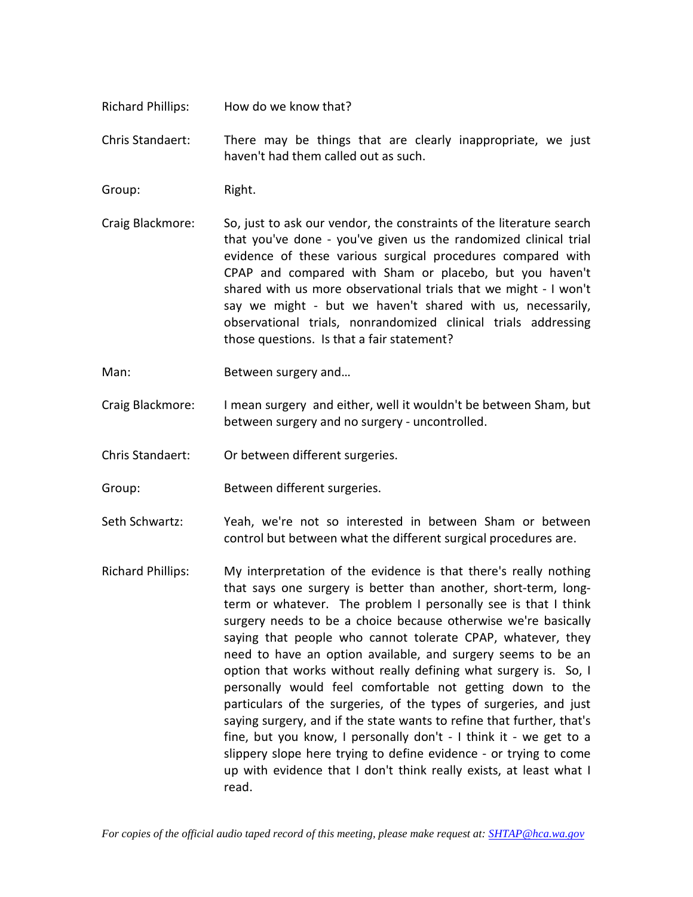Richard Phillips: How do we know that?

Chris Standaert: There may be things that are clearly inappropriate, we just haven't had them called out as such.

Group: Right.

- Craig Blackmore: So, just to ask our vendor, the constraints of the literature search that you've done - you've given us the randomized clinical trial evidence of these various surgical procedures compared with CPAP and compared with Sham or placebo, but you haven't shared with us more observational trials that we might - I won't say we might - but we haven't shared with us, necessarily, observational trials, nonrandomized clinical trials addressing those questions. Is that a fair statement?
- Man: Between surgery and...
- Craig Blackmore: I mean surgery and either, well it wouldn't be between Sham, but between surgery and no surgery - uncontrolled.
- Chris Standaert: Or between different surgeries.
- Group: Between different surgeries.
- Seth Schwartz: Yeah, we're not so interested in between Sham or between control but between what the different surgical procedures are.
- Richard Phillips: My interpretation of the evidence is that there's really nothing that says one surgery is better than another, short-term, longterm or whatever. The problem I personally see is that I think surgery needs to be a choice because otherwise we're basically saying that people who cannot tolerate CPAP, whatever, they need to have an option available, and surgery seems to be an option that works without really defining what surgery is. So, I personally would feel comfortable not getting down to the particulars of the surgeries, of the types of surgeries, and just saying surgery, and if the state wants to refine that further, that's fine, but you know, I personally don't - I think it - we get to a slippery slope here trying to define evidence - or trying to come up with evidence that I don't think really exists, at least what I read.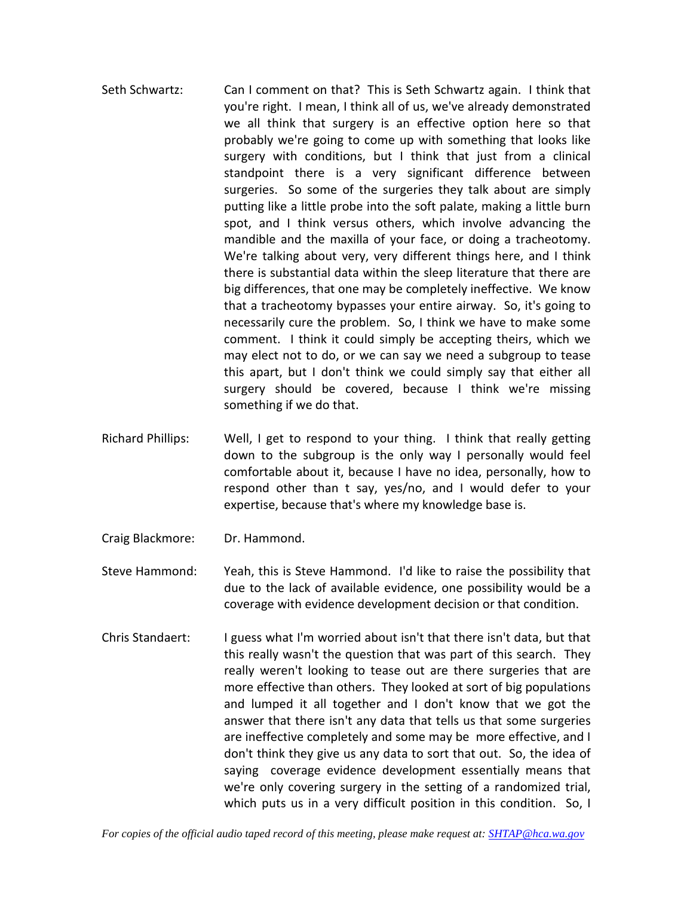- Seth Schwartz: Can I comment on that? This is Seth Schwartz again. I think that you're right. I mean, I think all of us, we've already demonstrated we all think that surgery is an effective option here so that probably we're going to come up with something that looks like surgery with conditions, but I think that just from a clinical standpoint there is a very significant difference between surgeries. So some of the surgeries they talk about are simply putting like a little probe into the soft palate, making a little burn spot, and I think versus others, which involve advancing the mandible and the maxilla of your face, or doing a tracheotomy. We're talking about very, very different things here, and I think there is substantial data within the sleep literature that there are big differences, that one may be completely ineffective. We know that a tracheotomy bypasses your entire airway. So, it's going to necessarily cure the problem. So, I think we have to make some comment. I think it could simply be accepting theirs, which we may elect not to do, or we can say we need a subgroup to tease this apart, but I don't think we could simply say that either all surgery should be covered, because I think we're missing something if we do that.
- Richard Phillips: Well, I get to respond to your thing. I think that really getting down to the subgroup is the only way I personally would feel comfortable about it, because I have no idea, personally, how to respond other than t say, yes/no, and I would defer to your expertise, because that's where my knowledge base is.
- Craig Blackmore: Dr. Hammond.

Steve Hammond: Yeah, this is Steve Hammond. I'd like to raise the possibility that due to the lack of available evidence, one possibility would be a coverage with evidence development decision or that condition.

Chris Standaert: I guess what I'm worried about isn't that there isn't data, but that this really wasn't the question that was part of this search. They really weren't looking to tease out are there surgeries that are more effective than others. They looked at sort of big populations and lumped it all together and I don't know that we got the answer that there isn't any data that tells us that some surgeries are ineffective completely and some may be more effective, and I don't think they give us any data to sort that out. So, the idea of saying coverage evidence development essentially means that we're only covering surgery in the setting of a randomized trial, which puts us in a very difficult position in this condition. So, I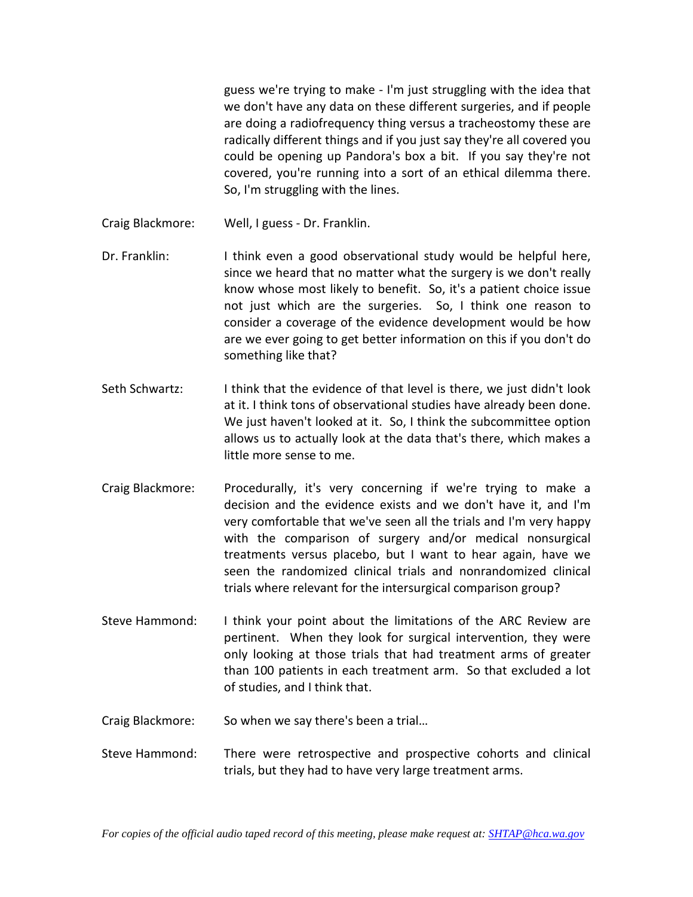guess we're trying to make - I'm just struggling with the idea that we don't have any data on these different surgeries, and if people are doing a radiofrequency thing versus a tracheostomy these are radically different things and if you just say they're all covered you could be opening up Pandora's box a bit. If you say they're not covered, you're running into a sort of an ethical dilemma there. So, I'm struggling with the lines.

- Craig Blackmore: Well, I guess Dr. Franklin.
- Dr. Franklin: I think even a good observational study would be helpful here, since we heard that no matter what the surgery is we don't really know whose most likely to benefit. So, it's a patient choice issue not just which are the surgeries. So, I think one reason to consider a coverage of the evidence development would be how are we ever going to get better information on this if you don't do something like that?
- Seth Schwartz: I think that the evidence of that level is there, we just didn't look at it. I think tons of observational studies have already been done. We just haven't looked at it. So, I think the subcommittee option allows us to actually look at the data that's there, which makes a little more sense to me.
- Craig Blackmore: Procedurally, it's very concerning if we're trying to make a decision and the evidence exists and we don't have it, and I'm very comfortable that we've seen all the trials and I'm very happy with the comparison of surgery and/or medical nonsurgical treatments versus placebo, but I want to hear again, have we seen the randomized clinical trials and nonrandomized clinical trials where relevant for the intersurgical comparison group?
- Steve Hammond: I think your point about the limitations of the ARC Review are pertinent. When they look for surgical intervention, they were only looking at those trials that had treatment arms of greater than 100 patients in each treatment arm. So that excluded a lot of studies, and I think that.
- Craig Blackmore: So when we say there's been a trial…
- Steve Hammond: There were retrospective and prospective cohorts and clinical trials, but they had to have very large treatment arms.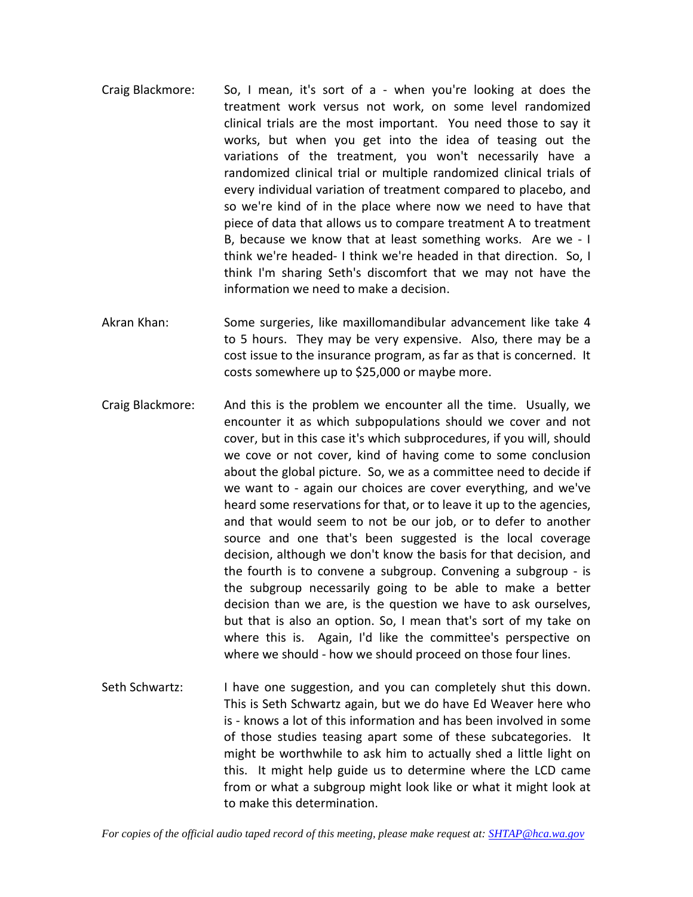- Craig Blackmore: So, I mean, it's sort of a when you're looking at does the treatment work versus not work, on some level randomized clinical trials are the most important. You need those to say it works, but when you get into the idea of teasing out the variations of the treatment, you won't necessarily have a randomized clinical trial or multiple randomized clinical trials of every individual variation of treatment compared to placebo, and so we're kind of in the place where now we need to have that piece of data that allows us to compare treatment A to treatment B, because we know that at least something works. Are we - I think we're headed- I think we're headed in that direction. So, I think I'm sharing Seth's discomfort that we may not have the information we need to make a decision.
- Akran Khan: Some surgeries, like maxillomandibular advancement like take 4 to 5 hours. They may be very expensive. Also, there may be a cost issue to the insurance program, as far as that is concerned. It costs somewhere up to \$25,000 or maybe more.
- Craig Blackmore: And this is the problem we encounter all the time. Usually, we encounter it as which subpopulations should we cover and not cover, but in this case it's which subprocedures, if you will, should we cove or not cover, kind of having come to some conclusion about the global picture. So, we as a committee need to decide if we want to - again our choices are cover everything, and we've heard some reservations for that, or to leave it up to the agencies, and that would seem to not be our job, or to defer to another source and one that's been suggested is the local coverage decision, although we don't know the basis for that decision, and the fourth is to convene a subgroup. Convening a subgroup - is the subgroup necessarily going to be able to make a better decision than we are, is the question we have to ask ourselves, but that is also an option. So, I mean that's sort of my take on where this is. Again, I'd like the committee's perspective on where we should - how we should proceed on those four lines.
- Seth Schwartz: I have one suggestion, and you can completely shut this down. This is Seth Schwartz again, but we do have Ed Weaver here who is - knows a lot of this information and has been involved in some of those studies teasing apart some of these subcategories. It might be worthwhile to ask him to actually shed a little light on this. It might help guide us to determine where the LCD came from or what a subgroup might look like or what it might look at to make this determination.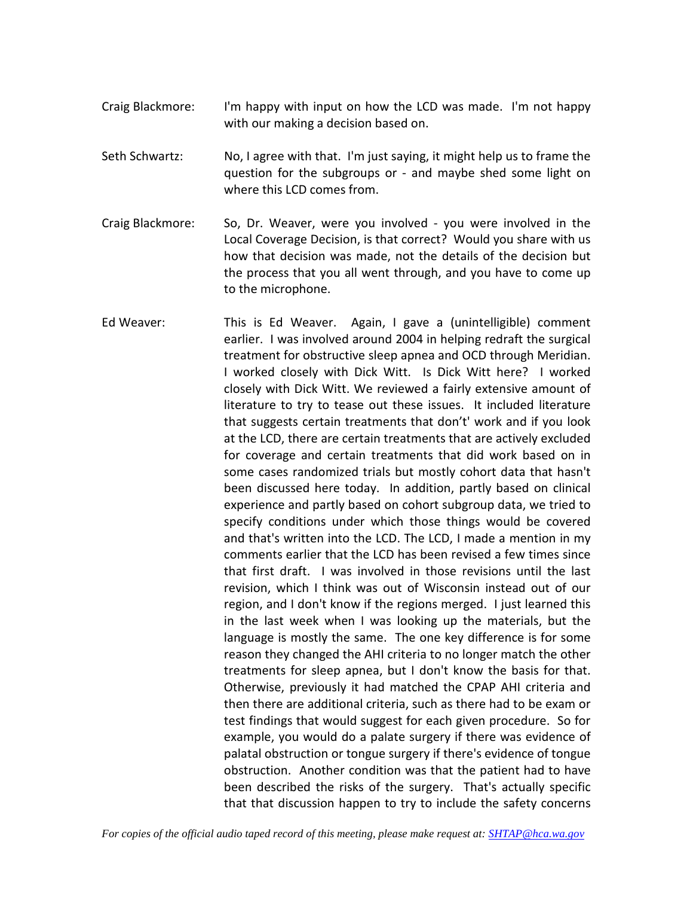- Craig Blackmore: I'm happy with input on how the LCD was made. I'm not happy with our making a decision based on.
- Seth Schwartz: No, I agree with that. I'm just saying, it might help us to frame the question for the subgroups or - and maybe shed some light on where this LCD comes from.
- Craig Blackmore: So, Dr. Weaver, were you involved you were involved in the Local Coverage Decision, is that correct? Would you share with us how that decision was made, not the details of the decision but the process that you all went through, and you have to come up to the microphone.
- Ed Weaver: This is Ed Weaver. Again, I gave a (unintelligible) comment earlier. I was involved around 2004 in helping redraft the surgical treatment for obstructive sleep apnea and OCD through Meridian. I worked closely with Dick Witt. Is Dick Witt here? I worked closely with Dick Witt. We reviewed a fairly extensive amount of literature to try to tease out these issues. It included literature that suggests certain treatments that don't' work and if you look at the LCD, there are certain treatments that are actively excluded for coverage and certain treatments that did work based on in some cases randomized trials but mostly cohort data that hasn't been discussed here today. In addition, partly based on clinical experience and partly based on cohort subgroup data, we tried to specify conditions under which those things would be covered and that's written into the LCD. The LCD, I made a mention in my comments earlier that the LCD has been revised a few times since that first draft. I was involved in those revisions until the last revision, which I think was out of Wisconsin instead out of our region, and I don't know if the regions merged. I just learned this in the last week when I was looking up the materials, but the language is mostly the same. The one key difference is for some reason they changed the AHI criteria to no longer match the other treatments for sleep apnea, but I don't know the basis for that. Otherwise, previously it had matched the CPAP AHI criteria and then there are additional criteria, such as there had to be exam or test findings that would suggest for each given procedure. So for example, you would do a palate surgery if there was evidence of palatal obstruction or tongue surgery if there's evidence of tongue obstruction. Another condition was that the patient had to have been described the risks of the surgery. That's actually specific that that discussion happen to try to include the safety concerns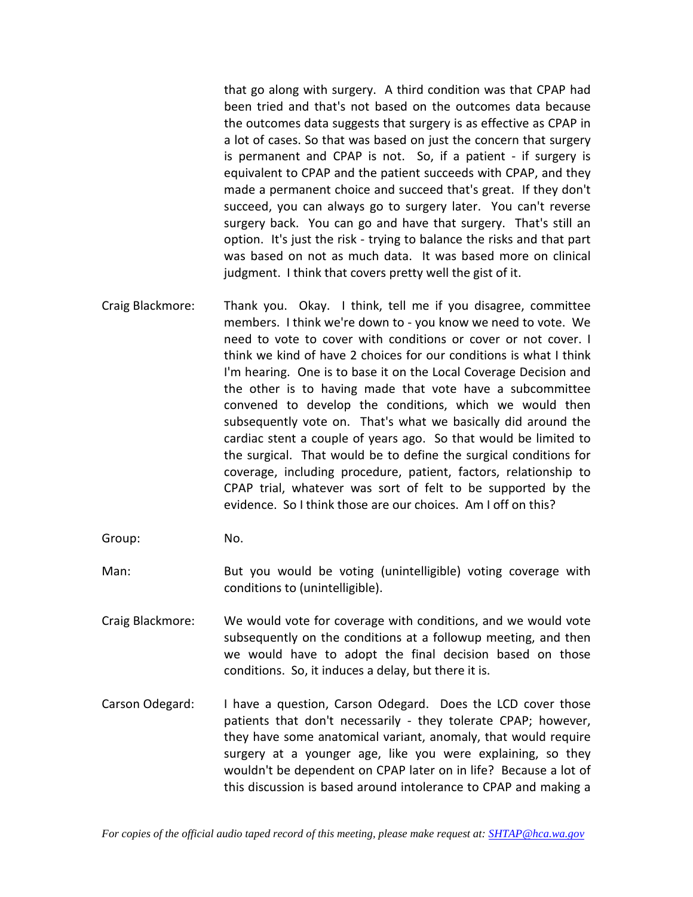that go along with surgery. A third condition was that CPAP had been tried and that's not based on the outcomes data because the outcomes data suggests that surgery is as effective as CPAP in a lot of cases. So that was based on just the concern that surgery is permanent and CPAP is not. So, if a patient - if surgery is equivalent to CPAP and the patient succeeds with CPAP, and they made a permanent choice and succeed that's great. If they don't succeed, you can always go to surgery later. You can't reverse surgery back. You can go and have that surgery. That's still an option. It's just the risk - trying to balance the risks and that part was based on not as much data. It was based more on clinical judgment. I think that covers pretty well the gist of it.

- Craig Blackmore: Thank you. Okay. I think, tell me if you disagree, committee members. I think we're down to - you know we need to vote. We need to vote to cover with conditions or cover or not cover. I think we kind of have 2 choices for our conditions is what I think I'm hearing. One is to base it on the Local Coverage Decision and the other is to having made that vote have a subcommittee convened to develop the conditions, which we would then subsequently vote on. That's what we basically did around the cardiac stent a couple of years ago. So that would be limited to the surgical. That would be to define the surgical conditions for coverage, including procedure, patient, factors, relationship to CPAP trial, whatever was sort of felt to be supported by the evidence. So I think those are our choices. Am I off on this?
- Group: No.
- Man: But you would be voting (unintelligible) voting coverage with conditions to (unintelligible).
- Craig Blackmore: We would vote for coverage with conditions, and we would vote subsequently on the conditions at a followup meeting, and then we would have to adopt the final decision based on those conditions. So, it induces a delay, but there it is.
- Carson Odegard: I have a question, Carson Odegard. Does the LCD cover those patients that don't necessarily - they tolerate CPAP; however, they have some anatomical variant, anomaly, that would require surgery at a younger age, like you were explaining, so they wouldn't be dependent on CPAP later on in life? Because a lot of this discussion is based around intolerance to CPAP and making a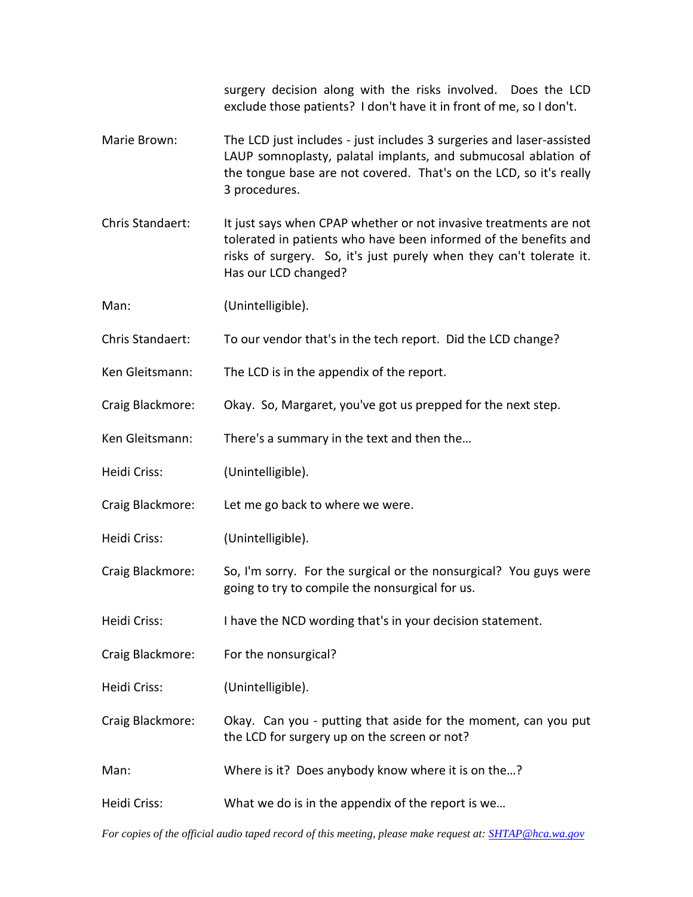surgery decision along with the risks involved. Does the LCD exclude those patients? I don't have it in front of me, so I don't.

- Marie Brown: The LCD just includes just includes 3 surgeries and laser-assisted LAUP somnoplasty, palatal implants, and submucosal ablation of the tongue base are not covered. That's on the LCD, so it's really 3 procedures.
- Chris Standaert: It just says when CPAP whether or not invasive treatments are not tolerated in patients who have been informed of the benefits and risks of surgery. So, it's just purely when they can't tolerate it. Has our LCD changed?
- Man: (Unintelligible).
- Chris Standaert: To our vendor that's in the tech report. Did the LCD change?
- Ken Gleitsmann: The LCD is in the appendix of the report.
- Craig Blackmore: Okay. So, Margaret, you've got us prepped for the next step.
- Ken Gleitsmann: There's a summary in the text and then the…
- Heidi Criss: (Unintelligible).
- Craig Blackmore: Let me go back to where we were.
- Heidi Criss: (Unintelligible).
- Craig Blackmore: So, I'm sorry. For the surgical or the nonsurgical? You guys were going to try to compile the nonsurgical for us.
- Heidi Criss: I have the NCD wording that's in your decision statement.
- Craig Blackmore: For the nonsurgical?
- Heidi Criss: (Unintelligible).
- Craig Blackmore: Okay. Can you putting that aside for the moment, can you put the LCD for surgery up on the screen or not?
- Man: Where is it? Does anybody know where it is on the...?
- Heidi Criss: What we do is in the appendix of the report is we…

*For copies of the official audio taped record of this meeting, please make request at[: SHTAP@hca.wa.gov](mailto:SHTAP@hca.wa.gov)*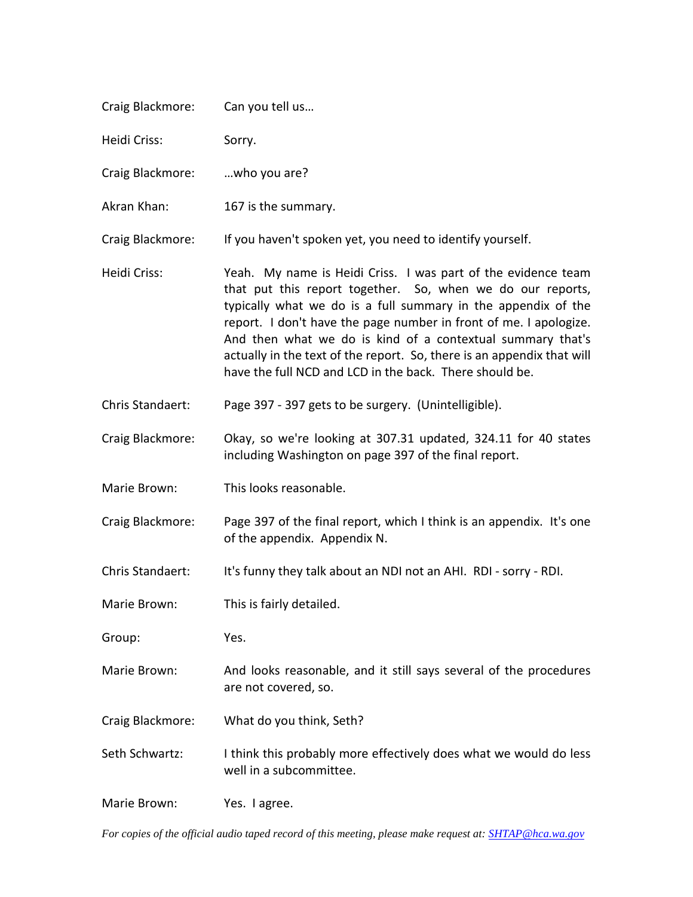| Craig Blackmore: | Can you tell us                                                                                                                                                                                                                                                                                                                                                                                                                                                      |
|------------------|----------------------------------------------------------------------------------------------------------------------------------------------------------------------------------------------------------------------------------------------------------------------------------------------------------------------------------------------------------------------------------------------------------------------------------------------------------------------|
| Heidi Criss:     | Sorry.                                                                                                                                                                                                                                                                                                                                                                                                                                                               |
| Craig Blackmore: | who you are?                                                                                                                                                                                                                                                                                                                                                                                                                                                         |
| Akran Khan:      | 167 is the summary.                                                                                                                                                                                                                                                                                                                                                                                                                                                  |
| Craig Blackmore: | If you haven't spoken yet, you need to identify yourself.                                                                                                                                                                                                                                                                                                                                                                                                            |
| Heidi Criss:     | Yeah. My name is Heidi Criss. I was part of the evidence team<br>that put this report together. So, when we do our reports,<br>typically what we do is a full summary in the appendix of the<br>report. I don't have the page number in front of me. I apologize.<br>And then what we do is kind of a contextual summary that's<br>actually in the text of the report. So, there is an appendix that will<br>have the full NCD and LCD in the back. There should be. |
| Chris Standaert: | Page 397 - 397 gets to be surgery. (Unintelligible).                                                                                                                                                                                                                                                                                                                                                                                                                 |
| Craig Blackmore: | Okay, so we're looking at 307.31 updated, 324.11 for 40 states<br>including Washington on page 397 of the final report.                                                                                                                                                                                                                                                                                                                                              |
| Marie Brown:     | This looks reasonable.                                                                                                                                                                                                                                                                                                                                                                                                                                               |
| Craig Blackmore: | Page 397 of the final report, which I think is an appendix. It's one<br>of the appendix. Appendix N.                                                                                                                                                                                                                                                                                                                                                                 |
| Chris Standaert: | It's funny they talk about an NDI not an AHI. RDI - sorry - RDI.                                                                                                                                                                                                                                                                                                                                                                                                     |
| Marie Brown:     | This is fairly detailed.                                                                                                                                                                                                                                                                                                                                                                                                                                             |
| Group:           | Yes.                                                                                                                                                                                                                                                                                                                                                                                                                                                                 |
| Marie Brown:     | And looks reasonable, and it still says several of the procedures<br>are not covered, so.                                                                                                                                                                                                                                                                                                                                                                            |
| Craig Blackmore: | What do you think, Seth?                                                                                                                                                                                                                                                                                                                                                                                                                                             |
| Seth Schwartz:   | I think this probably more effectively does what we would do less<br>well in a subcommittee.                                                                                                                                                                                                                                                                                                                                                                         |
| Marie Brown:     | Yes. I agree.                                                                                                                                                                                                                                                                                                                                                                                                                                                        |

*For copies of the official audio taped record of this meeting, please make request at[: SHTAP@hca.wa.gov](mailto:SHTAP@hca.wa.gov)*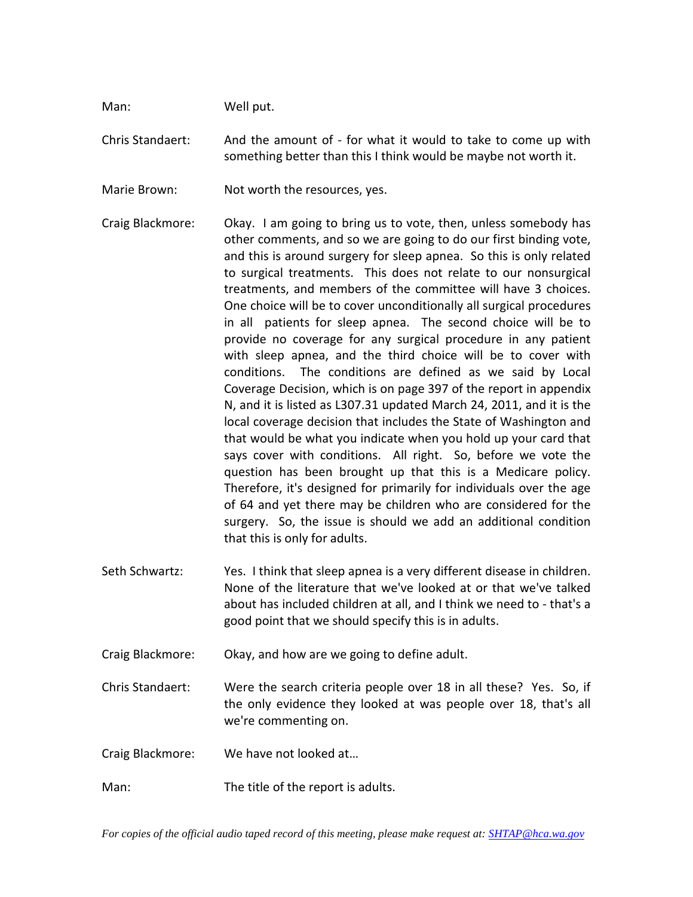Man: Well put.

Chris Standaert: And the amount of - for what it would to take to come up with something better than this I think would be maybe not worth it.

Marie Brown: Not worth the resources, yes.

Craig Blackmore: Okay. I am going to bring us to vote, then, unless somebody has other comments, and so we are going to do our first binding vote, and this is around surgery for sleep apnea. So this is only related to surgical treatments. This does not relate to our nonsurgical treatments, and members of the committee will have 3 choices. One choice will be to cover unconditionally all surgical procedures in all patients for sleep apnea. The second choice will be to provide no coverage for any surgical procedure in any patient with sleep apnea, and the third choice will be to cover with conditions. The conditions are defined as we said by Local Coverage Decision, which is on page 397 of the report in appendix N, and it is listed as L307.31 updated March 24, 2011, and it is the local coverage decision that includes the State of Washington and that would be what you indicate when you hold up your card that says cover with conditions. All right. So, before we vote the question has been brought up that this is a Medicare policy. Therefore, it's designed for primarily for individuals over the age of 64 and yet there may be children who are considered for the surgery. So, the issue is should we add an additional condition that this is only for adults.

Seth Schwartz: Yes. I think that sleep apnea is a very different disease in children. None of the literature that we've looked at or that we've talked about has included children at all, and I think we need to - that's a good point that we should specify this is in adults.

Craig Blackmore: Okay, and how are we going to define adult.

- Chris Standaert: Were the search criteria people over 18 in all these? Yes. So, if the only evidence they looked at was people over 18, that's all we're commenting on.
- Craig Blackmore: We have not looked at…
- Man: The title of the report is adults.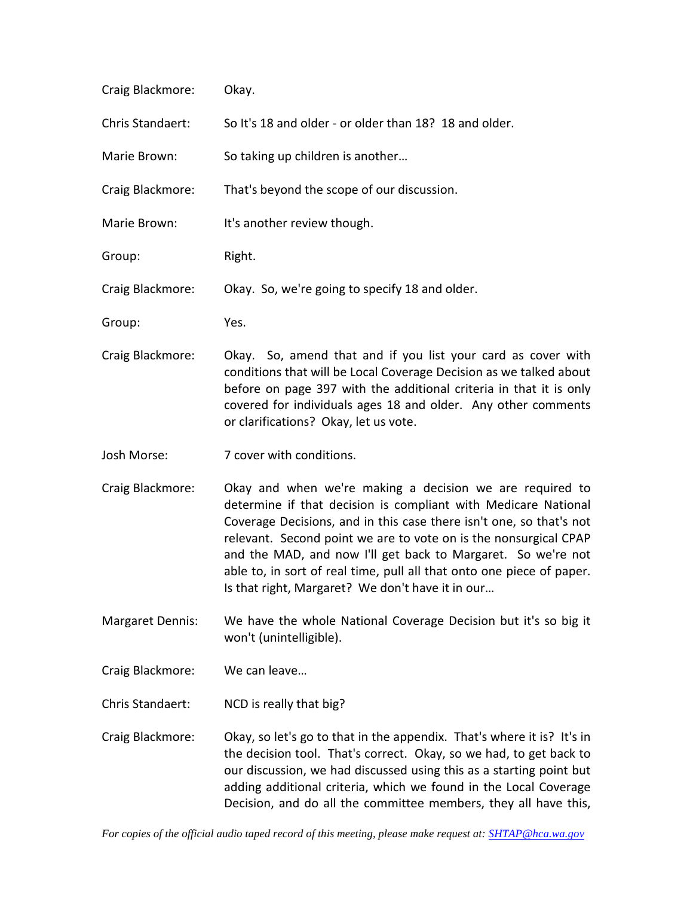| Craig Blackmore: | Okay.                                                                                                                                                                                                                                                                                                                                                                                                                                                              |
|------------------|--------------------------------------------------------------------------------------------------------------------------------------------------------------------------------------------------------------------------------------------------------------------------------------------------------------------------------------------------------------------------------------------------------------------------------------------------------------------|
| Chris Standaert: | So It's 18 and older - or older than 18? 18 and older.                                                                                                                                                                                                                                                                                                                                                                                                             |
| Marie Brown:     | So taking up children is another                                                                                                                                                                                                                                                                                                                                                                                                                                   |
| Craig Blackmore: | That's beyond the scope of our discussion.                                                                                                                                                                                                                                                                                                                                                                                                                         |
| Marie Brown:     | It's another review though.                                                                                                                                                                                                                                                                                                                                                                                                                                        |
| Group:           | Right.                                                                                                                                                                                                                                                                                                                                                                                                                                                             |
| Craig Blackmore: | Okay. So, we're going to specify 18 and older.                                                                                                                                                                                                                                                                                                                                                                                                                     |
| Group:           | Yes.                                                                                                                                                                                                                                                                                                                                                                                                                                                               |
| Craig Blackmore: | Okay. So, amend that and if you list your card as cover with<br>conditions that will be Local Coverage Decision as we talked about<br>before on page 397 with the additional criteria in that it is only<br>covered for individuals ages 18 and older. Any other comments<br>or clarifications? Okay, let us vote.                                                                                                                                                 |
| Josh Morse:      | 7 cover with conditions.                                                                                                                                                                                                                                                                                                                                                                                                                                           |
| Craig Blackmore: | Okay and when we're making a decision we are required to<br>determine if that decision is compliant with Medicare National<br>Coverage Decisions, and in this case there isn't one, so that's not<br>relevant. Second point we are to vote on is the nonsurgical CPAP<br>and the MAD, and now I'll get back to Margaret. So we're not<br>able to, in sort of real time, pull all that onto one piece of paper.<br>Is that right, Margaret? We don't have it in our |

Margaret Dennis: We have the whole National Coverage Decision but it's so big it won't (unintelligible).

Craig Blackmore: We can leave…

Chris Standaert: NCD is really that big?

Craig Blackmore: Okay, so let's go to that in the appendix. That's where it is? It's in the decision tool. That's correct. Okay, so we had, to get back to our discussion, we had discussed using this as a starting point but adding additional criteria, which we found in the Local Coverage Decision, and do all the committee members, they all have this,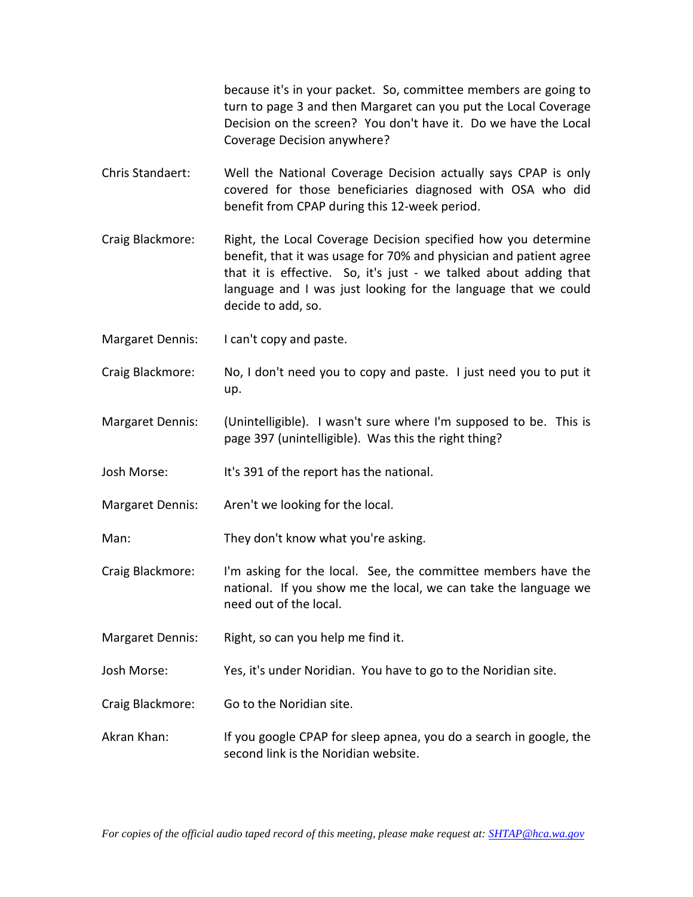because it's in your packet. So, committee members are going to turn to page 3 and then Margaret can you put the Local Coverage Decision on the screen? You don't have it. Do we have the Local Coverage Decision anywhere?

- Chris Standaert: Well the National Coverage Decision actually says CPAP is only covered for those beneficiaries diagnosed with OSA who did benefit from CPAP during this 12-week period.
- Craig Blackmore: Right, the Local Coverage Decision specified how you determine benefit, that it was usage for 70% and physician and patient agree that it is effective. So, it's just - we talked about adding that language and I was just looking for the language that we could decide to add, so.
- Margaret Dennis: I can't copy and paste.
- Craig Blackmore: No, I don't need you to copy and paste. I just need you to put it up.
- Margaret Dennis: (Unintelligible). I wasn't sure where I'm supposed to be. This is page 397 (unintelligible). Was this the right thing?
- Josh Morse: It's 391 of the report has the national.
- Margaret Dennis: Aren't we looking for the local.
- Man: They don't know what you're asking.
- Craig Blackmore: I'm asking for the local. See, the committee members have the national. If you show me the local, we can take the language we need out of the local.
- Margaret Dennis: Right, so can you help me find it.
- Josh Morse: Yes, it's under Noridian. You have to go to the Noridian site.
- Craig Blackmore: Go to the Noridian site.
- Akran Khan: If you google CPAP for sleep apnea, you do a search in google, the second link is the Noridian website.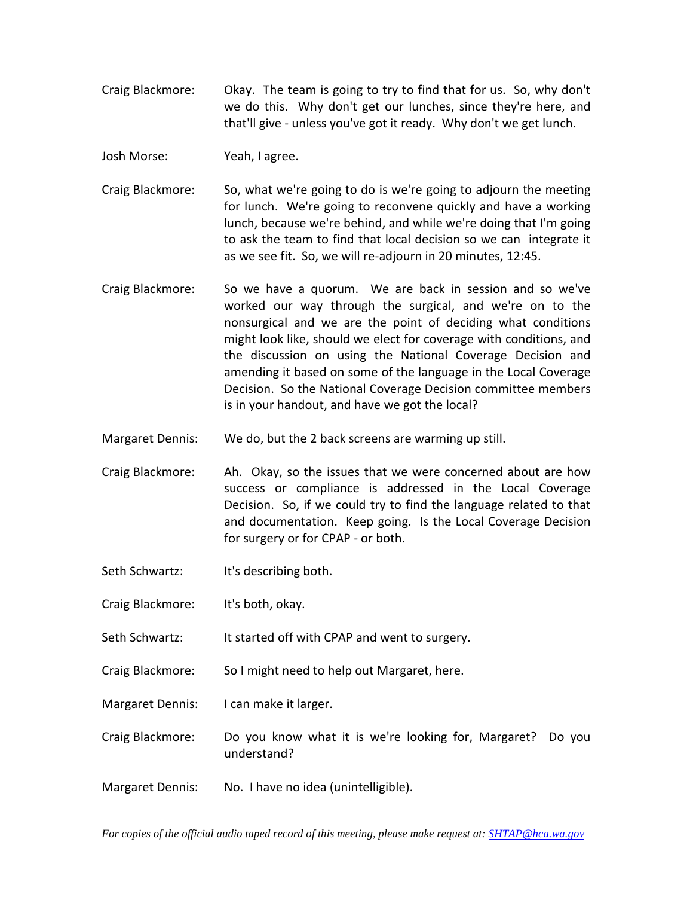Craig Blackmore: Okay. The team is going to try to find that for us. So, why don't we do this. Why don't get our lunches, since they're here, and that'll give - unless you've got it ready. Why don't we get lunch.

Josh Morse: Yeah, I agree.

- Craig Blackmore: So, what we're going to do is we're going to adjourn the meeting for lunch. We're going to reconvene quickly and have a working lunch, because we're behind, and while we're doing that I'm going to ask the team to find that local decision so we can integrate it as we see fit. So, we will re-adjourn in 20 minutes, 12:45.
- Craig Blackmore: So we have a quorum. We are back in session and so we've worked our way through the surgical, and we're on to the nonsurgical and we are the point of deciding what conditions might look like, should we elect for coverage with conditions, and the discussion on using the National Coverage Decision and amending it based on some of the language in the Local Coverage Decision. So the National Coverage Decision committee members is in your handout, and have we got the local?
- Margaret Dennis: We do, but the 2 back screens are warming up still.
- Craig Blackmore: Ah. Okay, so the issues that we were concerned about are how success or compliance is addressed in the Local Coverage Decision. So, if we could try to find the language related to that and documentation. Keep going. Is the Local Coverage Decision for surgery or for CPAP - or both.
- Seth Schwartz: It's describing both.
- Craig Blackmore: It's both, okay.
- Seth Schwartz: It started off with CPAP and went to surgery.

Craig Blackmore: So I might need to help out Margaret, here.

- Margaret Dennis: I can make it larger.
- Craig Blackmore: Do you know what it is we're looking for, Margaret? Do you understand?
- Margaret Dennis: No. I have no idea (unintelligible).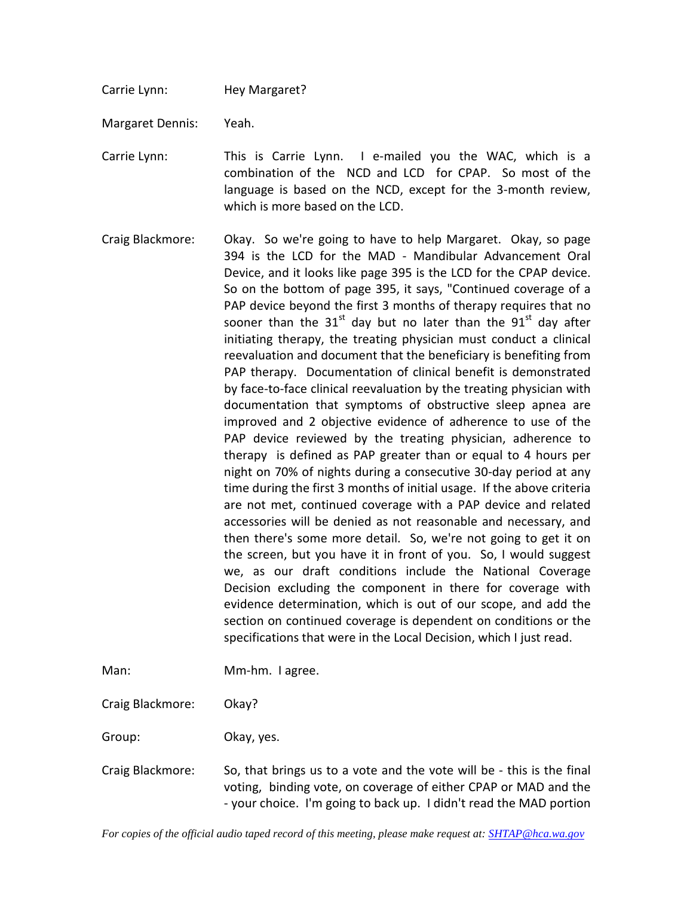Carrie Lynn: Hey Margaret?

Margaret Dennis: Yeah.

Carrie Lynn: This is Carrie Lynn. I e-mailed you the WAC, which is a combination of the NCD and LCD for CPAP. So most of the language is based on the NCD, except for the 3-month review, which is more based on the LCD.

- Craig Blackmore: Okay. So we're going to have to help Margaret. Okay, so page 394 is the LCD for the MAD - Mandibular Advancement Oral Device, and it looks like page 395 is the LCD for the CPAP device. So on the bottom of page 395, it says, "Continued coverage of a PAP device beyond the first 3 months of therapy requires that no sooner than the  $31<sup>st</sup>$  day but no later than the  $91<sup>st</sup>$  day after initiating therapy, the treating physician must conduct a clinical reevaluation and document that the beneficiary is benefiting from PAP therapy. Documentation of clinical benefit is demonstrated by face-to-face clinical reevaluation by the treating physician with documentation that symptoms of obstructive sleep apnea are improved and 2 objective evidence of adherence to use of the PAP device reviewed by the treating physician, adherence to therapy is defined as PAP greater than or equal to 4 hours per night on 70% of nights during a consecutive 30-day period at any time during the first 3 months of initial usage. If the above criteria are not met, continued coverage with a PAP device and related accessories will be denied as not reasonable and necessary, and then there's some more detail. So, we're not going to get it on the screen, but you have it in front of you. So, I would suggest we, as our draft conditions include the National Coverage Decision excluding the component in there for coverage with evidence determination, which is out of our scope, and add the section on continued coverage is dependent on conditions or the specifications that were in the Local Decision, which I just read.
- Man: Mm-hm. I agree.

Craig Blackmore: Okay?

Group: Okay, yes.

Craig Blackmore: So, that brings us to a vote and the vote will be - this is the final voting, binding vote, on coverage of either CPAP or MAD and the - your choice. I'm going to back up. I didn't read the MAD portion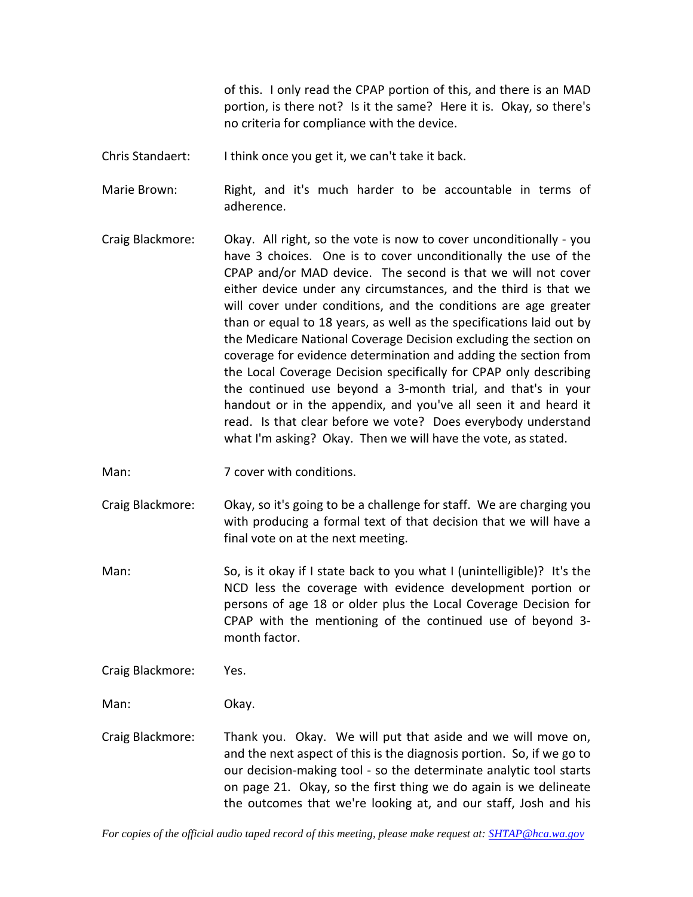of this. I only read the CPAP portion of this, and there is an MAD portion, is there not? Is it the same? Here it is. Okay, so there's no criteria for compliance with the device.

Chris Standaert: I think once you get it, we can't take it back.

Marie Brown: Right, and it's much harder to be accountable in terms of adherence.

- Craig Blackmore: Okay. All right, so the vote is now to cover unconditionally you have 3 choices. One is to cover unconditionally the use of the CPAP and/or MAD device. The second is that we will not cover either device under any circumstances, and the third is that we will cover under conditions, and the conditions are age greater than or equal to 18 years, as well as the specifications laid out by the Medicare National Coverage Decision excluding the section on coverage for evidence determination and adding the section from the Local Coverage Decision specifically for CPAP only describing the continued use beyond a 3-month trial, and that's in your handout or in the appendix, and you've all seen it and heard it read. Is that clear before we vote? Does everybody understand what I'm asking? Okay. Then we will have the vote, as stated.
- Man: 7 cover with conditions.
- Craig Blackmore: Okay, so it's going to be a challenge for staff. We are charging you with producing a formal text of that decision that we will have a final vote on at the next meeting.
- Man: So, is it okay if I state back to you what I (unintelligible)? It's the NCD less the coverage with evidence development portion or persons of age 18 or older plus the Local Coverage Decision for CPAP with the mentioning of the continued use of beyond 3 month factor.
- Craig Blackmore: Yes.

Man: Okay.

Craig Blackmore: Thank you. Okay. We will put that aside and we will move on, and the next aspect of this is the diagnosis portion. So, if we go to our decision-making tool - so the determinate analytic tool starts on page 21. Okay, so the first thing we do again is we delineate the outcomes that we're looking at, and our staff, Josh and his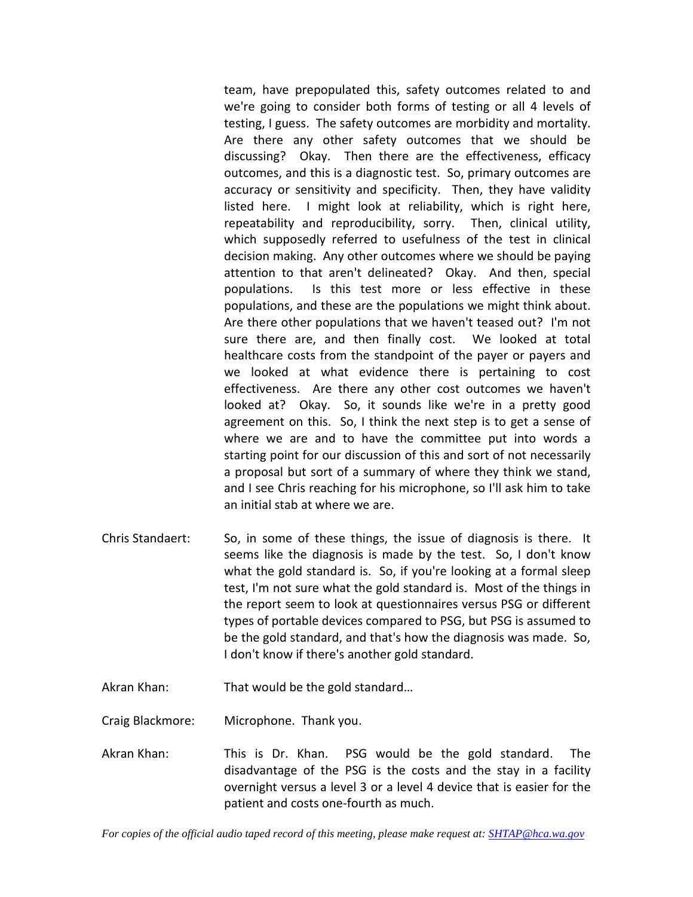team, have prepopulated this, safety outcomes related to and we're going to consider both forms of testing or all 4 levels of testing, I guess. The safety outcomes are morbidity and mortality. Are there any other safety outcomes that we should be discussing? Okay. Then there are the effectiveness, efficacy outcomes, and this is a diagnostic test. So, primary outcomes are accuracy or sensitivity and specificity. Then, they have validity listed here. I might look at reliability, which is right here, repeatability and reproducibility, sorry. Then, clinical utility, which supposedly referred to usefulness of the test in clinical decision making. Any other outcomes where we should be paying attention to that aren't delineated? Okay. And then, special populations. Is this test more or less effective in these populations, and these are the populations we might think about. Are there other populations that we haven't teased out? I'm not sure there are, and then finally cost. We looked at total healthcare costs from the standpoint of the payer or payers and we looked at what evidence there is pertaining to cost effectiveness. Are there any other cost outcomes we haven't looked at? Okay. So, it sounds like we're in a pretty good agreement on this. So, I think the next step is to get a sense of where we are and to have the committee put into words a starting point for our discussion of this and sort of not necessarily a proposal but sort of a summary of where they think we stand, and I see Chris reaching for his microphone, so I'll ask him to take an initial stab at where we are.

- Chris Standaert: So, in some of these things, the issue of diagnosis is there. It seems like the diagnosis is made by the test. So, I don't know what the gold standard is. So, if you're looking at a formal sleep test, I'm not sure what the gold standard is. Most of the things in the report seem to look at questionnaires versus PSG or different types of portable devices compared to PSG, but PSG is assumed to be the gold standard, and that's how the diagnosis was made. So, I don't know if there's another gold standard.
- Akran Khan: That would be the gold standard…

Craig Blackmore: Microphone. Thank you.

Akran Khan: This is Dr. Khan. PSG would be the gold standard. The disadvantage of the PSG is the costs and the stay in a facility overnight versus a level 3 or a level 4 device that is easier for the patient and costs one-fourth as much.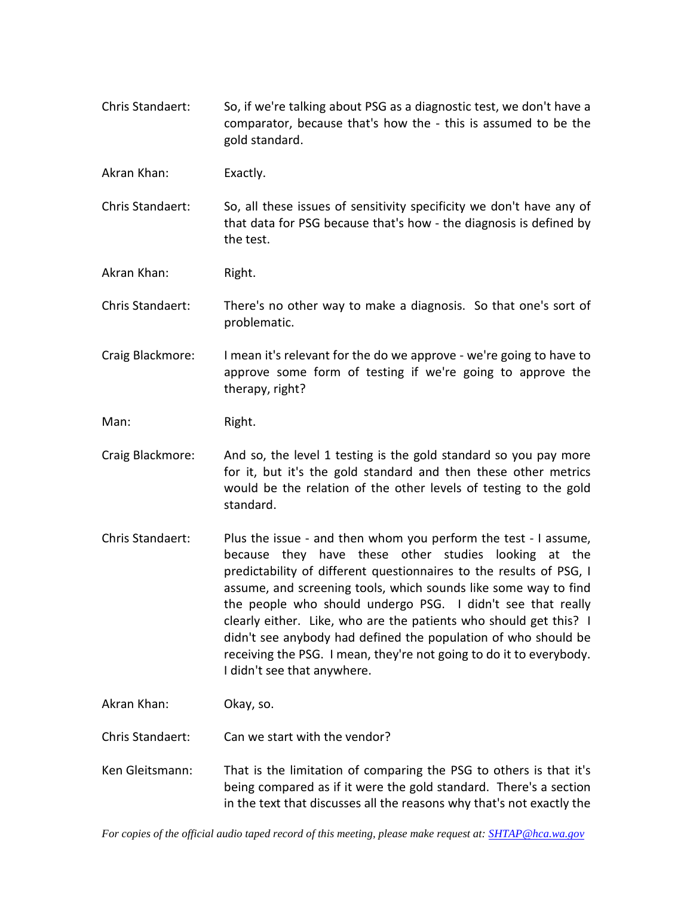Chris Standaert: So, if we're talking about PSG as a diagnostic test, we don't have a comparator, because that's how the - this is assumed to be the gold standard.

Akran Khan: Exactly.

Chris Standaert: So, all these issues of sensitivity specificity we don't have any of that data for PSG because that's how - the diagnosis is defined by the test.

Akran Khan: Right.

Chris Standaert: There's no other way to make a diagnosis. So that one's sort of problematic.

Craig Blackmore: I mean it's relevant for the do we approve - we're going to have to approve some form of testing if we're going to approve the therapy, right?

Man: Right.

- Craig Blackmore: And so, the level 1 testing is the gold standard so you pay more for it, but it's the gold standard and then these other metrics would be the relation of the other levels of testing to the gold standard.
- Chris Standaert: Plus the issue and then whom you perform the test I assume, because they have these other studies looking at the predictability of different questionnaires to the results of PSG, I assume, and screening tools, which sounds like some way to find the people who should undergo PSG. I didn't see that really clearly either. Like, who are the patients who should get this? I didn't see anybody had defined the population of who should be receiving the PSG. I mean, they're not going to do it to everybody. I didn't see that anywhere.

Akran Khan: Okay, so.

Chris Standaert: Can we start with the vendor?

Ken Gleitsmann: That is the limitation of comparing the PSG to others is that it's being compared as if it were the gold standard. There's a section in the text that discusses all the reasons why that's not exactly the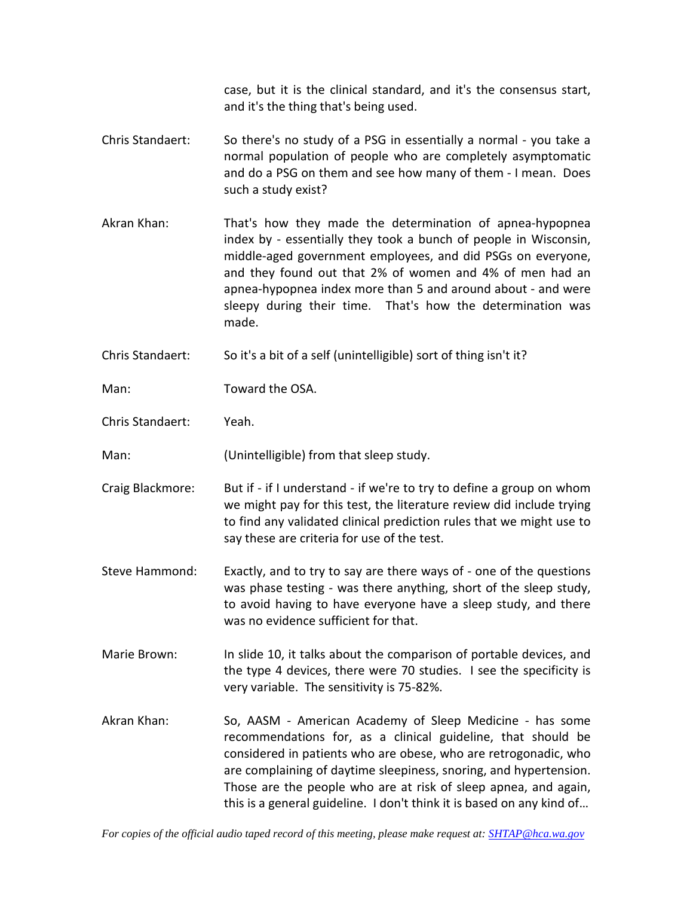case, but it is the clinical standard, and it's the consensus start, and it's the thing that's being used.

- Chris Standaert: So there's no study of a PSG in essentially a normal you take a normal population of people who are completely asymptomatic and do a PSG on them and see how many of them - I mean. Does such a study exist?
- Akran Khan: That's how they made the determination of apnea-hypopnea index by - essentially they took a bunch of people in Wisconsin, middle-aged government employees, and did PSGs on everyone, and they found out that 2% of women and 4% of men had an apnea-hypopnea index more than 5 and around about - and were sleepy during their time. That's how the determination was made.
- Chris Standaert: So it's a bit of a self (unintelligible) sort of thing isn't it?

Man: Toward the OSA.

Chris Standaert: Yeah.

Man: (Unintelligible) from that sleep study.

- Craig Blackmore: But if if I understand if we're to try to define a group on whom we might pay for this test, the literature review did include trying to find any validated clinical prediction rules that we might use to say these are criteria for use of the test.
- Steve Hammond: Exactly, and to try to say are there ways of one of the questions was phase testing - was there anything, short of the sleep study, to avoid having to have everyone have a sleep study, and there was no evidence sufficient for that.
- Marie Brown: In slide 10, it talks about the comparison of portable devices, and the type 4 devices, there were 70 studies. I see the specificity is very variable. The sensitivity is 75-82%.
- Akran Khan: So, AASM American Academy of Sleep Medicine has some recommendations for, as a clinical guideline, that should be considered in patients who are obese, who are retrogonadic, who are complaining of daytime sleepiness, snoring, and hypertension. Those are the people who are at risk of sleep apnea, and again, this is a general guideline. I don't think it is based on any kind of…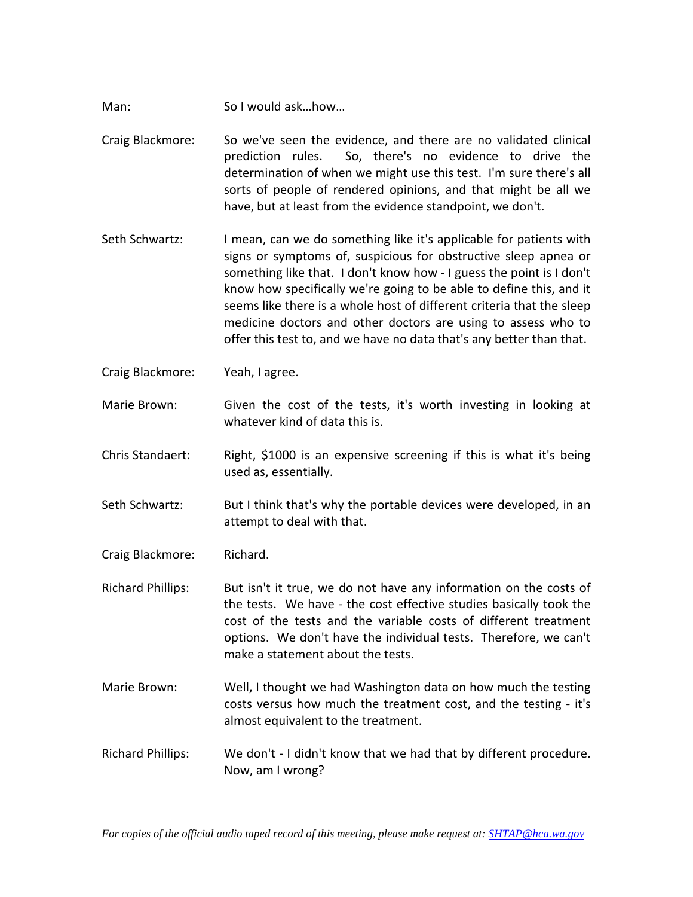- Man: So I would ask...how...
- Craig Blackmore: So we've seen the evidence, and there are no validated clinical prediction rules. So, there's no evidence to drive the determination of when we might use this test. I'm sure there's all sorts of people of rendered opinions, and that might be all we have, but at least from the evidence standpoint, we don't.
- Seth Schwartz: I mean, can we do something like it's applicable for patients with signs or symptoms of, suspicious for obstructive sleep apnea or something like that. I don't know how - I guess the point is I don't know how specifically we're going to be able to define this, and it seems like there is a whole host of different criteria that the sleep medicine doctors and other doctors are using to assess who to offer this test to, and we have no data that's any better than that.
- Craig Blackmore: Yeah, I agree.
- Marie Brown: Given the cost of the tests, it's worth investing in looking at whatever kind of data this is.
- Chris Standaert: Right, \$1000 is an expensive screening if this is what it's being used as, essentially.
- Seth Schwartz: But I think that's why the portable devices were developed, in an attempt to deal with that.
- Craig Blackmore: Richard.

Richard Phillips: But isn't it true, we do not have any information on the costs of the tests. We have - the cost effective studies basically took the cost of the tests and the variable costs of different treatment options. We don't have the individual tests. Therefore, we can't make a statement about the tests.

- Marie Brown: Well, I thought we had Washington data on how much the testing costs versus how much the treatment cost, and the testing - it's almost equivalent to the treatment.
- Richard Phillips: We don't I didn't know that we had that by different procedure. Now, am I wrong?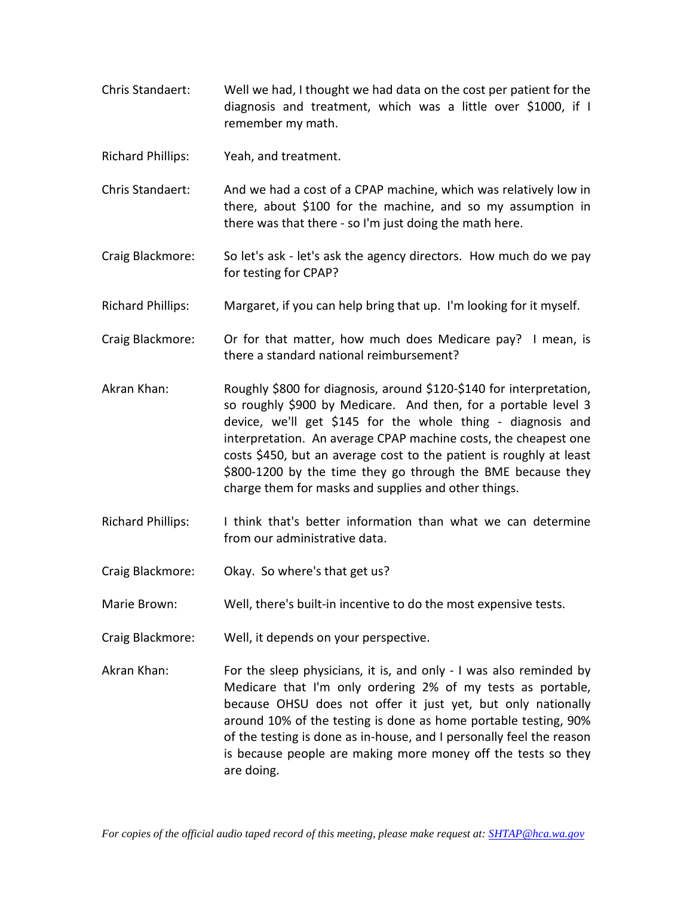- Chris Standaert: Well we had, I thought we had data on the cost per patient for the diagnosis and treatment, which was a little over \$1000, if I remember my math.
- Richard Phillips: Yeah, and treatment.
- Chris Standaert: And we had a cost of a CPAP machine, which was relatively low in there, about \$100 for the machine, and so my assumption in there was that there - so I'm just doing the math here.
- Craig Blackmore: So let's ask let's ask the agency directors. How much do we pay for testing for CPAP?
- Richard Phillips: Margaret, if you can help bring that up. I'm looking for it myself.
- Craig Blackmore: Or for that matter, how much does Medicare pay? I mean, is there a standard national reimbursement?
- Akran Khan: Roughly \$800 for diagnosis, around \$120-\$140 for interpretation, so roughly \$900 by Medicare. And then, for a portable level 3 device, we'll get \$145 for the whole thing - diagnosis and interpretation. An average CPAP machine costs, the cheapest one costs \$450, but an average cost to the patient is roughly at least \$800-1200 by the time they go through the BME because they charge them for masks and supplies and other things.
- Richard Phillips: I think that's better information than what we can determine from our administrative data.
- Craig Blackmore: Okay. So where's that get us?
- Marie Brown: Well, there's built-in incentive to do the most expensive tests.
- Craig Blackmore: Well, it depends on your perspective.
- Akran Khan: For the sleep physicians, it is, and only I was also reminded by Medicare that I'm only ordering 2% of my tests as portable, because OHSU does not offer it just yet, but only nationally around 10% of the testing is done as home portable testing, 90% of the testing is done as in-house, and I personally feel the reason is because people are making more money off the tests so they are doing.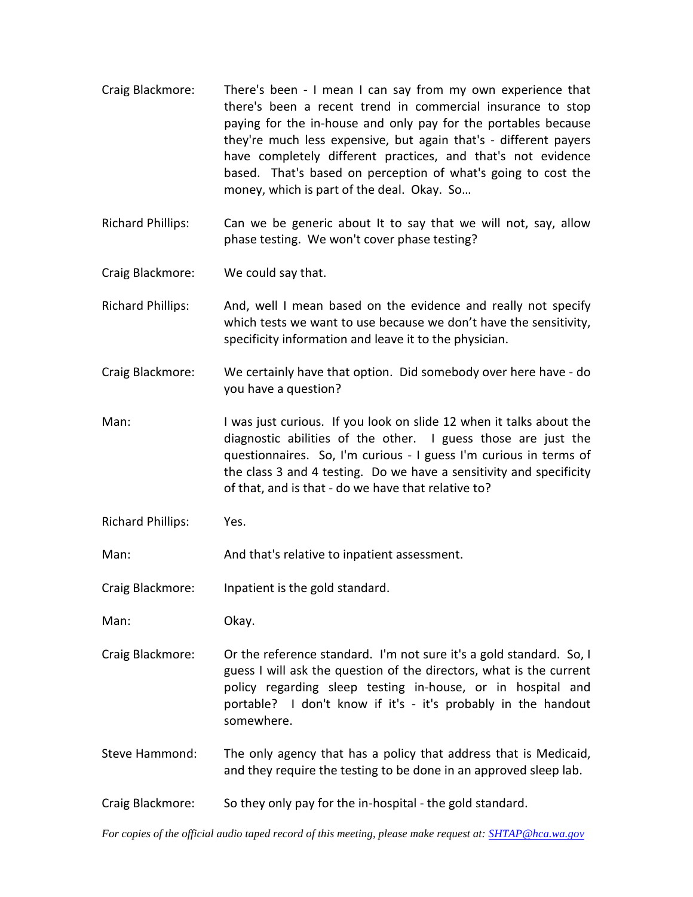- Craig Blackmore: There's been I mean I can say from my own experience that there's been a recent trend in commercial insurance to stop paying for the in-house and only pay for the portables because they're much less expensive, but again that's - different payers have completely different practices, and that's not evidence based. That's based on perception of what's going to cost the money, which is part of the deal. Okay. So…
- Richard Phillips: Can we be generic about It to say that we will not, say, allow phase testing. We won't cover phase testing?
- Craig Blackmore: We could say that.
- Richard Phillips: And, well I mean based on the evidence and really not specify which tests we want to use because we don't have the sensitivity, specificity information and leave it to the physician.
- Craig Blackmore: We certainly have that option. Did somebody over here have do you have a question?
- Man: I was just curious. If you look on slide 12 when it talks about the diagnostic abilities of the other. I guess those are just the questionnaires. So, I'm curious - I guess I'm curious in terms of the class 3 and 4 testing. Do we have a sensitivity and specificity of that, and is that - do we have that relative to?
- Richard Phillips: Yes.
- Man: Man: And that's relative to inpatient assessment.

Craig Blackmore: Inpatient is the gold standard.

Man: Okay.

- Craig Blackmore: Or the reference standard. I'm not sure it's a gold standard. So, I guess I will ask the question of the directors, what is the current policy regarding sleep testing in-house, or in hospital and portable? I don't know if it's - it's probably in the handout somewhere.
- Steve Hammond: The only agency that has a policy that address that is Medicaid, and they require the testing to be done in an approved sleep lab.
- Craig Blackmore: So they only pay for the in-hospital the gold standard.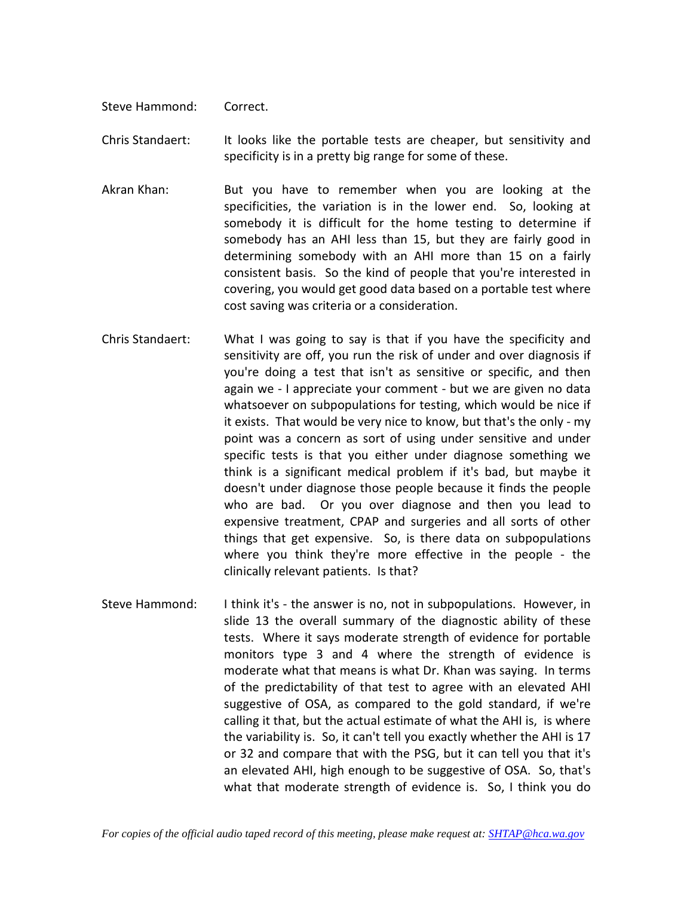Steve Hammond: Correct.

Chris Standaert: It looks like the portable tests are cheaper, but sensitivity and specificity is in a pretty big range for some of these.

- Akran Khan: But you have to remember when you are looking at the specificities, the variation is in the lower end. So, looking at somebody it is difficult for the home testing to determine if somebody has an AHI less than 15, but they are fairly good in determining somebody with an AHI more than 15 on a fairly consistent basis. So the kind of people that you're interested in covering, you would get good data based on a portable test where cost saving was criteria or a consideration.
- Chris Standaert: What I was going to say is that if you have the specificity and sensitivity are off, you run the risk of under and over diagnosis if you're doing a test that isn't as sensitive or specific, and then again we - I appreciate your comment - but we are given no data whatsoever on subpopulations for testing, which would be nice if it exists. That would be very nice to know, but that's the only - my point was a concern as sort of using under sensitive and under specific tests is that you either under diagnose something we think is a significant medical problem if it's bad, but maybe it doesn't under diagnose those people because it finds the people who are bad. Or you over diagnose and then you lead to expensive treatment, CPAP and surgeries and all sorts of other things that get expensive. So, is there data on subpopulations where you think they're more effective in the people - the clinically relevant patients. Is that?
- Steve Hammond: I think it's the answer is no, not in subpopulations. However, in slide 13 the overall summary of the diagnostic ability of these tests. Where it says moderate strength of evidence for portable monitors type 3 and 4 where the strength of evidence is moderate what that means is what Dr. Khan was saying. In terms of the predictability of that test to agree with an elevated AHI suggestive of OSA, as compared to the gold standard, if we're calling it that, but the actual estimate of what the AHI is, is where the variability is. So, it can't tell you exactly whether the AHI is 17 or 32 and compare that with the PSG, but it can tell you that it's an elevated AHI, high enough to be suggestive of OSA. So, that's what that moderate strength of evidence is. So, I think you do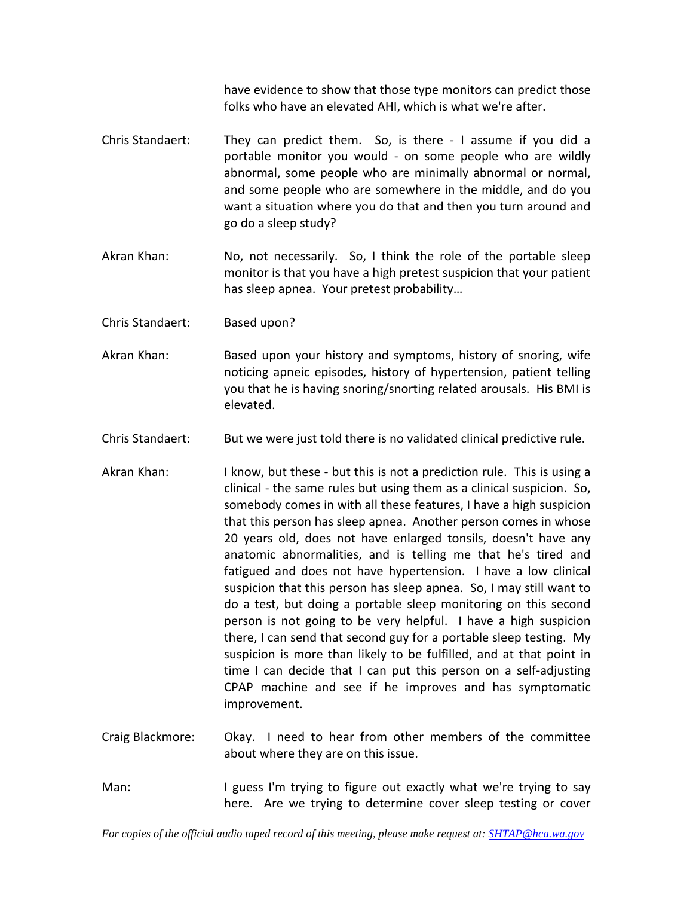have evidence to show that those type monitors can predict those folks who have an elevated AHI, which is what we're after.

- Chris Standaert: They can predict them. So, is there I assume if you did a portable monitor you would - on some people who are wildly abnormal, some people who are minimally abnormal or normal, and some people who are somewhere in the middle, and do you want a situation where you do that and then you turn around and go do a sleep study?
- Akran Khan: No, not necessarily. So, I think the role of the portable sleep monitor is that you have a high pretest suspicion that your patient has sleep apnea. Your pretest probability…
- Chris Standaert: Based upon?
- Akran Khan: Based upon your history and symptoms, history of snoring, wife noticing apneic episodes, history of hypertension, patient telling you that he is having snoring/snorting related arousals. His BMI is elevated.
- Chris Standaert: But we were just told there is no validated clinical predictive rule.
- Akran Khan: I know, but these but this is not a prediction rule. This is using a clinical - the same rules but using them as a clinical suspicion. So, somebody comes in with all these features, I have a high suspicion that this person has sleep apnea. Another person comes in whose 20 years old, does not have enlarged tonsils, doesn't have any anatomic abnormalities, and is telling me that he's tired and fatigued and does not have hypertension. I have a low clinical suspicion that this person has sleep apnea. So, I may still want to do a test, but doing a portable sleep monitoring on this second person is not going to be very helpful. I have a high suspicion there, I can send that second guy for a portable sleep testing. My suspicion is more than likely to be fulfilled, and at that point in time I can decide that I can put this person on a self-adjusting CPAP machine and see if he improves and has symptomatic improvement.
- Craig Blackmore: Okay. I need to hear from other members of the committee about where they are on this issue.
- Man: I guess I'm trying to figure out exactly what we're trying to say here. Are we trying to determine cover sleep testing or cover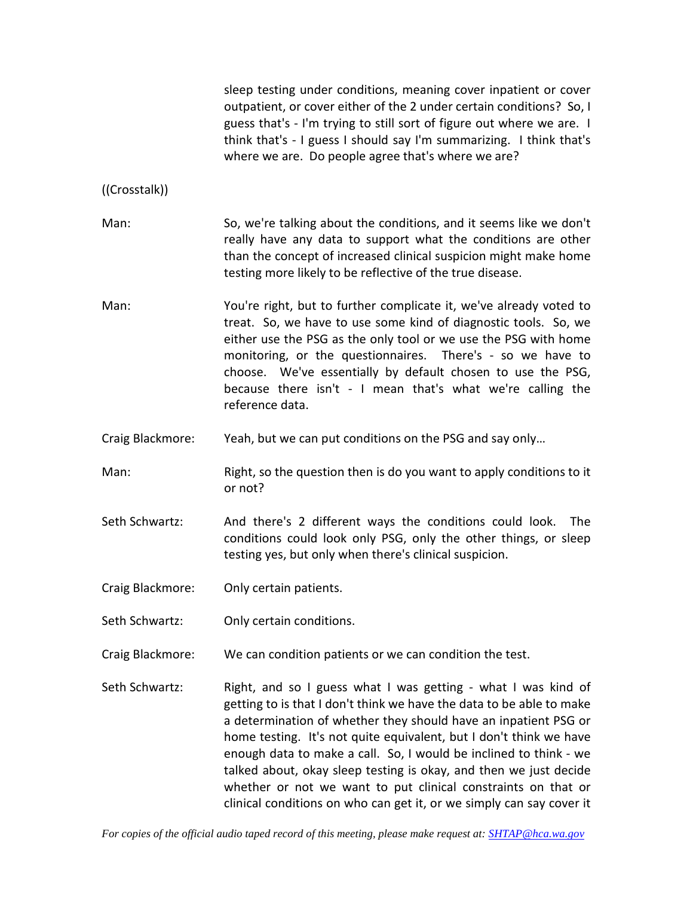|                  | sleep testing under conditions, meaning cover inpatient or cover<br>outpatient, or cover either of the 2 under certain conditions? So, I<br>guess that's - I'm trying to still sort of figure out where we are. I<br>think that's - I guess I should say I'm summarizing. I think that's<br>where we are. Do people agree that's where we are?                                                                                                                                            |  |
|------------------|-------------------------------------------------------------------------------------------------------------------------------------------------------------------------------------------------------------------------------------------------------------------------------------------------------------------------------------------------------------------------------------------------------------------------------------------------------------------------------------------|--|
| ((Crosstalk))    |                                                                                                                                                                                                                                                                                                                                                                                                                                                                                           |  |
| Man:             | So, we're talking about the conditions, and it seems like we don't<br>really have any data to support what the conditions are other<br>than the concept of increased clinical suspicion might make home<br>testing more likely to be reflective of the true disease.                                                                                                                                                                                                                      |  |
| Man:             | You're right, but to further complicate it, we've already voted to<br>treat. So, we have to use some kind of diagnostic tools. So, we<br>either use the PSG as the only tool or we use the PSG with home<br>monitoring, or the questionnaires. There's - so we have to<br>choose. We've essentially by default chosen to use the PSG,<br>because there isn't - I mean that's what we're calling the<br>reference data.                                                                    |  |
| Craig Blackmore: | Yeah, but we can put conditions on the PSG and say only                                                                                                                                                                                                                                                                                                                                                                                                                                   |  |
| Man:             | Right, so the question then is do you want to apply conditions to it<br>or not?                                                                                                                                                                                                                                                                                                                                                                                                           |  |
| Seth Schwartz:   | And there's 2 different ways the conditions could look.<br>The<br>conditions could look only PSG, only the other things, or sleep<br>testing yes, but only when there's clinical suspicion.                                                                                                                                                                                                                                                                                               |  |
| Craig Blackmore: | Only certain patients.                                                                                                                                                                                                                                                                                                                                                                                                                                                                    |  |
| Seth Schwartz:   | Only certain conditions.                                                                                                                                                                                                                                                                                                                                                                                                                                                                  |  |
| Craig Blackmore: | We can condition patients or we can condition the test.                                                                                                                                                                                                                                                                                                                                                                                                                                   |  |
| Seth Schwartz:   | Right, and so I guess what I was getting - what I was kind of<br>getting to is that I don't think we have the data to be able to make<br>a determination of whether they should have an inpatient PSG or<br>home testing. It's not quite equivalent, but I don't think we have<br>enough data to make a call. So, I would be inclined to think - we<br>talked about, okay sleep testing is okay, and then we just decide<br>whether or not we want to put clinical constraints on that or |  |

clinical conditions on who can get it, or we simply can say cover it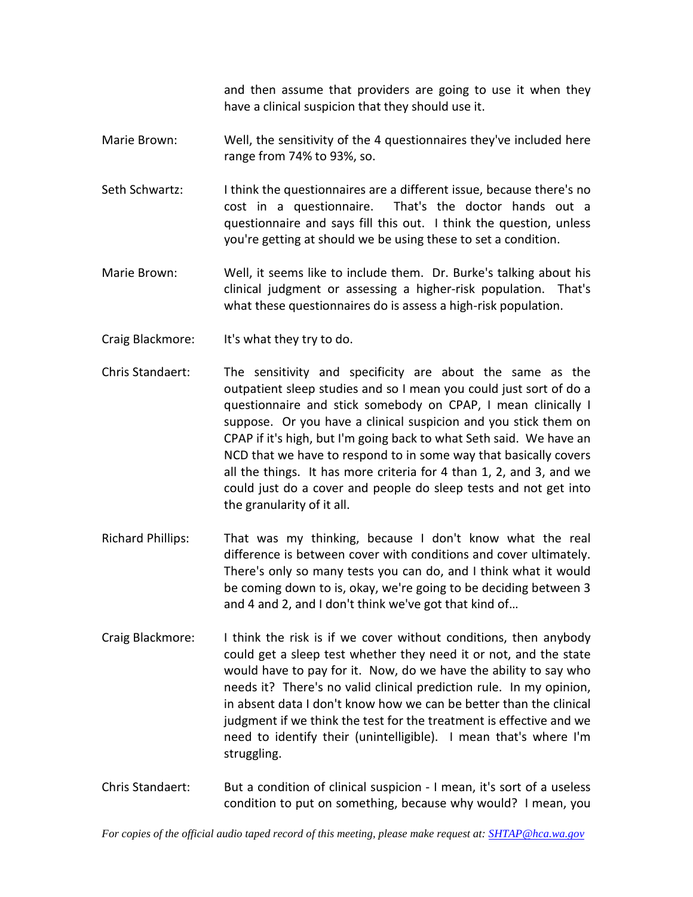and then assume that providers are going to use it when they have a clinical suspicion that they should use it.

- Marie Brown: Well, the sensitivity of the 4 questionnaires they've included here range from 74% to 93%, so.
- Seth Schwartz: I think the questionnaires are a different issue, because there's no cost in a questionnaire. That's the doctor hands out a questionnaire and says fill this out. I think the question, unless you're getting at should we be using these to set a condition.
- Marie Brown: Well, it seems like to include them. Dr. Burke's talking about his clinical judgment or assessing a higher-risk population. That's what these questionnaires do is assess a high-risk population.
- Craig Blackmore: It's what they try to do.
- Chris Standaert: The sensitivity and specificity are about the same as the outpatient sleep studies and so I mean you could just sort of do a questionnaire and stick somebody on CPAP, I mean clinically I suppose. Or you have a clinical suspicion and you stick them on CPAP if it's high, but I'm going back to what Seth said. We have an NCD that we have to respond to in some way that basically covers all the things. It has more criteria for 4 than 1, 2, and 3, and we could just do a cover and people do sleep tests and not get into the granularity of it all.
- Richard Phillips: That was my thinking, because I don't know what the real difference is between cover with conditions and cover ultimately. There's only so many tests you can do, and I think what it would be coming down to is, okay, we're going to be deciding between 3 and 4 and 2, and I don't think we've got that kind of…
- Craig Blackmore: I think the risk is if we cover without conditions, then anybody could get a sleep test whether they need it or not, and the state would have to pay for it. Now, do we have the ability to say who needs it? There's no valid clinical prediction rule. In my opinion, in absent data I don't know how we can be better than the clinical judgment if we think the test for the treatment is effective and we need to identify their (unintelligible). I mean that's where I'm struggling.
- Chris Standaert: But a condition of clinical suspicion I mean, it's sort of a useless condition to put on something, because why would? I mean, you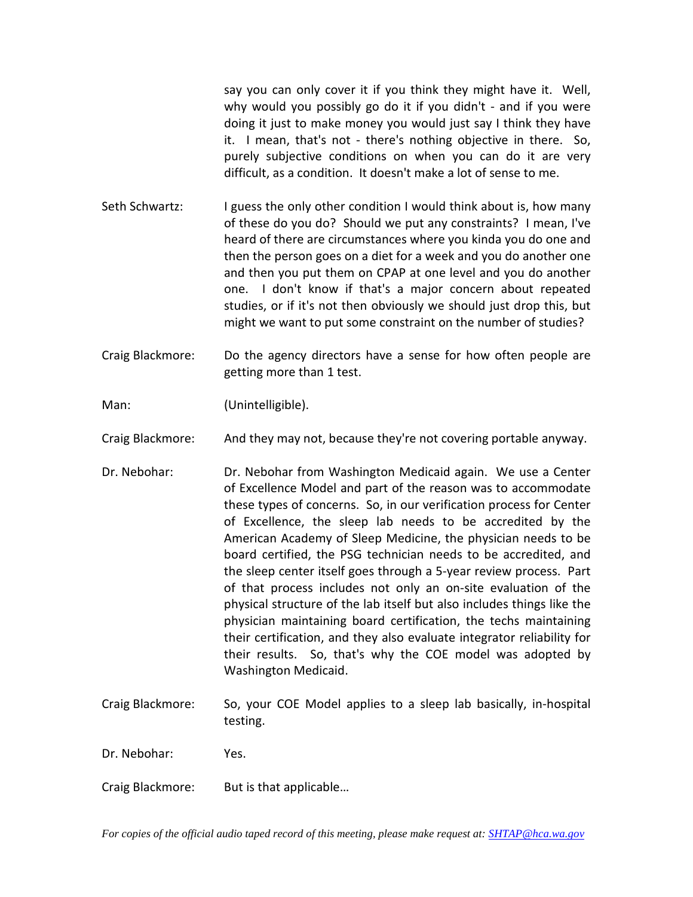say you can only cover it if you think they might have it. Well, why would you possibly go do it if you didn't - and if you were doing it just to make money you would just say I think they have it. I mean, that's not - there's nothing objective in there. So, purely subjective conditions on when you can do it are very difficult, as a condition. It doesn't make a lot of sense to me.

- Seth Schwartz: I guess the only other condition I would think about is, how many of these do you do? Should we put any constraints? I mean, I've heard of there are circumstances where you kinda you do one and then the person goes on a diet for a week and you do another one and then you put them on CPAP at one level and you do another one. I don't know if that's a major concern about repeated studies, or if it's not then obviously we should just drop this, but might we want to put some constraint on the number of studies?
- Craig Blackmore: Do the agency directors have a sense for how often people are getting more than 1 test.

Man: (Unintelligible).

Craig Blackmore: And they may not, because they're not covering portable anyway.

- Dr. Nebohar: Dr. Nebohar from Washington Medicaid again. We use a Center of Excellence Model and part of the reason was to accommodate these types of concerns. So, in our verification process for Center of Excellence, the sleep lab needs to be accredited by the American Academy of Sleep Medicine, the physician needs to be board certified, the PSG technician needs to be accredited, and the sleep center itself goes through a 5-year review process. Part of that process includes not only an on-site evaluation of the physical structure of the lab itself but also includes things like the physician maintaining board certification, the techs maintaining their certification, and they also evaluate integrator reliability for their results. So, that's why the COE model was adopted by Washington Medicaid.
- Craig Blackmore: So, your COE Model applies to a sleep lab basically, in-hospital testing.
- Dr. Nebohar: Yes.
- Craig Blackmore: But is that applicable…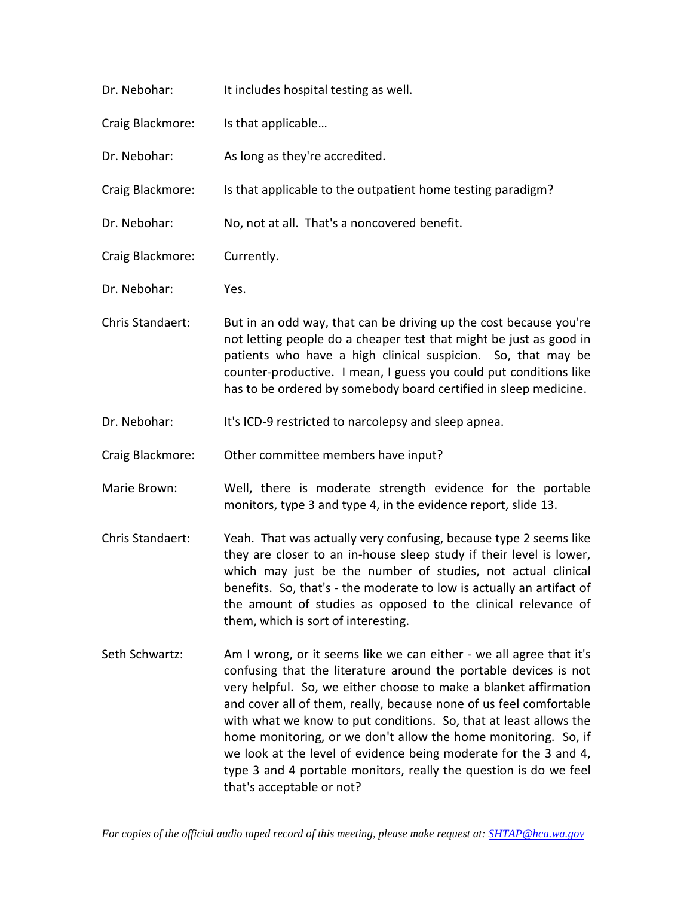| Dr. Nebohar:     | It includes hospital testing as well.                                                                                                                                                                                                                                                                                                                                                     |
|------------------|-------------------------------------------------------------------------------------------------------------------------------------------------------------------------------------------------------------------------------------------------------------------------------------------------------------------------------------------------------------------------------------------|
| Craig Blackmore: | Is that applicable                                                                                                                                                                                                                                                                                                                                                                        |
| Dr. Nebohar:     | As long as they're accredited.                                                                                                                                                                                                                                                                                                                                                            |
| Craig Blackmore: | Is that applicable to the outpatient home testing paradigm?                                                                                                                                                                                                                                                                                                                               |
| Dr. Nebohar:     | No, not at all. That's a noncovered benefit.                                                                                                                                                                                                                                                                                                                                              |
| Craig Blackmore: | Currently.                                                                                                                                                                                                                                                                                                                                                                                |
| Dr. Nebohar:     | Yes.                                                                                                                                                                                                                                                                                                                                                                                      |
| Chris Standaert: | But in an odd way, that can be driving up the cost because you're<br>not letting people do a cheaper test that might be just as good in<br>patients who have a high clinical suspicion. So, that may be<br>counter-productive. I mean, I guess you could put conditions like<br>has to be ordered by somebody board certified in sleep medicine.                                          |
| Dr. Nebohar:     | It's ICD-9 restricted to narcolepsy and sleep apnea.                                                                                                                                                                                                                                                                                                                                      |
| Craig Blackmore: | Other committee members have input?                                                                                                                                                                                                                                                                                                                                                       |
| Marie Brown:     | Well, there is moderate strength evidence for the portable<br>monitors, type 3 and type 4, in the evidence report, slide 13.                                                                                                                                                                                                                                                              |
| Chris Standaert: | Yeah. That was actually very confusing, because type 2 seems like<br>they are closer to an in-house sleep study if their level is lower,<br>which may just be the number of studies, not actual clinical<br>benefits. So, that's - the moderate to low is actually an artifact of<br>the amount of studies as opposed to the clinical relevance of<br>them, which is sort of interesting. |
| Seth Schwartz:   | Am I wrong, or it seems like we can either - we all agree that it's<br>confusing that the literature around the portable devices is not<br>very helpful. So, we either choose to make a blanket affirmation<br>and cover all of them, really, because none of us feel comfortable                                                                                                         |

and cover all of them, really, because none of us feel comfortable with what we know to put conditions. So, that at least allows the home monitoring, or we don't allow the home monitoring. So, if we look at the level of evidence being moderate for the 3 and 4, type 3 and 4 portable monitors, really the question is do we feel that's acceptable or not?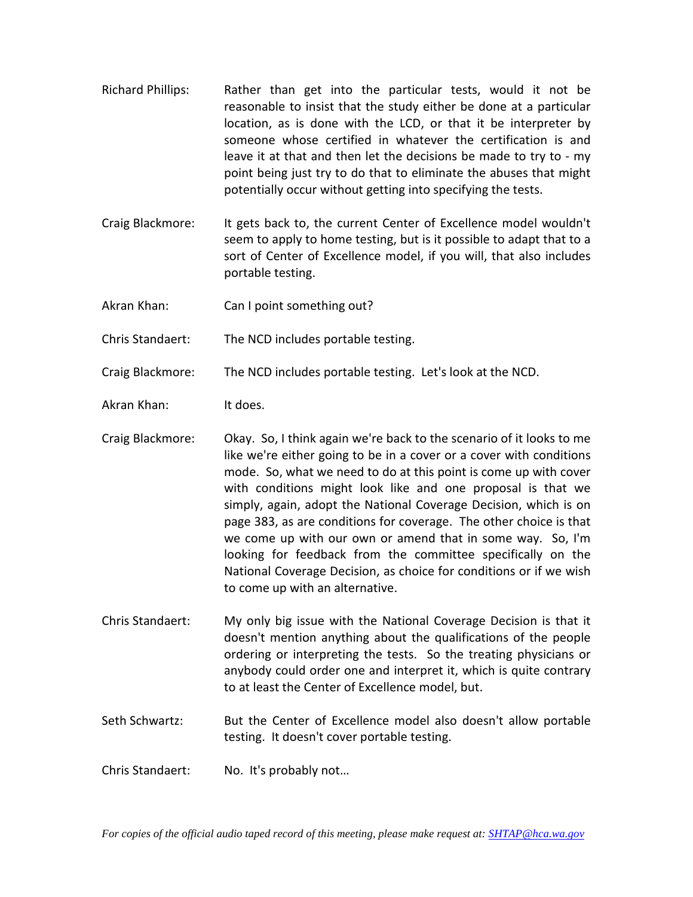- Richard Phillips: Rather than get into the particular tests, would it not be reasonable to insist that the study either be done at a particular location, as is done with the LCD, or that it be interpreter by someone whose certified in whatever the certification is and leave it at that and then let the decisions be made to try to - my point being just try to do that to eliminate the abuses that might potentially occur without getting into specifying the tests.
- Craig Blackmore: It gets back to, the current Center of Excellence model wouldn't seem to apply to home testing, but is it possible to adapt that to a sort of Center of Excellence model, if you will, that also includes portable testing.
- Akran Khan: Can I point something out?

Chris Standaert: The NCD includes portable testing.

Craig Blackmore: The NCD includes portable testing. Let's look at the NCD.

- Akran Khan: It does.
- Craig Blackmore: Okay. So, I think again we're back to the scenario of it looks to me like we're either going to be in a cover or a cover with conditions mode. So, what we need to do at this point is come up with cover with conditions might look like and one proposal is that we simply, again, adopt the National Coverage Decision, which is on page 383, as are conditions for coverage. The other choice is that we come up with our own or amend that in some way. So, I'm looking for feedback from the committee specifically on the National Coverage Decision, as choice for conditions or if we wish to come up with an alternative.
- Chris Standaert: My only big issue with the National Coverage Decision is that it doesn't mention anything about the qualifications of the people ordering or interpreting the tests. So the treating physicians or anybody could order one and interpret it, which is quite contrary to at least the Center of Excellence model, but.
- Seth Schwartz: But the Center of Excellence model also doesn't allow portable testing. It doesn't cover portable testing.
- Chris Standaert: No. It's probably not…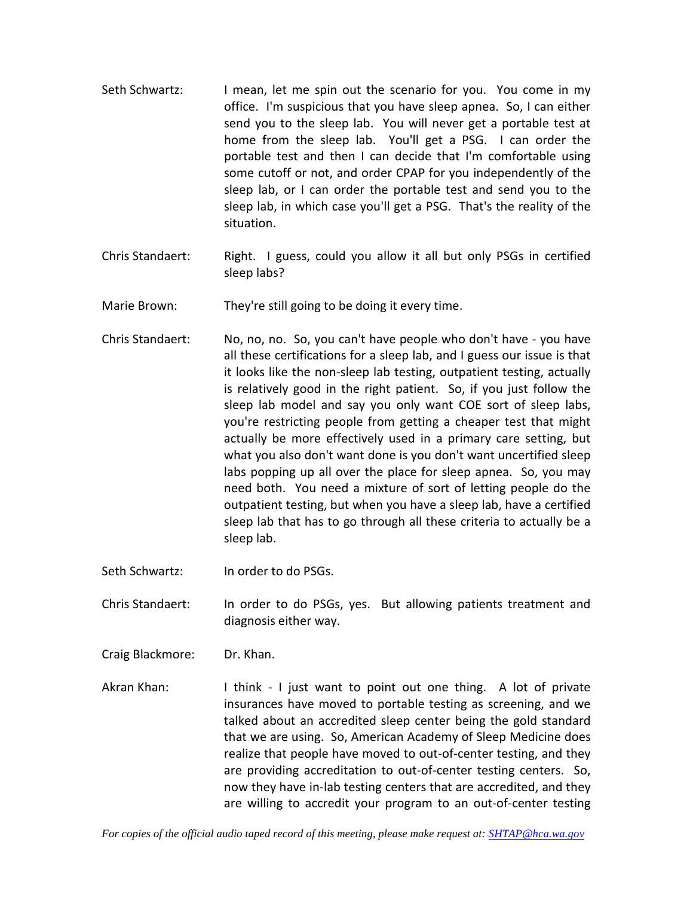- Seth Schwartz: I mean, let me spin out the scenario for you. You come in my office. I'm suspicious that you have sleep apnea. So, I can either send you to the sleep lab. You will never get a portable test at home from the sleep lab. You'll get a PSG. I can order the portable test and then I can decide that I'm comfortable using some cutoff or not, and order CPAP for you independently of the sleep lab, or I can order the portable test and send you to the sleep lab, in which case you'll get a PSG. That's the reality of the situation.
- Chris Standaert: Right. I guess, could you allow it all but only PSGs in certified sleep labs?
- Marie Brown: They're still going to be doing it every time.
- Chris Standaert: No, no, no. So, you can't have people who don't have you have all these certifications for a sleep lab, and I guess our issue is that it looks like the non-sleep lab testing, outpatient testing, actually is relatively good in the right patient. So, if you just follow the sleep lab model and say you only want COE sort of sleep labs, you're restricting people from getting a cheaper test that might actually be more effectively used in a primary care setting, but what you also don't want done is you don't want uncertified sleep labs popping up all over the place for sleep apnea. So, you may need both. You need a mixture of sort of letting people do the outpatient testing, but when you have a sleep lab, have a certified sleep lab that has to go through all these criteria to actually be a sleep lab.
- Seth Schwartz: In order to do PSGs.

Chris Standaert: In order to do PSGs, yes. But allowing patients treatment and diagnosis either way.

- Craig Blackmore: Dr. Khan.
- Akran Khan: I think I just want to point out one thing. A lot of private insurances have moved to portable testing as screening, and we talked about an accredited sleep center being the gold standard that we are using. So, American Academy of Sleep Medicine does realize that people have moved to out-of-center testing, and they are providing accreditation to out-of-center testing centers. So, now they have in-lab testing centers that are accredited, and they are willing to accredit your program to an out-of-center testing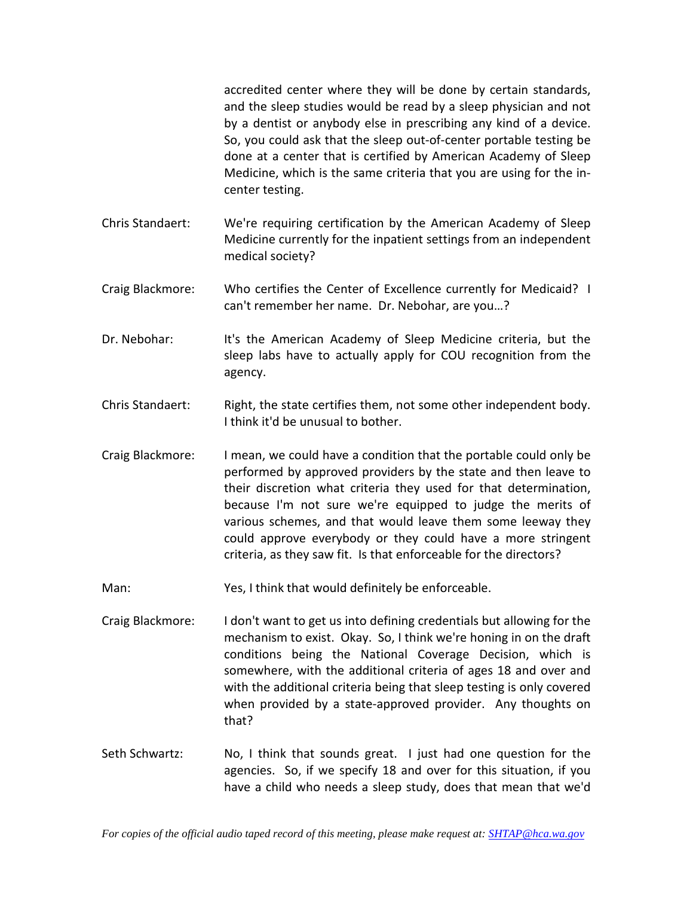accredited center where they will be done by certain standards, and the sleep studies would be read by a sleep physician and not by a dentist or anybody else in prescribing any kind of a device. So, you could ask that the sleep out-of-center portable testing be done at a center that is certified by American Academy of Sleep Medicine, which is the same criteria that you are using for the incenter testing.

- Chris Standaert: We're requiring certification by the American Academy of Sleep Medicine currently for the inpatient settings from an independent medical society?
- Craig Blackmore: Who certifies the Center of Excellence currently for Medicaid? I can't remember her name. Dr. Nebohar, are you…?
- Dr. Nebohar: It's the American Academy of Sleep Medicine criteria, but the sleep labs have to actually apply for COU recognition from the agency.
- Chris Standaert: Right, the state certifies them, not some other independent body. I think it'd be unusual to bother.
- Craig Blackmore: I mean, we could have a condition that the portable could only be performed by approved providers by the state and then leave to their discretion what criteria they used for that determination, because I'm not sure we're equipped to judge the merits of various schemes, and that would leave them some leeway they could approve everybody or they could have a more stringent criteria, as they saw fit. Is that enforceable for the directors?
- Man: Yes, I think that would definitely be enforceable.
- Craig Blackmore: I don't want to get us into defining credentials but allowing for the mechanism to exist. Okay. So, I think we're honing in on the draft conditions being the National Coverage Decision, which is somewhere, with the additional criteria of ages 18 and over and with the additional criteria being that sleep testing is only covered when provided by a state-approved provider. Any thoughts on that?
- Seth Schwartz: No, I think that sounds great. I just had one question for the agencies. So, if we specify 18 and over for this situation, if you have a child who needs a sleep study, does that mean that we'd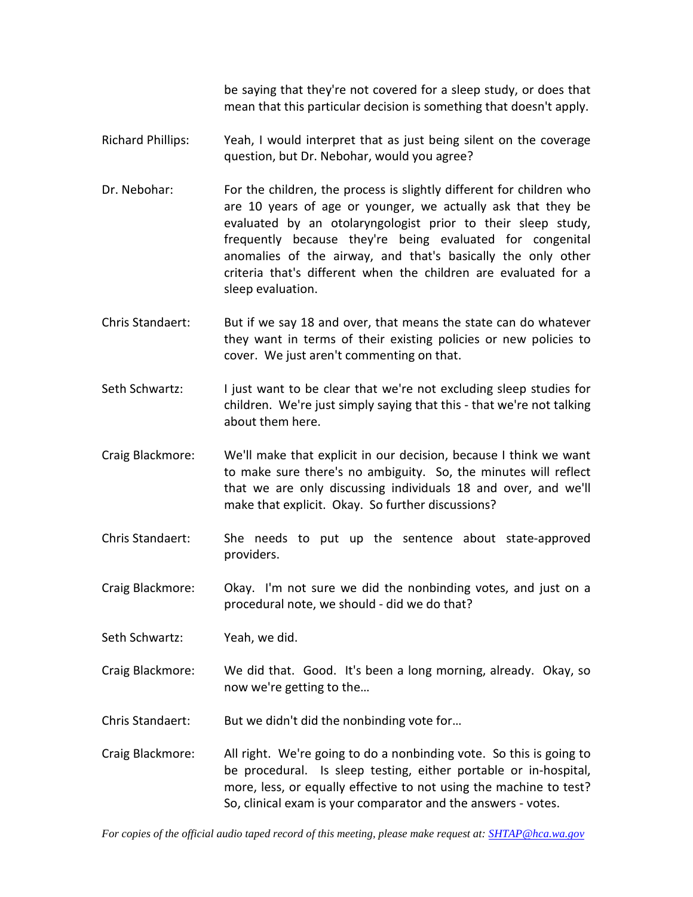be saying that they're not covered for a sleep study, or does that mean that this particular decision is something that doesn't apply.

- Richard Phillips: Yeah, I would interpret that as just being silent on the coverage question, but Dr. Nebohar, would you agree?
- Dr. Nebohar: For the children, the process is slightly different for children who are 10 years of age or younger, we actually ask that they be evaluated by an otolaryngologist prior to their sleep study, frequently because they're being evaluated for congenital anomalies of the airway, and that's basically the only other criteria that's different when the children are evaluated for a sleep evaluation.
- Chris Standaert: But if we say 18 and over, that means the state can do whatever they want in terms of their existing policies or new policies to cover. We just aren't commenting on that.
- Seth Schwartz: I just want to be clear that we're not excluding sleep studies for children. We're just simply saying that this - that we're not talking about them here.
- Craig Blackmore: We'll make that explicit in our decision, because I think we want to make sure there's no ambiguity. So, the minutes will reflect that we are only discussing individuals 18 and over, and we'll make that explicit. Okay. So further discussions?
- Chris Standaert: She needs to put up the sentence about state-approved providers.
- Craig Blackmore: Okay. I'm not sure we did the nonbinding votes, and just on a procedural note, we should - did we do that?
- Seth Schwartz: Yeah, we did.
- Craig Blackmore: We did that. Good. It's been a long morning, already. Okay, so now we're getting to the…
- Chris Standaert: But we didn't did the nonbinding vote for...
- Craig Blackmore: All right. We're going to do a nonbinding vote. So this is going to be procedural. Is sleep testing, either portable or in-hospital, more, less, or equally effective to not using the machine to test? So, clinical exam is your comparator and the answers - votes.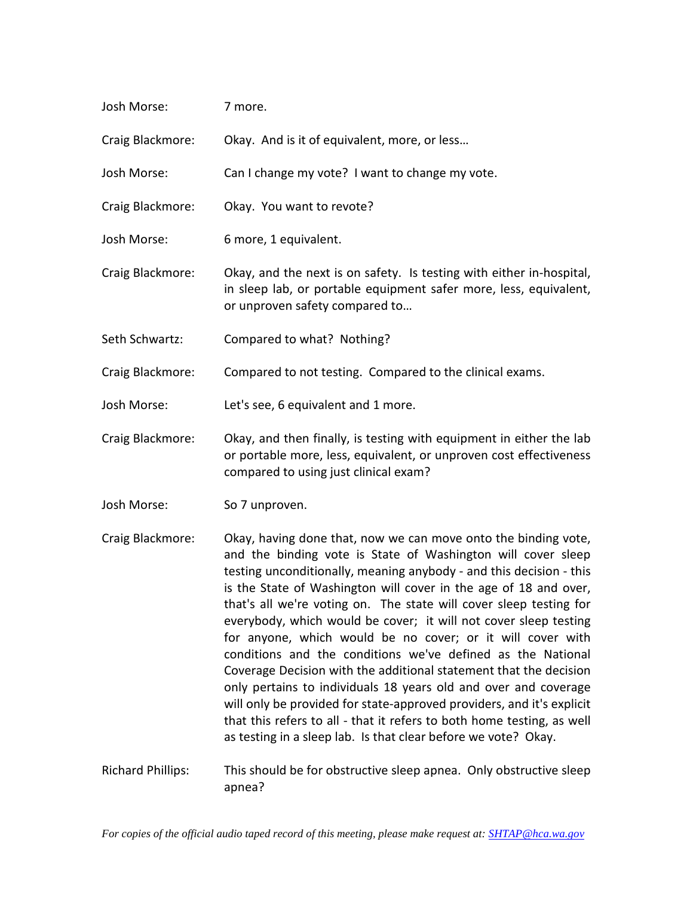| Josh Morse: | 7 more. |  |
|-------------|---------|--|
|             |         |  |

Craig Blackmore: Okay. And is it of equivalent, more, or less…

Josh Morse: Can I change my vote? I want to change my vote.

- Craig Blackmore: Okay. You want to revote?
- Josh Morse: 6 more, 1 equivalent.
- Craig Blackmore: Okay, and the next is on safety. Is testing with either in-hospital, in sleep lab, or portable equipment safer more, less, equivalent, or unproven safety compared to…
- Seth Schwartz: Compared to what? Nothing?

Craig Blackmore: Compared to not testing. Compared to the clinical exams.

Josh Morse: Let's see, 6 equivalent and 1 more.

- Craig Blackmore: Okay, and then finally, is testing with equipment in either the lab or portable more, less, equivalent, or unproven cost effectiveness compared to using just clinical exam?
- Josh Morse: So 7 unproven.
- Craig Blackmore: Okay, having done that, now we can move onto the binding vote, and the binding vote is State of Washington will cover sleep testing unconditionally, meaning anybody - and this decision - this is the State of Washington will cover in the age of 18 and over, that's all we're voting on. The state will cover sleep testing for everybody, which would be cover; it will not cover sleep testing for anyone, which would be no cover; or it will cover with conditions and the conditions we've defined as the National Coverage Decision with the additional statement that the decision only pertains to individuals 18 years old and over and coverage will only be provided for state-approved providers, and it's explicit that this refers to all - that it refers to both home testing, as well as testing in a sleep lab. Is that clear before we vote? Okay.
- Richard Phillips: This should be for obstructive sleep apnea. Only obstructive sleep apnea?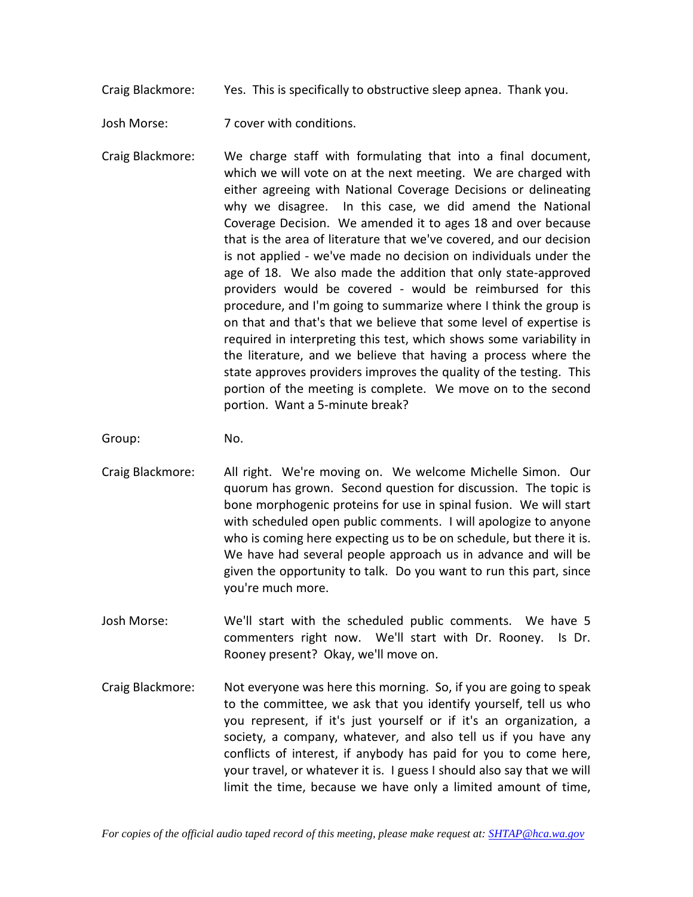Craig Blackmore: Yes. This is specifically to obstructive sleep apnea. Thank you.

Josh Morse: 7 cover with conditions.

Craig Blackmore: We charge staff with formulating that into a final document, which we will vote on at the next meeting. We are charged with either agreeing with National Coverage Decisions or delineating why we disagree. In this case, we did amend the National Coverage Decision. We amended it to ages 18 and over because that is the area of literature that we've covered, and our decision is not applied - we've made no decision on individuals under the age of 18. We also made the addition that only state-approved providers would be covered - would be reimbursed for this procedure, and I'm going to summarize where I think the group is on that and that's that we believe that some level of expertise is required in interpreting this test, which shows some variability in the literature, and we believe that having a process where the state approves providers improves the quality of the testing. This portion of the meeting is complete. We move on to the second portion. Want a 5-minute break?

Group: No.

- Craig Blackmore: All right. We're moving on. We welcome Michelle Simon. Our quorum has grown. Second question for discussion. The topic is bone morphogenic proteins for use in spinal fusion. We will start with scheduled open public comments. I will apologize to anyone who is coming here expecting us to be on schedule, but there it is. We have had several people approach us in advance and will be given the opportunity to talk. Do you want to run this part, since you're much more.
- Josh Morse: We'll start with the scheduled public comments. We have 5 commenters right now. We'll start with Dr. Rooney. Is Dr. Rooney present? Okay, we'll move on.
- Craig Blackmore: Not everyone was here this morning. So, if you are going to speak to the committee, we ask that you identify yourself, tell us who you represent, if it's just yourself or if it's an organization, a society, a company, whatever, and also tell us if you have any conflicts of interest, if anybody has paid for you to come here, your travel, or whatever it is. I guess I should also say that we will limit the time, because we have only a limited amount of time,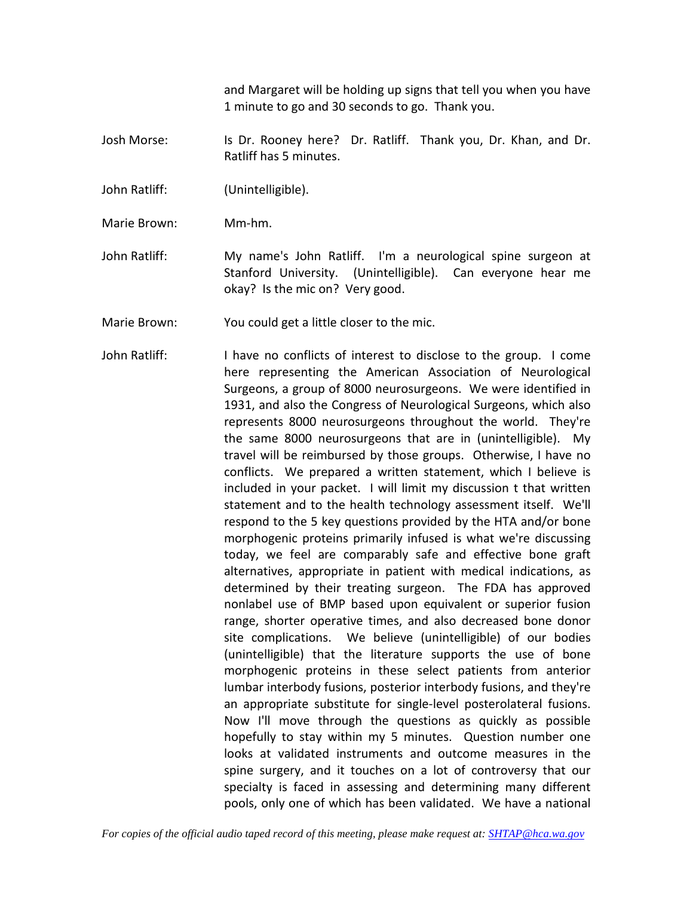and Margaret will be holding up signs that tell you when you have 1 minute to go and 30 seconds to go. Thank you.

- Josh Morse: Is Dr. Rooney here? Dr. Ratliff. Thank you, Dr. Khan, and Dr. Ratliff has 5 minutes.
- John Ratliff: (Unintelligible).
- Marie Brown: Mm-hm.
- John Ratliff: My name's John Ratliff. I'm a neurological spine surgeon at Stanford University. (Unintelligible). Can everyone hear me okay? Is the mic on? Very good.
- Marie Brown: You could get a little closer to the mic.
- John Ratliff: I have no conflicts of interest to disclose to the group. I come here representing the American Association of Neurological Surgeons, a group of 8000 neurosurgeons. We were identified in 1931, and also the Congress of Neurological Surgeons, which also represents 8000 neurosurgeons throughout the world. They're the same 8000 neurosurgeons that are in (unintelligible). My travel will be reimbursed by those groups. Otherwise, I have no conflicts. We prepared a written statement, which I believe is included in your packet. I will limit my discussion t that written statement and to the health technology assessment itself. We'll respond to the 5 key questions provided by the HTA and/or bone morphogenic proteins primarily infused is what we're discussing today, we feel are comparably safe and effective bone graft alternatives, appropriate in patient with medical indications, as determined by their treating surgeon. The FDA has approved nonlabel use of BMP based upon equivalent or superior fusion range, shorter operative times, and also decreased bone donor site complications. We believe (unintelligible) of our bodies (unintelligible) that the literature supports the use of bone morphogenic proteins in these select patients from anterior lumbar interbody fusions, posterior interbody fusions, and they're an appropriate substitute for single-level posterolateral fusions. Now I'll move through the questions as quickly as possible hopefully to stay within my 5 minutes. Question number one looks at validated instruments and outcome measures in the spine surgery, and it touches on a lot of controversy that our specialty is faced in assessing and determining many different pools, only one of which has been validated. We have a national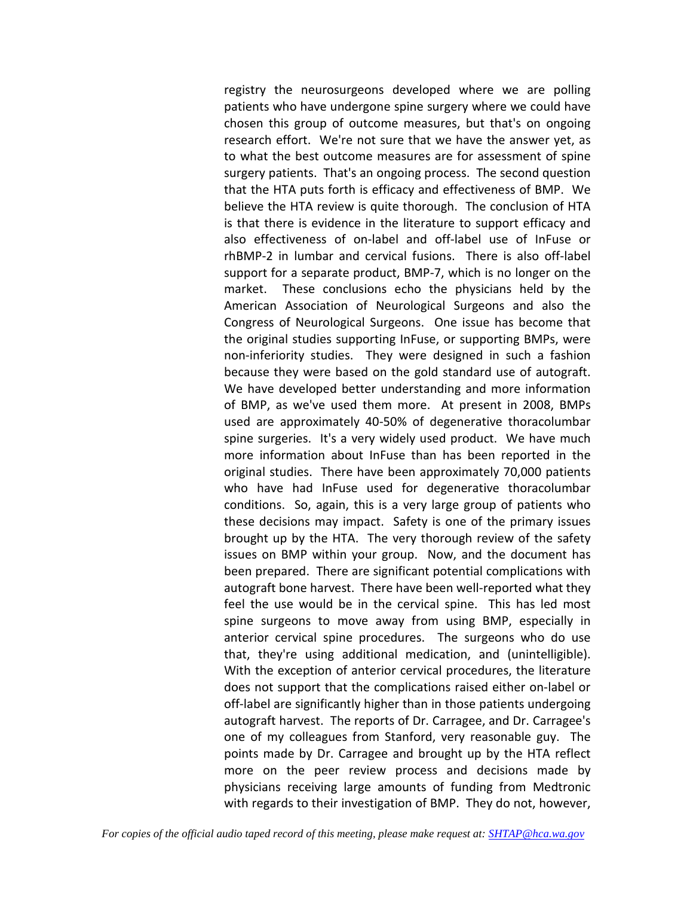registry the neurosurgeons developed where we are polling patients who have undergone spine surgery where we could have chosen this group of outcome measures, but that's on ongoing research effort. We're not sure that we have the answer yet, as to what the best outcome measures are for assessment of spine surgery patients. That's an ongoing process. The second question that the HTA puts forth is efficacy and effectiveness of BMP. We believe the HTA review is quite thorough. The conclusion of HTA is that there is evidence in the literature to support efficacy and also effectiveness of on-label and off-label use of InFuse or rhBMP-2 in lumbar and cervical fusions. There is also off-label support for a separate product, BMP-7, which is no longer on the market. These conclusions echo the physicians held by the American Association of Neurological Surgeons and also the Congress of Neurological Surgeons. One issue has become that the original studies supporting InFuse, or supporting BMPs, were non-inferiority studies. They were designed in such a fashion because they were based on the gold standard use of autograft. We have developed better understanding and more information of BMP, as we've used them more. At present in 2008, BMPs used are approximately 40-50% of degenerative thoracolumbar spine surgeries. It's a very widely used product. We have much more information about InFuse than has been reported in the original studies. There have been approximately 70,000 patients who have had InFuse used for degenerative thoracolumbar conditions. So, again, this is a very large group of patients who these decisions may impact. Safety is one of the primary issues brought up by the HTA. The very thorough review of the safety issues on BMP within your group. Now, and the document has been prepared. There are significant potential complications with autograft bone harvest. There have been well-reported what they feel the use would be in the cervical spine. This has led most spine surgeons to move away from using BMP, especially in anterior cervical spine procedures. The surgeons who do use that, they're using additional medication, and (unintelligible). With the exception of anterior cervical procedures, the literature does not support that the complications raised either on-label or off-label are significantly higher than in those patients undergoing autograft harvest. The reports of Dr. Carragee, and Dr. Carragee's one of my colleagues from Stanford, very reasonable guy. The points made by Dr. Carragee and brought up by the HTA reflect more on the peer review process and decisions made by physicians receiving large amounts of funding from Medtronic with regards to their investigation of BMP. They do not, however,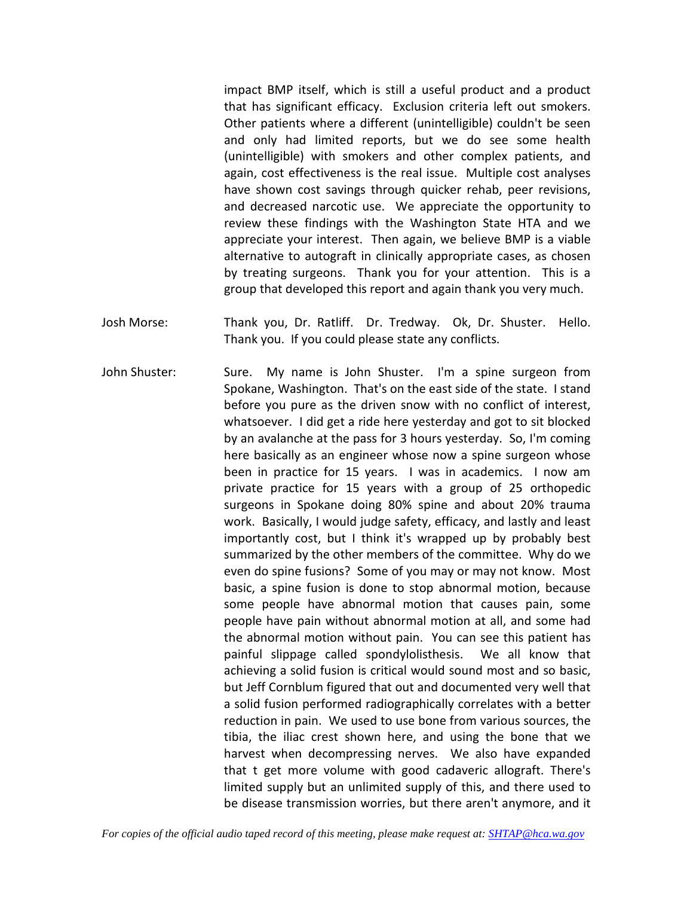impact BMP itself, which is still a useful product and a product that has significant efficacy. Exclusion criteria left out smokers. Other patients where a different (unintelligible) couldn't be seen and only had limited reports, but we do see some health (unintelligible) with smokers and other complex patients, and again, cost effectiveness is the real issue. Multiple cost analyses have shown cost savings through quicker rehab, peer revisions, and decreased narcotic use. We appreciate the opportunity to review these findings with the Washington State HTA and we appreciate your interest. Then again, we believe BMP is a viable alternative to autograft in clinically appropriate cases, as chosen by treating surgeons. Thank you for your attention. This is a group that developed this report and again thank you very much.

- Josh Morse: Thank you, Dr. Ratliff. Dr. Tredway. Ok, Dr. Shuster. Hello. Thank you. If you could please state any conflicts.
- John Shuster: Sure. My name is John Shuster. I'm a spine surgeon from Spokane, Washington. That's on the east side of the state. I stand before you pure as the driven snow with no conflict of interest, whatsoever. I did get a ride here yesterday and got to sit blocked by an avalanche at the pass for 3 hours yesterday. So, I'm coming here basically as an engineer whose now a spine surgeon whose been in practice for 15 years. I was in academics. I now am private practice for 15 years with a group of 25 orthopedic surgeons in Spokane doing 80% spine and about 20% trauma work. Basically, I would judge safety, efficacy, and lastly and least importantly cost, but I think it's wrapped up by probably best summarized by the other members of the committee. Why do we even do spine fusions? Some of you may or may not know. Most basic, a spine fusion is done to stop abnormal motion, because some people have abnormal motion that causes pain, some people have pain without abnormal motion at all, and some had the abnormal motion without pain. You can see this patient has painful slippage called spondylolisthesis. We all know that achieving a solid fusion is critical would sound most and so basic, but Jeff Cornblum figured that out and documented very well that a solid fusion performed radiographically correlates with a better reduction in pain. We used to use bone from various sources, the tibia, the iliac crest shown here, and using the bone that we harvest when decompressing nerves. We also have expanded that t get more volume with good cadaveric allograft. There's limited supply but an unlimited supply of this, and there used to be disease transmission worries, but there aren't anymore, and it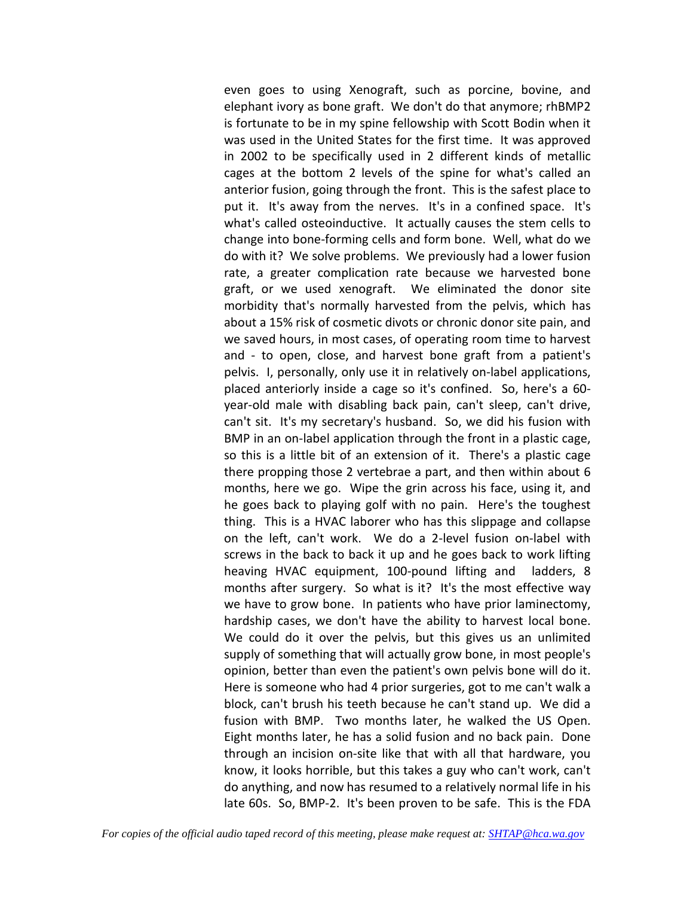even goes to using Xenograft, such as porcine, bovine, and elephant ivory as bone graft. We don't do that anymore; rhBMP2 is fortunate to be in my spine fellowship with Scott Bodin when it was used in the United States for the first time. It was approved in 2002 to be specifically used in 2 different kinds of metallic cages at the bottom 2 levels of the spine for what's called an anterior fusion, going through the front. This is the safest place to put it. It's away from the nerves. It's in a confined space. It's what's called osteoinductive. It actually causes the stem cells to change into bone-forming cells and form bone. Well, what do we do with it? We solve problems. We previously had a lower fusion rate, a greater complication rate because we harvested bone graft, or we used xenograft. We eliminated the donor site morbidity that's normally harvested from the pelvis, which has about a 15% risk of cosmetic divots or chronic donor site pain, and we saved hours, in most cases, of operating room time to harvest and - to open, close, and harvest bone graft from a patient's pelvis. I, personally, only use it in relatively on-label applications, placed anteriorly inside a cage so it's confined. So, here's a 60 year-old male with disabling back pain, can't sleep, can't drive, can't sit. It's my secretary's husband. So, we did his fusion with BMP in an on-label application through the front in a plastic cage, so this is a little bit of an extension of it. There's a plastic cage there propping those 2 vertebrae a part, and then within about 6 months, here we go. Wipe the grin across his face, using it, and he goes back to playing golf with no pain. Here's the toughest thing. This is a HVAC laborer who has this slippage and collapse on the left, can't work. We do a 2-level fusion on-label with screws in the back to back it up and he goes back to work lifting heaving HVAC equipment, 100-pound lifting and ladders, 8 months after surgery. So what is it? It's the most effective way we have to grow bone. In patients who have prior laminectomy, hardship cases, we don't have the ability to harvest local bone. We could do it over the pelvis, but this gives us an unlimited supply of something that will actually grow bone, in most people's opinion, better than even the patient's own pelvis bone will do it. Here is someone who had 4 prior surgeries, got to me can't walk a block, can't brush his teeth because he can't stand up. We did a fusion with BMP. Two months later, he walked the US Open. Eight months later, he has a solid fusion and no back pain. Done through an incision on-site like that with all that hardware, you know, it looks horrible, but this takes a guy who can't work, can't do anything, and now has resumed to a relatively normal life in his late 60s. So, BMP-2. It's been proven to be safe. This is the FDA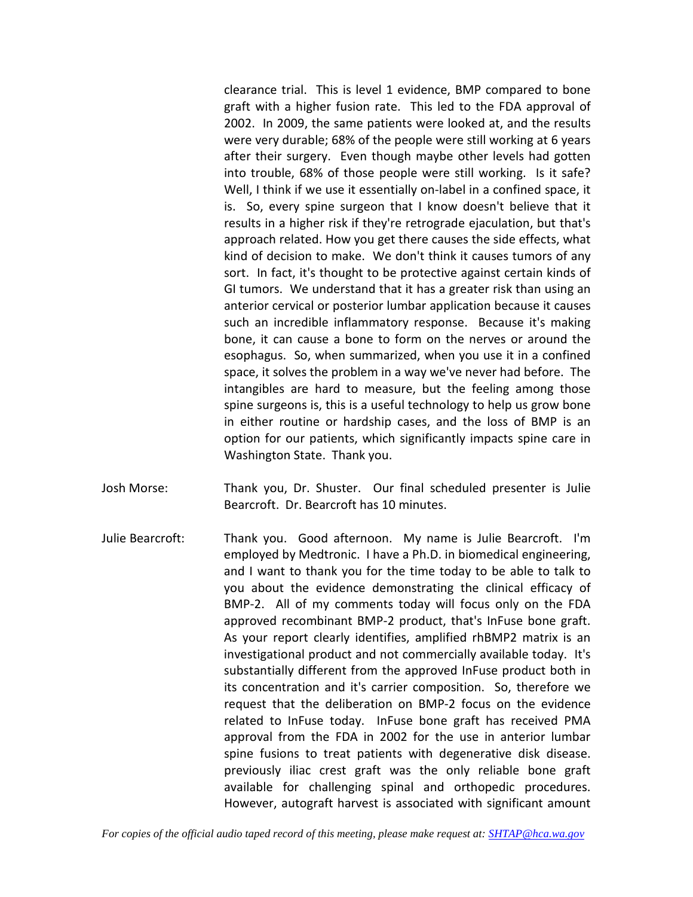clearance trial. This is level 1 evidence, BMP compared to bone graft with a higher fusion rate. This led to the FDA approval of 2002. In 2009, the same patients were looked at, and the results were very durable; 68% of the people were still working at 6 years after their surgery. Even though maybe other levels had gotten into trouble, 68% of those people were still working. Is it safe? Well, I think if we use it essentially on-label in a confined space, it is. So, every spine surgeon that I know doesn't believe that it results in a higher risk if they're retrograde ejaculation, but that's approach related. How you get there causes the side effects, what kind of decision to make. We don't think it causes tumors of any sort. In fact, it's thought to be protective against certain kinds of GI tumors. We understand that it has a greater risk than using an anterior cervical or posterior lumbar application because it causes such an incredible inflammatory response. Because it's making bone, it can cause a bone to form on the nerves or around the esophagus. So, when summarized, when you use it in a confined space, it solves the problem in a way we've never had before. The intangibles are hard to measure, but the feeling among those spine surgeons is, this is a useful technology to help us grow bone in either routine or hardship cases, and the loss of BMP is an option for our patients, which significantly impacts spine care in Washington State. Thank you.

- Josh Morse: Thank you, Dr. Shuster. Our final scheduled presenter is Julie Bearcroft. Dr. Bearcroft has 10 minutes.
- Julie Bearcroft: Thank you. Good afternoon. My name is Julie Bearcroft. I'm employed by Medtronic. I have a Ph.D. in biomedical engineering, and I want to thank you for the time today to be able to talk to you about the evidence demonstrating the clinical efficacy of BMP-2. All of my comments today will focus only on the FDA approved recombinant BMP-2 product, that's InFuse bone graft. As your report clearly identifies, amplified rhBMP2 matrix is an investigational product and not commercially available today. It's substantially different from the approved InFuse product both in its concentration and it's carrier composition. So, therefore we request that the deliberation on BMP-2 focus on the evidence related to InFuse today. InFuse bone graft has received PMA approval from the FDA in 2002 for the use in anterior lumbar spine fusions to treat patients with degenerative disk disease. previously iliac crest graft was the only reliable bone graft available for challenging spinal and orthopedic procedures. However, autograft harvest is associated with significant amount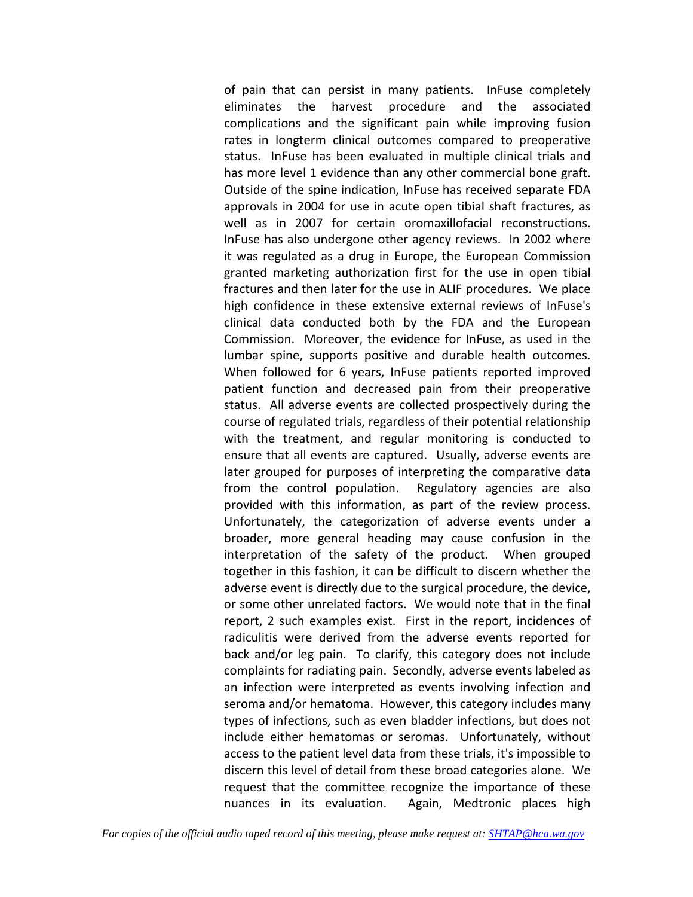of pain that can persist in many patients. InFuse completely eliminates the harvest procedure and the associated complications and the significant pain while improving fusion rates in longterm clinical outcomes compared to preoperative status. InFuse has been evaluated in multiple clinical trials and has more level 1 evidence than any other commercial bone graft. Outside of the spine indication, InFuse has received separate FDA approvals in 2004 for use in acute open tibial shaft fractures, as well as in 2007 for certain oromaxillofacial reconstructions. InFuse has also undergone other agency reviews. In 2002 where it was regulated as a drug in Europe, the European Commission granted marketing authorization first for the use in open tibial fractures and then later for the use in ALIF procedures. We place high confidence in these extensive external reviews of InFuse's clinical data conducted both by the FDA and the European Commission. Moreover, the evidence for InFuse, as used in the lumbar spine, supports positive and durable health outcomes. When followed for 6 years, InFuse patients reported improved patient function and decreased pain from their preoperative status. All adverse events are collected prospectively during the course of regulated trials, regardless of their potential relationship with the treatment, and regular monitoring is conducted to ensure that all events are captured. Usually, adverse events are later grouped for purposes of interpreting the comparative data from the control population. Regulatory agencies are also provided with this information, as part of the review process. Unfortunately, the categorization of adverse events under a broader, more general heading may cause confusion in the interpretation of the safety of the product. When grouped together in this fashion, it can be difficult to discern whether the adverse event is directly due to the surgical procedure, the device, or some other unrelated factors. We would note that in the final report, 2 such examples exist. First in the report, incidences of radiculitis were derived from the adverse events reported for back and/or leg pain. To clarify, this category does not include complaints for radiating pain. Secondly, adverse events labeled as an infection were interpreted as events involving infection and seroma and/or hematoma. However, this category includes many types of infections, such as even bladder infections, but does not include either hematomas or seromas. Unfortunately, without access to the patient level data from these trials, it's impossible to discern this level of detail from these broad categories alone. We request that the committee recognize the importance of these nuances in its evaluation. Again, Medtronic places high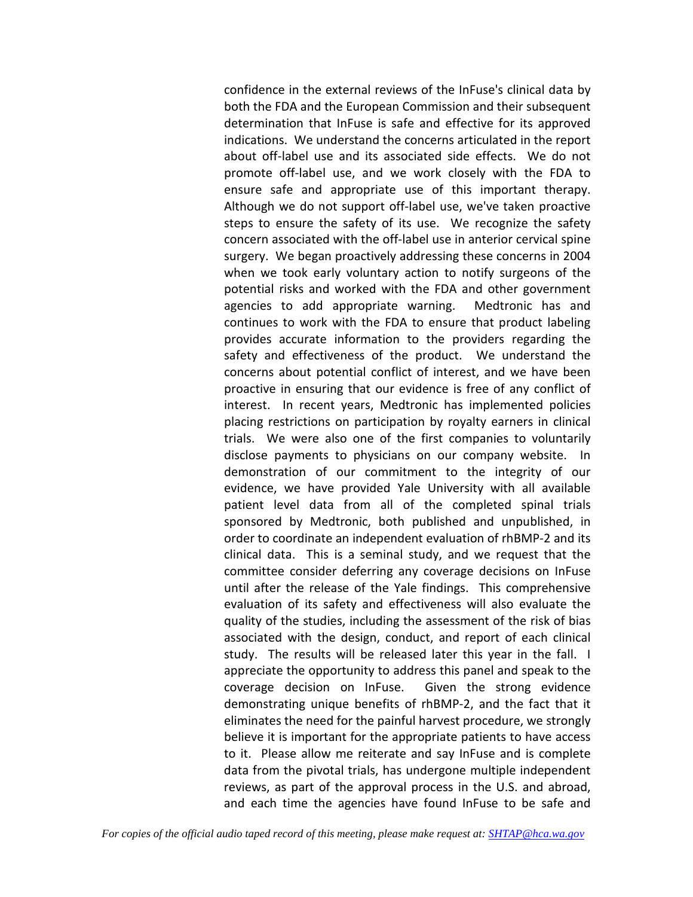confidence in the external reviews of the InFuse's clinical data by both the FDA and the European Commission and their subsequent determination that InFuse is safe and effective for its approved indications. We understand the concerns articulated in the report about off-label use and its associated side effects. We do not promote off-label use, and we work closely with the FDA to ensure safe and appropriate use of this important therapy. Although we do not support off-label use, we've taken proactive steps to ensure the safety of its use. We recognize the safety concern associated with the off-label use in anterior cervical spine surgery. We began proactively addressing these concerns in 2004 when we took early voluntary action to notify surgeons of the potential risks and worked with the FDA and other government agencies to add appropriate warning. Medtronic has and continues to work with the FDA to ensure that product labeling provides accurate information to the providers regarding the safety and effectiveness of the product. We understand the concerns about potential conflict of interest, and we have been proactive in ensuring that our evidence is free of any conflict of interest. In recent years, Medtronic has implemented policies placing restrictions on participation by royalty earners in clinical trials. We were also one of the first companies to voluntarily disclose payments to physicians on our company website. In demonstration of our commitment to the integrity of our evidence, we have provided Yale University with all available patient level data from all of the completed spinal trials sponsored by Medtronic, both published and unpublished, in order to coordinate an independent evaluation of rhBMP-2 and its clinical data. This is a seminal study, and we request that the committee consider deferring any coverage decisions on InFuse until after the release of the Yale findings. This comprehensive evaluation of its safety and effectiveness will also evaluate the quality of the studies, including the assessment of the risk of bias associated with the design, conduct, and report of each clinical study. The results will be released later this year in the fall. I appreciate the opportunity to address this panel and speak to the coverage decision on InFuse. Given the strong evidence demonstrating unique benefits of rhBMP-2, and the fact that it eliminates the need for the painful harvest procedure, we strongly believe it is important for the appropriate patients to have access to it. Please allow me reiterate and say InFuse and is complete data from the pivotal trials, has undergone multiple independent reviews, as part of the approval process in the U.S. and abroad, and each time the agencies have found InFuse to be safe and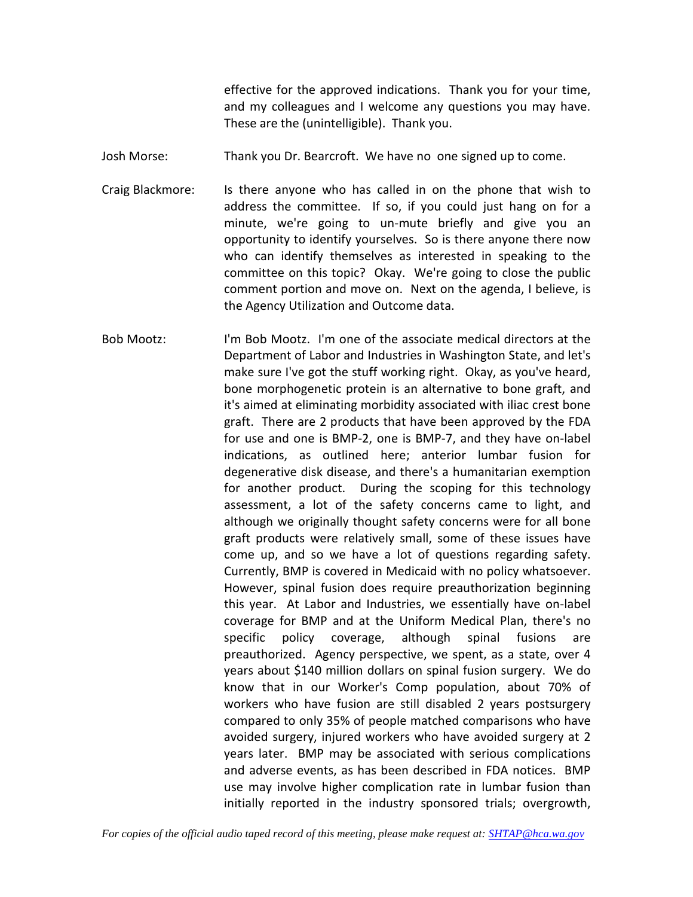effective for the approved indications. Thank you for your time, and my colleagues and I welcome any questions you may have. These are the (unintelligible). Thank you.

Josh Morse: Thank you Dr. Bearcroft. We have no one signed up to come.

Craig Blackmore: Is there anyone who has called in on the phone that wish to address the committee. If so, if you could just hang on for a minute, we're going to un-mute briefly and give you an opportunity to identify yourselves. So is there anyone there now who can identify themselves as interested in speaking to the committee on this topic? Okay. We're going to close the public comment portion and move on. Next on the agenda, I believe, is the Agency Utilization and Outcome data.

Bob Mootz: I'm Bob Mootz. I'm one of the associate medical directors at the Department of Labor and Industries in Washington State, and let's make sure I've got the stuff working right. Okay, as you've heard, bone morphogenetic protein is an alternative to bone graft, and it's aimed at eliminating morbidity associated with iliac crest bone graft. There are 2 products that have been approved by the FDA for use and one is BMP-2, one is BMP-7, and they have on-label indications, as outlined here; anterior lumbar fusion for degenerative disk disease, and there's a humanitarian exemption for another product. During the scoping for this technology assessment, a lot of the safety concerns came to light, and although we originally thought safety concerns were for all bone graft products were relatively small, some of these issues have come up, and so we have a lot of questions regarding safety. Currently, BMP is covered in Medicaid with no policy whatsoever. However, spinal fusion does require preauthorization beginning this year. At Labor and Industries, we essentially have on-label coverage for BMP and at the Uniform Medical Plan, there's no specific policy coverage, although spinal fusions are preauthorized. Agency perspective, we spent, as a state, over 4 years about \$140 million dollars on spinal fusion surgery. We do know that in our Worker's Comp population, about 70% of workers who have fusion are still disabled 2 years postsurgery compared to only 35% of people matched comparisons who have avoided surgery, injured workers who have avoided surgery at 2 years later. BMP may be associated with serious complications and adverse events, as has been described in FDA notices. BMP use may involve higher complication rate in lumbar fusion than initially reported in the industry sponsored trials; overgrowth,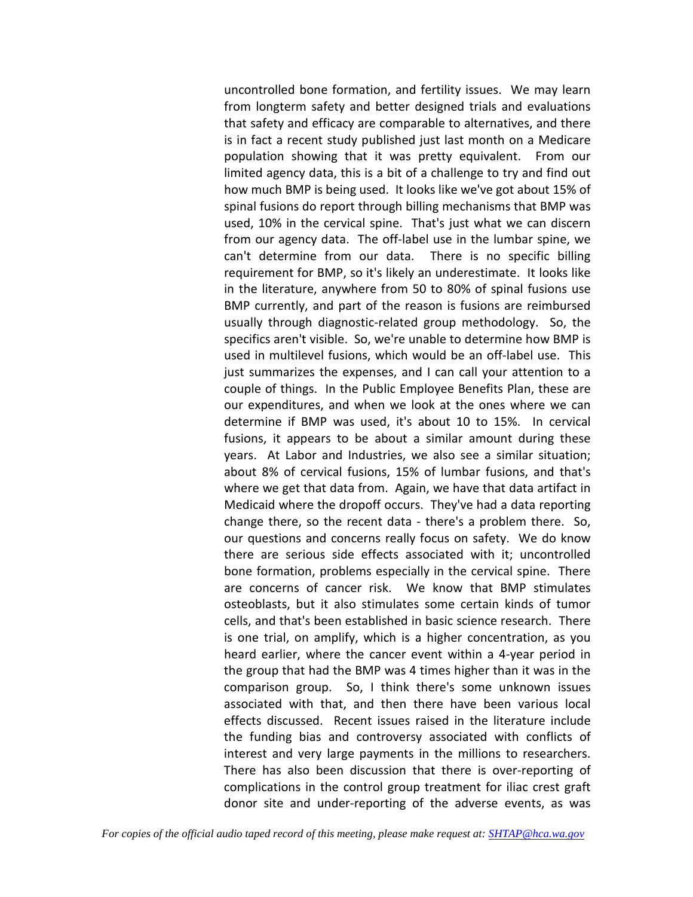uncontrolled bone formation, and fertility issues. We may learn from longterm safety and better designed trials and evaluations that safety and efficacy are comparable to alternatives, and there is in fact a recent study published just last month on a Medicare population showing that it was pretty equivalent. From our limited agency data, this is a bit of a challenge to try and find out how much BMP is being used. It looks like we've got about 15% of spinal fusions do report through billing mechanisms that BMP was used, 10% in the cervical spine. That's just what we can discern from our agency data. The off-label use in the lumbar spine, we can't determine from our data. There is no specific billing requirement for BMP, so it's likely an underestimate. It looks like in the literature, anywhere from 50 to 80% of spinal fusions use BMP currently, and part of the reason is fusions are reimbursed usually through diagnostic-related group methodology. So, the specifics aren't visible. So, we're unable to determine how BMP is used in multilevel fusions, which would be an off-label use. This just summarizes the expenses, and I can call your attention to a couple of things. In the Public Employee Benefits Plan, these are our expenditures, and when we look at the ones where we can determine if BMP was used, it's about 10 to 15%. In cervical fusions, it appears to be about a similar amount during these years. At Labor and Industries, we also see a similar situation; about 8% of cervical fusions, 15% of lumbar fusions, and that's where we get that data from. Again, we have that data artifact in Medicaid where the dropoff occurs. They've had a data reporting change there, so the recent data - there's a problem there. So, our questions and concerns really focus on safety. We do know there are serious side effects associated with it; uncontrolled bone formation, problems especially in the cervical spine. There are concerns of cancer risk. We know that BMP stimulates osteoblasts, but it also stimulates some certain kinds of tumor cells, and that's been established in basic science research. There is one trial, on amplify, which is a higher concentration, as you heard earlier, where the cancer event within a 4-year period in the group that had the BMP was 4 times higher than it was in the comparison group. So, I think there's some unknown issues associated with that, and then there have been various local effects discussed. Recent issues raised in the literature include the funding bias and controversy associated with conflicts of interest and very large payments in the millions to researchers. There has also been discussion that there is over-reporting of complications in the control group treatment for iliac crest graft donor site and under-reporting of the adverse events, as was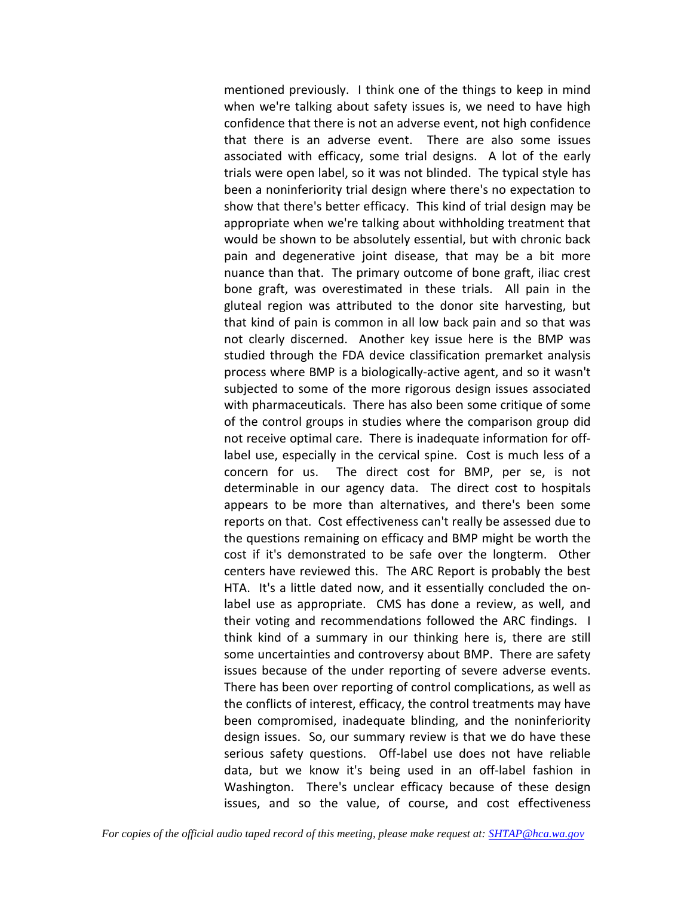mentioned previously. I think one of the things to keep in mind when we're talking about safety issues is, we need to have high confidence that there is not an adverse event, not high confidence that there is an adverse event. There are also some issues associated with efficacy, some trial designs. A lot of the early trials were open label, so it was not blinded. The typical style has been a noninferiority trial design where there's no expectation to show that there's better efficacy. This kind of trial design may be appropriate when we're talking about withholding treatment that would be shown to be absolutely essential, but with chronic back pain and degenerative joint disease, that may be a bit more nuance than that. The primary outcome of bone graft, iliac crest bone graft, was overestimated in these trials. All pain in the gluteal region was attributed to the donor site harvesting, but that kind of pain is common in all low back pain and so that was not clearly discerned. Another key issue here is the BMP was studied through the FDA device classification premarket analysis process where BMP is a biologically-active agent, and so it wasn't subjected to some of the more rigorous design issues associated with pharmaceuticals. There has also been some critique of some of the control groups in studies where the comparison group did not receive optimal care. There is inadequate information for offlabel use, especially in the cervical spine. Cost is much less of a concern for us. The direct cost for BMP, per se, is not determinable in our agency data. The direct cost to hospitals appears to be more than alternatives, and there's been some reports on that. Cost effectiveness can't really be assessed due to the questions remaining on efficacy and BMP might be worth the cost if it's demonstrated to be safe over the longterm. Other centers have reviewed this. The ARC Report is probably the best HTA. It's a little dated now, and it essentially concluded the onlabel use as appropriate. CMS has done a review, as well, and their voting and recommendations followed the ARC findings. I think kind of a summary in our thinking here is, there are still some uncertainties and controversy about BMP. There are safety issues because of the under reporting of severe adverse events. There has been over reporting of control complications, as well as the conflicts of interest, efficacy, the control treatments may have been compromised, inadequate blinding, and the noninferiority design issues. So, our summary review is that we do have these serious safety questions. Off-label use does not have reliable data, but we know it's being used in an off-label fashion in Washington. There's unclear efficacy because of these design issues, and so the value, of course, and cost effectiveness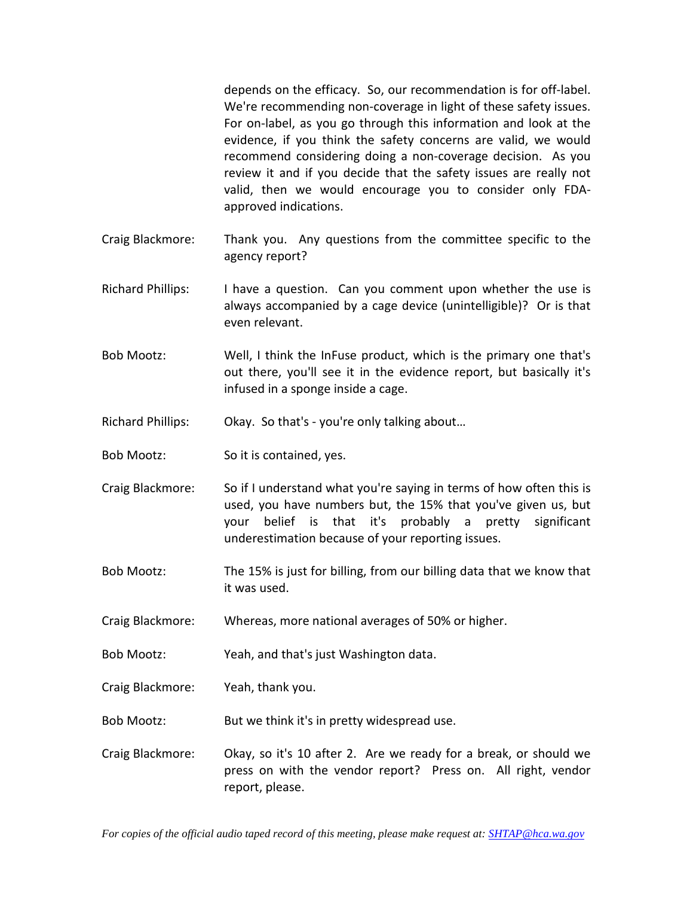depends on the efficacy. So, our recommendation is for off-label. We're recommending non-coverage in light of these safety issues. For on-label, as you go through this information and look at the evidence, if you think the safety concerns are valid, we would recommend considering doing a non-coverage decision. As you review it and if you decide that the safety issues are really not valid, then we would encourage you to consider only FDAapproved indications.

- Craig Blackmore: Thank you. Any questions from the committee specific to the agency report?
- Richard Phillips: I have a question. Can you comment upon whether the use is always accompanied by a cage device (unintelligible)? Or is that even relevant.
- Bob Mootz: Well, I think the InFuse product, which is the primary one that's out there, you'll see it in the evidence report, but basically it's infused in a sponge inside a cage.
- Richard Phillips: Okay. So that's you're only talking about…
- Bob Mootz: So it is contained, yes.
- Craig Blackmore: So if I understand what you're saying in terms of how often this is used, you have numbers but, the 15% that you've given us, but your belief is that it's probably a pretty significant underestimation because of your reporting issues.
- Bob Mootz: The 15% is just for billing, from our billing data that we know that it was used.
- Craig Blackmore: Whereas, more national averages of 50% or higher.
- Bob Mootz: Yeah, and that's just Washington data.
- Craig Blackmore: Yeah, thank you.
- Bob Mootz: But we think it's in pretty widespread use.
- Craig Blackmore: Okay, so it's 10 after 2. Are we ready for a break, or should we press on with the vendor report? Press on. All right, vendor report, please.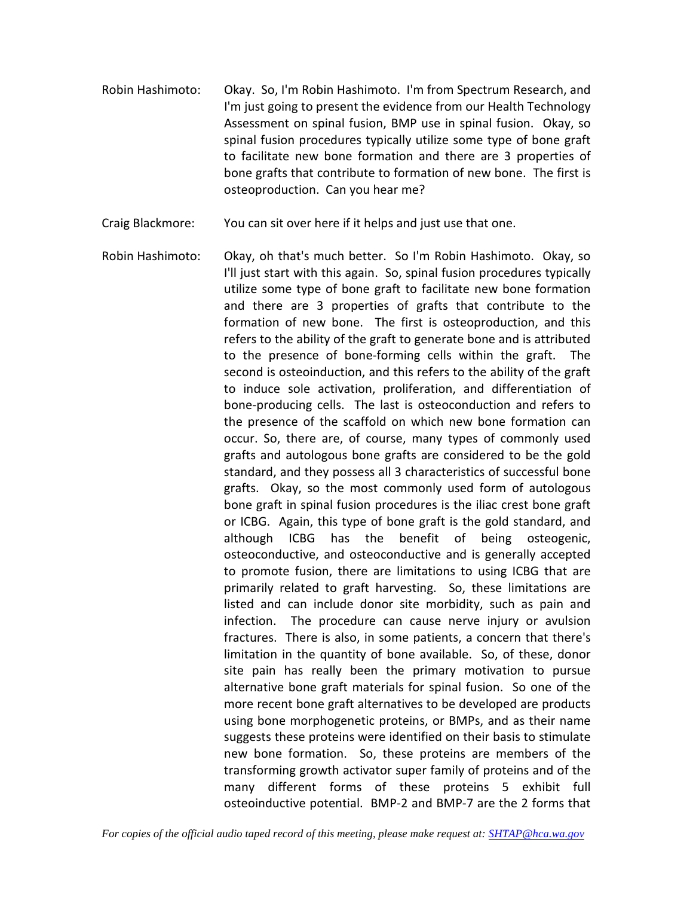- Robin Hashimoto: Okay. So, I'm Robin Hashimoto. I'm from Spectrum Research, and I'm just going to present the evidence from our Health Technology Assessment on spinal fusion, BMP use in spinal fusion. Okay, so spinal fusion procedures typically utilize some type of bone graft to facilitate new bone formation and there are 3 properties of bone grafts that contribute to formation of new bone. The first is osteoproduction. Can you hear me?
- Craig Blackmore: You can sit over here if it helps and just use that one.
- Robin Hashimoto: Okay, oh that's much better. So I'm Robin Hashimoto. Okay, so I'll just start with this again. So, spinal fusion procedures typically utilize some type of bone graft to facilitate new bone formation and there are 3 properties of grafts that contribute to the formation of new bone. The first is osteoproduction, and this refers to the ability of the graft to generate bone and is attributed to the presence of bone-forming cells within the graft. The second is osteoinduction, and this refers to the ability of the graft to induce sole activation, proliferation, and differentiation of bone-producing cells. The last is osteoconduction and refers to the presence of the scaffold on which new bone formation can occur. So, there are, of course, many types of commonly used grafts and autologous bone grafts are considered to be the gold standard, and they possess all 3 characteristics of successful bone grafts. Okay, so the most commonly used form of autologous bone graft in spinal fusion procedures is the iliac crest bone graft or ICBG. Again, this type of bone graft is the gold standard, and although ICBG has the benefit of being osteogenic, osteoconductive, and osteoconductive and is generally accepted to promote fusion, there are limitations to using ICBG that are primarily related to graft harvesting. So, these limitations are listed and can include donor site morbidity, such as pain and infection. The procedure can cause nerve injury or avulsion fractures. There is also, in some patients, a concern that there's limitation in the quantity of bone available. So, of these, donor site pain has really been the primary motivation to pursue alternative bone graft materials for spinal fusion. So one of the more recent bone graft alternatives to be developed are products using bone morphogenetic proteins, or BMPs, and as their name suggests these proteins were identified on their basis to stimulate new bone formation. So, these proteins are members of the transforming growth activator super family of proteins and of the many different forms of these proteins 5 exhibit full osteoinductive potential. BMP-2 and BMP-7 are the 2 forms that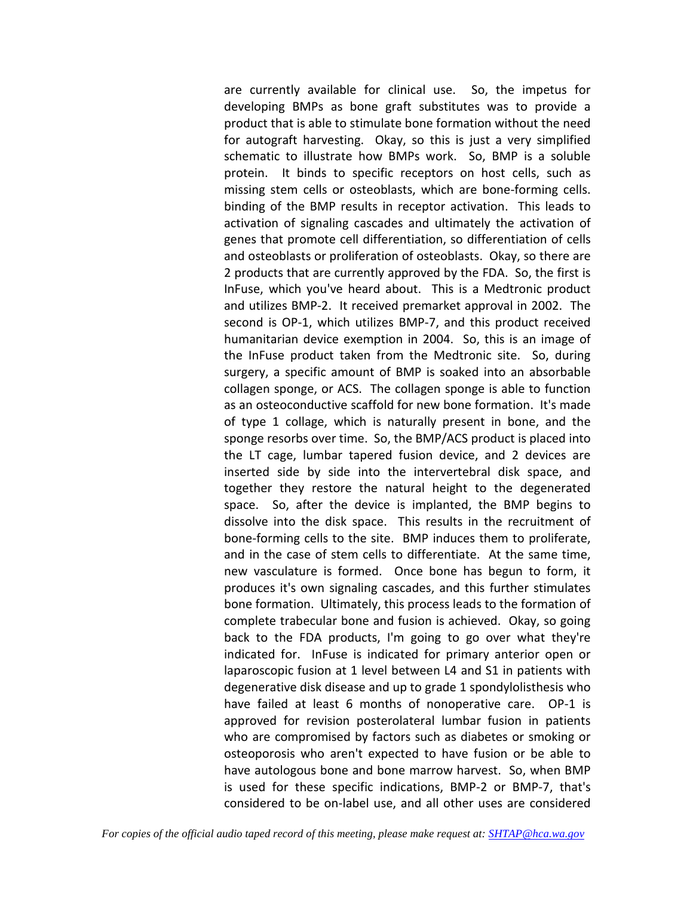are currently available for clinical use. So, the impetus for developing BMPs as bone graft substitutes was to provide a product that is able to stimulate bone formation without the need for autograft harvesting. Okay, so this is just a very simplified schematic to illustrate how BMPs work. So, BMP is a soluble protein. It binds to specific receptors on host cells, such as missing stem cells or osteoblasts, which are bone-forming cells. binding of the BMP results in receptor activation. This leads to activation of signaling cascades and ultimately the activation of genes that promote cell differentiation, so differentiation of cells and osteoblasts or proliferation of osteoblasts. Okay, so there are 2 products that are currently approved by the FDA. So, the first is InFuse, which you've heard about. This is a Medtronic product and utilizes BMP-2. It received premarket approval in 2002. The second is OP-1, which utilizes BMP-7, and this product received humanitarian device exemption in 2004. So, this is an image of the InFuse product taken from the Medtronic site. So, during surgery, a specific amount of BMP is soaked into an absorbable collagen sponge, or ACS. The collagen sponge is able to function as an osteoconductive scaffold for new bone formation. It's made of type 1 collage, which is naturally present in bone, and the sponge resorbs over time. So, the BMP/ACS product is placed into the LT cage, lumbar tapered fusion device, and 2 devices are inserted side by side into the intervertebral disk space, and together they restore the natural height to the degenerated space. So, after the device is implanted, the BMP begins to dissolve into the disk space. This results in the recruitment of bone-forming cells to the site. BMP induces them to proliferate, and in the case of stem cells to differentiate. At the same time, new vasculature is formed. Once bone has begun to form, it produces it's own signaling cascades, and this further stimulates bone formation. Ultimately, this process leads to the formation of complete trabecular bone and fusion is achieved. Okay, so going back to the FDA products, I'm going to go over what they're indicated for. InFuse is indicated for primary anterior open or laparoscopic fusion at 1 level between L4 and S1 in patients with degenerative disk disease and up to grade 1 spondylolisthesis who have failed at least 6 months of nonoperative care. OP-1 is approved for revision posterolateral lumbar fusion in patients who are compromised by factors such as diabetes or smoking or osteoporosis who aren't expected to have fusion or be able to have autologous bone and bone marrow harvest. So, when BMP is used for these specific indications, BMP-2 or BMP-7, that's considered to be on-label use, and all other uses are considered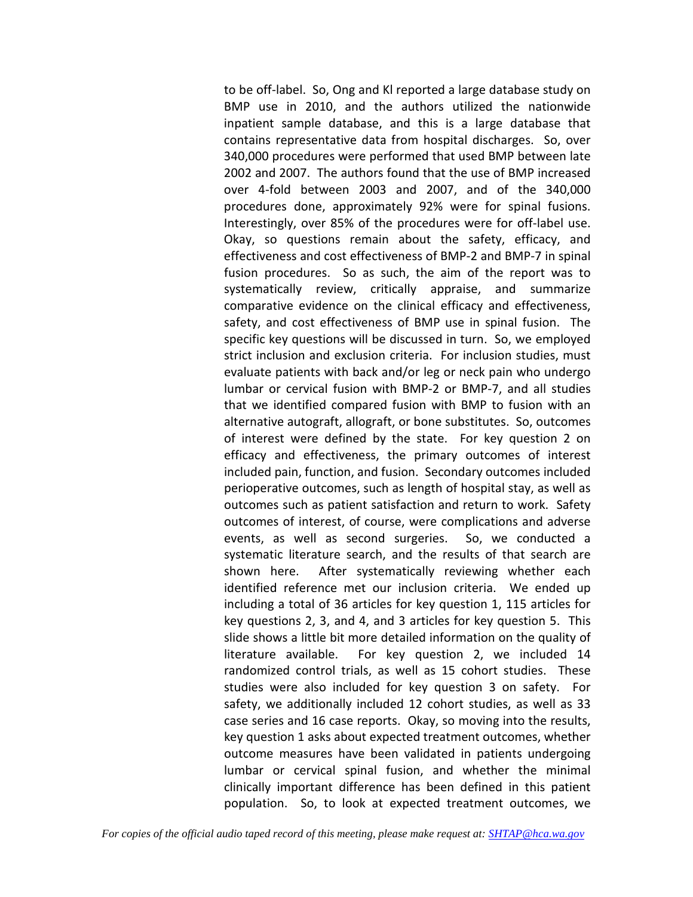to be off-label. So, Ong and Kl reported a large database study on BMP use in 2010, and the authors utilized the nationwide inpatient sample database, and this is a large database that contains representative data from hospital discharges. So, over 340,000 procedures were performed that used BMP between late 2002 and 2007. The authors found that the use of BMP increased over 4-fold between 2003 and 2007, and of the 340,000 procedures done, approximately 92% were for spinal fusions. Interestingly, over 85% of the procedures were for off-label use. Okay, so questions remain about the safety, efficacy, and effectiveness and cost effectiveness of BMP-2 and BMP-7 in spinal fusion procedures. So as such, the aim of the report was to systematically review, critically appraise, and summarize comparative evidence on the clinical efficacy and effectiveness, safety, and cost effectiveness of BMP use in spinal fusion. The specific key questions will be discussed in turn. So, we employed strict inclusion and exclusion criteria. For inclusion studies, must evaluate patients with back and/or leg or neck pain who undergo lumbar or cervical fusion with BMP-2 or BMP-7, and all studies that we identified compared fusion with BMP to fusion with an alternative autograft, allograft, or bone substitutes. So, outcomes of interest were defined by the state. For key question 2 on efficacy and effectiveness, the primary outcomes of interest included pain, function, and fusion. Secondary outcomes included perioperative outcomes, such as length of hospital stay, as well as outcomes such as patient satisfaction and return to work. Safety outcomes of interest, of course, were complications and adverse events, as well as second surgeries. So, we conducted a systematic literature search, and the results of that search are shown here. After systematically reviewing whether each identified reference met our inclusion criteria. We ended up including a total of 36 articles for key question 1, 115 articles for key questions 2, 3, and 4, and 3 articles for key question 5. This slide shows a little bit more detailed information on the quality of literature available. For key question 2, we included 14 randomized control trials, as well as 15 cohort studies. These studies were also included for key question 3 on safety. For safety, we additionally included 12 cohort studies, as well as 33 case series and 16 case reports. Okay, so moving into the results, key question 1 asks about expected treatment outcomes, whether outcome measures have been validated in patients undergoing lumbar or cervical spinal fusion, and whether the minimal clinically important difference has been defined in this patient population. So, to look at expected treatment outcomes, we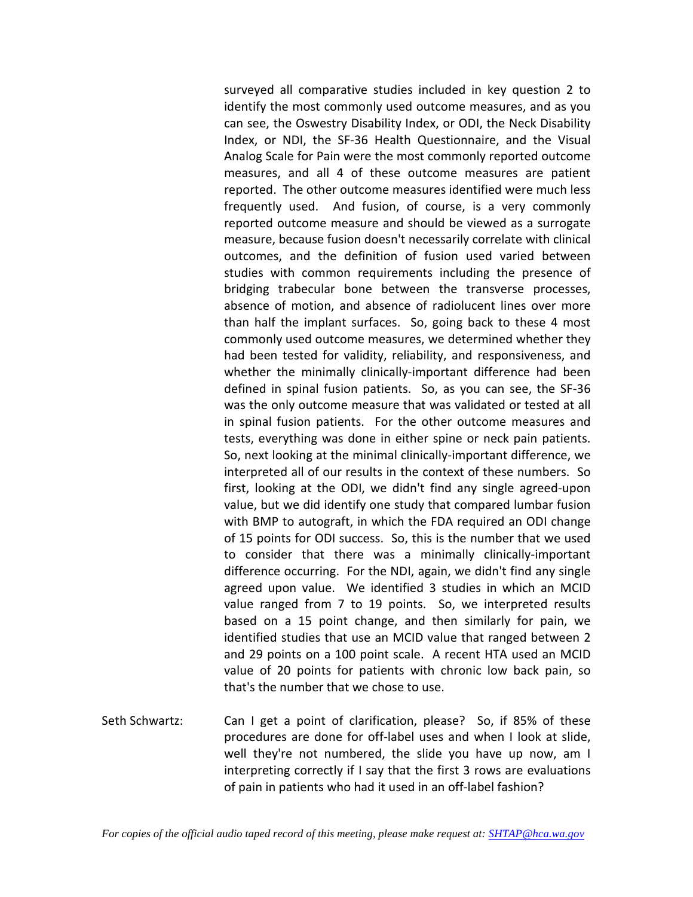surveyed all comparative studies included in key question 2 to identify the most commonly used outcome measures, and as you can see, the Oswestry Disability Index, or ODI, the Neck Disability Index, or NDI, the SF-36 Health Questionnaire, and the Visual Analog Scale for Pain were the most commonly reported outcome measures, and all 4 of these outcome measures are patient reported. The other outcome measures identified were much less frequently used. And fusion, of course, is a very commonly reported outcome measure and should be viewed as a surrogate measure, because fusion doesn't necessarily correlate with clinical outcomes, and the definition of fusion used varied between studies with common requirements including the presence of bridging trabecular bone between the transverse processes, absence of motion, and absence of radiolucent lines over more than half the implant surfaces. So, going back to these 4 most commonly used outcome measures, we determined whether they had been tested for validity, reliability, and responsiveness, and whether the minimally clinically-important difference had been defined in spinal fusion patients. So, as you can see, the SF-36 was the only outcome measure that was validated or tested at all in spinal fusion patients. For the other outcome measures and tests, everything was done in either spine or neck pain patients. So, next looking at the minimal clinically-important difference, we interpreted all of our results in the context of these numbers. So first, looking at the ODI, we didn't find any single agreed-upon value, but we did identify one study that compared lumbar fusion with BMP to autograft, in which the FDA required an ODI change of 15 points for ODI success. So, this is the number that we used to consider that there was a minimally clinically-important difference occurring. For the NDI, again, we didn't find any single agreed upon value. We identified 3 studies in which an MCID value ranged from 7 to 19 points. So, we interpreted results based on a 15 point change, and then similarly for pain, we identified studies that use an MCID value that ranged between 2 and 29 points on a 100 point scale. A recent HTA used an MCID value of 20 points for patients with chronic low back pain, so that's the number that we chose to use.

Seth Schwartz: Can I get a point of clarification, please? So, if 85% of these procedures are done for off-label uses and when I look at slide, well they're not numbered, the slide you have up now, am I interpreting correctly if I say that the first 3 rows are evaluations of pain in patients who had it used in an off-label fashion?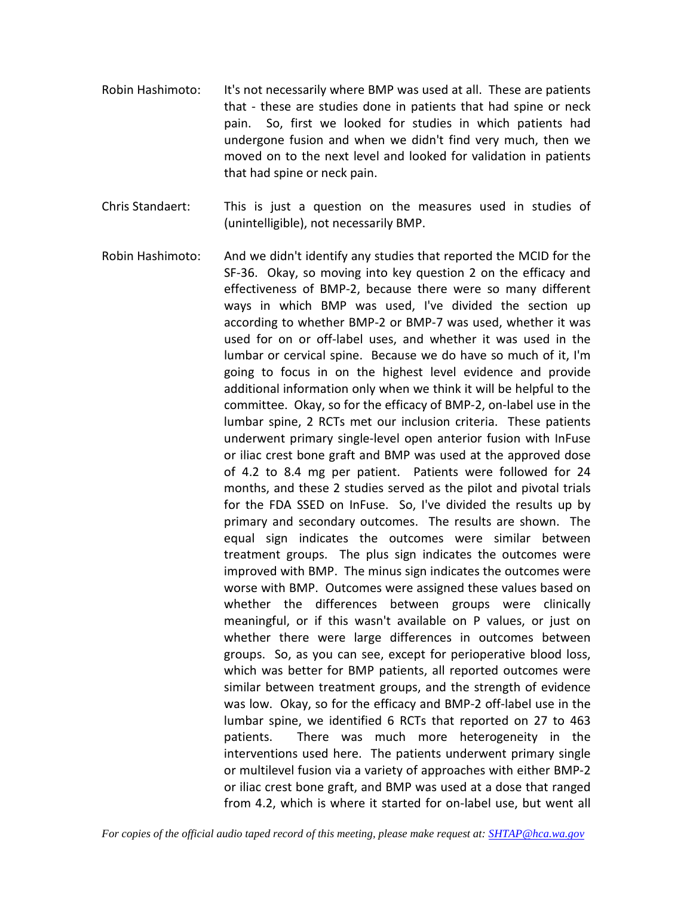- Robin Hashimoto: It's not necessarily where BMP was used at all. These are patients that - these are studies done in patients that had spine or neck pain. So, first we looked for studies in which patients had undergone fusion and when we didn't find very much, then we moved on to the next level and looked for validation in patients that had spine or neck pain.
- Chris Standaert: This is just a question on the measures used in studies of (unintelligible), not necessarily BMP.
- Robin Hashimoto: And we didn't identify any studies that reported the MCID for the SF-36. Okay, so moving into key question 2 on the efficacy and effectiveness of BMP-2, because there were so many different ways in which BMP was used, I've divided the section up according to whether BMP-2 or BMP-7 was used, whether it was used for on or off-label uses, and whether it was used in the lumbar or cervical spine. Because we do have so much of it, I'm going to focus in on the highest level evidence and provide additional information only when we think it will be helpful to the committee. Okay, so for the efficacy of BMP-2, on-label use in the lumbar spine, 2 RCTs met our inclusion criteria. These patients underwent primary single-level open anterior fusion with InFuse or iliac crest bone graft and BMP was used at the approved dose of 4.2 to 8.4 mg per patient. Patients were followed for 24 months, and these 2 studies served as the pilot and pivotal trials for the FDA SSED on InFuse. So, I've divided the results up by primary and secondary outcomes. The results are shown. The equal sign indicates the outcomes were similar between treatment groups. The plus sign indicates the outcomes were improved with BMP. The minus sign indicates the outcomes were worse with BMP. Outcomes were assigned these values based on whether the differences between groups were clinically meaningful, or if this wasn't available on P values, or just on whether there were large differences in outcomes between groups. So, as you can see, except for perioperative blood loss, which was better for BMP patients, all reported outcomes were similar between treatment groups, and the strength of evidence was low. Okay, so for the efficacy and BMP-2 off-label use in the lumbar spine, we identified 6 RCTs that reported on 27 to 463 patients. There was much more heterogeneity in the interventions used here. The patients underwent primary single or multilevel fusion via a variety of approaches with either BMP-2 or iliac crest bone graft, and BMP was used at a dose that ranged from 4.2, which is where it started for on-label use, but went all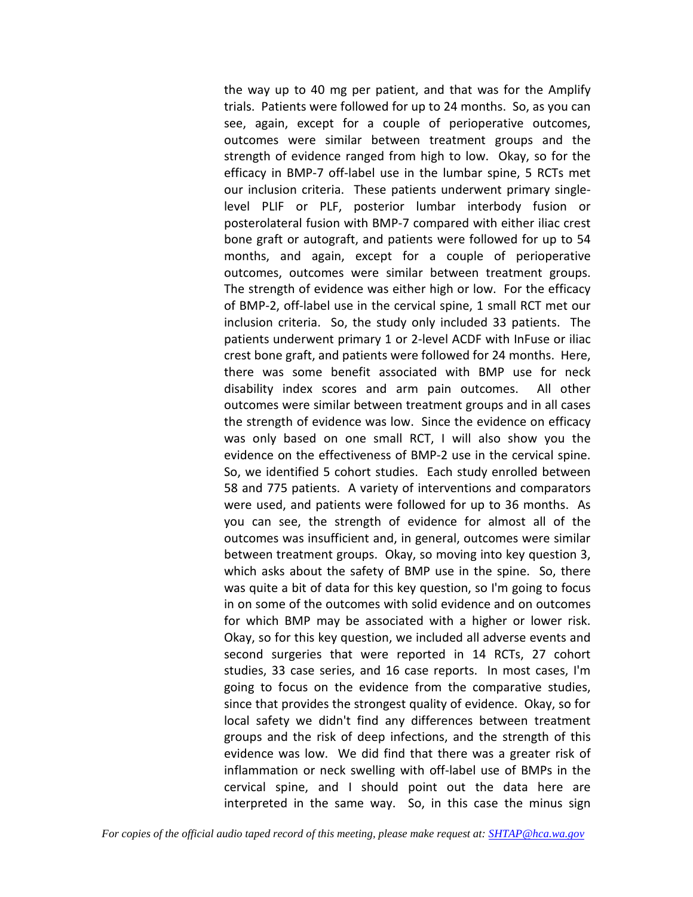the way up to 40 mg per patient, and that was for the Amplify trials. Patients were followed for up to 24 months. So, as you can see, again, except for a couple of perioperative outcomes, outcomes were similar between treatment groups and the strength of evidence ranged from high to low. Okay, so for the efficacy in BMP-7 off-label use in the lumbar spine, 5 RCTs met our inclusion criteria. These patients underwent primary singlelevel PLIF or PLF, posterior lumbar interbody fusion or posterolateral fusion with BMP-7 compared with either iliac crest bone graft or autograft, and patients were followed for up to 54 months, and again, except for a couple of perioperative outcomes, outcomes were similar between treatment groups. The strength of evidence was either high or low. For the efficacy of BMP-2, off-label use in the cervical spine, 1 small RCT met our inclusion criteria. So, the study only included 33 patients. The patients underwent primary 1 or 2-level ACDF with InFuse or iliac crest bone graft, and patients were followed for 24 months. Here, there was some benefit associated with BMP use for neck disability index scores and arm pain outcomes. All other outcomes were similar between treatment groups and in all cases the strength of evidence was low. Since the evidence on efficacy was only based on one small RCT, I will also show you the evidence on the effectiveness of BMP-2 use in the cervical spine. So, we identified 5 cohort studies. Each study enrolled between 58 and 775 patients. A variety of interventions and comparators were used, and patients were followed for up to 36 months. As you can see, the strength of evidence for almost all of the outcomes was insufficient and, in general, outcomes were similar between treatment groups. Okay, so moving into key question 3, which asks about the safety of BMP use in the spine. So, there was quite a bit of data for this key question, so I'm going to focus in on some of the outcomes with solid evidence and on outcomes for which BMP may be associated with a higher or lower risk. Okay, so for this key question, we included all adverse events and second surgeries that were reported in 14 RCTs, 27 cohort studies, 33 case series, and 16 case reports. In most cases, I'm going to focus on the evidence from the comparative studies, since that provides the strongest quality of evidence. Okay, so for local safety we didn't find any differences between treatment groups and the risk of deep infections, and the strength of this evidence was low. We did find that there was a greater risk of inflammation or neck swelling with off-label use of BMPs in the cervical spine, and I should point out the data here are interpreted in the same way. So, in this case the minus sign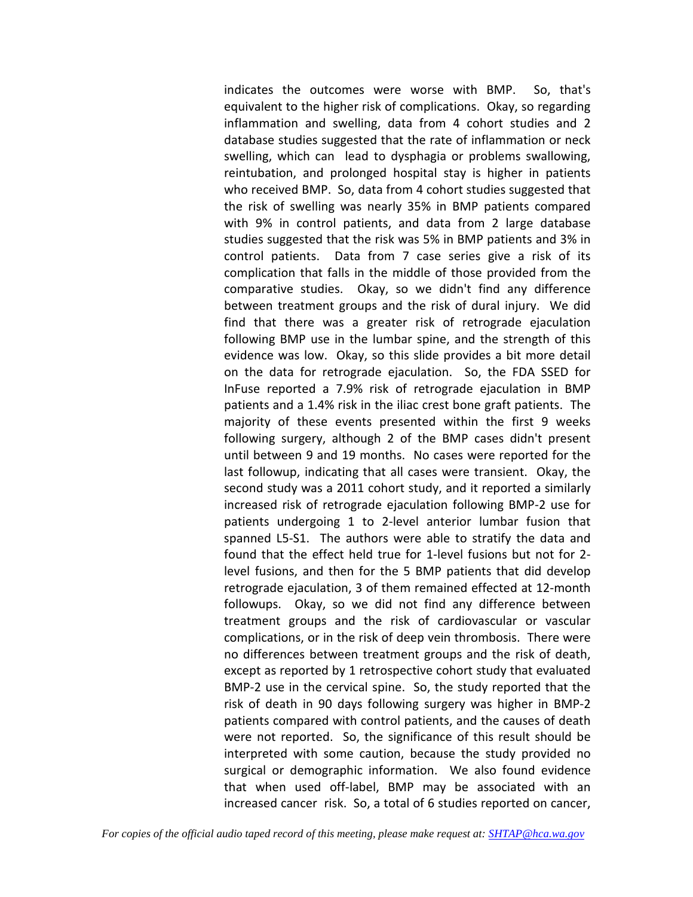indicates the outcomes were worse with BMP. So, that's equivalent to the higher risk of complications. Okay, so regarding inflammation and swelling, data from 4 cohort studies and 2 database studies suggested that the rate of inflammation or neck swelling, which can lead to dysphagia or problems swallowing, reintubation, and prolonged hospital stay is higher in patients who received BMP. So, data from 4 cohort studies suggested that the risk of swelling was nearly 35% in BMP patients compared with 9% in control patients, and data from 2 large database studies suggested that the risk was 5% in BMP patients and 3% in control patients. Data from 7 case series give a risk of its complication that falls in the middle of those provided from the comparative studies. Okay, so we didn't find any difference between treatment groups and the risk of dural injury. We did find that there was a greater risk of retrograde ejaculation following BMP use in the lumbar spine, and the strength of this evidence was low. Okay, so this slide provides a bit more detail on the data for retrograde ejaculation. So, the FDA SSED for InFuse reported a 7.9% risk of retrograde ejaculation in BMP patients and a 1.4% risk in the iliac crest bone graft patients. The majority of these events presented within the first 9 weeks following surgery, although 2 of the BMP cases didn't present until between 9 and 19 months. No cases were reported for the last followup, indicating that all cases were transient. Okay, the second study was a 2011 cohort study, and it reported a similarly increased risk of retrograde ejaculation following BMP-2 use for patients undergoing 1 to 2-level anterior lumbar fusion that spanned L5-S1. The authors were able to stratify the data and found that the effect held true for 1-level fusions but not for 2 level fusions, and then for the 5 BMP patients that did develop retrograde ejaculation, 3 of them remained effected at 12-month followups. Okay, so we did not find any difference between treatment groups and the risk of cardiovascular or vascular complications, or in the risk of deep vein thrombosis. There were no differences between treatment groups and the risk of death, except as reported by 1 retrospective cohort study that evaluated BMP-2 use in the cervical spine. So, the study reported that the risk of death in 90 days following surgery was higher in BMP-2 patients compared with control patients, and the causes of death were not reported. So, the significance of this result should be interpreted with some caution, because the study provided no surgical or demographic information. We also found evidence that when used off-label, BMP may be associated with an increased cancer risk. So, a total of 6 studies reported on cancer,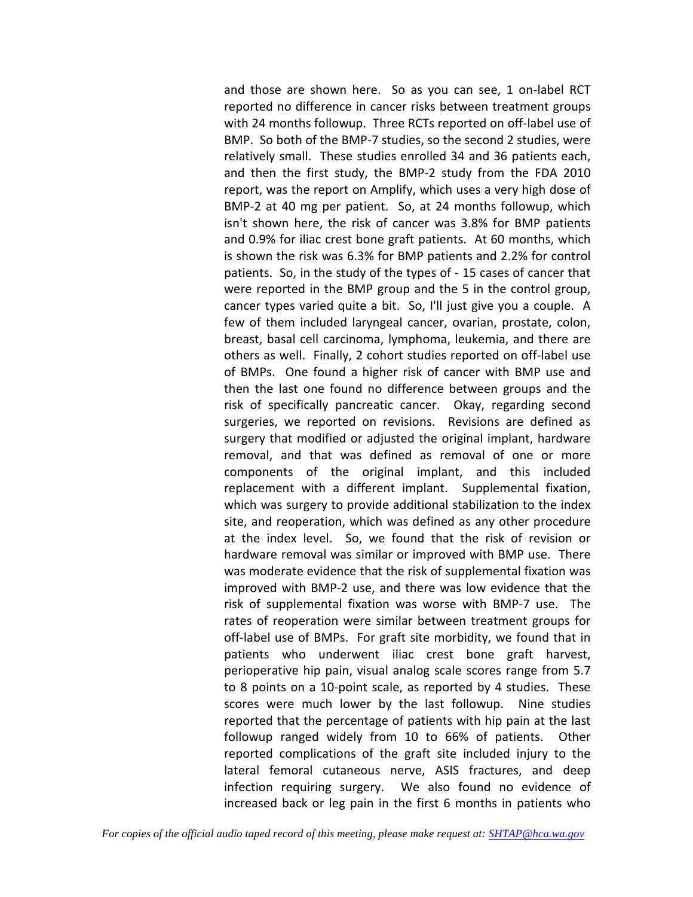and those are shown here. So as you can see, 1 on-label RCT reported no difference in cancer risks between treatment groups with 24 months followup. Three RCTs reported on off-label use of BMP. So both of the BMP-7 studies, so the second 2 studies, were relatively small. These studies enrolled 34 and 36 patients each, and then the first study, the BMP-2 study from the FDA 2010 report, was the report on Amplify, which uses a very high dose of BMP-2 at 40 mg per patient. So, at 24 months followup, which isn't shown here, the risk of cancer was 3.8% for BMP patients and 0.9% for iliac crest bone graft patients. At 60 months, which is shown the risk was 6.3% for BMP patients and 2.2% for control patients. So, in the study of the types of - 15 cases of cancer that were reported in the BMP group and the 5 in the control group, cancer types varied quite a bit. So, I'll just give you a couple. A few of them included laryngeal cancer, ovarian, prostate, colon, breast, basal cell carcinoma, lymphoma, leukemia, and there are others as well. Finally, 2 cohort studies reported on off-label use of BMPs. One found a higher risk of cancer with BMP use and then the last one found no difference between groups and the risk of specifically pancreatic cancer. Okay, regarding second surgeries, we reported on revisions. Revisions are defined as surgery that modified or adjusted the original implant, hardware removal, and that was defined as removal of one or more components of the original implant, and this included replacement with a different implant. Supplemental fixation, which was surgery to provide additional stabilization to the index site, and reoperation, which was defined as any other procedure at the index level. So, we found that the risk of revision or hardware removal was similar or improved with BMP use. There was moderate evidence that the risk of supplemental fixation was improved with BMP-2 use, and there was low evidence that the risk of supplemental fixation was worse with BMP-7 use. The rates of reoperation were similar between treatment groups for off-label use of BMPs. For graft site morbidity, we found that in patients who underwent iliac crest bone graft harvest, perioperative hip pain, visual analog scale scores range from 5.7 to 8 points on a 10-point scale, as reported by 4 studies. These scores were much lower by the last followup. Nine studies reported that the percentage of patients with hip pain at the last followup ranged widely from 10 to 66% of patients. Other reported complications of the graft site included injury to the lateral femoral cutaneous nerve, ASIS fractures, and deep infection requiring surgery. We also found no evidence of increased back or leg pain in the first 6 months in patients who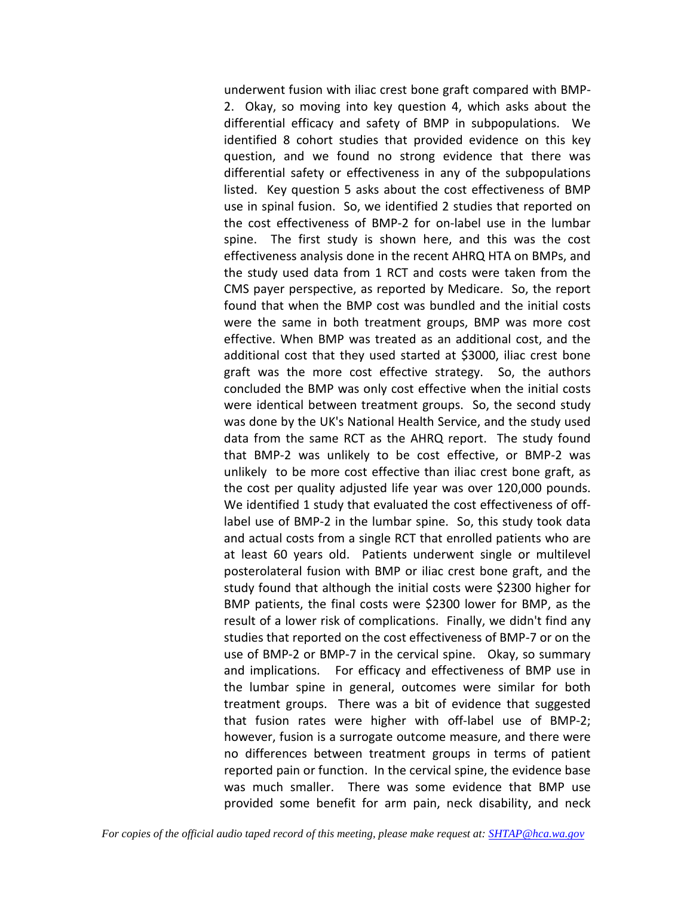underwent fusion with iliac crest bone graft compared with BMP-2. Okay, so moving into key question 4, which asks about the differential efficacy and safety of BMP in subpopulations. We identified 8 cohort studies that provided evidence on this key question, and we found no strong evidence that there was differential safety or effectiveness in any of the subpopulations listed. Key question 5 asks about the cost effectiveness of BMP use in spinal fusion. So, we identified 2 studies that reported on the cost effectiveness of BMP-2 for on-label use in the lumbar spine. The first study is shown here, and this was the cost effectiveness analysis done in the recent AHRQ HTA on BMPs, and the study used data from 1 RCT and costs were taken from the CMS payer perspective, as reported by Medicare. So, the report found that when the BMP cost was bundled and the initial costs were the same in both treatment groups, BMP was more cost effective. When BMP was treated as an additional cost, and the additional cost that they used started at \$3000, iliac crest bone graft was the more cost effective strategy. So, the authors concluded the BMP was only cost effective when the initial costs were identical between treatment groups. So, the second study was done by the UK's National Health Service, and the study used data from the same RCT as the AHRQ report. The study found that BMP-2 was unlikely to be cost effective, or BMP-2 was unlikely to be more cost effective than iliac crest bone graft, as the cost per quality adjusted life year was over 120,000 pounds. We identified 1 study that evaluated the cost effectiveness of offlabel use of BMP-2 in the lumbar spine. So, this study took data and actual costs from a single RCT that enrolled patients who are at least 60 years old. Patients underwent single or multilevel posterolateral fusion with BMP or iliac crest bone graft, and the study found that although the initial costs were \$2300 higher for BMP patients, the final costs were \$2300 lower for BMP, as the result of a lower risk of complications. Finally, we didn't find any studies that reported on the cost effectiveness of BMP-7 or on the use of BMP-2 or BMP-7 in the cervical spine. Okay, so summary and implications. For efficacy and effectiveness of BMP use in the lumbar spine in general, outcomes were similar for both treatment groups. There was a bit of evidence that suggested that fusion rates were higher with off-label use of BMP-2; however, fusion is a surrogate outcome measure, and there were no differences between treatment groups in terms of patient reported pain or function. In the cervical spine, the evidence base was much smaller. There was some evidence that BMP use provided some benefit for arm pain, neck disability, and neck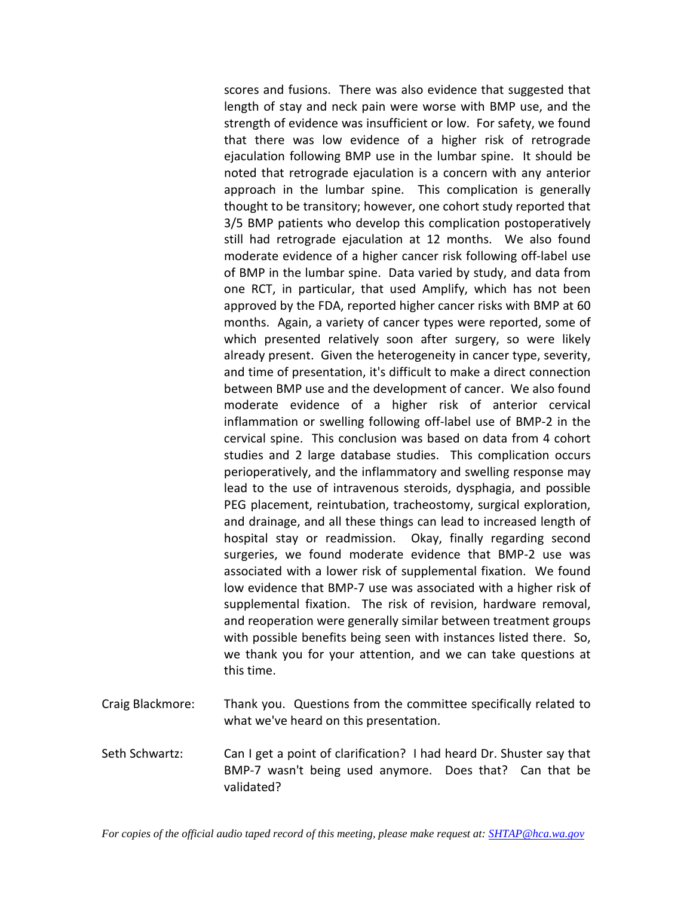scores and fusions. There was also evidence that suggested that length of stay and neck pain were worse with BMP use, and the strength of evidence was insufficient or low. For safety, we found that there was low evidence of a higher risk of retrograde ejaculation following BMP use in the lumbar spine. It should be noted that retrograde ejaculation is a concern with any anterior approach in the lumbar spine. This complication is generally thought to be transitory; however, one cohort study reported that 3/5 BMP patients who develop this complication postoperatively still had retrograde ejaculation at 12 months. We also found moderate evidence of a higher cancer risk following off-label use of BMP in the lumbar spine. Data varied by study, and data from one RCT, in particular, that used Amplify, which has not been approved by the FDA, reported higher cancer risks with BMP at 60 months. Again, a variety of cancer types were reported, some of which presented relatively soon after surgery, so were likely already present. Given the heterogeneity in cancer type, severity, and time of presentation, it's difficult to make a direct connection between BMP use and the development of cancer. We also found moderate evidence of a higher risk of anterior cervical inflammation or swelling following off-label use of BMP-2 in the cervical spine. This conclusion was based on data from 4 cohort studies and 2 large database studies. This complication occurs perioperatively, and the inflammatory and swelling response may lead to the use of intravenous steroids, dysphagia, and possible PEG placement, reintubation, tracheostomy, surgical exploration, and drainage, and all these things can lead to increased length of hospital stay or readmission. Okay, finally regarding second surgeries, we found moderate evidence that BMP-2 use was associated with a lower risk of supplemental fixation. We found low evidence that BMP-7 use was associated with a higher risk of supplemental fixation. The risk of revision, hardware removal, and reoperation were generally similar between treatment groups with possible benefits being seen with instances listed there. So, we thank you for your attention, and we can take questions at this time.

- Craig Blackmore: Thank you. Questions from the committee specifically related to what we've heard on this presentation.
- Seth Schwartz: Can I get a point of clarification? I had heard Dr. Shuster say that BMP-7 wasn't being used anymore. Does that? Can that be validated?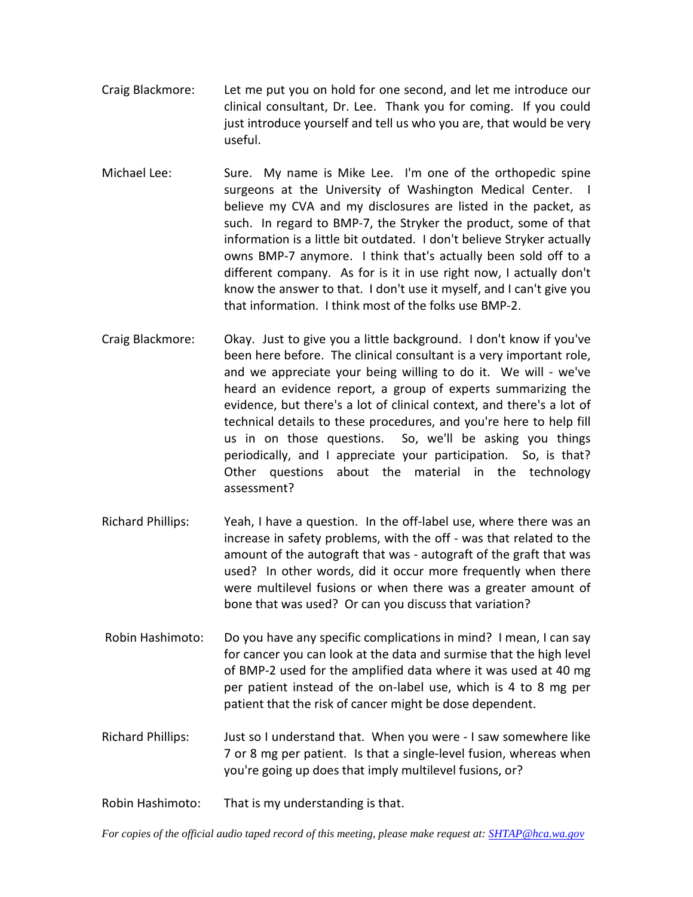- Craig Blackmore: Let me put you on hold for one second, and let me introduce our clinical consultant, Dr. Lee. Thank you for coming. If you could just introduce yourself and tell us who you are, that would be very useful.
- Michael Lee: Sure. My name is Mike Lee. I'm one of the orthopedic spine surgeons at the University of Washington Medical Center. I believe my CVA and my disclosures are listed in the packet, as such. In regard to BMP-7, the Stryker the product, some of that information is a little bit outdated. I don't believe Stryker actually owns BMP-7 anymore. I think that's actually been sold off to a different company. As for is it in use right now, I actually don't know the answer to that. I don't use it myself, and I can't give you that information. I think most of the folks use BMP-2.
- Craig Blackmore: Okay. Just to give you a little background. I don't know if you've been here before. The clinical consultant is a very important role, and we appreciate your being willing to do it. We will - we've heard an evidence report, a group of experts summarizing the evidence, but there's a lot of clinical context, and there's a lot of technical details to these procedures, and you're here to help fill us in on those questions. So, we'll be asking you things periodically, and I appreciate your participation. So, is that? Other questions about the material in the technology assessment?
- Richard Phillips: Yeah, I have a question. In the off-label use, where there was an increase in safety problems, with the off - was that related to the amount of the autograft that was - autograft of the graft that was used? In other words, did it occur more frequently when there were multilevel fusions or when there was a greater amount of bone that was used? Or can you discuss that variation?
- Robin Hashimoto: Do you have any specific complications in mind? I mean, I can say for cancer you can look at the data and surmise that the high level of BMP-2 used for the amplified data where it was used at 40 mg per patient instead of the on-label use, which is 4 to 8 mg per patient that the risk of cancer might be dose dependent.
- Richard Phillips: Just so I understand that. When you were I saw somewhere like 7 or 8 mg per patient. Is that a single-level fusion, whereas when you're going up does that imply multilevel fusions, or?

Robin Hashimoto: That is my understanding is that.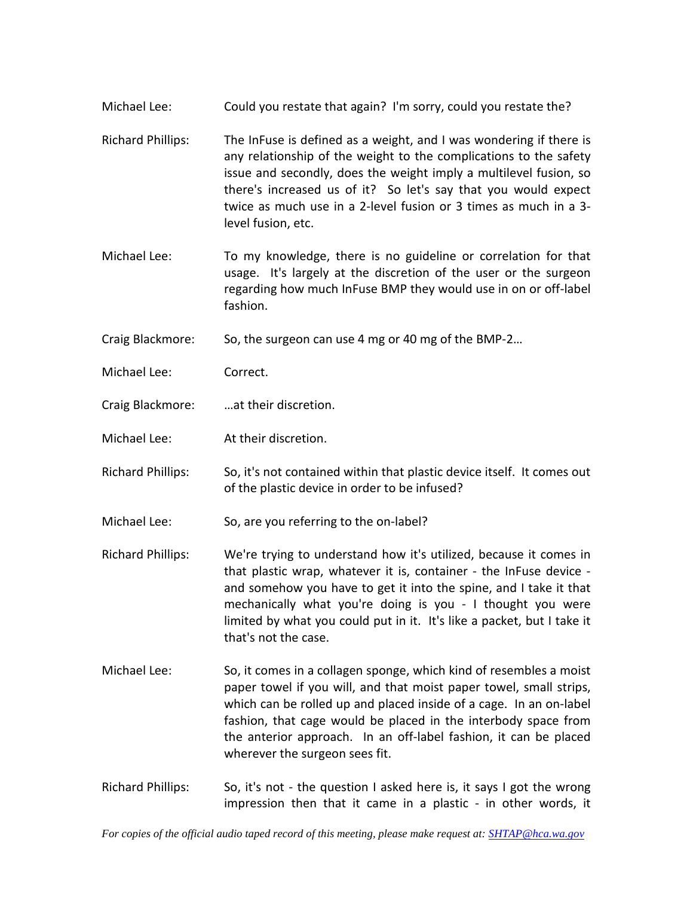- Michael Lee: Could you restate that again? I'm sorry, could you restate the?
- Richard Phillips: The InFuse is defined as a weight, and I was wondering if there is any relationship of the weight to the complications to the safety issue and secondly, does the weight imply a multilevel fusion, so there's increased us of it? So let's say that you would expect twice as much use in a 2-level fusion or 3 times as much in a 3 level fusion, etc.
- Michael Lee: To my knowledge, there is no guideline or correlation for that usage. It's largely at the discretion of the user or the surgeon regarding how much InFuse BMP they would use in on or off-label fashion.
- Craig Blackmore: So, the surgeon can use 4 mg or 40 mg of the BMP-2…
- Michael Lee: Correct.
- Craig Blackmore: …at their discretion.
- Michael Lee: At their discretion.
- Richard Phillips: So, it's not contained within that plastic device itself. It comes out of the plastic device in order to be infused?
- Michael Lee: So, are you referring to the on-label?
- Richard Phillips: We're trying to understand how it's utilized, because it comes in that plastic wrap, whatever it is, container - the InFuse device and somehow you have to get it into the spine, and I take it that mechanically what you're doing is you - I thought you were limited by what you could put in it. It's like a packet, but I take it that's not the case.
- Michael Lee: So, it comes in a collagen sponge, which kind of resembles a moist paper towel if you will, and that moist paper towel, small strips, which can be rolled up and placed inside of a cage. In an on-label fashion, that cage would be placed in the interbody space from the anterior approach. In an off-label fashion, it can be placed wherever the surgeon sees fit.
- Richard Phillips: So, it's not the question I asked here is, it says I got the wrong impression then that it came in a plastic - in other words, it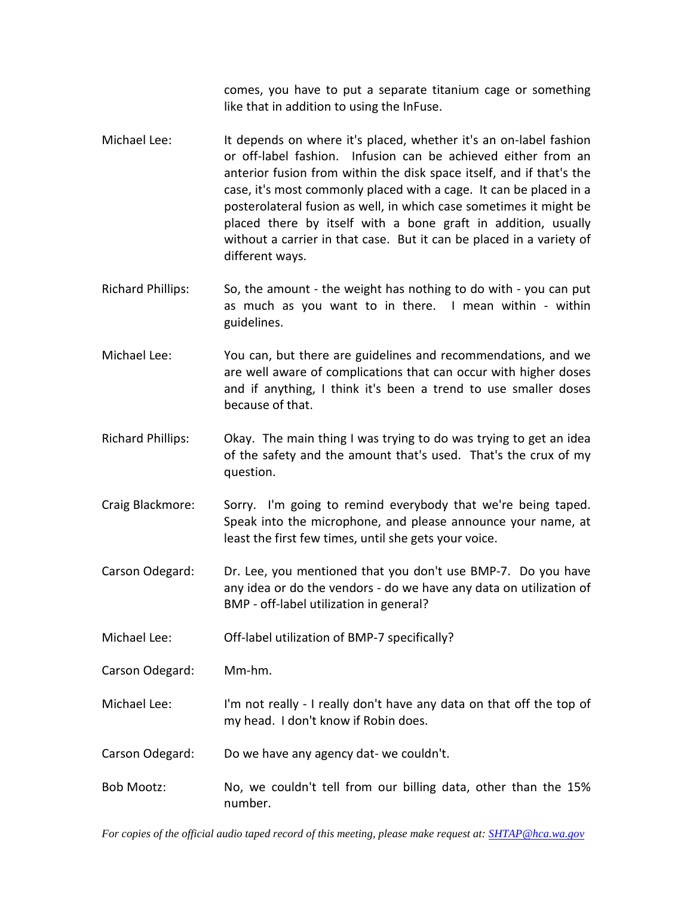comes, you have to put a separate titanium cage or something like that in addition to using the InFuse.

- Michael Lee: It depends on where it's placed, whether it's an on-label fashion or off-label fashion. Infusion can be achieved either from an anterior fusion from within the disk space itself, and if that's the case, it's most commonly placed with a cage. It can be placed in a posterolateral fusion as well, in which case sometimes it might be placed there by itself with a bone graft in addition, usually without a carrier in that case. But it can be placed in a variety of different ways.
- Richard Phillips: So, the amount the weight has nothing to do with you can put as much as you want to in there. I mean within - within guidelines.
- Michael Lee: You can, but there are guidelines and recommendations, and we are well aware of complications that can occur with higher doses and if anything, I think it's been a trend to use smaller doses because of that.
- Richard Phillips: Okay. The main thing I was trying to do was trying to get an idea of the safety and the amount that's used. That's the crux of my question.
- Craig Blackmore: Sorry. I'm going to remind everybody that we're being taped. Speak into the microphone, and please announce your name, at least the first few times, until she gets your voice.
- Carson Odegard: Dr. Lee, you mentioned that you don't use BMP-7. Do you have any idea or do the vendors - do we have any data on utilization of BMP - off-label utilization in general?

Michael Lee: Off-label utilization of BMP-7 specifically?

- Carson Odegard: Mm-hm.
- Michael Lee: I'm not really I really don't have any data on that off the top of my head. I don't know if Robin does.

Carson Odegard: Do we have any agency dat- we couldn't.

Bob Mootz: No, we couldn't tell from our billing data, other than the 15% number.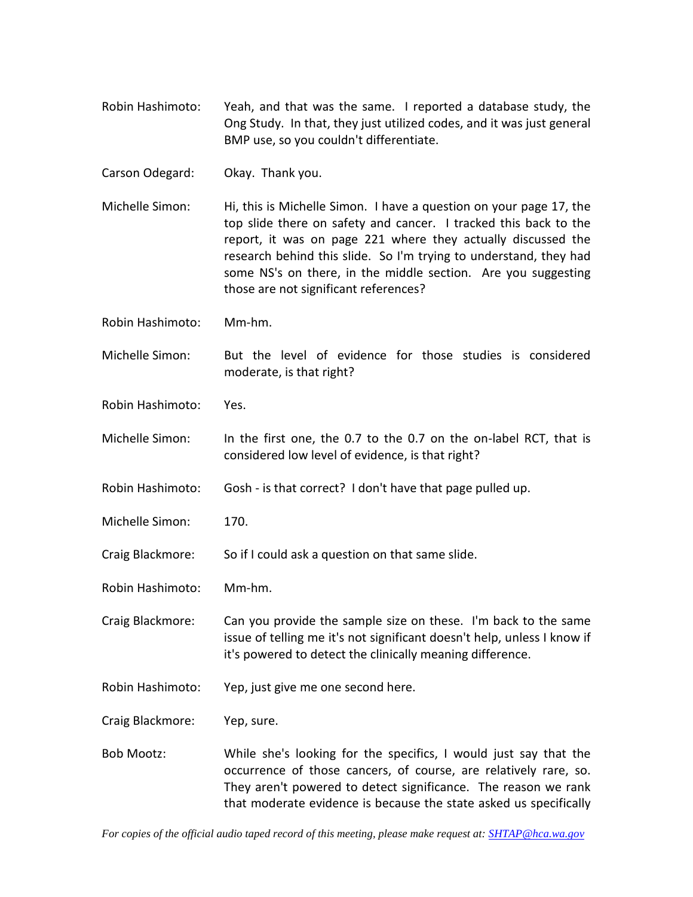Robin Hashimoto: Yeah, and that was the same. I reported a database study, the Ong Study. In that, they just utilized codes, and it was just general BMP use, so you couldn't differentiate.

Carson Odegard: Okay. Thank you.

Michelle Simon: Hi, this is Michelle Simon. I have a question on your page 17, the top slide there on safety and cancer. I tracked this back to the report, it was on page 221 where they actually discussed the research behind this slide. So I'm trying to understand, they had some NS's on there, in the middle section. Are you suggesting those are not significant references?

Robin Hashimoto: Mm-hm.

Michelle Simon: But the level of evidence for those studies is considered moderate, is that right?

Robin Hashimoto: Yes.

Michelle Simon: In the first one, the 0.7 to the 0.7 on the on-label RCT, that is considered low level of evidence, is that right?

Robin Hashimoto: Gosh - is that correct? I don't have that page pulled up.

Michelle Simon: 170.

Craig Blackmore: So if I could ask a question on that same slide.

Robin Hashimoto: Mm-hm.

Craig Blackmore: Can you provide the sample size on these. I'm back to the same issue of telling me it's not significant doesn't help, unless I know if it's powered to detect the clinically meaning difference.

Robin Hashimoto: Yep, just give me one second here.

Craig Blackmore: Yep, sure.

Bob Mootz: While she's looking for the specifics, I would just say that the occurrence of those cancers, of course, are relatively rare, so. They aren't powered to detect significance. The reason we rank that moderate evidence is because the state asked us specifically

*For copies of the official audio taped record of this meeting, please make request at[: SHTAP@hca.wa.gov](mailto:SHTAP@hca.wa.gov)*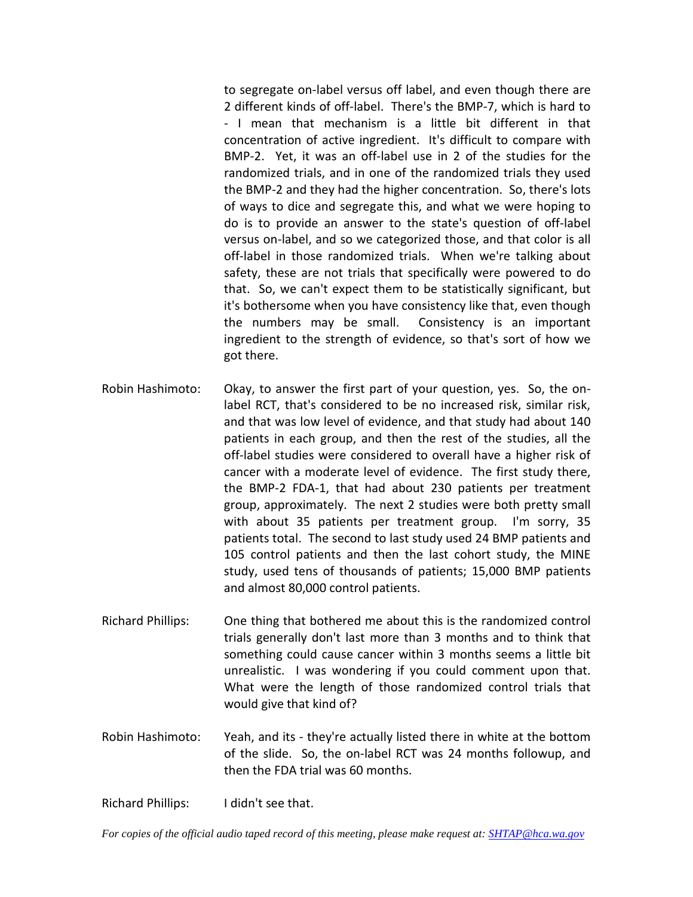to segregate on-label versus off label, and even though there are 2 different kinds of off-label. There's the BMP-7, which is hard to - I mean that mechanism is a little bit different in that concentration of active ingredient. It's difficult to compare with BMP-2. Yet, it was an off-label use in 2 of the studies for the randomized trials, and in one of the randomized trials they used the BMP-2 and they had the higher concentration. So, there's lots of ways to dice and segregate this, and what we were hoping to do is to provide an answer to the state's question of off-label versus on-label, and so we categorized those, and that color is all off-label in those randomized trials. When we're talking about safety, these are not trials that specifically were powered to do that. So, we can't expect them to be statistically significant, but it's bothersome when you have consistency like that, even though the numbers may be small. Consistency is an important ingredient to the strength of evidence, so that's sort of how we got there.

- Robin Hashimoto: Okay, to answer the first part of your question, yes. So, the onlabel RCT, that's considered to be no increased risk, similar risk, and that was low level of evidence, and that study had about 140 patients in each group, and then the rest of the studies, all the off-label studies were considered to overall have a higher risk of cancer with a moderate level of evidence. The first study there, the BMP-2 FDA-1, that had about 230 patients per treatment group, approximately. The next 2 studies were both pretty small with about 35 patients per treatment group. I'm sorry, 35 patients total. The second to last study used 24 BMP patients and 105 control patients and then the last cohort study, the MINE study, used tens of thousands of patients; 15,000 BMP patients and almost 80,000 control patients.
- Richard Phillips: One thing that bothered me about this is the randomized control trials generally don't last more than 3 months and to think that something could cause cancer within 3 months seems a little bit unrealistic. I was wondering if you could comment upon that. What were the length of those randomized control trials that would give that kind of?
- Robin Hashimoto: Yeah, and its they're actually listed there in white at the bottom of the slide. So, the on-label RCT was 24 months followup, and then the FDA trial was 60 months.

Richard Phillips: I didn't see that.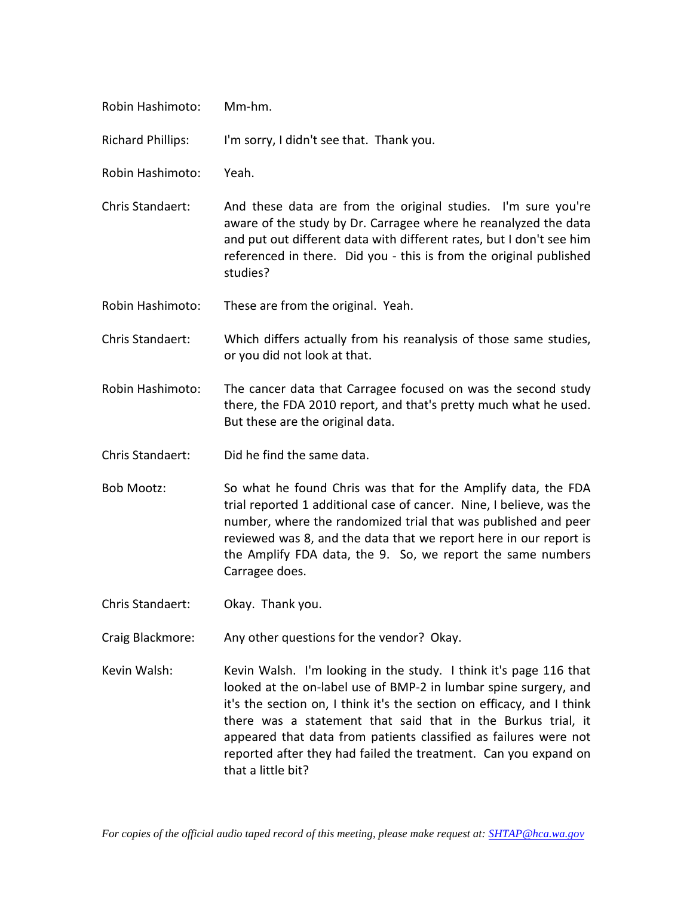| Robin Hashimoto:         | Mm-hm.                                                                                                                                                                                                                                                                                                                                                        |
|--------------------------|---------------------------------------------------------------------------------------------------------------------------------------------------------------------------------------------------------------------------------------------------------------------------------------------------------------------------------------------------------------|
| <b>Richard Phillips:</b> | I'm sorry, I didn't see that. Thank you.                                                                                                                                                                                                                                                                                                                      |
| Robin Hashimoto:         | Yeah.                                                                                                                                                                                                                                                                                                                                                         |
| Chris Standaert:         | And these data are from the original studies. I'm sure you're<br>aware of the study by Dr. Carragee where he reanalyzed the data<br>and put out different data with different rates, but I don't see him<br>referenced in there. Did you - this is from the original published<br>studies?                                                                    |
| Robin Hashimoto:         | These are from the original. Yeah.                                                                                                                                                                                                                                                                                                                            |
| Chris Standaert:         | Which differs actually from his reanalysis of those same studies,<br>or you did not look at that.                                                                                                                                                                                                                                                             |
| Robin Hashimoto:         | The cancer data that Carragee focused on was the second study<br>there, the FDA 2010 report, and that's pretty much what he used.<br>But these are the original data.                                                                                                                                                                                         |
| Chris Standaert:         | Did he find the same data.                                                                                                                                                                                                                                                                                                                                    |
| <b>Bob Mootz:</b>        | So what he found Chris was that for the Amplify data, the FDA<br>trial reported 1 additional case of cancer. Nine, I believe, was the<br>number, where the randomized trial that was published and peer<br>reviewed was 8, and the data that we report here in our report is<br>the Amplify FDA data, the 9. So, we report the same numbers<br>Carragee does. |

- Chris Standaert: Okay. Thank you.
- Craig Blackmore: Any other questions for the vendor? Okay.
- Kevin Walsh: Kevin Walsh. I'm looking in the study. I think it's page 116 that looked at the on-label use of BMP-2 in lumbar spine surgery, and it's the section on, I think it's the section on efficacy, and I think there was a statement that said that in the Burkus trial, it appeared that data from patients classified as failures were not reported after they had failed the treatment. Can you expand on that a little bit?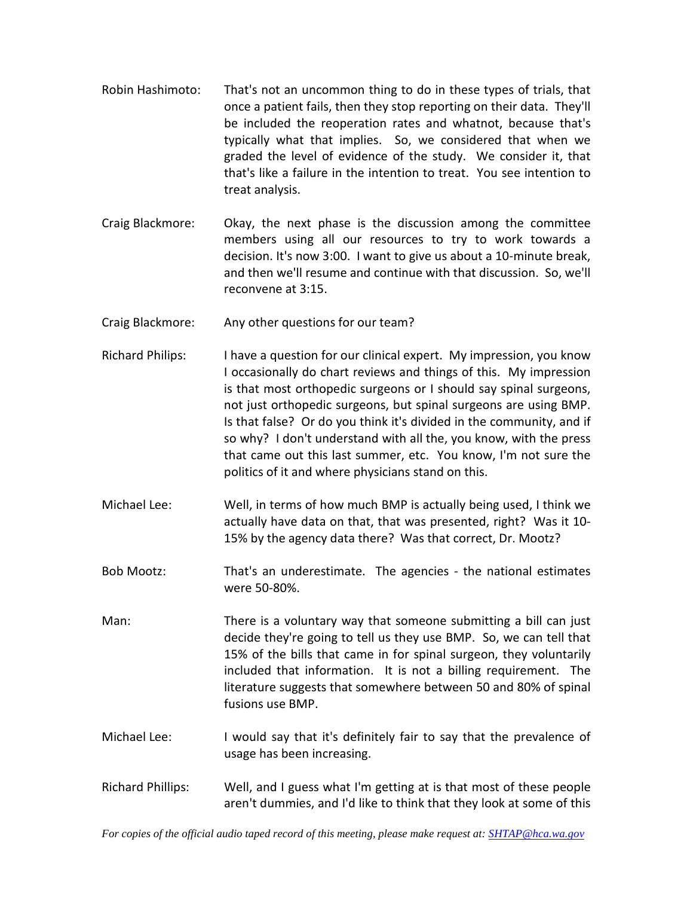- Robin Hashimoto: That's not an uncommon thing to do in these types of trials, that once a patient fails, then they stop reporting on their data. They'll be included the reoperation rates and whatnot, because that's typically what that implies. So, we considered that when we graded the level of evidence of the study. We consider it, that that's like a failure in the intention to treat. You see intention to treat analysis.
- Craig Blackmore: Okay, the next phase is the discussion among the committee members using all our resources to try to work towards a decision. It's now 3:00. I want to give us about a 10-minute break, and then we'll resume and continue with that discussion. So, we'll reconvene at 3:15.
- Craig Blackmore: Any other questions for our team?
- Richard Philips: I have a question for our clinical expert. My impression, you know I occasionally do chart reviews and things of this. My impression is that most orthopedic surgeons or I should say spinal surgeons, not just orthopedic surgeons, but spinal surgeons are using BMP. Is that false? Or do you think it's divided in the community, and if so why? I don't understand with all the, you know, with the press that came out this last summer, etc. You know, I'm not sure the politics of it and where physicians stand on this.
- Michael Lee: Well, in terms of how much BMP is actually being used, I think we actually have data on that, that was presented, right? Was it 10- 15% by the agency data there? Was that correct, Dr. Mootz?
- Bob Mootz: That's an underestimate. The agencies the national estimates were 50-80%.

Man: There is a voluntary way that someone submitting a bill can just decide they're going to tell us they use BMP. So, we can tell that 15% of the bills that came in for spinal surgeon, they voluntarily included that information. It is not a billing requirement. The literature suggests that somewhere between 50 and 80% of spinal fusions use BMP.

- Michael Lee: I would say that it's definitely fair to say that the prevalence of usage has been increasing.
- Richard Phillips: Well, and I guess what I'm getting at is that most of these people aren't dummies, and I'd like to think that they look at some of this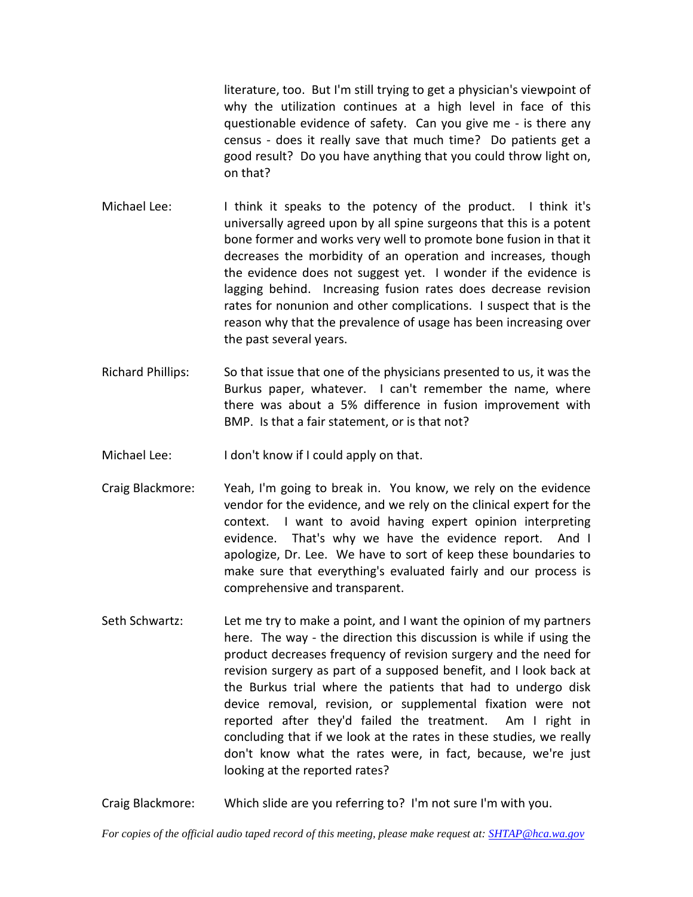literature, too. But I'm still trying to get a physician's viewpoint of why the utilization continues at a high level in face of this questionable evidence of safety. Can you give me - is there any census - does it really save that much time? Do patients get a good result? Do you have anything that you could throw light on, on that?

- Michael Lee: I think it speaks to the potency of the product. I think it's universally agreed upon by all spine surgeons that this is a potent bone former and works very well to promote bone fusion in that it decreases the morbidity of an operation and increases, though the evidence does not suggest yet. I wonder if the evidence is lagging behind. Increasing fusion rates does decrease revision rates for nonunion and other complications. I suspect that is the reason why that the prevalence of usage has been increasing over the past several years.
- Richard Phillips: So that issue that one of the physicians presented to us, it was the Burkus paper, whatever. I can't remember the name, where there was about a 5% difference in fusion improvement with BMP. Is that a fair statement, or is that not?
- Michael Lee: I don't know if I could apply on that.
- Craig Blackmore: Yeah, I'm going to break in. You know, we rely on the evidence vendor for the evidence, and we rely on the clinical expert for the context. I want to avoid having expert opinion interpreting evidence. That's why we have the evidence report. And I apologize, Dr. Lee. We have to sort of keep these boundaries to make sure that everything's evaluated fairly and our process is comprehensive and transparent.
- Seth Schwartz: Let me try to make a point, and I want the opinion of my partners here. The way - the direction this discussion is while if using the product decreases frequency of revision surgery and the need for revision surgery as part of a supposed benefit, and I look back at the Burkus trial where the patients that had to undergo disk device removal, revision, or supplemental fixation were not reported after they'd failed the treatment. Am I right in concluding that if we look at the rates in these studies, we really don't know what the rates were, in fact, because, we're just looking at the reported rates?

Craig Blackmore: Which slide are you referring to? I'm not sure I'm with you.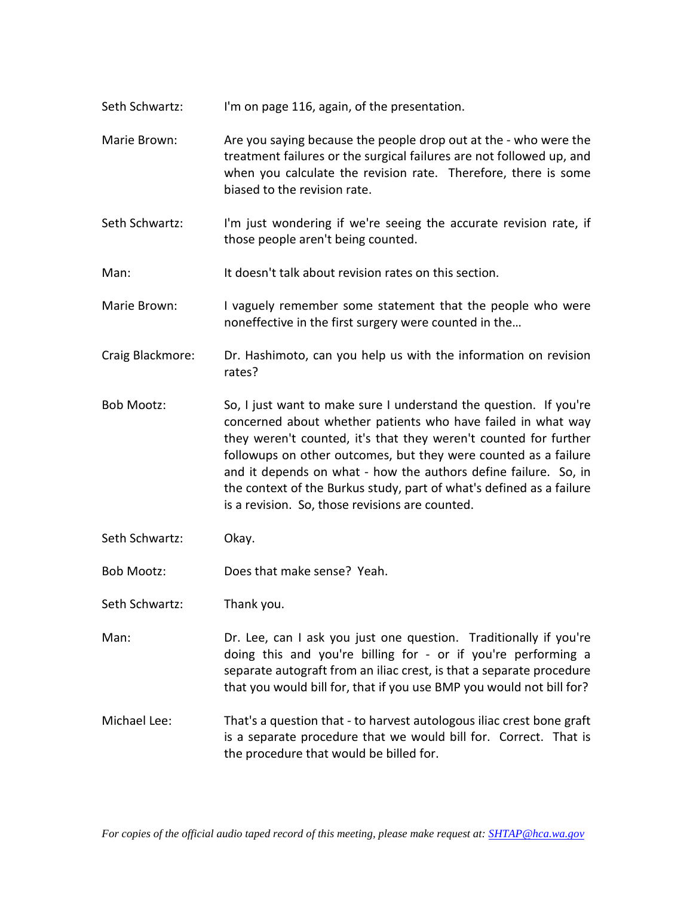- Seth Schwartz: I'm on page 116, again, of the presentation.
- Marie Brown: Are you saying because the people drop out at the who were the treatment failures or the surgical failures are not followed up, and when you calculate the revision rate. Therefore, there is some biased to the revision rate.
- Seth Schwartz: I'm just wondering if we're seeing the accurate revision rate, if those people aren't being counted.
- Man: It doesn't talk about revision rates on this section.
- Marie Brown: I vaguely remember some statement that the people who were noneffective in the first surgery were counted in the…
- Craig Blackmore: Dr. Hashimoto, can you help us with the information on revision rates?
- Bob Mootz: So, I just want to make sure I understand the question. If you're concerned about whether patients who have failed in what way they weren't counted, it's that they weren't counted for further followups on other outcomes, but they were counted as a failure and it depends on what - how the authors define failure. So, in the context of the Burkus study, part of what's defined as a failure is a revision. So, those revisions are counted.
- Seth Schwartz: Okay.
- Bob Mootz: Does that make sense? Yeah.
- Seth Schwartz: Thank you.
- Man: Dr. Lee, can I ask you just one question. Traditionally if you're doing this and you're billing for - or if you're performing a separate autograft from an iliac crest, is that a separate procedure that you would bill for, that if you use BMP you would not bill for?
- Michael Lee: That's a question that to harvest autologous iliac crest bone graft is a separate procedure that we would bill for. Correct. That is the procedure that would be billed for.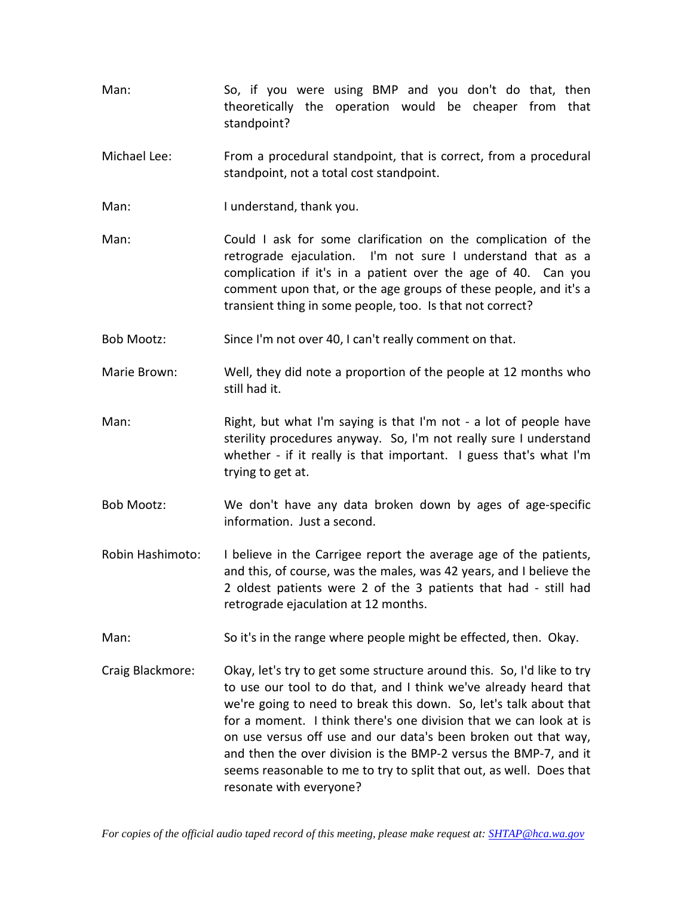- Man: So, if you were using BMP and you don't do that, then theoretically the operation would be cheaper from that standpoint?
- Michael Lee: From a procedural standpoint, that is correct, from a procedural standpoint, not a total cost standpoint.
- Man: I understand, thank you.
- Man: Could I ask for some clarification on the complication of the retrograde ejaculation. I'm not sure I understand that as a complication if it's in a patient over the age of 40. Can you comment upon that, or the age groups of these people, and it's a transient thing in some people, too. Is that not correct?
- Bob Mootz: Since I'm not over 40, I can't really comment on that.
- Marie Brown: Well, they did note a proportion of the people at 12 months who still had it.
- Man: Right, but what I'm saying is that I'm not a lot of people have sterility procedures anyway. So, I'm not really sure I understand whether - if it really is that important. I guess that's what I'm trying to get at.
- Bob Mootz: We don't have any data broken down by ages of age-specific information. Just a second.
- Robin Hashimoto: I believe in the Carrigee report the average age of the patients, and this, of course, was the males, was 42 years, and I believe the 2 oldest patients were 2 of the 3 patients that had - still had retrograde ejaculation at 12 months.
- Man: So it's in the range where people might be effected, then. Okay.
- Craig Blackmore: Okay, let's try to get some structure around this. So, I'd like to try to use our tool to do that, and I think we've already heard that we're going to need to break this down. So, let's talk about that for a moment. I think there's one division that we can look at is on use versus off use and our data's been broken out that way, and then the over division is the BMP-2 versus the BMP-7, and it seems reasonable to me to try to split that out, as well. Does that resonate with everyone?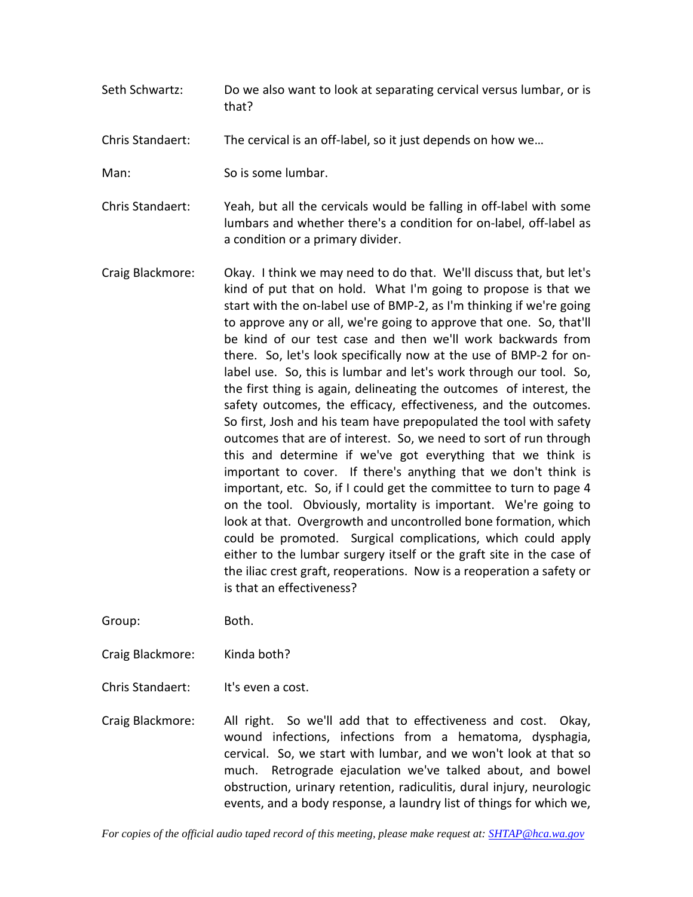Seth Schwartz: Do we also want to look at separating cervical versus lumbar, or is that?

Chris Standaert: The cervical is an off-label, so it just depends on how we…

Man: So is some lumbar.

Chris Standaert: Yeah, but all the cervicals would be falling in off-label with some lumbars and whether there's a condition for on-label, off-label as a condition or a primary divider.

Craig Blackmore: Okay. I think we may need to do that. We'll discuss that, but let's kind of put that on hold. What I'm going to propose is that we start with the on-label use of BMP-2, as I'm thinking if we're going to approve any or all, we're going to approve that one. So, that'll be kind of our test case and then we'll work backwards from there. So, let's look specifically now at the use of BMP-2 for onlabel use. So, this is lumbar and let's work through our tool. So, the first thing is again, delineating the outcomes of interest, the safety outcomes, the efficacy, effectiveness, and the outcomes. So first, Josh and his team have prepopulated the tool with safety outcomes that are of interest. So, we need to sort of run through this and determine if we've got everything that we think is important to cover. If there's anything that we don't think is important, etc. So, if I could get the committee to turn to page 4 on the tool. Obviously, mortality is important. We're going to look at that. Overgrowth and uncontrolled bone formation, which could be promoted. Surgical complications, which could apply either to the lumbar surgery itself or the graft site in the case of the iliac crest graft, reoperations. Now is a reoperation a safety or is that an effectiveness?

Group: Both.

Craig Blackmore: Kinda both?

Chris Standaert: It's even a cost.

Craig Blackmore: All right. So we'll add that to effectiveness and cost. Okay, wound infections, infections from a hematoma, dysphagia, cervical. So, we start with lumbar, and we won't look at that so much. Retrograde ejaculation we've talked about, and bowel obstruction, urinary retention, radiculitis, dural injury, neurologic events, and a body response, a laundry list of things for which we,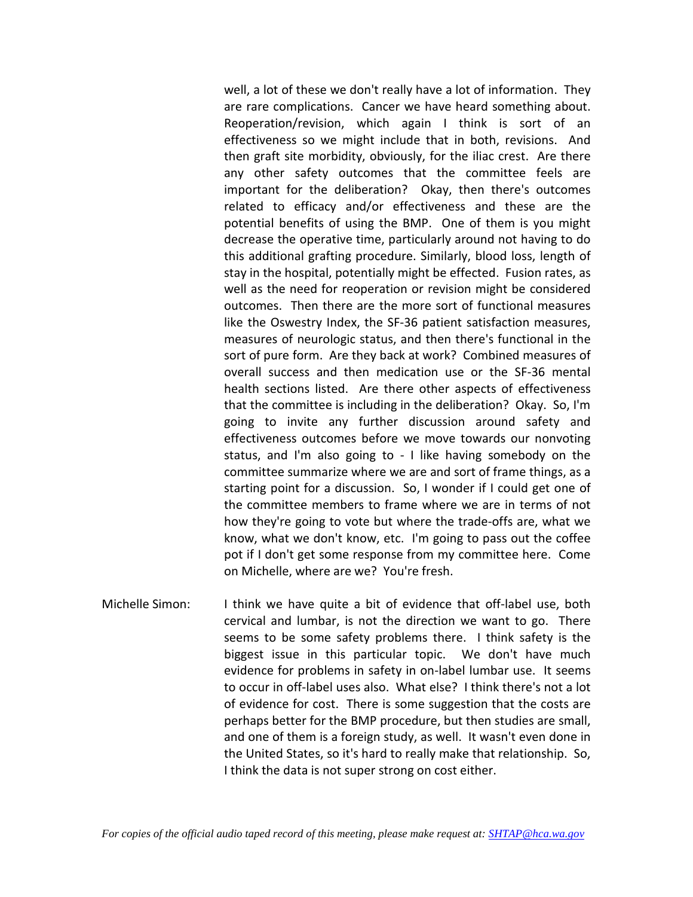well, a lot of these we don't really have a lot of information. They are rare complications. Cancer we have heard something about. Reoperation/revision, which again I think is sort of an effectiveness so we might include that in both, revisions. And then graft site morbidity, obviously, for the iliac crest. Are there any other safety outcomes that the committee feels are important for the deliberation? Okay, then there's outcomes related to efficacy and/or effectiveness and these are the potential benefits of using the BMP. One of them is you might decrease the operative time, particularly around not having to do this additional grafting procedure. Similarly, blood loss, length of stay in the hospital, potentially might be effected. Fusion rates, as well as the need for reoperation or revision might be considered outcomes. Then there are the more sort of functional measures like the Oswestry Index, the SF-36 patient satisfaction measures, measures of neurologic status, and then there's functional in the sort of pure form. Are they back at work? Combined measures of overall success and then medication use or the SF-36 mental health sections listed. Are there other aspects of effectiveness that the committee is including in the deliberation? Okay. So, I'm going to invite any further discussion around safety and effectiveness outcomes before we move towards our nonvoting status, and I'm also going to - I like having somebody on the committee summarize where we are and sort of frame things, as a starting point for a discussion. So, I wonder if I could get one of the committee members to frame where we are in terms of not how they're going to vote but where the trade-offs are, what we know, what we don't know, etc. I'm going to pass out the coffee pot if I don't get some response from my committee here. Come on Michelle, where are we? You're fresh.

Michelle Simon: I think we have quite a bit of evidence that off-label use, both cervical and lumbar, is not the direction we want to go. There seems to be some safety problems there. I think safety is the biggest issue in this particular topic. We don't have much evidence for problems in safety in on-label lumbar use. It seems to occur in off-label uses also. What else? I think there's not a lot of evidence for cost. There is some suggestion that the costs are perhaps better for the BMP procedure, but then studies are small, and one of them is a foreign study, as well. It wasn't even done in the United States, so it's hard to really make that relationship. So, I think the data is not super strong on cost either.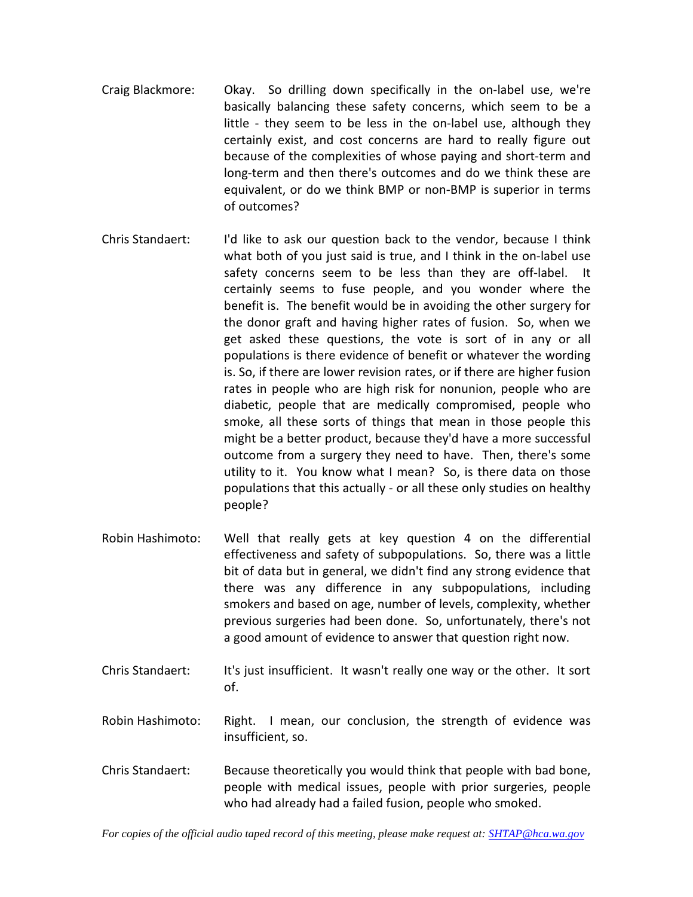- Craig Blackmore: Okay. So drilling down specifically in the on-label use, we're basically balancing these safety concerns, which seem to be a little - they seem to be less in the on-label use, although they certainly exist, and cost concerns are hard to really figure out because of the complexities of whose paying and short-term and long-term and then there's outcomes and do we think these are equivalent, or do we think BMP or non-BMP is superior in terms of outcomes?
- Chris Standaert: I'd like to ask our question back to the vendor, because I think what both of you just said is true, and I think in the on-label use safety concerns seem to be less than they are off-label. It certainly seems to fuse people, and you wonder where the benefit is. The benefit would be in avoiding the other surgery for the donor graft and having higher rates of fusion. So, when we get asked these questions, the vote is sort of in any or all populations is there evidence of benefit or whatever the wording is. So, if there are lower revision rates, or if there are higher fusion rates in people who are high risk for nonunion, people who are diabetic, people that are medically compromised, people who smoke, all these sorts of things that mean in those people this might be a better product, because they'd have a more successful outcome from a surgery they need to have. Then, there's some utility to it. You know what I mean? So, is there data on those populations that this actually - or all these only studies on healthy people?
- Robin Hashimoto: Well that really gets at key question 4 on the differential effectiveness and safety of subpopulations. So, there was a little bit of data but in general, we didn't find any strong evidence that there was any difference in any subpopulations, including smokers and based on age, number of levels, complexity, whether previous surgeries had been done. So, unfortunately, there's not a good amount of evidence to answer that question right now.
- Chris Standaert: It's just insufficient. It wasn't really one way or the other. It sort of.
- Robin Hashimoto: Right. I mean, our conclusion, the strength of evidence was insufficient, so.
- Chris Standaert: Because theoretically you would think that people with bad bone, people with medical issues, people with prior surgeries, people who had already had a failed fusion, people who smoked.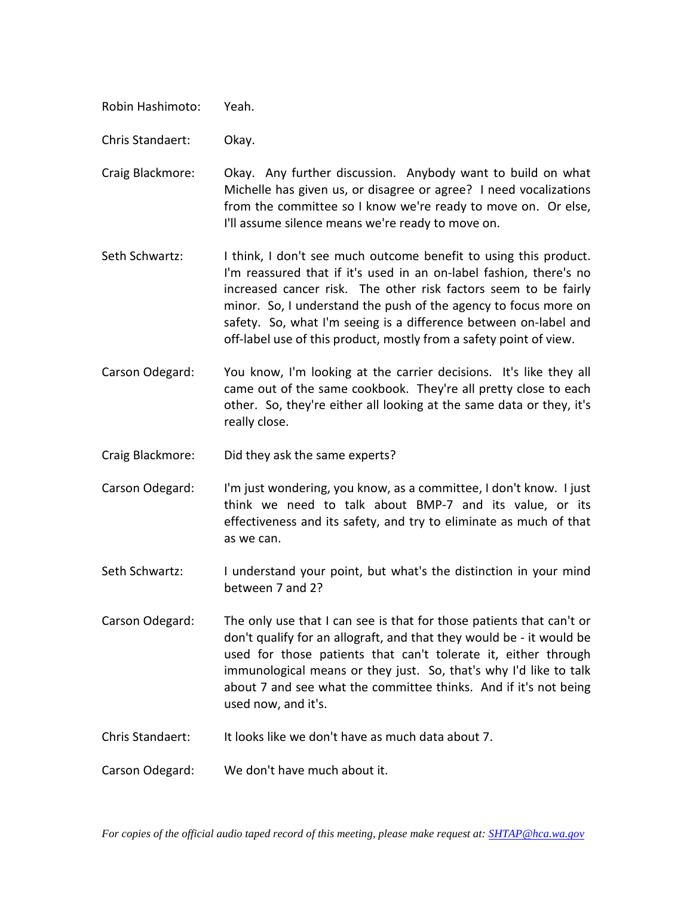Robin Hashimoto: Yeah.

Chris Standaert: Okay.

- Craig Blackmore: Okay. Any further discussion. Anybody want to build on what Michelle has given us, or disagree or agree? I need vocalizations from the committee so I know we're ready to move on. Or else, I'll assume silence means we're ready to move on.
- Seth Schwartz: I think, I don't see much outcome benefit to using this product. I'm reassured that if it's used in an on-label fashion, there's no increased cancer risk. The other risk factors seem to be fairly minor. So, I understand the push of the agency to focus more on safety. So, what I'm seeing is a difference between on-label and off-label use of this product, mostly from a safety point of view.
- Carson Odegard: You know, I'm looking at the carrier decisions. It's like they all came out of the same cookbook. They're all pretty close to each other. So, they're either all looking at the same data or they, it's really close.

Craig Blackmore: Did they ask the same experts?

Carson Odegard: I'm just wondering, you know, as a committee, I don't know. I just think we need to talk about BMP-7 and its value, or its effectiveness and its safety, and try to eliminate as much of that as we can.

Seth Schwartz: I understand your point, but what's the distinction in your mind between 7 and 2?

Carson Odegard: The only use that I can see is that for those patients that can't or don't qualify for an allograft, and that they would be - it would be used for those patients that can't tolerate it, either through immunological means or they just. So, that's why I'd like to talk about 7 and see what the committee thinks. And if it's not being used now, and it's.

Chris Standaert: It looks like we don't have as much data about 7.

Carson Odegard: We don't have much about it.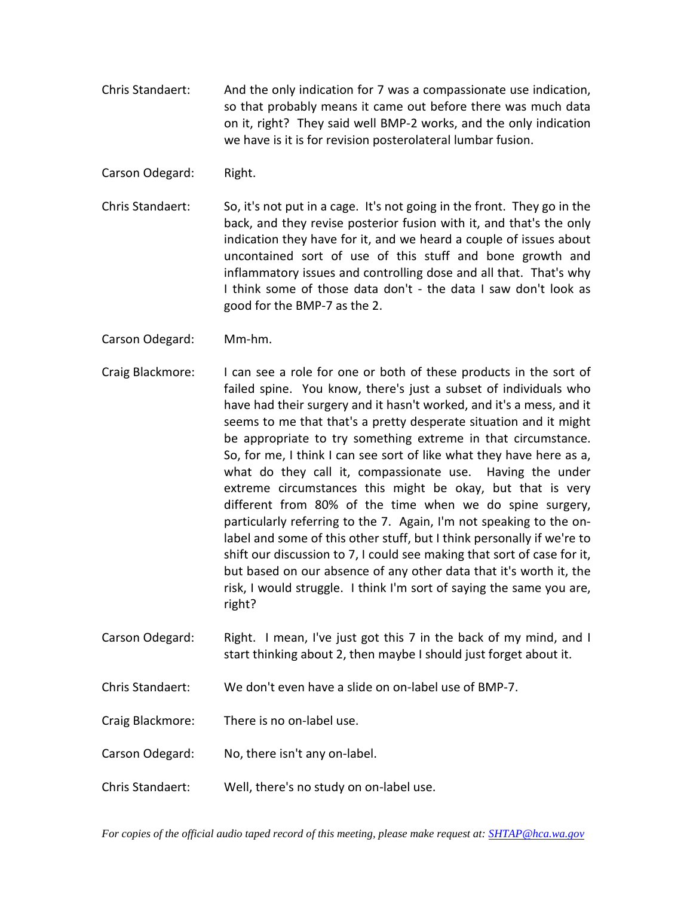Chris Standaert: And the only indication for 7 was a compassionate use indication, so that probably means it came out before there was much data on it, right? They said well BMP-2 works, and the only indication we have is it is for revision posterolateral lumbar fusion.

Carson Odegard: Right.

- Chris Standaert: So, it's not put in a cage. It's not going in the front. They go in the back, and they revise posterior fusion with it, and that's the only indication they have for it, and we heard a couple of issues about uncontained sort of use of this stuff and bone growth and inflammatory issues and controlling dose and all that. That's why I think some of those data don't - the data I saw don't look as good for the BMP-7 as the 2.
- Carson Odegard: Mm-hm.
- Craig Blackmore: I can see a role for one or both of these products in the sort of failed spine. You know, there's just a subset of individuals who have had their surgery and it hasn't worked, and it's a mess, and it seems to me that that's a pretty desperate situation and it might be appropriate to try something extreme in that circumstance. So, for me, I think I can see sort of like what they have here as a, what do they call it, compassionate use. Having the under extreme circumstances this might be okay, but that is very different from 80% of the time when we do spine surgery, particularly referring to the 7. Again, I'm not speaking to the onlabel and some of this other stuff, but I think personally if we're to shift our discussion to 7, I could see making that sort of case for it, but based on our absence of any other data that it's worth it, the risk, I would struggle. I think I'm sort of saying the same you are, right?
- Carson Odegard: Right. I mean, I've just got this 7 in the back of my mind, and I start thinking about 2, then maybe I should just forget about it.
- Chris Standaert: We don't even have a slide on on-label use of BMP-7.
- Craig Blackmore: There is no on-label use.
- Carson Odegard: No, there isn't any on-label.
- Chris Standaert: Well, there's no study on on-label use.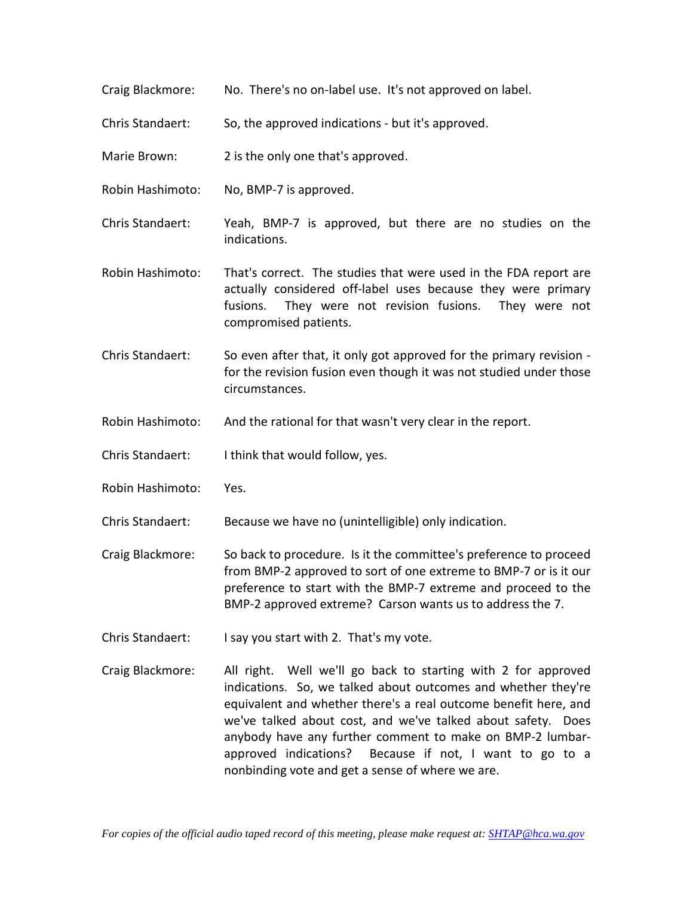- Craig Blackmore: No. There's no on-label use. It's not approved on label.
- Chris Standaert: So, the approved indications but it's approved.
- Marie Brown: 2 is the only one that's approved.
- Robin Hashimoto: No, BMP-7 is approved.
- Chris Standaert: Yeah, BMP-7 is approved, but there are no studies on the indications.
- Robin Hashimoto: That's correct. The studies that were used in the FDA report are actually considered off-label uses because they were primary fusions. They were not revision fusions. They were not compromised patients.
- Chris Standaert: So even after that, it only got approved for the primary revision for the revision fusion even though it was not studied under those circumstances.
- Robin Hashimoto: And the rational for that wasn't very clear in the report.
- Chris Standaert: I think that would follow, yes.
- Robin Hashimoto: Yes.
- Chris Standaert: Because we have no (unintelligible) only indication.
- Craig Blackmore: So back to procedure. Is it the committee's preference to proceed from BMP-2 approved to sort of one extreme to BMP-7 or is it our preference to start with the BMP-7 extreme and proceed to the BMP-2 approved extreme? Carson wants us to address the 7.
- Chris Standaert: I say you start with 2. That's my vote.
- Craig Blackmore: All right. Well we'll go back to starting with 2 for approved indications. So, we talked about outcomes and whether they're equivalent and whether there's a real outcome benefit here, and we've talked about cost, and we've talked about safety. Does anybody have any further comment to make on BMP-2 lumbarapproved indications? Because if not, I want to go to a nonbinding vote and get a sense of where we are.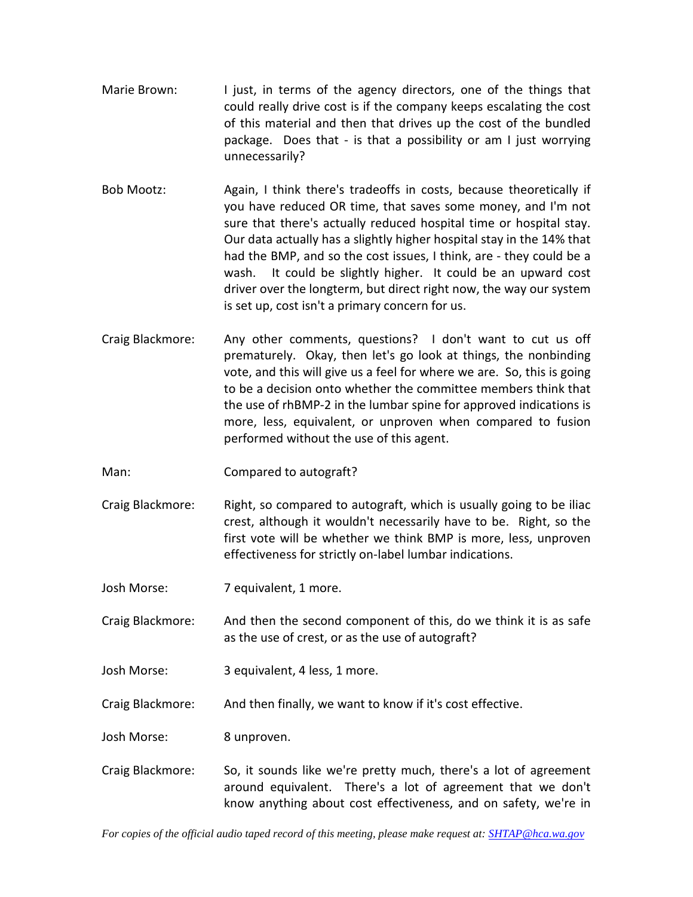- Marie Brown: I just, in terms of the agency directors, one of the things that could really drive cost is if the company keeps escalating the cost of this material and then that drives up the cost of the bundled package. Does that - is that a possibility or am I just worrying unnecessarily?
- Bob Mootz: Again, I think there's tradeoffs in costs, because theoretically if you have reduced OR time, that saves some money, and I'm not sure that there's actually reduced hospital time or hospital stay. Our data actually has a slightly higher hospital stay in the 14% that had the BMP, and so the cost issues, I think, are - they could be a wash. It could be slightly higher. It could be an upward cost driver over the longterm, but direct right now, the way our system is set up, cost isn't a primary concern for us.
- Craig Blackmore: Any other comments, questions? I don't want to cut us off prematurely. Okay, then let's go look at things, the nonbinding vote, and this will give us a feel for where we are. So, this is going to be a decision onto whether the committee members think that the use of rhBMP-2 in the lumbar spine for approved indications is more, less, equivalent, or unproven when compared to fusion performed without the use of this agent.
- Man: Compared to autograft?
- Craig Blackmore: Right, so compared to autograft, which is usually going to be iliac crest, although it wouldn't necessarily have to be. Right, so the first vote will be whether we think BMP is more, less, unproven effectiveness for strictly on-label lumbar indications.
- Josh Morse: 7 equivalent, 1 more.
- Craig Blackmore: And then the second component of this, do we think it is as safe as the use of crest, or as the use of autograft?
- Josh Morse: 3 equivalent, 4 less, 1 more.
- Craig Blackmore: And then finally, we want to know if it's cost effective.

Josh Morse: 8 unproven.

Craig Blackmore: So, it sounds like we're pretty much, there's a lot of agreement around equivalent. There's a lot of agreement that we don't know anything about cost effectiveness, and on safety, we're in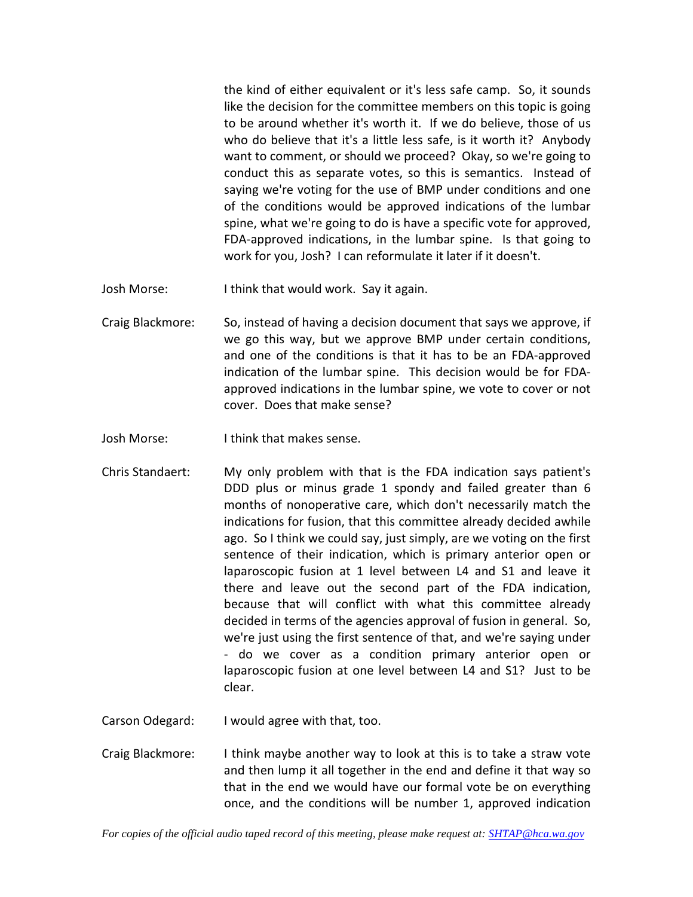the kind of either equivalent or it's less safe camp. So, it sounds like the decision for the committee members on this topic is going to be around whether it's worth it. If we do believe, those of us who do believe that it's a little less safe, is it worth it? Anybody want to comment, or should we proceed? Okay, so we're going to conduct this as separate votes, so this is semantics. Instead of saying we're voting for the use of BMP under conditions and one of the conditions would be approved indications of the lumbar spine, what we're going to do is have a specific vote for approved, FDA-approved indications, in the lumbar spine. Is that going to work for you, Josh? I can reformulate it later if it doesn't.

- Josh Morse: I think that would work. Say it again.
- Craig Blackmore: So, instead of having a decision document that says we approve, if we go this way, but we approve BMP under certain conditions, and one of the conditions is that it has to be an FDA-approved indication of the lumbar spine. This decision would be for FDAapproved indications in the lumbar spine, we vote to cover or not cover. Does that make sense?
- Josh Morse: I think that makes sense.
- Chris Standaert: My only problem with that is the FDA indication says patient's DDD plus or minus grade 1 spondy and failed greater than 6 months of nonoperative care, which don't necessarily match the indications for fusion, that this committee already decided awhile ago. So I think we could say, just simply, are we voting on the first sentence of their indication, which is primary anterior open or laparoscopic fusion at 1 level between L4 and S1 and leave it there and leave out the second part of the FDA indication, because that will conflict with what this committee already decided in terms of the agencies approval of fusion in general. So, we're just using the first sentence of that, and we're saying under - do we cover as a condition primary anterior open or laparoscopic fusion at one level between L4 and S1? Just to be clear.
- Carson Odegard: I would agree with that, too.
- Craig Blackmore: I think maybe another way to look at this is to take a straw vote and then lump it all together in the end and define it that way so that in the end we would have our formal vote be on everything once, and the conditions will be number 1, approved indication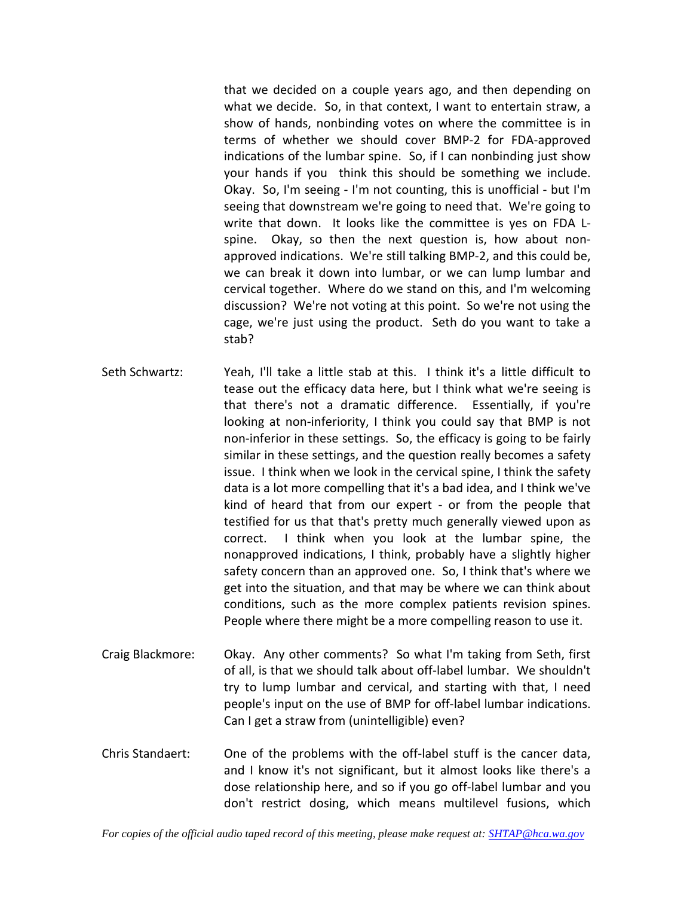that we decided on a couple years ago, and then depending on what we decide. So, in that context, I want to entertain straw, a show of hands, nonbinding votes on where the committee is in terms of whether we should cover BMP-2 for FDA-approved indications of the lumbar spine. So, if I can nonbinding just show your hands if you think this should be something we include. Okay. So, I'm seeing - I'm not counting, this is unofficial - but I'm seeing that downstream we're going to need that. We're going to write that down. It looks like the committee is yes on FDA Lspine. Okay, so then the next question is, how about nonapproved indications. We're still talking BMP-2, and this could be, we can break it down into lumbar, or we can lump lumbar and cervical together. Where do we stand on this, and I'm welcoming discussion? We're not voting at this point. So we're not using the cage, we're just using the product. Seth do you want to take a stab?

- Seth Schwartz: Yeah, I'll take a little stab at this. I think it's a little difficult to tease out the efficacy data here, but I think what we're seeing is that there's not a dramatic difference. Essentially, if you're looking at non-inferiority, I think you could say that BMP is not non-inferior in these settings. So, the efficacy is going to be fairly similar in these settings, and the question really becomes a safety issue. I think when we look in the cervical spine, I think the safety data is a lot more compelling that it's a bad idea, and I think we've kind of heard that from our expert - or from the people that testified for us that that's pretty much generally viewed upon as correct. I think when you look at the lumbar spine, the nonapproved indications, I think, probably have a slightly higher safety concern than an approved one. So, I think that's where we get into the situation, and that may be where we can think about conditions, such as the more complex patients revision spines. People where there might be a more compelling reason to use it.
- Craig Blackmore: Okay. Any other comments? So what I'm taking from Seth, first of all, is that we should talk about off-label lumbar. We shouldn't try to lump lumbar and cervical, and starting with that, I need people's input on the use of BMP for off-label lumbar indications. Can I get a straw from (unintelligible) even?
- Chris Standaert: One of the problems with the off-label stuff is the cancer data, and I know it's not significant, but it almost looks like there's a dose relationship here, and so if you go off-label lumbar and you don't restrict dosing, which means multilevel fusions, which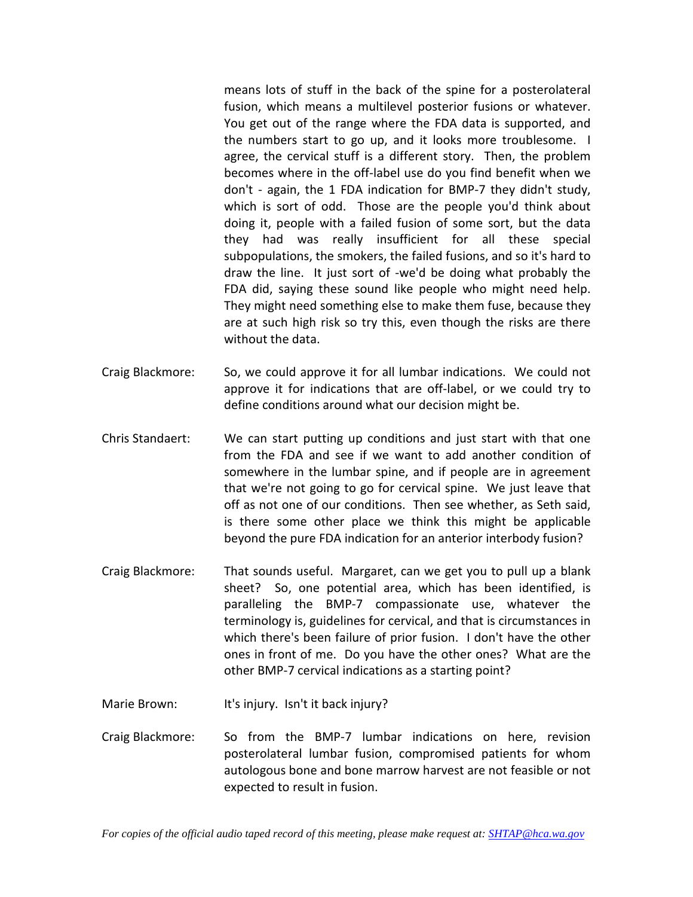means lots of stuff in the back of the spine for a posterolateral fusion, which means a multilevel posterior fusions or whatever. You get out of the range where the FDA data is supported, and the numbers start to go up, and it looks more troublesome. I agree, the cervical stuff is a different story. Then, the problem becomes where in the off-label use do you find benefit when we don't - again, the 1 FDA indication for BMP-7 they didn't study, which is sort of odd. Those are the people you'd think about doing it, people with a failed fusion of some sort, but the data they had was really insufficient for all these special subpopulations, the smokers, the failed fusions, and so it's hard to draw the line. It just sort of -we'd be doing what probably the FDA did, saying these sound like people who might need help. They might need something else to make them fuse, because they are at such high risk so try this, even though the risks are there without the data.

- Craig Blackmore: So, we could approve it for all lumbar indications. We could not approve it for indications that are off-label, or we could try to define conditions around what our decision might be.
- Chris Standaert: We can start putting up conditions and just start with that one from the FDA and see if we want to add another condition of somewhere in the lumbar spine, and if people are in agreement that we're not going to go for cervical spine. We just leave that off as not one of our conditions. Then see whether, as Seth said, is there some other place we think this might be applicable beyond the pure FDA indication for an anterior interbody fusion?
- Craig Blackmore: That sounds useful. Margaret, can we get you to pull up a blank sheet? So, one potential area, which has been identified, is paralleling the BMP-7 compassionate use, whatever the terminology is, guidelines for cervical, and that is circumstances in which there's been failure of prior fusion. I don't have the other ones in front of me. Do you have the other ones? What are the other BMP-7 cervical indications as a starting point?
- Marie Brown: It's injury. Isn't it back injury?
- Craig Blackmore: So from the BMP-7 lumbar indications on here, revision posterolateral lumbar fusion, compromised patients for whom autologous bone and bone marrow harvest are not feasible or not expected to result in fusion.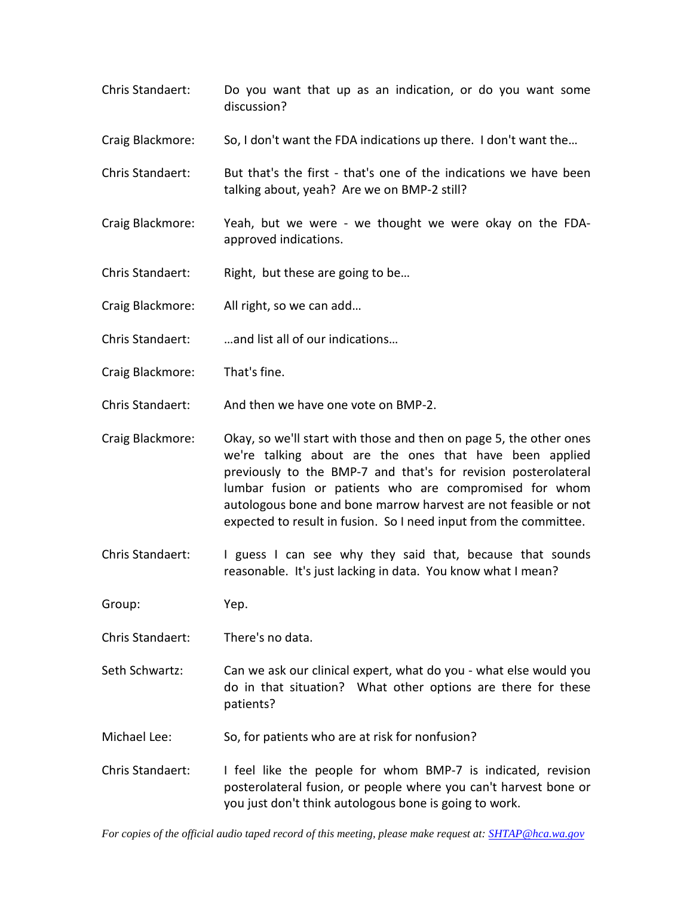- Chris Standaert: Do you want that up as an indication, or do you want some discussion?
- Craig Blackmore: So, I don't want the FDA indications up there. I don't want the…
- Chris Standaert: But that's the first that's one of the indications we have been talking about, yeah? Are we on BMP-2 still?
- Craig Blackmore: Yeah, but we were we thought we were okay on the FDAapproved indications.
- Chris Standaert: Right, but these are going to be…
- Craig Blackmore: All right, so we can add…
- Chris Standaert: …and list all of our indications…
- Craig Blackmore: That's fine.
- Chris Standaert: And then we have one vote on BMP-2.
- Craig Blackmore: Okay, so we'll start with those and then on page 5, the other ones we're talking about are the ones that have been applied previously to the BMP-7 and that's for revision posterolateral lumbar fusion or patients who are compromised for whom autologous bone and bone marrow harvest are not feasible or not expected to result in fusion. So I need input from the committee.
- Chris Standaert: I guess I can see why they said that, because that sounds reasonable. It's just lacking in data. You know what I mean?

Group: Yep.

- Chris Standaert: There's no data.
- Seth Schwartz: Can we ask our clinical expert, what do you what else would you do in that situation? What other options are there for these patients?
- Michael Lee: So, for patients who are at risk for nonfusion?
- Chris Standaert: I feel like the people for whom BMP-7 is indicated, revision posterolateral fusion, or people where you can't harvest bone or you just don't think autologous bone is going to work.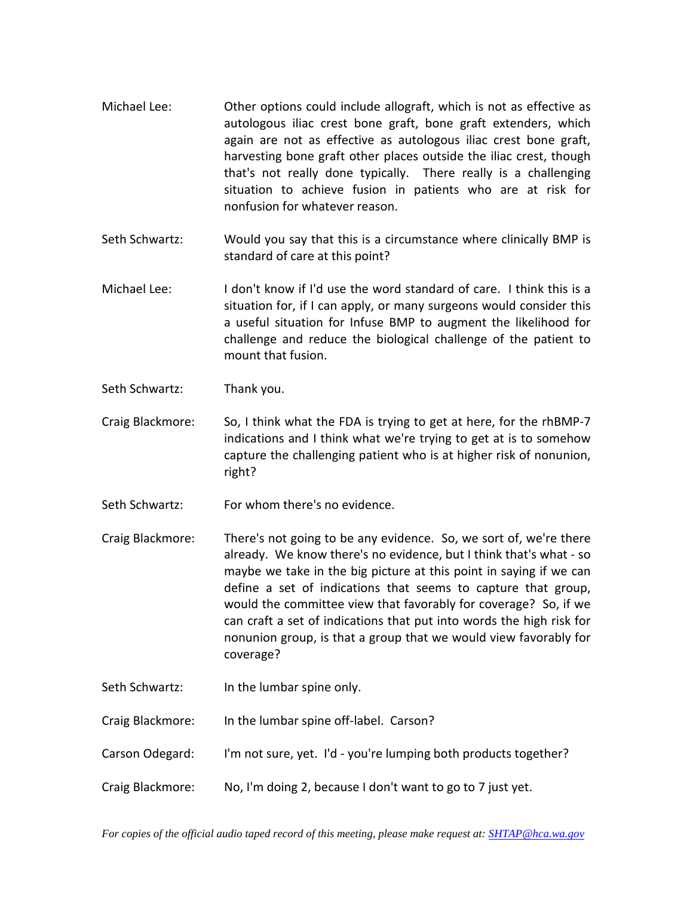- Michael Lee: Other options could include allograft, which is not as effective as autologous iliac crest bone graft, bone graft extenders, which again are not as effective as autologous iliac crest bone graft, harvesting bone graft other places outside the iliac crest, though that's not really done typically. There really is a challenging situation to achieve fusion in patients who are at risk for nonfusion for whatever reason.
- Seth Schwartz: Would you say that this is a circumstance where clinically BMP is standard of care at this point?
- Michael Lee: I don't know if I'd use the word standard of care. I think this is a situation for, if I can apply, or many surgeons would consider this a useful situation for Infuse BMP to augment the likelihood for challenge and reduce the biological challenge of the patient to mount that fusion.
- Seth Schwartz: Thank you.
- Craig Blackmore: So, I think what the FDA is trying to get at here, for the rhBMP-7 indications and I think what we're trying to get at is to somehow capture the challenging patient who is at higher risk of nonunion, right?
- Seth Schwartz: For whom there's no evidence.
- Craig Blackmore: There's not going to be any evidence. So, we sort of, we're there already. We know there's no evidence, but I think that's what - so maybe we take in the big picture at this point in saying if we can define a set of indications that seems to capture that group, would the committee view that favorably for coverage? So, if we can craft a set of indications that put into words the high risk for nonunion group, is that a group that we would view favorably for coverage?
- Seth Schwartz: In the lumbar spine only.
- Craig Blackmore: In the lumbar spine off-label. Carson?
- Carson Odegard: I'm not sure, yet. I'd you're lumping both products together?
- Craig Blackmore: No, I'm doing 2, because I don't want to go to 7 just yet.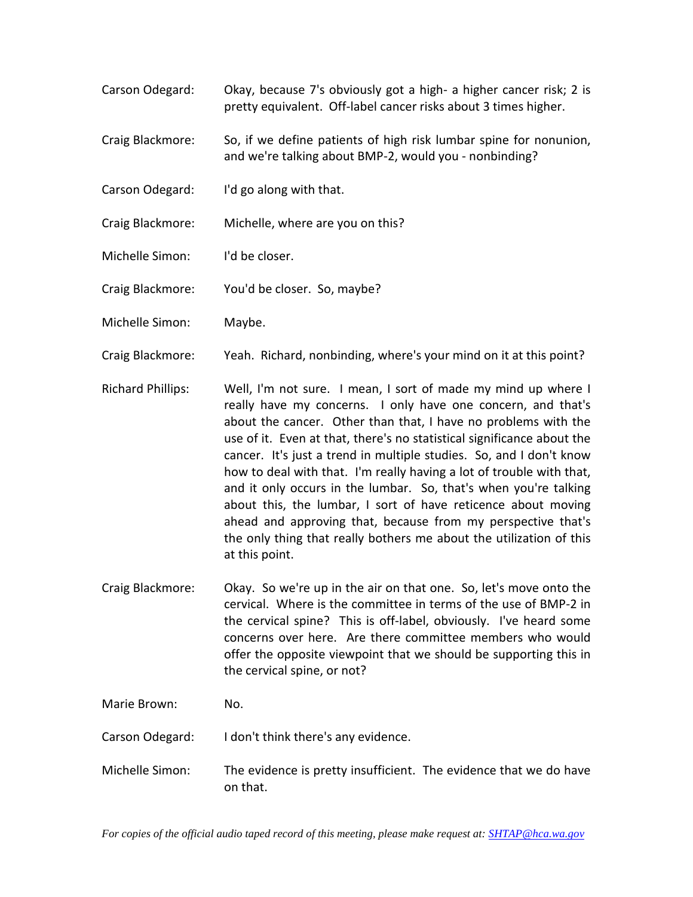- Carson Odegard: Okay, because 7's obviously got a high- a higher cancer risk; 2 is pretty equivalent. Off-label cancer risks about 3 times higher.
- Craig Blackmore: So, if we define patients of high risk lumbar spine for nonunion, and we're talking about BMP-2, would you - nonbinding?
- Carson Odegard: I'd go along with that.
- Craig Blackmore: Michelle, where are you on this?
- Michelle Simon: I'd be closer.
- Craig Blackmore: You'd be closer. So, maybe?
- Michelle Simon: Maybe.
- Craig Blackmore: Yeah. Richard, nonbinding, where's your mind on it at this point?
- Richard Phillips: Well, I'm not sure. I mean, I sort of made my mind up where I really have my concerns. I only have one concern, and that's about the cancer. Other than that, I have no problems with the use of it. Even at that, there's no statistical significance about the cancer. It's just a trend in multiple studies. So, and I don't know how to deal with that. I'm really having a lot of trouble with that, and it only occurs in the lumbar. So, that's when you're talking about this, the lumbar, I sort of have reticence about moving ahead and approving that, because from my perspective that's the only thing that really bothers me about the utilization of this at this point.
- Craig Blackmore: Okay. So we're up in the air on that one. So, let's move onto the cervical. Where is the committee in terms of the use of BMP-2 in the cervical spine? This is off-label, obviously. I've heard some concerns over here. Are there committee members who would offer the opposite viewpoint that we should be supporting this in the cervical spine, or not?

| Marie Brown:    | No.                                                                           |
|-----------------|-------------------------------------------------------------------------------|
| Carson Odegard: | I don't think there's any evidence.                                           |
| Michelle Simon: | The evidence is pretty insufficient. The evidence that we do have<br>on that. |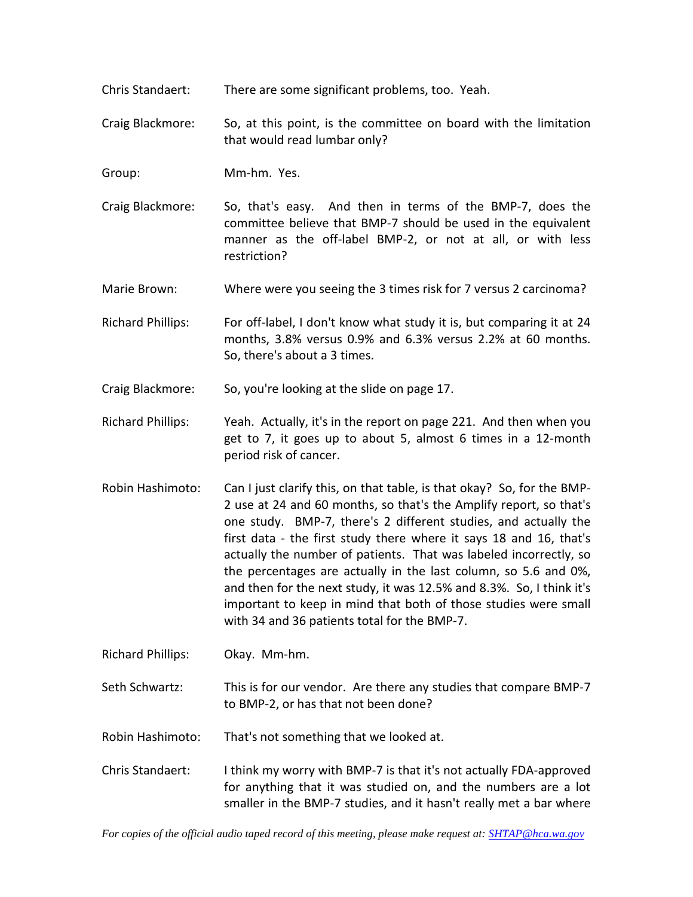- Chris Standaert: There are some significant problems, too. Yeah.
- Craig Blackmore: So, at this point, is the committee on board with the limitation that would read lumbar only?
- Group: Mm-hm. Yes.
- Craig Blackmore: So, that's easy. And then in terms of the BMP-7, does the committee believe that BMP-7 should be used in the equivalent manner as the off-label BMP-2, or not at all, or with less restriction?
- Marie Brown: Where were you seeing the 3 times risk for 7 versus 2 carcinoma?
- Richard Phillips: For off-label, I don't know what study it is, but comparing it at 24 months, 3.8% versus 0.9% and 6.3% versus 2.2% at 60 months. So, there's about a 3 times.
- Craig Blackmore: So, you're looking at the slide on page 17.
- Richard Phillips: Yeah. Actually, it's in the report on page 221. And then when you get to 7, it goes up to about 5, almost 6 times in a 12-month period risk of cancer.
- Robin Hashimoto: Can I just clarify this, on that table, is that okay? So, for the BMP-2 use at 24 and 60 months, so that's the Amplify report, so that's one study. BMP-7, there's 2 different studies, and actually the first data - the first study there where it says 18 and 16, that's actually the number of patients. That was labeled incorrectly, so the percentages are actually in the last column, so 5.6 and 0%, and then for the next study, it was 12.5% and 8.3%. So, I think it's important to keep in mind that both of those studies were small with 34 and 36 patients total for the BMP-7.
- Richard Phillips: Okay. Mm-hm.
- Seth Schwartz: This is for our vendor. Are there any studies that compare BMP-7 to BMP-2, or has that not been done?
- Robin Hashimoto: That's not something that we looked at.
- Chris Standaert: I think my worry with BMP-7 is that it's not actually FDA-approved for anything that it was studied on, and the numbers are a lot smaller in the BMP-7 studies, and it hasn't really met a bar where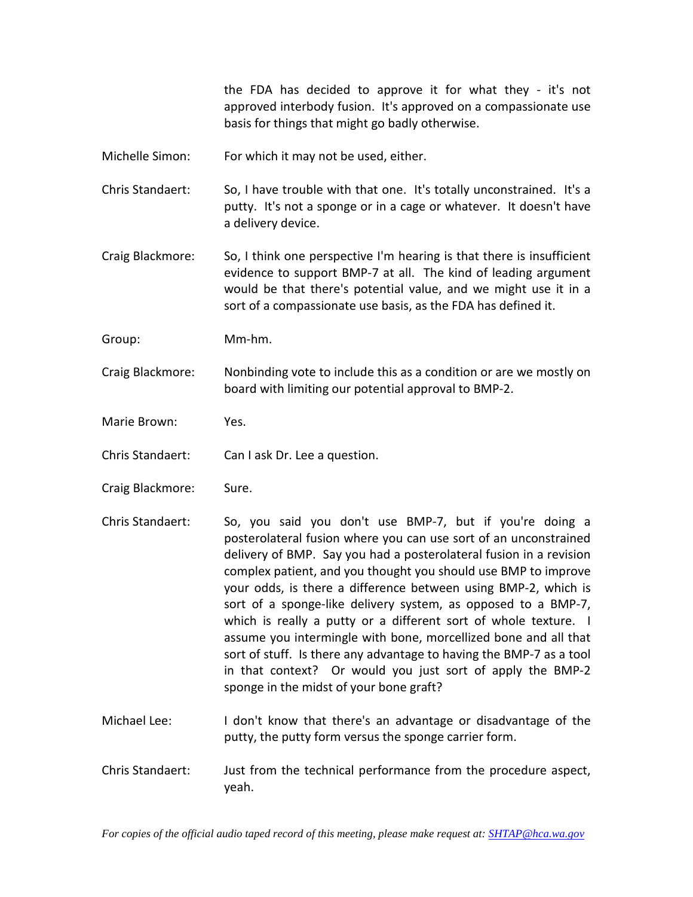the FDA has decided to approve it for what they - it's not approved interbody fusion. It's approved on a compassionate use basis for things that might go badly otherwise.

Michelle Simon: For which it may not be used, either.

Chris Standaert: So, I have trouble with that one. It's totally unconstrained. It's a putty. It's not a sponge or in a cage or whatever. It doesn't have a delivery device.

Craig Blackmore: So, I think one perspective I'm hearing is that there is insufficient evidence to support BMP-7 at all. The kind of leading argument would be that there's potential value, and we might use it in a sort of a compassionate use basis, as the FDA has defined it.

Group: Mm-hm.

Craig Blackmore: Nonbinding vote to include this as a condition or are we mostly on board with limiting our potential approval to BMP-2.

Marie Brown: Yes.

Chris Standaert: Can I ask Dr. Lee a question.

- Craig Blackmore: Sure.
- Chris Standaert: So, you said you don't use BMP-7, but if you're doing a posterolateral fusion where you can use sort of an unconstrained delivery of BMP. Say you had a posterolateral fusion in a revision complex patient, and you thought you should use BMP to improve your odds, is there a difference between using BMP-2, which is sort of a sponge-like delivery system, as opposed to a BMP-7, which is really a putty or a different sort of whole texture. I assume you intermingle with bone, morcellized bone and all that sort of stuff. Is there any advantage to having the BMP-7 as a tool in that context? Or would you just sort of apply the BMP-2 sponge in the midst of your bone graft?
- Michael Lee: I don't know that there's an advantage or disadvantage of the putty, the putty form versus the sponge carrier form.
- Chris Standaert: Just from the technical performance from the procedure aspect, yeah.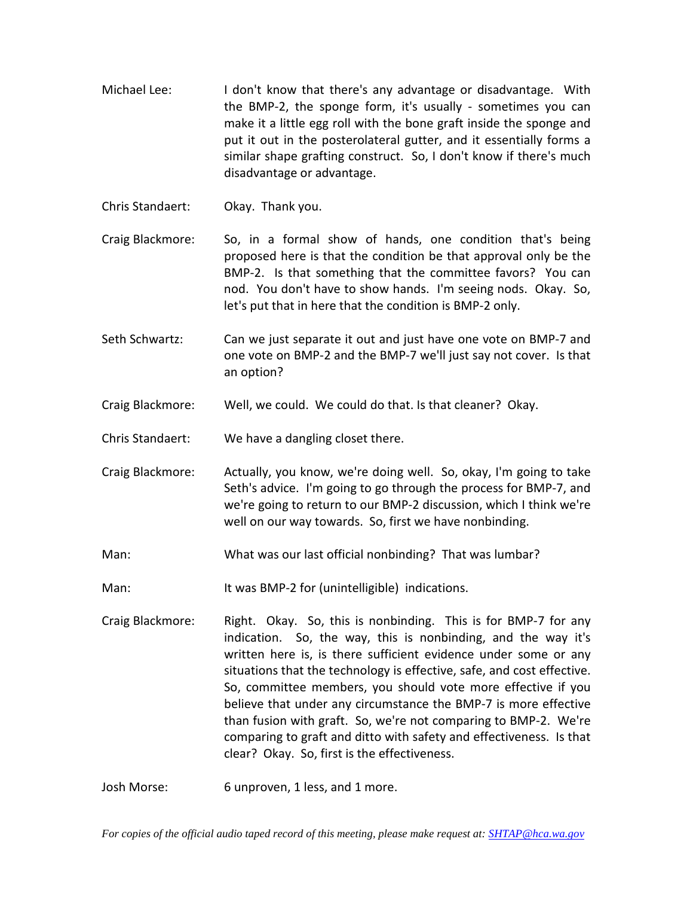- Michael Lee: I don't know that there's any advantage or disadvantage. With the BMP-2, the sponge form, it's usually - sometimes you can make it a little egg roll with the bone graft inside the sponge and put it out in the posterolateral gutter, and it essentially forms a similar shape grafting construct. So, I don't know if there's much disadvantage or advantage.
- Chris Standaert: Okay. Thank you.
- Craig Blackmore: So, in a formal show of hands, one condition that's being proposed here is that the condition be that approval only be the BMP-2. Is that something that the committee favors? You can nod. You don't have to show hands. I'm seeing nods. Okay. So, let's put that in here that the condition is BMP-2 only.
- Seth Schwartz: Can we just separate it out and just have one vote on BMP-7 and one vote on BMP-2 and the BMP-7 we'll just say not cover. Is that an option?
- Craig Blackmore: Well, we could. We could do that. Is that cleaner? Okay.
- Chris Standaert: We have a dangling closet there.
- Craig Blackmore: Actually, you know, we're doing well. So, okay, I'm going to take Seth's advice. I'm going to go through the process for BMP-7, and we're going to return to our BMP-2 discussion, which I think we're well on our way towards. So, first we have nonbinding.
- Man: What was our last official nonbinding? That was lumbar?
- Man: It was BMP-2 for (unintelligible) indications.
- Craig Blackmore: Right. Okay. So, this is nonbinding. This is for BMP-7 for any indication. So, the way, this is nonbinding, and the way it's written here is, is there sufficient evidence under some or any situations that the technology is effective, safe, and cost effective. So, committee members, you should vote more effective if you believe that under any circumstance the BMP-7 is more effective than fusion with graft. So, we're not comparing to BMP-2. We're comparing to graft and ditto with safety and effectiveness. Is that clear? Okay. So, first is the effectiveness.
- Josh Morse: 6 unproven, 1 less, and 1 more.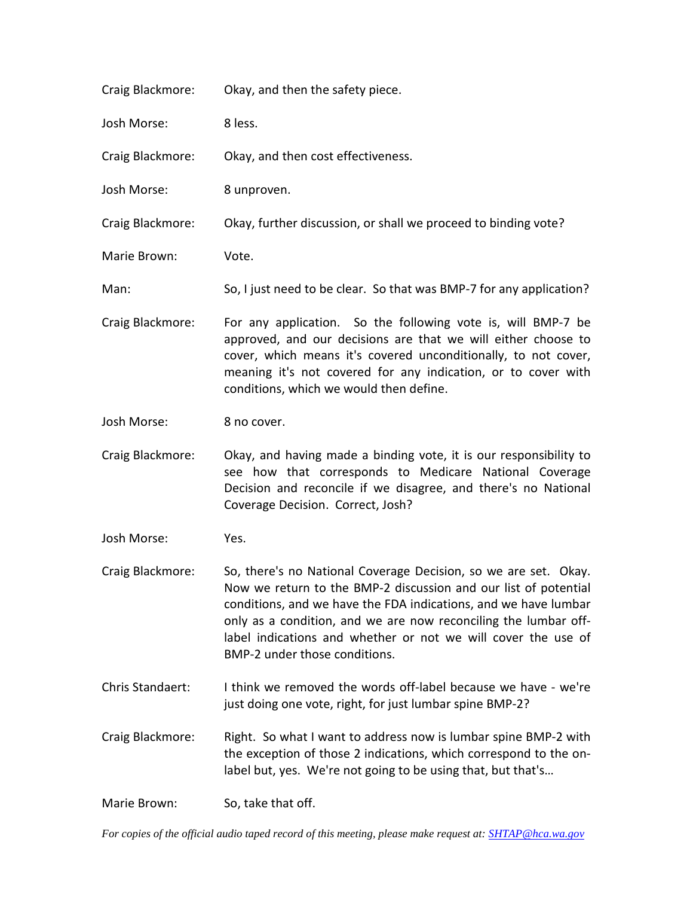| Craig Blackmore: | Okay, and then the safety piece.                                                                                                                                                                                                                                                                                                                                           |
|------------------|----------------------------------------------------------------------------------------------------------------------------------------------------------------------------------------------------------------------------------------------------------------------------------------------------------------------------------------------------------------------------|
| Josh Morse:      | 8 less.                                                                                                                                                                                                                                                                                                                                                                    |
| Craig Blackmore: | Okay, and then cost effectiveness.                                                                                                                                                                                                                                                                                                                                         |
| Josh Morse:      | 8 unproven.                                                                                                                                                                                                                                                                                                                                                                |
| Craig Blackmore: | Okay, further discussion, or shall we proceed to binding vote?                                                                                                                                                                                                                                                                                                             |
| Marie Brown:     | Vote.                                                                                                                                                                                                                                                                                                                                                                      |
| Man:             | So, I just need to be clear. So that was BMP-7 for any application?                                                                                                                                                                                                                                                                                                        |
| Craig Blackmore: | For any application. So the following vote is, will BMP-7 be<br>approved, and our decisions are that we will either choose to<br>cover, which means it's covered unconditionally, to not cover,<br>meaning it's not covered for any indication, or to cover with<br>conditions, which we would then define.                                                                |
| Josh Morse:      | 8 no cover.                                                                                                                                                                                                                                                                                                                                                                |
| Craig Blackmore: | Okay, and having made a binding vote, it is our responsibility to<br>see how that corresponds to Medicare National Coverage<br>Decision and reconcile if we disagree, and there's no National<br>Coverage Decision. Correct, Josh?                                                                                                                                         |
| Josh Morse:      | Yes.                                                                                                                                                                                                                                                                                                                                                                       |
| Craig Blackmore: | So, there's no National Coverage Decision, so we are set. Okay.<br>Now we return to the BMP-2 discussion and our list of potential<br>conditions, and we have the FDA indications, and we have lumbar<br>only as a condition, and we are now reconciling the lumbar off-<br>label indications and whether or not we will cover the use of<br>BMP-2 under those conditions. |
| Chris Standaert: | I think we removed the words off-label because we have - we're<br>just doing one vote, right, for just lumbar spine BMP-2?                                                                                                                                                                                                                                                 |
| Craig Blackmore: | Right. So what I want to address now is lumbar spine BMP-2 with<br>the exception of those 2 indications, which correspond to the on-<br>label but, yes. We're not going to be using that, but that's                                                                                                                                                                       |

Marie Brown: So, take that off.

*For copies of the official audio taped record of this meeting, please make request at[: SHTAP@hca.wa.gov](mailto:SHTAP@hca.wa.gov)*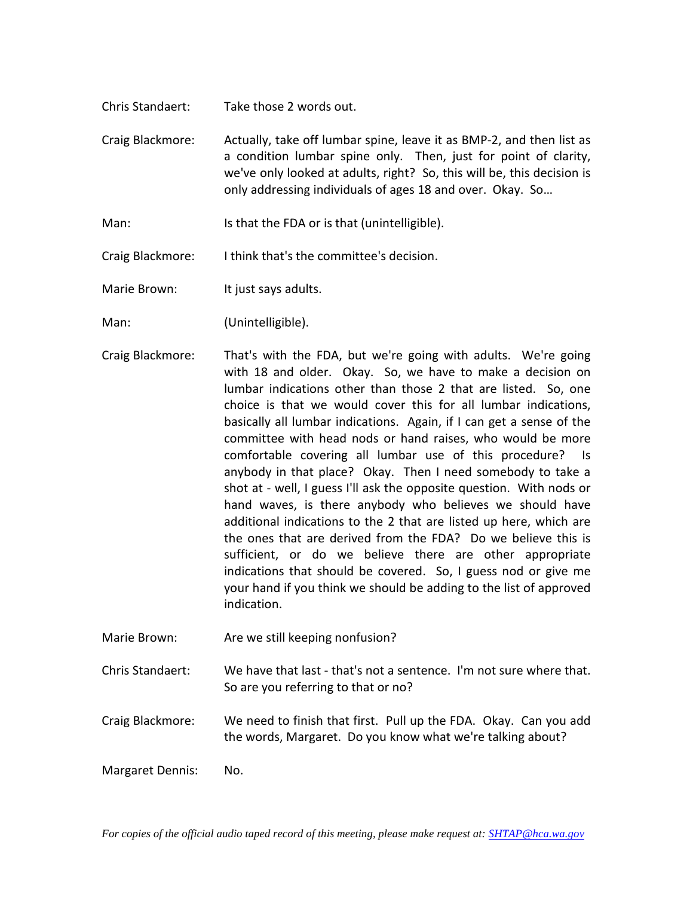- Chris Standaert: Take those 2 words out.
- Craig Blackmore: Actually, take off lumbar spine, leave it as BMP-2, and then list as a condition lumbar spine only. Then, just for point of clarity, we've only looked at adults, right? So, this will be, this decision is only addressing individuals of ages 18 and over. Okay. So…
- Man: Is that the FDA or is that (unintelligible).
- Craig Blackmore: I think that's the committee's decision.

Marie Brown: It just says adults.

- Man: (Unintelligible).
- Craig Blackmore: That's with the FDA, but we're going with adults. We're going with 18 and older. Okay. So, we have to make a decision on lumbar indications other than those 2 that are listed. So, one choice is that we would cover this for all lumbar indications, basically all lumbar indications. Again, if I can get a sense of the committee with head nods or hand raises, who would be more comfortable covering all lumbar use of this procedure? Is anybody in that place? Okay. Then I need somebody to take a shot at - well, I guess I'll ask the opposite question. With nods or hand waves, is there anybody who believes we should have additional indications to the 2 that are listed up here, which are the ones that are derived from the FDA? Do we believe this is sufficient, or do we believe there are other appropriate indications that should be covered. So, I guess nod or give me your hand if you think we should be adding to the list of approved indication.
- Marie Brown: Are we still keeping nonfusion?
- Chris Standaert: We have that last that's not a sentence. I'm not sure where that. So are you referring to that or no?
- Craig Blackmore: We need to finish that first. Pull up the FDA. Okay. Can you add the words, Margaret. Do you know what we're talking about?

Margaret Dennis: No.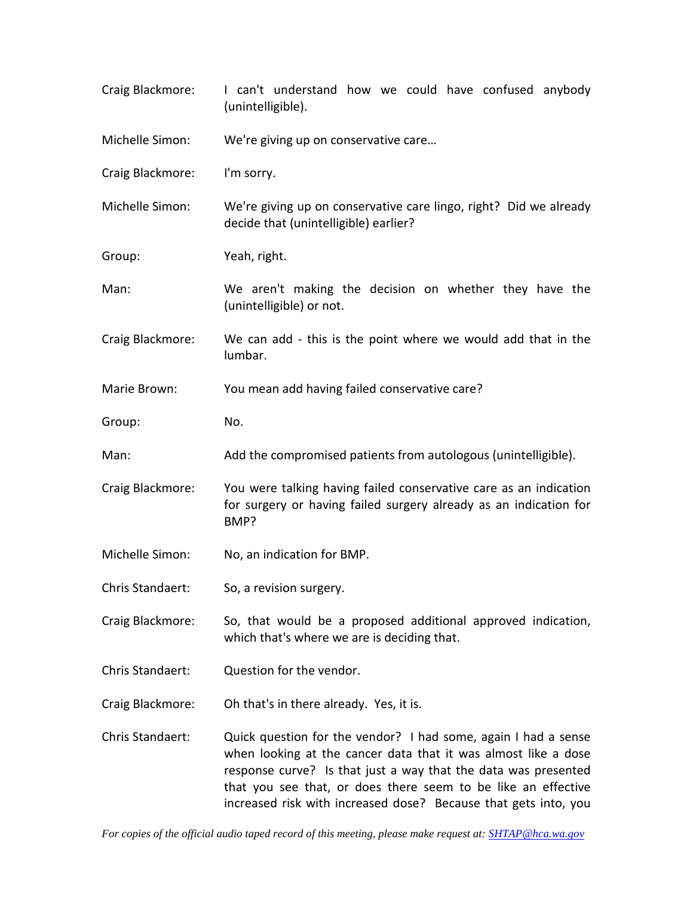Craig Blackmore: I can't understand how we could have confused anybody (unintelligible). Michelle Simon: We're giving up on conservative care… Craig Blackmore: I'm sorry. Michelle Simon: We're giving up on conservative care lingo, right? Did we already decide that (unintelligible) earlier? Group: Yeah, right. Man: We aren't making the decision on whether they have the (unintelligible) or not. Craig Blackmore: We can add - this is the point where we would add that in the lumbar. Marie Brown: You mean add having failed conservative care? Group: No. Man: Add the compromised patients from autologous (unintelligible). Craig Blackmore: You were talking having failed conservative care as an indication for surgery or having failed surgery already as an indication for BMP? Michelle Simon: No, an indication for BMP. Chris Standaert: So, a revision surgery. Craig Blackmore: So, that would be a proposed additional approved indication, which that's where we are is deciding that. Chris Standaert: Question for the vendor. Craig Blackmore: Oh that's in there already. Yes, it is. Chris Standaert: Quick question for the vendor? I had some, again I had a sense when looking at the cancer data that it was almost like a dose response curve? Is that just a way that the data was presented that you see that, or does there seem to be like an effective increased risk with increased dose? Because that gets into, you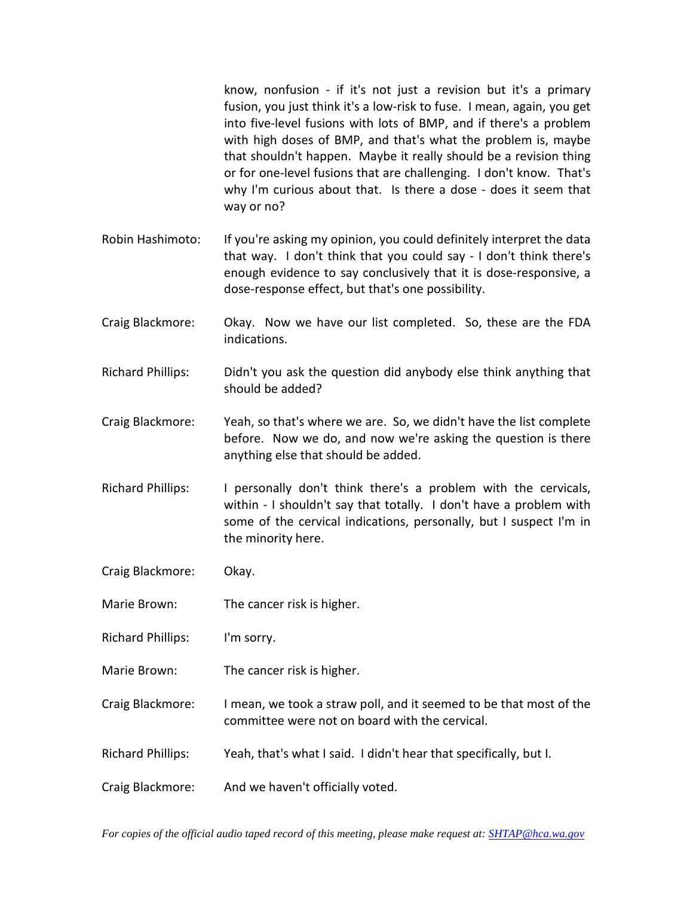know, nonfusion - if it's not just a revision but it's a primary fusion, you just think it's a low-risk to fuse. I mean, again, you get into five-level fusions with lots of BMP, and if there's a problem with high doses of BMP, and that's what the problem is, maybe that shouldn't happen. Maybe it really should be a revision thing or for one-level fusions that are challenging. I don't know. That's why I'm curious about that. Is there a dose - does it seem that way or no?

- Robin Hashimoto: If you're asking my opinion, you could definitely interpret the data that way. I don't think that you could say - I don't think there's enough evidence to say conclusively that it is dose-responsive, a dose-response effect, but that's one possibility.
- Craig Blackmore: Okay. Now we have our list completed. So, these are the FDA indications.
- Richard Phillips: Didn't you ask the question did anybody else think anything that should be added?
- Craig Blackmore: Yeah, so that's where we are. So, we didn't have the list complete before. Now we do, and now we're asking the question is there anything else that should be added.
- Richard Phillips: I personally don't think there's a problem with the cervicals, within - I shouldn't say that totally. I don't have a problem with some of the cervical indications, personally, but I suspect I'm in the minority here.
- Craig Blackmore: Okay.
- Marie Brown: The cancer risk is higher.
- Richard Phillips: I'm sorry.
- Marie Brown: The cancer risk is higher.
- Craig Blackmore: I mean, we took a straw poll, and it seemed to be that most of the committee were not on board with the cervical.
- Richard Phillips: Yeah, that's what I said. I didn't hear that specifically, but I.
- Craig Blackmore: And we haven't officially voted.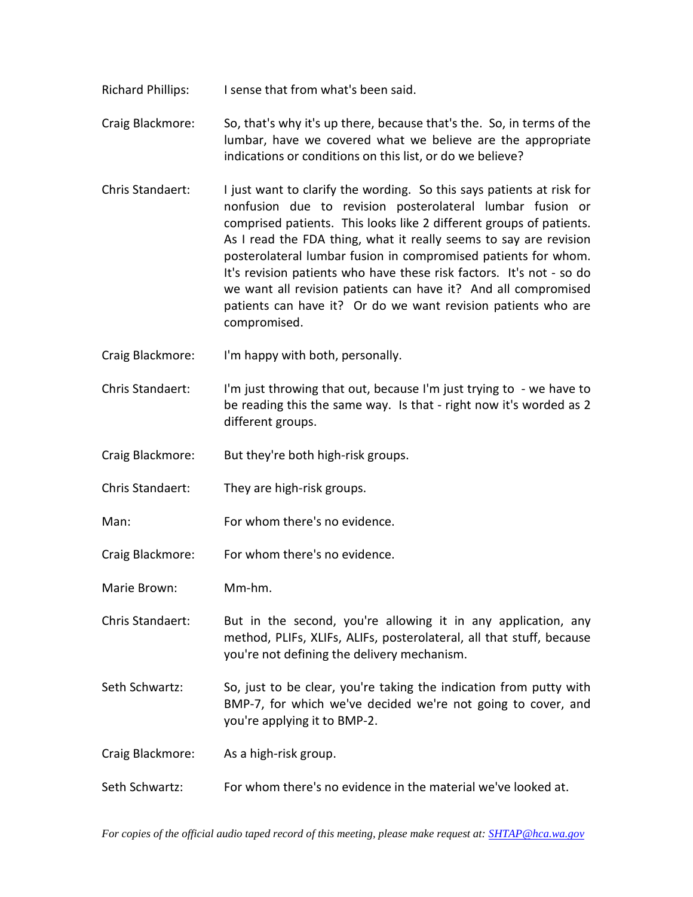- Richard Phillips: I sense that from what's been said.
- Craig Blackmore: So, that's why it's up there, because that's the. So, in terms of the lumbar, have we covered what we believe are the appropriate indications or conditions on this list, or do we believe?
- Chris Standaert: I just want to clarify the wording. So this says patients at risk for nonfusion due to revision posterolateral lumbar fusion or comprised patients. This looks like 2 different groups of patients. As I read the FDA thing, what it really seems to say are revision posterolateral lumbar fusion in compromised patients for whom. It's revision patients who have these risk factors. It's not - so do we want all revision patients can have it? And all compromised patients can have it? Or do we want revision patients who are compromised.
- Craig Blackmore: I'm happy with both, personally.
- Chris Standaert: I'm just throwing that out, because I'm just trying to we have to be reading this the same way. Is that - right now it's worded as 2 different groups.
- Craig Blackmore: But they're both high-risk groups.
- Chris Standaert: They are high-risk groups.
- Man: For whom there's no evidence.
- Craig Blackmore: For whom there's no evidence.
- Marie Brown: Mm-hm.
- Chris Standaert: But in the second, you're allowing it in any application, any method, PLIFs, XLIFs, ALIFs, posterolateral, all that stuff, because you're not defining the delivery mechanism.
- Seth Schwartz: So, just to be clear, you're taking the indication from putty with BMP-7, for which we've decided we're not going to cover, and you're applying it to BMP-2.
- Craig Blackmore: As a high-risk group.
- Seth Schwartz: For whom there's no evidence in the material we've looked at.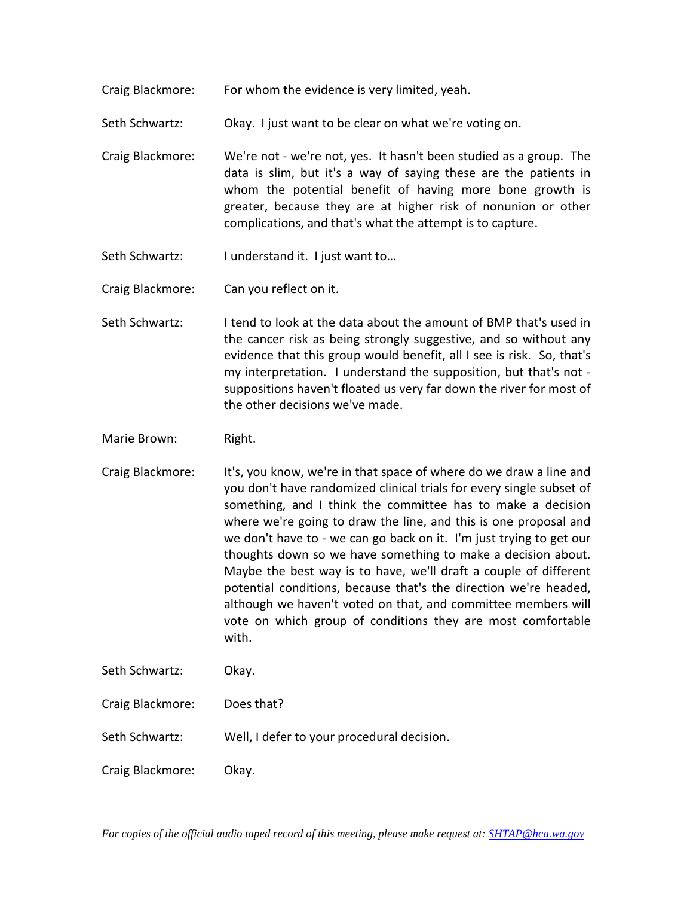Craig Blackmore: For whom the evidence is very limited, yeah.

Seth Schwartz: Okay. I just want to be clear on what we're voting on.

- Craig Blackmore: We're not we're not, yes. It hasn't been studied as a group. The data is slim, but it's a way of saying these are the patients in whom the potential benefit of having more bone growth is greater, because they are at higher risk of nonunion or other complications, and that's what the attempt is to capture.
- Seth Schwartz: I understand it. I just want to...

Craig Blackmore: Can you reflect on it.

Seth Schwartz: I tend to look at the data about the amount of BMP that's used in the cancer risk as being strongly suggestive, and so without any evidence that this group would benefit, all I see is risk. So, that's my interpretation. I understand the supposition, but that's not suppositions haven't floated us very far down the river for most of the other decisions we've made.

Marie Brown: Right.

- Craig Blackmore: It's, you know, we're in that space of where do we draw a line and you don't have randomized clinical trials for every single subset of something, and I think the committee has to make a decision where we're going to draw the line, and this is one proposal and we don't have to - we can go back on it. I'm just trying to get our thoughts down so we have something to make a decision about. Maybe the best way is to have, we'll draft a couple of different potential conditions, because that's the direction we're headed, although we haven't voted on that, and committee members will vote on which group of conditions they are most comfortable with.
- Seth Schwartz: Okay.

Craig Blackmore: Does that?

Seth Schwartz: Well, I defer to your procedural decision.

Craig Blackmore: Okay.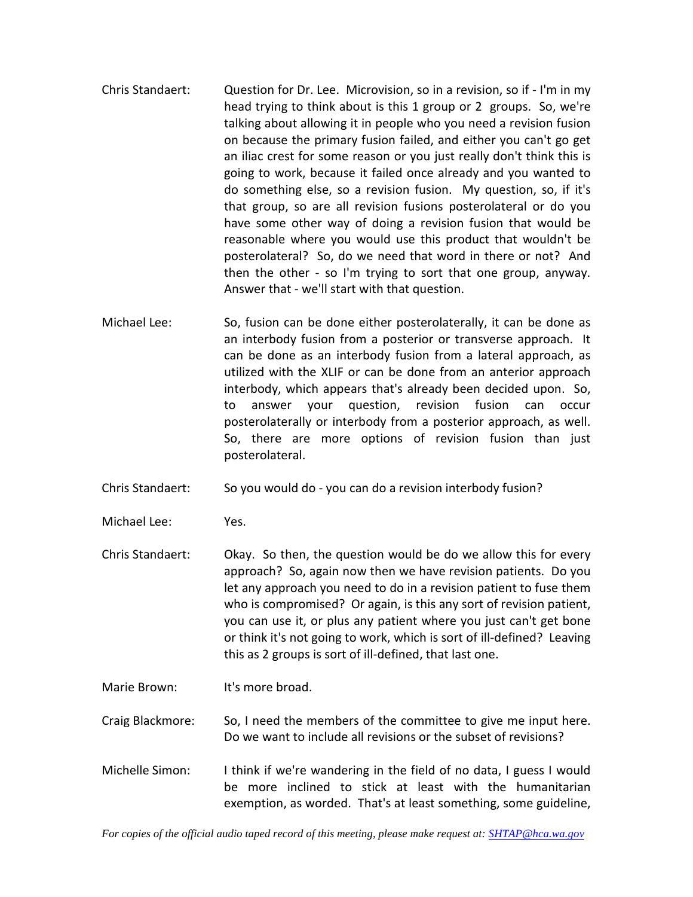- Chris Standaert: Question for Dr. Lee. Microvision, so in a revision, so if I'm in my head trying to think about is this 1 group or 2 groups. So, we're talking about allowing it in people who you need a revision fusion on because the primary fusion failed, and either you can't go get an iliac crest for some reason or you just really don't think this is going to work, because it failed once already and you wanted to do something else, so a revision fusion. My question, so, if it's that group, so are all revision fusions posterolateral or do you have some other way of doing a revision fusion that would be reasonable where you would use this product that wouldn't be posterolateral? So, do we need that word in there or not? And then the other - so I'm trying to sort that one group, anyway. Answer that - we'll start with that question.
- Michael Lee: So, fusion can be done either posterolaterally, it can be done as an interbody fusion from a posterior or transverse approach. It can be done as an interbody fusion from a lateral approach, as utilized with the XLIF or can be done from an anterior approach interbody, which appears that's already been decided upon. So, to answer your question, revision fusion can occur posterolaterally or interbody from a posterior approach, as well. So, there are more options of revision fusion than just posterolateral.
- Chris Standaert: So you would do you can do a revision interbody fusion?
- Michael Lee: Yes.
- Chris Standaert: Okay. So then, the question would be do we allow this for every approach? So, again now then we have revision patients. Do you let any approach you need to do in a revision patient to fuse them who is compromised? Or again, is this any sort of revision patient, you can use it, or plus any patient where you just can't get bone or think it's not going to work, which is sort of ill-defined? Leaving this as 2 groups is sort of ill-defined, that last one.
- Marie Brown: It's more broad.

Craig Blackmore: So, I need the members of the committee to give me input here. Do we want to include all revisions or the subset of revisions?

Michelle Simon: I think if we're wandering in the field of no data, I guess I would be more inclined to stick at least with the humanitarian exemption, as worded. That's at least something, some guideline,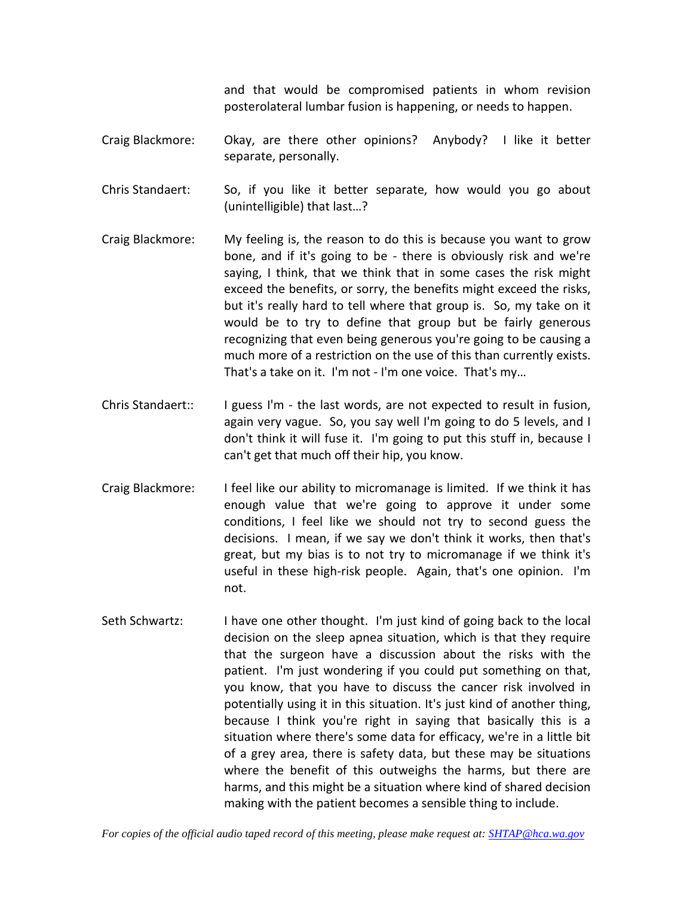and that would be compromised patients in whom revision posterolateral lumbar fusion is happening, or needs to happen.

Craig Blackmore: Okay, are there other opinions? Anybody? I like it better separate, personally.

Chris Standaert: So, if you like it better separate, how would you go about (unintelligible) that last…?

- Craig Blackmore: My feeling is, the reason to do this is because you want to grow bone, and if it's going to be - there is obviously risk and we're saying, I think, that we think that in some cases the risk might exceed the benefits, or sorry, the benefits might exceed the risks, but it's really hard to tell where that group is. So, my take on it would be to try to define that group but be fairly generous recognizing that even being generous you're going to be causing a much more of a restriction on the use of this than currently exists. That's a take on it. I'm not - I'm one voice. That's my…
- Chris Standaert:: I guess I'm the last words, are not expected to result in fusion, again very vague. So, you say well I'm going to do 5 levels, and I don't think it will fuse it. I'm going to put this stuff in, because I can't get that much off their hip, you know.
- Craig Blackmore: I feel like our ability to micromanage is limited. If we think it has enough value that we're going to approve it under some conditions, I feel like we should not try to second guess the decisions. I mean, if we say we don't think it works, then that's great, but my bias is to not try to micromanage if we think it's useful in these high-risk people. Again, that's one opinion. I'm not.
- Seth Schwartz: I have one other thought. I'm just kind of going back to the local decision on the sleep apnea situation, which is that they require that the surgeon have a discussion about the risks with the patient. I'm just wondering if you could put something on that, you know, that you have to discuss the cancer risk involved in potentially using it in this situation. It's just kind of another thing, because I think you're right in saying that basically this is a situation where there's some data for efficacy, we're in a little bit of a grey area, there is safety data, but these may be situations where the benefit of this outweighs the harms, but there are harms, and this might be a situation where kind of shared decision making with the patient becomes a sensible thing to include.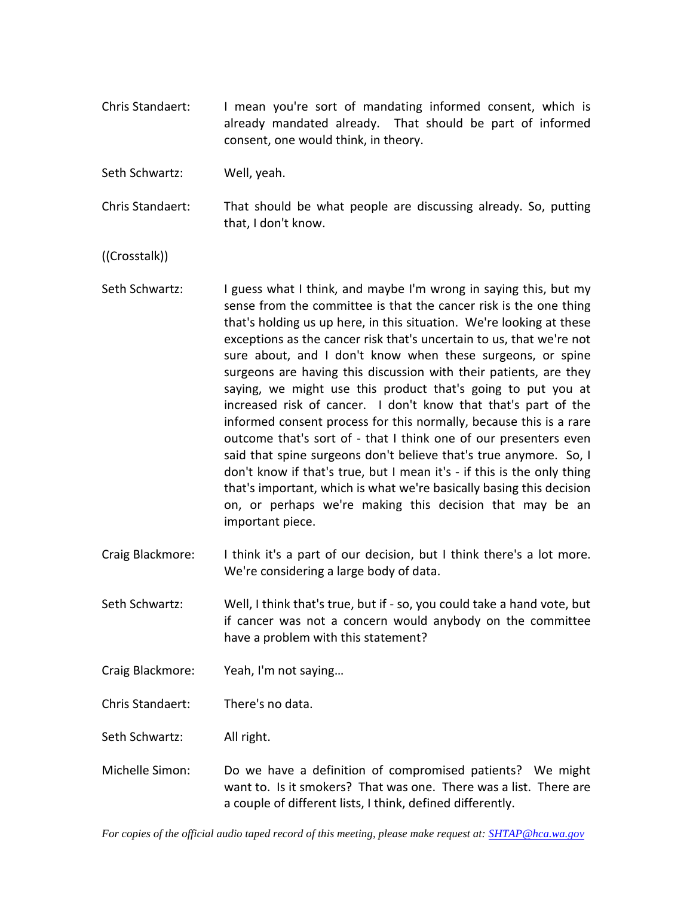Chris Standaert: I mean you're sort of mandating informed consent, which is already mandated already. That should be part of informed consent, one would think, in theory.

Seth Schwartz: Well, yeah.

Chris Standaert: That should be what people are discussing already. So, putting that, I don't know.

((Crosstalk))

- Seth Schwartz: I guess what I think, and maybe I'm wrong in saying this, but my sense from the committee is that the cancer risk is the one thing that's holding us up here, in this situation. We're looking at these exceptions as the cancer risk that's uncertain to us, that we're not sure about, and I don't know when these surgeons, or spine surgeons are having this discussion with their patients, are they saying, we might use this product that's going to put you at increased risk of cancer. I don't know that that's part of the informed consent process for this normally, because this is a rare outcome that's sort of - that I think one of our presenters even said that spine surgeons don't believe that's true anymore. So, I don't know if that's true, but I mean it's - if this is the only thing that's important, which is what we're basically basing this decision on, or perhaps we're making this decision that may be an important piece.
- Craig Blackmore: I think it's a part of our decision, but I think there's a lot more. We're considering a large body of data.

Seth Schwartz: Well, I think that's true, but if - so, you could take a hand vote, but if cancer was not a concern would anybody on the committee have a problem with this statement?

Craig Blackmore: Yeah, I'm not saying…

Chris Standaert: There's no data.

Seth Schwartz: All right.

Michelle Simon: Do we have a definition of compromised patients? We might want to. Is it smokers? That was one. There was a list. There are a couple of different lists, I think, defined differently.

*For copies of the official audio taped record of this meeting, please make request at[: SHTAP@hca.wa.gov](mailto:SHTAP@hca.wa.gov)*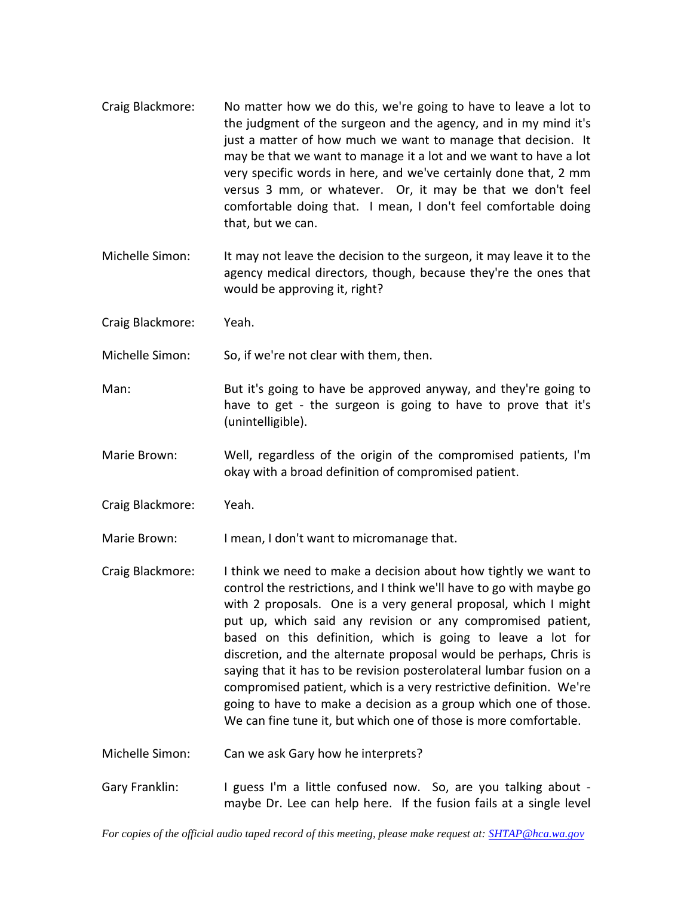- Craig Blackmore: No matter how we do this, we're going to have to leave a lot to the judgment of the surgeon and the agency, and in my mind it's just a matter of how much we want to manage that decision. It may be that we want to manage it a lot and we want to have a lot very specific words in here, and we've certainly done that, 2 mm versus 3 mm, or whatever. Or, it may be that we don't feel comfortable doing that. I mean, I don't feel comfortable doing that, but we can.
- Michelle Simon: It may not leave the decision to the surgeon, it may leave it to the agency medical directors, though, because they're the ones that would be approving it, right?
- Craig Blackmore: Yeah.
- Michelle Simon: So, if we're not clear with them, then.
- Man: But it's going to have be approved anyway, and they're going to have to get - the surgeon is going to have to prove that it's (unintelligible).
- Marie Brown: Well, regardless of the origin of the compromised patients, I'm okay with a broad definition of compromised patient.
- Craig Blackmore: Yeah.
- Marie Brown: I mean, I don't want to micromanage that.
- Craig Blackmore: I think we need to make a decision about how tightly we want to control the restrictions, and I think we'll have to go with maybe go with 2 proposals. One is a very general proposal, which I might put up, which said any revision or any compromised patient, based on this definition, which is going to leave a lot for discretion, and the alternate proposal would be perhaps, Chris is saying that it has to be revision posterolateral lumbar fusion on a compromised patient, which is a very restrictive definition. We're going to have to make a decision as a group which one of those. We can fine tune it, but which one of those is more comfortable.
- Michelle Simon: Can we ask Gary how he interprets?
- Gary Franklin: I guess I'm a little confused now. So, are you talking about maybe Dr. Lee can help here. If the fusion fails at a single level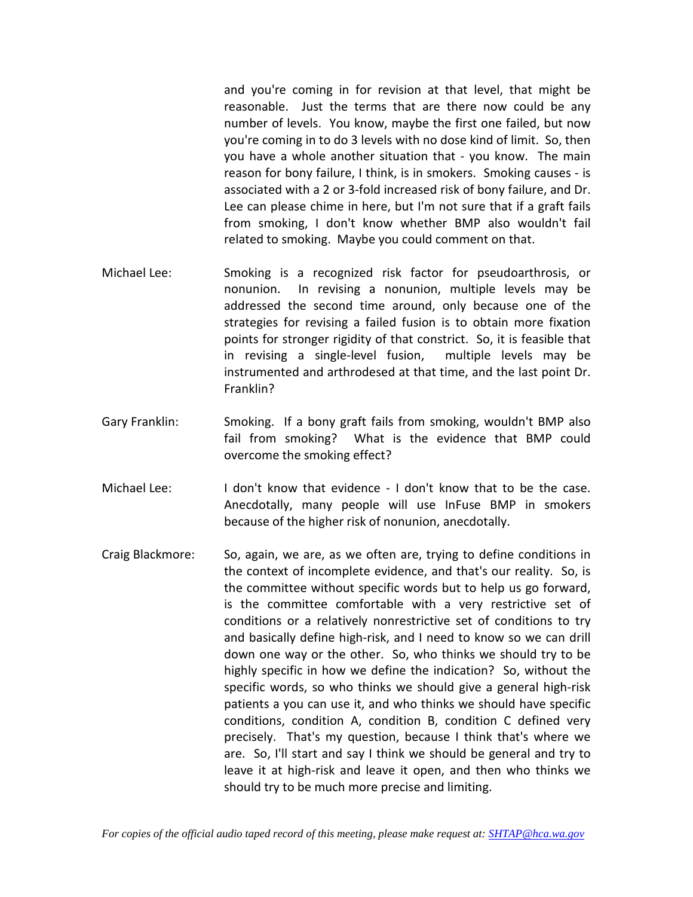and you're coming in for revision at that level, that might be reasonable. Just the terms that are there now could be any number of levels. You know, maybe the first one failed, but now you're coming in to do 3 levels with no dose kind of limit. So, then you have a whole another situation that - you know. The main reason for bony failure, I think, is in smokers. Smoking causes - is associated with a 2 or 3-fold increased risk of bony failure, and Dr. Lee can please chime in here, but I'm not sure that if a graft fails from smoking, I don't know whether BMP also wouldn't fail related to smoking. Maybe you could comment on that.

- Michael Lee: Smoking is a recognized risk factor for pseudoarthrosis, or nonunion. In revising a nonunion, multiple levels may be addressed the second time around, only because one of the strategies for revising a failed fusion is to obtain more fixation points for stronger rigidity of that constrict. So, it is feasible that in revising a single-level fusion, multiple levels may be instrumented and arthrodesed at that time, and the last point Dr. Franklin?
- Gary Franklin: Smoking. If a bony graft fails from smoking, wouldn't BMP also fail from smoking? What is the evidence that BMP could overcome the smoking effect?
- Michael Lee: I don't know that evidence I don't know that to be the case. Anecdotally, many people will use InFuse BMP in smokers because of the higher risk of nonunion, anecdotally.
- Craig Blackmore: So, again, we are, as we often are, trying to define conditions in the context of incomplete evidence, and that's our reality. So, is the committee without specific words but to help us go forward, is the committee comfortable with a very restrictive set of conditions or a relatively nonrestrictive set of conditions to try and basically define high-risk, and I need to know so we can drill down one way or the other. So, who thinks we should try to be highly specific in how we define the indication? So, without the specific words, so who thinks we should give a general high-risk patients a you can use it, and who thinks we should have specific conditions, condition A, condition B, condition C defined very precisely. That's my question, because I think that's where we are. So, I'll start and say I think we should be general and try to leave it at high-risk and leave it open, and then who thinks we should try to be much more precise and limiting.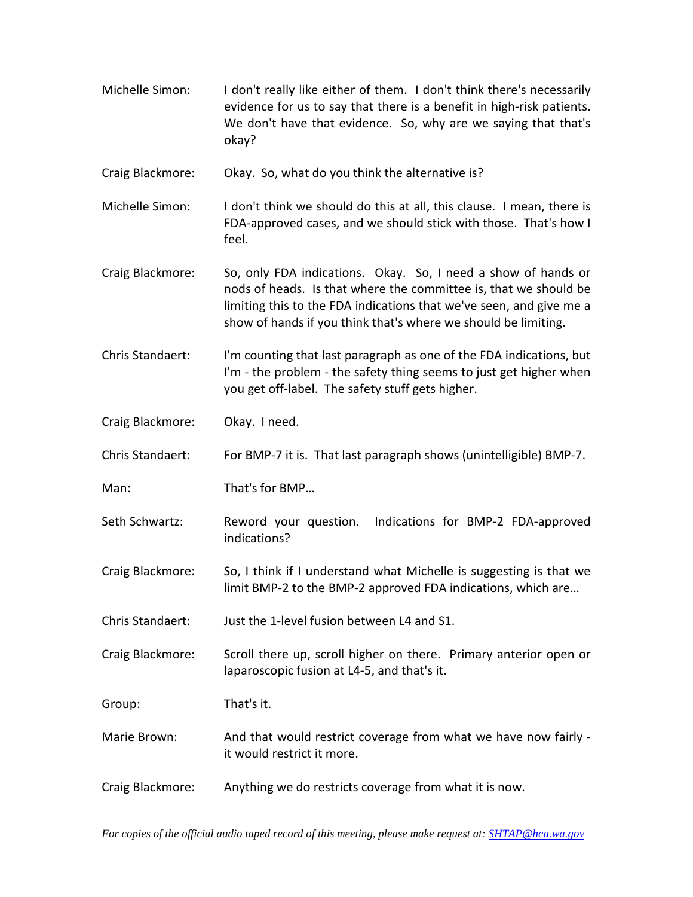Michelle Simon: I don't really like either of them. I don't think there's necessarily evidence for us to say that there is a benefit in high-risk patients. We don't have that evidence. So, why are we saying that that's okay?

Craig Blackmore: Okay. So, what do you think the alternative is?

- Michelle Simon: I don't think we should do this at all, this clause. I mean, there is FDA-approved cases, and we should stick with those. That's how I feel.
- Craig Blackmore: So, only FDA indications. Okay. So, I need a show of hands or nods of heads. Is that where the committee is, that we should be limiting this to the FDA indications that we've seen, and give me a show of hands if you think that's where we should be limiting.
- Chris Standaert: I'm counting that last paragraph as one of the FDA indications, but I'm - the problem - the safety thing seems to just get higher when you get off-label. The safety stuff gets higher.

Craig Blackmore: Okay. I need.

Chris Standaert: For BMP-7 it is. That last paragraph shows (unintelligible) BMP-7.

Man: That's for BMP…

Seth Schwartz: Reword your question. Indications for BMP-2 FDA-approved indications?

Craig Blackmore: So, I think if I understand what Michelle is suggesting is that we limit BMP-2 to the BMP-2 approved FDA indications, which are…

Chris Standaert: Just the 1-level fusion between L4 and S1.

Craig Blackmore: Scroll there up, scroll higher on there. Primary anterior open or laparoscopic fusion at L4-5, and that's it.

Group: That's it.

- Marie Brown: And that would restrict coverage from what we have now fairly it would restrict it more.
- Craig Blackmore: Anything we do restricts coverage from what it is now.

*For copies of the official audio taped record of this meeting, please make request at[: SHTAP@hca.wa.gov](mailto:SHTAP@hca.wa.gov)*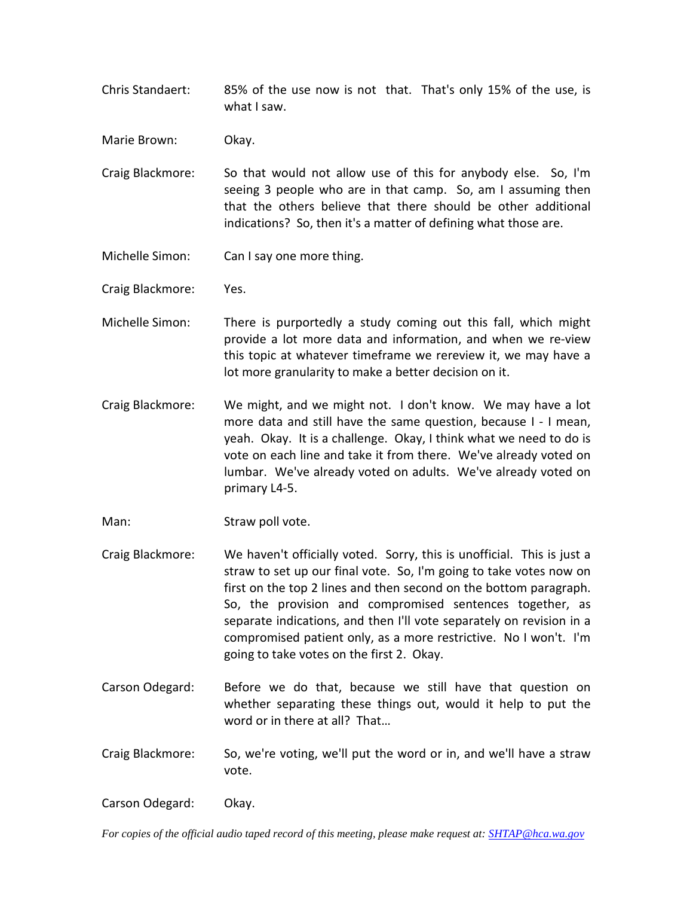- Chris Standaert: 85% of the use now is not that. That's only 15% of the use, is what I saw.
- Marie Brown: Okay.
- Craig Blackmore: So that would not allow use of this for anybody else. So, I'm seeing 3 people who are in that camp. So, am I assuming then that the others believe that there should be other additional indications? So, then it's a matter of defining what those are.
- Michelle Simon: Can I say one more thing.
- Craig Blackmore: Yes.
- Michelle Simon: There is purportedly a study coming out this fall, which might provide a lot more data and information, and when we re-view this topic at whatever timeframe we rereview it, we may have a lot more granularity to make a better decision on it.
- Craig Blackmore: We might, and we might not. I don't know. We may have a lot more data and still have the same question, because I - I mean, yeah. Okay. It is a challenge. Okay, I think what we need to do is vote on each line and take it from there. We've already voted on lumbar. We've already voted on adults. We've already voted on primary L4-5.
- Man: Straw poll vote.
- Craig Blackmore: We haven't officially voted. Sorry, this is unofficial. This is just a straw to set up our final vote. So, I'm going to take votes now on first on the top 2 lines and then second on the bottom paragraph. So, the provision and compromised sentences together, as separate indications, and then I'll vote separately on revision in a compromised patient only, as a more restrictive. No I won't. I'm going to take votes on the first 2. Okay.
- Carson Odegard: Before we do that, because we still have that question on whether separating these things out, would it help to put the word or in there at all? That…
- Craig Blackmore: So, we're voting, we'll put the word or in, and we'll have a straw vote.

Carson Odegard: Okay.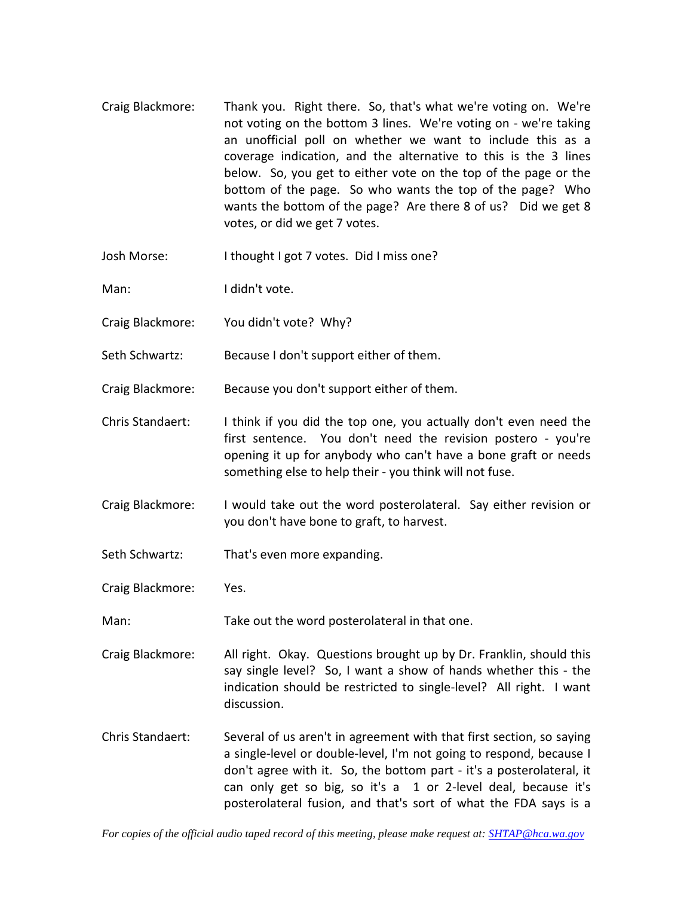- Craig Blackmore: Thank you. Right there. So, that's what we're voting on. We're not voting on the bottom 3 lines. We're voting on - we're taking an unofficial poll on whether we want to include this as a coverage indication, and the alternative to this is the 3 lines below. So, you get to either vote on the top of the page or the bottom of the page. So who wants the top of the page? Who wants the bottom of the page? Are there 8 of us? Did we get 8 votes, or did we get 7 votes.
- Josh Morse: I thought I got 7 votes. Did I miss one?
- Man: I didn't vote.
- Craig Blackmore: You didn't vote? Why?
- Seth Schwartz: Because I don't support either of them.
- Craig Blackmore: Because you don't support either of them.
- Chris Standaert: I think if you did the top one, you actually don't even need the first sentence. You don't need the revision postero - you're opening it up for anybody who can't have a bone graft or needs something else to help their - you think will not fuse.
- Craig Blackmore: I would take out the word posterolateral. Say either revision or you don't have bone to graft, to harvest.
- Seth Schwartz: That's even more expanding.
- Craig Blackmore: Yes.
- Man: Take out the word posterolateral in that one.
- Craig Blackmore: All right. Okay. Questions brought up by Dr. Franklin, should this say single level? So, I want a show of hands whether this - the indication should be restricted to single-level? All right. I want discussion.
- Chris Standaert: Several of us aren't in agreement with that first section, so saying a single-level or double-level, I'm not going to respond, because I don't agree with it. So, the bottom part - it's a posterolateral, it can only get so big, so it's a 1 or 2-level deal, because it's posterolateral fusion, and that's sort of what the FDA says is a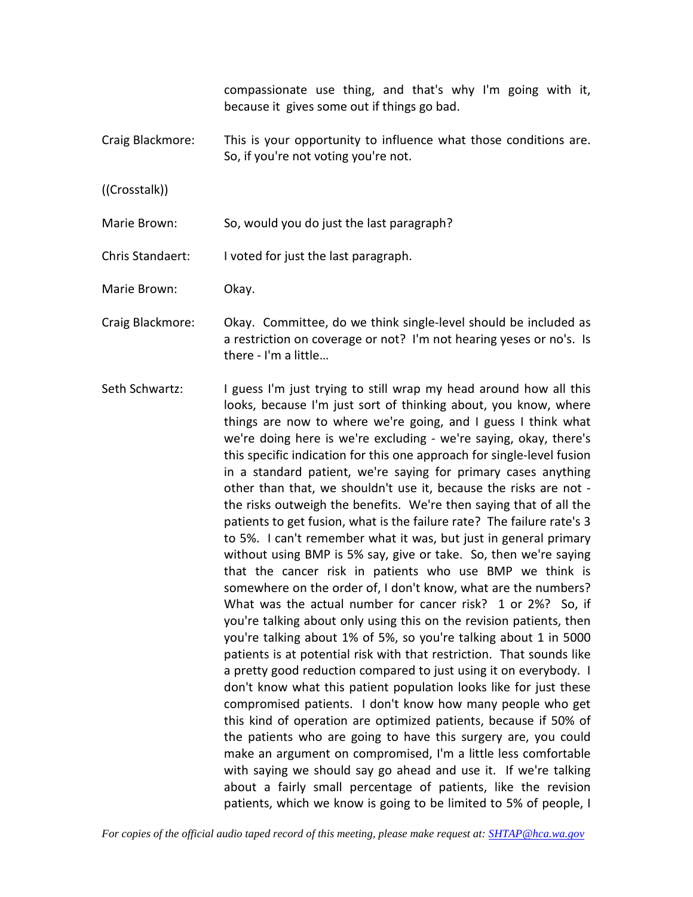compassionate use thing, and that's why I'm going with it, because it gives some out if things go bad.

Craig Blackmore: This is your opportunity to influence what those conditions are. So, if you're not voting you're not.

((Crosstalk))

Marie Brown: So, would you do just the last paragraph?

Chris Standaert: I voted for just the last paragraph.

Marie Brown: Okay.

- Craig Blackmore: Okay. Committee, do we think single-level should be included as a restriction on coverage or not? I'm not hearing yeses or no's. Is there - I'm a little…
- Seth Schwartz: I guess I'm just trying to still wrap my head around how all this looks, because I'm just sort of thinking about, you know, where things are now to where we're going, and I guess I think what we're doing here is we're excluding - we're saying, okay, there's this specific indication for this one approach for single-level fusion in a standard patient, we're saying for primary cases anything other than that, we shouldn't use it, because the risks are not the risks outweigh the benefits. We're then saying that of all the patients to get fusion, what is the failure rate? The failure rate's 3 to 5%. I can't remember what it was, but just in general primary without using BMP is 5% say, give or take. So, then we're saying that the cancer risk in patients who use BMP we think is somewhere on the order of, I don't know, what are the numbers? What was the actual number for cancer risk? 1 or 2%? So, if you're talking about only using this on the revision patients, then you're talking about 1% of 5%, so you're talking about 1 in 5000 patients is at potential risk with that restriction. That sounds like a pretty good reduction compared to just using it on everybody. I don't know what this patient population looks like for just these compromised patients. I don't know how many people who get this kind of operation are optimized patients, because if 50% of the patients who are going to have this surgery are, you could make an argument on compromised, I'm a little less comfortable with saying we should say go ahead and use it. If we're talking about a fairly small percentage of patients, like the revision patients, which we know is going to be limited to 5% of people, I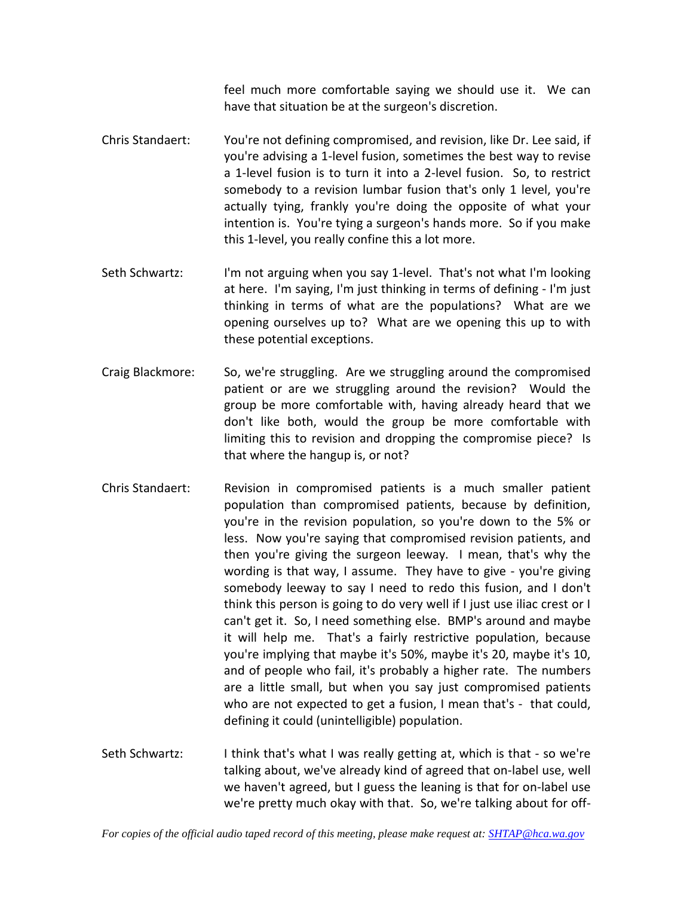feel much more comfortable saying we should use it. We can have that situation be at the surgeon's discretion.

- Chris Standaert: You're not defining compromised, and revision, like Dr. Lee said, if you're advising a 1-level fusion, sometimes the best way to revise a 1-level fusion is to turn it into a 2-level fusion. So, to restrict somebody to a revision lumbar fusion that's only 1 level, you're actually tying, frankly you're doing the opposite of what your intention is. You're tying a surgeon's hands more. So if you make this 1-level, you really confine this a lot more.
- Seth Schwartz: I'm not arguing when you say 1-level. That's not what I'm looking at here. I'm saying, I'm just thinking in terms of defining - I'm just thinking in terms of what are the populations? What are we opening ourselves up to? What are we opening this up to with these potential exceptions.
- Craig Blackmore: So, we're struggling. Are we struggling around the compromised patient or are we struggling around the revision? Would the group be more comfortable with, having already heard that we don't like both, would the group be more comfortable with limiting this to revision and dropping the compromise piece? Is that where the hangup is, or not?
- Chris Standaert: Revision in compromised patients is a much smaller patient population than compromised patients, because by definition, you're in the revision population, so you're down to the 5% or less. Now you're saying that compromised revision patients, and then you're giving the surgeon leeway. I mean, that's why the wording is that way, I assume. They have to give - you're giving somebody leeway to say I need to redo this fusion, and I don't think this person is going to do very well if I just use iliac crest or I can't get it. So, I need something else. BMP's around and maybe it will help me. That's a fairly restrictive population, because you're implying that maybe it's 50%, maybe it's 20, maybe it's 10, and of people who fail, it's probably a higher rate. The numbers are a little small, but when you say just compromised patients who are not expected to get a fusion, I mean that's - that could, defining it could (unintelligible) population.
- Seth Schwartz: I think that's what I was really getting at, which is that so we're talking about, we've already kind of agreed that on-label use, well we haven't agreed, but I guess the leaning is that for on-label use we're pretty much okay with that. So, we're talking about for off-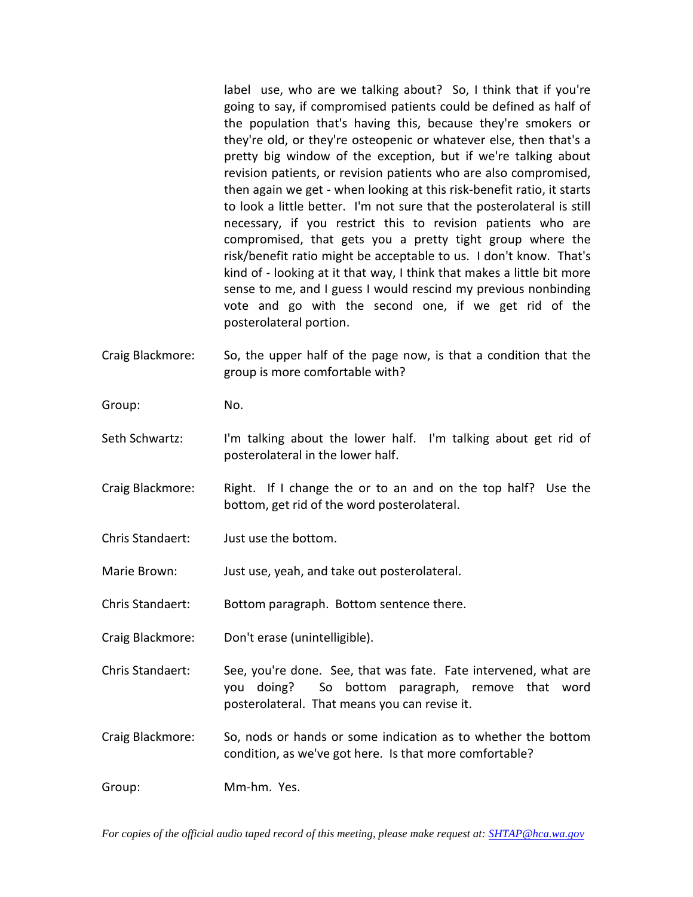label use, who are we talking about? So, I think that if you're going to say, if compromised patients could be defined as half of the population that's having this, because they're smokers or they're old, or they're osteopenic or whatever else, then that's a pretty big window of the exception, but if we're talking about revision patients, or revision patients who are also compromised, then again we get - when looking at this risk-benefit ratio, it starts to look a little better. I'm not sure that the posterolateral is still necessary, if you restrict this to revision patients who are compromised, that gets you a pretty tight group where the risk/benefit ratio might be acceptable to us. I don't know. That's kind of - looking at it that way, I think that makes a little bit more sense to me, and I guess I would rescind my previous nonbinding vote and go with the second one, if we get rid of the posterolateral portion.

- Craig Blackmore: So, the upper half of the page now, is that a condition that the group is more comfortable with?
- Group: No.
- Seth Schwartz: I'm talking about the lower half. I'm talking about get rid of posterolateral in the lower half.
- Craig Blackmore: Right. If I change the or to an and on the top half? Use the bottom, get rid of the word posterolateral.
- Chris Standaert: Just use the bottom.

Marie Brown: Just use, yeah, and take out posterolateral.

- Chris Standaert: Bottom paragraph. Bottom sentence there.
- Craig Blackmore: Don't erase (unintelligible).

Chris Standaert: See, you're done. See, that was fate. Fate intervened, what are you doing? So bottom paragraph, remove that word posterolateral. That means you can revise it.

Craig Blackmore: So, nods or hands or some indication as to whether the bottom condition, as we've got here. Is that more comfortable?

Group: Mm-hm. Yes.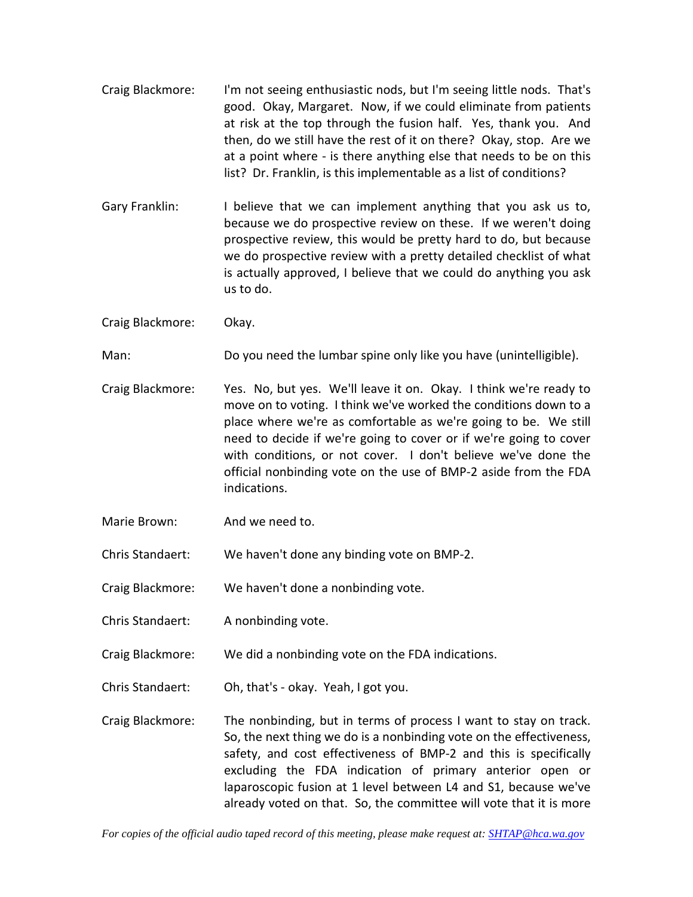- Craig Blackmore: I'm not seeing enthusiastic nods, but I'm seeing little nods. That's good. Okay, Margaret. Now, if we could eliminate from patients at risk at the top through the fusion half. Yes, thank you. And then, do we still have the rest of it on there? Okay, stop. Are we at a point where - is there anything else that needs to be on this list? Dr. Franklin, is this implementable as a list of conditions?
- Gary Franklin: I believe that we can implement anything that you ask us to, because we do prospective review on these. If we weren't doing prospective review, this would be pretty hard to do, but because we do prospective review with a pretty detailed checklist of what is actually approved, I believe that we could do anything you ask us to do.

Craig Blackmore: Okay.

Man: Do you need the lumbar spine only like you have (unintelligible).

- Craig Blackmore: Yes. No, but yes. We'll leave it on. Okay. I think we're ready to move on to voting. I think we've worked the conditions down to a place where we're as comfortable as we're going to be. We still need to decide if we're going to cover or if we're going to cover with conditions, or not cover. I don't believe we've done the official nonbinding vote on the use of BMP-2 aside from the FDA indications.
- Marie Brown: And we need to.
- Chris Standaert: We haven't done any binding vote on BMP-2.

Craig Blackmore: We haven't done a nonbinding vote.

- Chris Standaert: A nonbinding vote.
- Craig Blackmore: We did a nonbinding vote on the FDA indications.
- Chris Standaert: Oh, that's okay. Yeah, I got you.
- Craig Blackmore: The nonbinding, but in terms of process I want to stay on track. So, the next thing we do is a nonbinding vote on the effectiveness, safety, and cost effectiveness of BMP-2 and this is specifically excluding the FDA indication of primary anterior open or laparoscopic fusion at 1 level between L4 and S1, because we've already voted on that. So, the committee will vote that it is more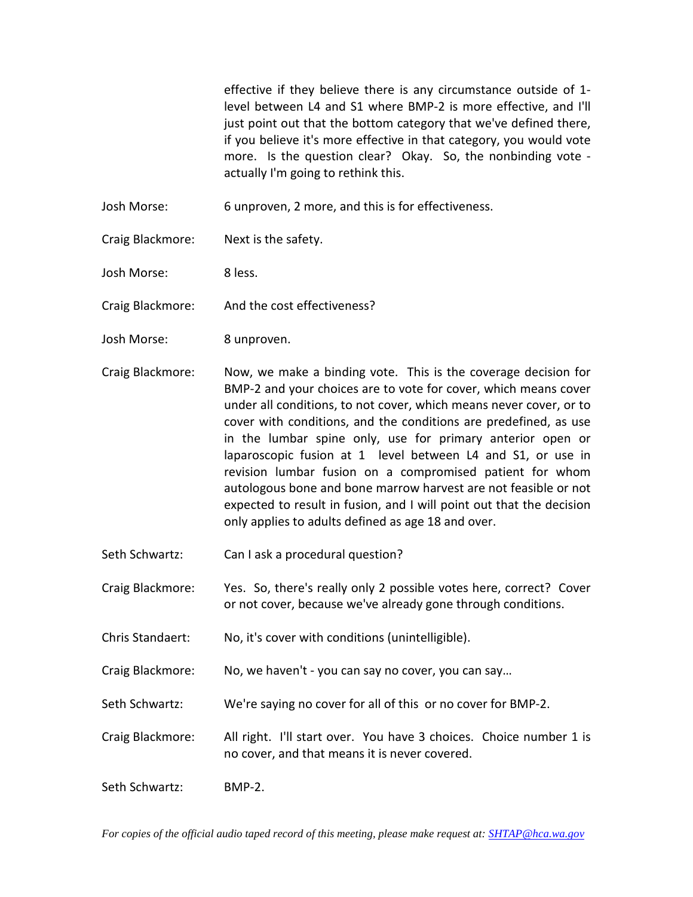effective if they believe there is any circumstance outside of 1 level between L4 and S1 where BMP-2 is more effective, and I'll just point out that the bottom category that we've defined there, if you believe it's more effective in that category, you would vote more. Is the question clear? Okay. So, the nonbinding vote actually I'm going to rethink this.

- Josh Morse: 6 unproven, 2 more, and this is for effectiveness.
- Craig Blackmore: Next is the safety.

Josh Morse: 8 less.

Craig Blackmore: And the cost effectiveness?

- Josh Morse: 8 unproven.
- Craig Blackmore: Now, we make a binding vote. This is the coverage decision for BMP-2 and your choices are to vote for cover, which means cover under all conditions, to not cover, which means never cover, or to cover with conditions, and the conditions are predefined, as use in the lumbar spine only, use for primary anterior open or laparoscopic fusion at 1 level between L4 and S1, or use in revision lumbar fusion on a compromised patient for whom autologous bone and bone marrow harvest are not feasible or not expected to result in fusion, and I will point out that the decision only applies to adults defined as age 18 and over.
- Seth Schwartz: Can I ask a procedural question?
- Craig Blackmore: Yes. So, there's really only 2 possible votes here, correct? Cover or not cover, because we've already gone through conditions.
- Chris Standaert: No, it's cover with conditions (unintelligible).
- Craig Blackmore: No, we haven't you can say no cover, you can say…
- Seth Schwartz: We're saying no cover for all of this or no cover for BMP-2.
- Craig Blackmore: All right. I'll start over. You have 3 choices. Choice number 1 is no cover, and that means it is never covered.
- Seth Schwartz: BMP-2.